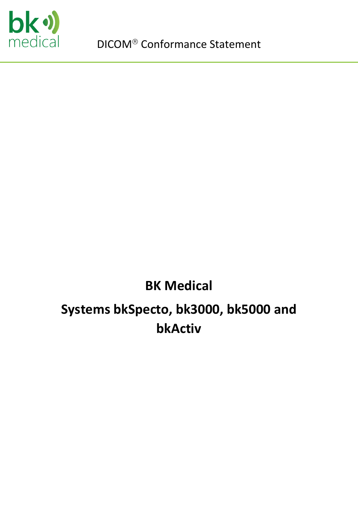

# **BK Medical Systems bkSpecto, bk3000, bk5000 and bkActiv**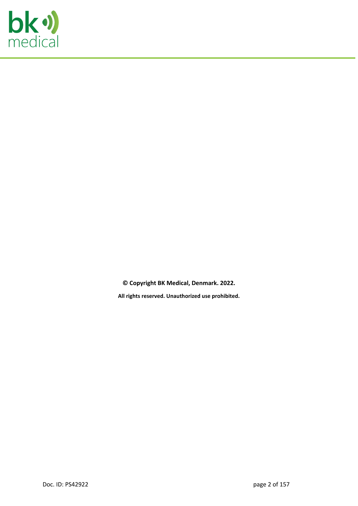

**© Copyright BK Medical, Denmark. 2022. All rights reserved. Unauthorized use prohibited.**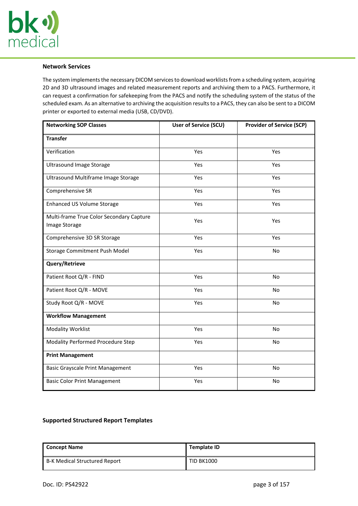

#### **Network Services**

The system implements the necessary DICOM services to download worklists from a scheduling system, acquiring 2D and 3D ultrasound images and related measurement reports and archiving them to a PACS. Furthermore, it can request a confirmation for safekeeping from the PACS and notify the scheduling system of the status of the scheduled exam. As an alternative to archiving the acquisition results to a PACS, they can also be sent to a DICOM printer or exported to external media (USB, CD/DVD).

| <b>Networking SOP Classes</b>                             | <b>User of Service (SCU)</b> | <b>Provider of Service (SCP)</b> |
|-----------------------------------------------------------|------------------------------|----------------------------------|
| <b>Transfer</b>                                           |                              |                                  |
| Verification                                              | Yes                          | Yes                              |
| <b>Ultrasound Image Storage</b>                           | Yes                          | Yes                              |
| Ultrasound Multiframe Image Storage                       | Yes                          | Yes                              |
| Comprehensive SR                                          | Yes                          | Yes                              |
| <b>Enhanced US Volume Storage</b>                         | Yes                          | Yes                              |
| Multi-frame True Color Secondary Capture<br>Image Storage | Yes                          | Yes                              |
| Comprehensive 3D SR Storage                               | Yes                          | Yes                              |
| Storage Commitment Push Model                             | Yes                          | <b>No</b>                        |
| Query/Retrieve                                            |                              |                                  |
| Patient Root Q/R - FIND                                   | Yes                          | No                               |
| Patient Root Q/R - MOVE                                   | Yes                          | No                               |
| Study Root Q/R - MOVE                                     | Yes                          | No                               |
| <b>Workflow Management</b>                                |                              |                                  |
| <b>Modality Worklist</b>                                  | Yes                          | No                               |
| Modality Performed Procedure Step                         | Yes                          | No                               |
| <b>Print Management</b>                                   |                              |                                  |
| <b>Basic Grayscale Print Management</b>                   | Yes                          | <b>No</b>                        |
| <b>Basic Color Print Management</b>                       | Yes                          | <b>No</b>                        |

#### **Supported Structured Report Templates**

| Concept Name                  | Template ID |
|-------------------------------|-------------|
| B-K Medical Structured Report | TID BK1000  |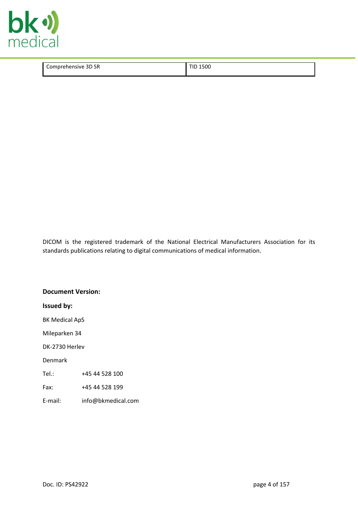

Comprehensive 3D SR TID 1500

DICOM is the registered trademark of the National Electrical Manufacturers Association for its standards publications relating to digital communications of medical information.

**Document Version: Issued by:** BK Medical ApS Mileparken 34 DK-2730 Herlev Denmark Tel.: +45 44 528 100 Fax: +45 44 528 199

E-mail: info@bkmedical.com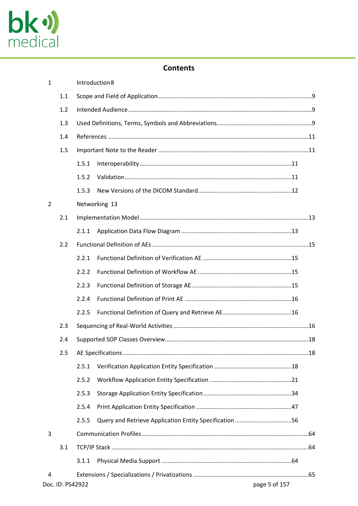

# **Contents**

| $\mathbf{1}$ |                  |       | Introduction8                                         |  |
|--------------|------------------|-------|-------------------------------------------------------|--|
|              | 1.1              |       |                                                       |  |
|              | 1.2              |       |                                                       |  |
|              | 1.3              |       |                                                       |  |
|              | 1.4              |       |                                                       |  |
|              | 1.5              |       |                                                       |  |
|              |                  | 1.5.1 |                                                       |  |
|              |                  | 1.5.2 |                                                       |  |
|              |                  | 1.5.3 |                                                       |  |
| 2            |                  |       | Networking 13                                         |  |
|              | 2.1              |       |                                                       |  |
|              |                  | 2.1.1 |                                                       |  |
|              | 2.2              |       |                                                       |  |
|              |                  | 2.2.1 |                                                       |  |
|              |                  | 2.2.2 |                                                       |  |
|              |                  | 2.2.3 |                                                       |  |
|              |                  | 2.2.4 |                                                       |  |
|              |                  | 2.2.5 |                                                       |  |
|              | 2.3              |       |                                                       |  |
|              | 2.4              |       |                                                       |  |
|              | 2.5              |       |                                                       |  |
|              |                  | 2.5.1 |                                                       |  |
|              |                  | 2.5.2 |                                                       |  |
|              |                  | 2.5.3 |                                                       |  |
|              |                  | 2.5.4 |                                                       |  |
|              |                  | 2.5.5 | Query and Retrieve Application Entity Specification56 |  |
| 3            |                  |       |                                                       |  |
|              | 3.1              |       |                                                       |  |
|              |                  | 3.1.1 |                                                       |  |
| 4            |                  |       |                                                       |  |
|              | Doc. ID: PS42922 |       | page 5 of 157                                         |  |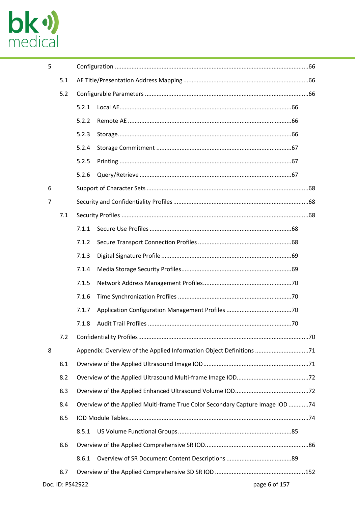

| 5              |                  |       |                                                                               |  |
|----------------|------------------|-------|-------------------------------------------------------------------------------|--|
|                | 5.1              |       |                                                                               |  |
|                | 5.2              |       |                                                                               |  |
|                |                  | 5.2.1 |                                                                               |  |
|                |                  | 5.2.2 |                                                                               |  |
|                |                  | 5.2.3 |                                                                               |  |
|                |                  | 5.2.4 |                                                                               |  |
|                |                  | 5.2.5 |                                                                               |  |
|                |                  | 5.2.6 |                                                                               |  |
| 6              |                  |       |                                                                               |  |
| $\overline{7}$ |                  |       |                                                                               |  |
|                | 7.1              |       |                                                                               |  |
|                |                  | 7.1.1 |                                                                               |  |
|                |                  | 7.1.2 |                                                                               |  |
|                |                  | 7.1.3 |                                                                               |  |
|                |                  | 7.1.4 |                                                                               |  |
|                |                  | 7.1.5 |                                                                               |  |
|                |                  | 7.1.6 |                                                                               |  |
|                |                  | 7.1.7 |                                                                               |  |
|                |                  | 7.1.8 |                                                                               |  |
|                | 7.2              |       |                                                                               |  |
| 8              |                  |       | Appendix: Overview of the Applied Information Object Definitions 71           |  |
|                | 8.1              |       |                                                                               |  |
|                | 8.2              |       |                                                                               |  |
|                | 8.3              |       |                                                                               |  |
|                | 8.4              |       | Overview of the Applied Multi-frame True Color Secondary Capture Image IOD 74 |  |
|                | 8.5              |       |                                                                               |  |
|                |                  | 8.5.1 |                                                                               |  |
|                | 8.6              |       |                                                                               |  |
|                |                  | 8.6.1 |                                                                               |  |
|                | 8.7              |       |                                                                               |  |
|                | Doc. ID: PS42922 |       | page 6 of 157                                                                 |  |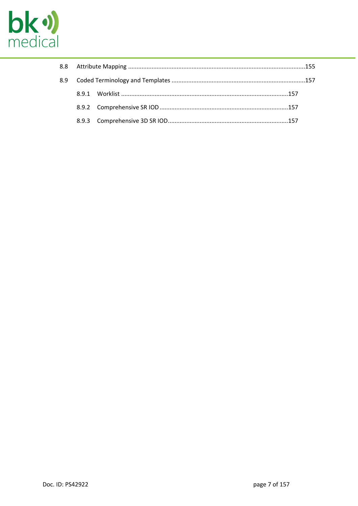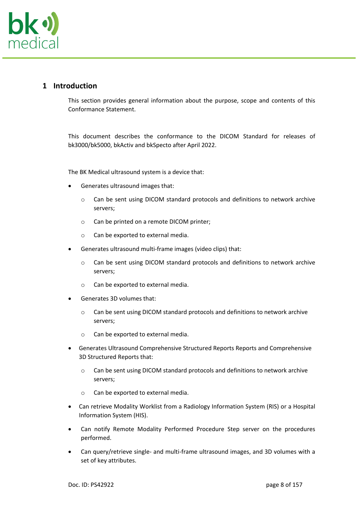

# <span id="page-7-0"></span>**1 Introduction**

This section provides general information about the purpose, scope and contents of this Conformance Statement.

This document describes the conformance to the DICOM Standard for releases of bk3000/bk5000, bkActiv and bkSpecto after April 2022.

The BK Medical ultrasound system is a device that:

- Generates ultrasound images that:
	- o Can be sent using DICOM standard protocols and definitions to network archive servers;
	- o Can be printed on a remote DICOM printer;
	- o Can be exported to external media.
- Generates ultrasound multi-frame images (video clips) that:
	- o Can be sent using DICOM standard protocols and definitions to network archive servers;
	- o Can be exported to external media.
- Generates 3D volumes that:
	- o Can be sent using DICOM standard protocols and definitions to network archive servers;
	- o Can be exported to external media.
- Generates Ultrasound Comprehensive Structured Reports Reports and Comprehensive 3D Structured Reports that:
	- o Can be sent using DICOM standard protocols and definitions to network archive servers;
	- o Can be exported to external media.
- Can retrieve Modality Worklist from a Radiology Information System (RIS) or a Hospital Information System (HIS).
- Can notify Remote Modality Performed Procedure Step server on the procedures performed.
- Can query/retrieve single- and multi-frame ultrasound images, and 3D volumes with a set of key attributes.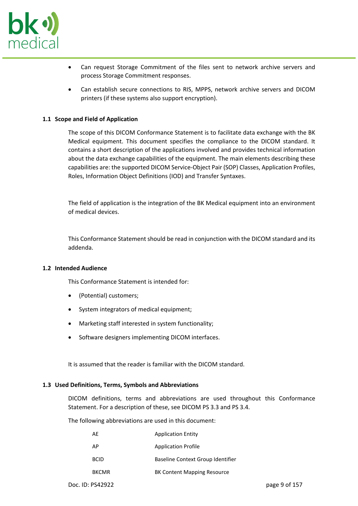

- Can request Storage Commitment of the files sent to network archive servers and process Storage Commitment responses.
- Can establish secure connections to RIS, MPPS, network archive servers and DICOM printers (if these systems also support encryption).

#### <span id="page-8-0"></span>**1.1 Scope and Field of Application**

The scope of this DICOM Conformance Statement is to facilitate data exchange with the BK Medical equipment. This document specifies the compliance to the DICOM standard. It contains a short description of the applications involved and provides technical information about the data exchange capabilities of the equipment. The main elements describing these capabilities are: the supported DICOM Service-Object Pair (SOP) Classes, Application Profiles, Roles, Information Object Definitions (IOD) and Transfer Syntaxes.

The field of application is the integration of the BK Medical equipment into an environment of medical devices.

This Conformance Statement should be read in conjunction with the DICOM standard and its addenda.

#### <span id="page-8-1"></span>**1.2 Intended Audience**

This Conformance Statement is intended for:

- (Potential) customers;
- System integrators of medical equipment;
- Marketing staff interested in system functionality;
- Software designers implementing DICOM interfaces.

It is assumed that the reader is familiar with the DICOM standard.

#### <span id="page-8-2"></span>**1.3 Used Definitions, Terms, Symbols and Abbreviations**

DICOM definitions, terms and abbreviations are used throughout this Conformance Statement. For a description of these, see DICOM PS 3.3 and PS 3.4.

The following abbreviations are used in this document:

| AF           | <b>Application Entity</b>          |
|--------------|------------------------------------|
| АP           | <b>Application Profile</b>         |
| <b>BCID</b>  | Baseline Context Group Identifier  |
| <b>BKCMR</b> | <b>BK Content Mapping Resource</b> |

Doc. ID: PS42922 page 9 of 157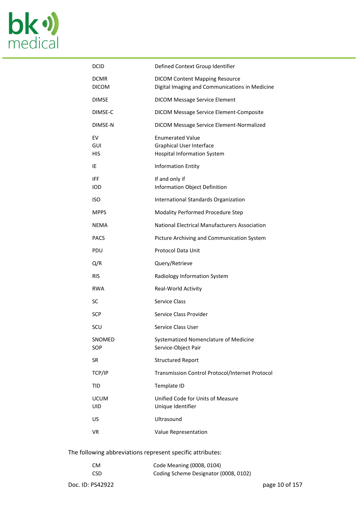# bk<sup>o</sup>

| <b>DCID</b>                 | Defined Context Group Identifier                                                          |
|-----------------------------|-------------------------------------------------------------------------------------------|
| <b>DCMR</b><br><b>DICOM</b> | <b>DICOM Content Mapping Resource</b><br>Digital Imaging and Communications in Medicine   |
| <b>DIMSE</b>                | <b>DICOM Message Service Element</b>                                                      |
| DIMSE-C                     | DICOM Message Service Element-Composite                                                   |
| DIMSE-N                     | DICOM Message Service Element-Normalized                                                  |
| EV<br>GUI<br>HIS            | <b>Enumerated Value</b><br>Graphical User Interface<br><b>Hospital Information System</b> |
| IE                          | <b>Information Entity</b>                                                                 |
| <b>IFF</b><br><b>IOD</b>    | If and only if<br>Information Object Definition                                           |
| <b>ISO</b>                  | International Standards Organization                                                      |
| <b>MPPS</b>                 | Modality Performed Procedure Step                                                         |
| <b>NEMA</b>                 | <b>National Electrical Manufacturers Association</b>                                      |
| <b>PACS</b>                 | Picture Archiving and Communication System                                                |
| <b>PDU</b>                  | <b>Protocol Data Unit</b>                                                                 |
| Q/R                         | Query/Retrieve                                                                            |
| <b>RIS</b>                  | Radiology Information System                                                              |
| <b>RWA</b>                  | Real-World Activity                                                                       |
| SC                          | Service Class                                                                             |
| <b>SCP</b>                  | Service Class Provider                                                                    |
| SCU                         | Service Class User                                                                        |
| SNOMED<br>SOP               | Systematized Nomenclature of Medicine<br>Service-Object Pair                              |
| <b>SR</b>                   | <b>Structured Report</b>                                                                  |
| TCP/IP                      | Transmission Control Protocol/Internet Protocol                                           |
| <b>TID</b>                  | Template ID                                                                               |
| <b>UCUM</b><br>UID          | Unified Code for Units of Measure<br>Unique Identifier                                    |
| US                          | Ultrasound                                                                                |
| VR.                         | Value Representation                                                                      |

The following abbreviations represent specific attributes:

| <b>CM</b>  | Code Meaning (0008, 0104)             |
|------------|---------------------------------------|
| <b>CSD</b> | Coding Scheme Designator (0008, 0102) |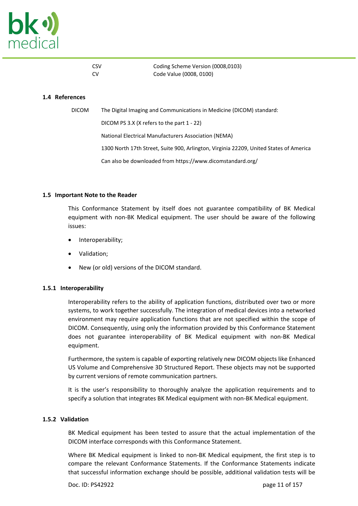

| CSV <sub></sub> | Coding Scheme Version (0008,0103) |
|-----------------|-----------------------------------|
| CV              | Code Value (0008, 0100)           |

#### <span id="page-10-0"></span>**1.4 References**

DICOM The Digital Imaging and Communications in Medicine (DICOM) standard: DICOM PS 3.X (X refers to the part 1 - 22) National Electrical Manufacturers Association (NEMA) 1300 North 17th Street, Suite 900, Arlington, Virginia 22209, United States of America Can also be downloaded from https://www.dicomstandard.org/

#### <span id="page-10-1"></span>**1.5 Important Note to the Reader**

This Conformance Statement by itself does not guarantee compatibility of BK Medical equipment with non-BK Medical equipment. The user should be aware of the following issues:

- Interoperability;
- Validation;
- New (or old) versions of the DICOM standard.

#### <span id="page-10-2"></span>**1.5.1 Interoperability**

Interoperability refers to the ability of application functions, distributed over two or more systems, to work together successfully. The integration of medical devices into a networked environment may require application functions that are not specified within the scope of DICOM. Consequently, using only the information provided by this Conformance Statement does not guarantee interoperability of BK Medical equipment with non-BK Medical equipment.

Furthermore, the system is capable of exporting relatively new DICOM objects like Enhanced US Volume and Comprehensive 3D Structured Report. These objects may not be supported by current versions of remote communication partners.

It is the user's responsibility to thoroughly analyze the application requirements and to specify a solution that integrates BK Medical equipment with non-BK Medical equipment.

#### <span id="page-10-3"></span>**1.5.2 Validation**

BK Medical equipment has been tested to assure that the actual implementation of the DICOM interface corresponds with this Conformance Statement.

Where BK Medical equipment is linked to non-BK Medical equipment, the first step is to compare the relevant Conformance Statements. If the Conformance Statements indicate that successful information exchange should be possible, additional validation tests will be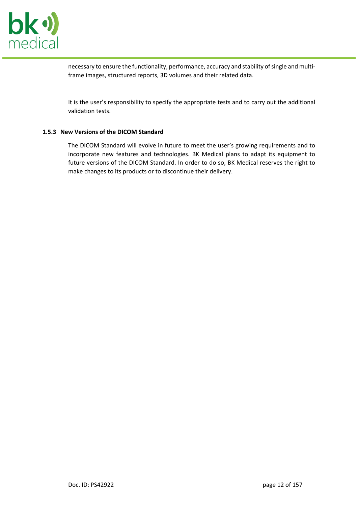

necessary to ensure the functionality, performance, accuracy and stability of single and multiframe images, structured reports, 3D volumes and their related data.

It is the user's responsibility to specify the appropriate tests and to carry out the additional validation tests.

#### <span id="page-11-0"></span>**1.5.3 New Versions of the DICOM Standard**

The DICOM Standard will evolve in future to meet the user's growing requirements and to incorporate new features and technologies. BK Medical plans to adapt its equipment to future versions of the DICOM Standard. In order to do so, BK Medical reserves the right to make changes to its products or to discontinue their delivery.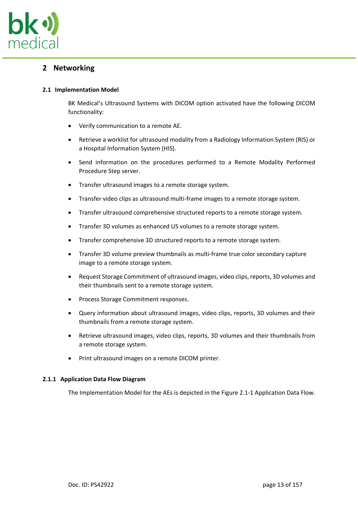

# <span id="page-12-0"></span>**2 Networking**

### <span id="page-12-1"></span>**2.1 Implementation Model**

BK Medical's Ultrasound Systems with DICOM option activated have the following DICOM functionality:

- Verify communication to a remote AE.
- Retrieve a worklist for ultrasound modality from a Radiology Information System (RIS) or a Hospital Information System (HIS).
- Send information on the procedures performed to a Remote Modality Performed Procedure Step server.
- Transfer ultrasound images to a remote storage system.
- Transfer video clips as ultrasound multi-frame images to a remote storage system.
- Transfer ultrasound comprehensive structured reports to a remote storage system.
- Transfer 3D volumes as enhanced US volumes to a remote storage system.
- Transfer comprehensive 3D structured reports to a remote storage system.
- Transfer 3D volume preview thumbnails as multi-frame true color secondary capture image to a remote storage system.
- Request Storage Commitment of ultrasound images, video clips, reports, 3D volumes and their thumbnails sent to a remote storage system.
- Process Storage Commitment responses.
- Query information about ultrasound images, video clips, reports, 3D volumes and their thumbnails from a remote storage system.
- Retrieve ultrasound images, video clips, reports, 3D volumes and their thumbnails from a remote storage system.
- Print ultrasound images on a remote DICOM printer.

#### <span id="page-12-2"></span>**2.1.1 Application Data Flow Diagram**

The Implementation Model for the AEs is depicted in the [Figure 2.1-1 Application Data Flow.](#page-13-0)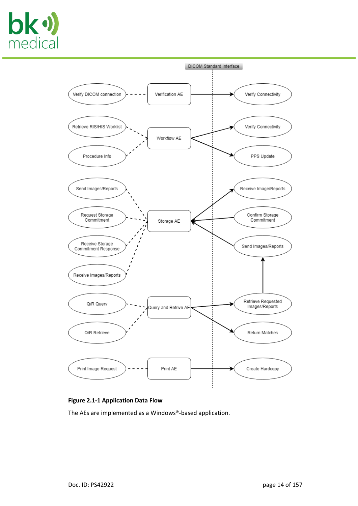



#### <span id="page-13-0"></span>**Figure 2.1-1 Application Data Flow**

The AEs are implemented as a Windows®-based application.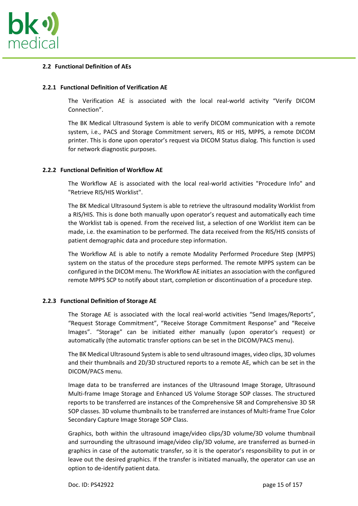

#### <span id="page-14-0"></span>**2.2 Functional Definition of AEs**

#### <span id="page-14-1"></span>**2.2.1 Functional Definition of Verification AE**

The Verification AE is associated with the local real-world activity "Verify DICOM Connection".

The BK Medical Ultrasound System is able to verify DICOM communication with a remote system, i.e., PACS and Storage Commitment servers, RIS or HIS, MPPS, a remote DICOM printer. This is done upon operator's request via DICOM Status dialog. This function is used for network diagnostic purposes.

#### <span id="page-14-2"></span>**2.2.2 Functional Definition of Workflow AE**

The Workflow AE is associated with the local real-world activities "Procedure Info" and "Retrieve RIS/HIS Worklist".

The BK Medical Ultrasound System is able to retrieve the ultrasound modality Worklist from a RIS/HIS. This is done both manually upon operator's request and automatically each time the Worklist tab is opened. From the received list, a selection of one Worklist item can be made, i.e. the examination to be performed. The data received from the RIS/HIS consists of patient demographic data and procedure step information.

The Workflow AE is able to notify a remote Modality Performed Procedure Step (MPPS) system on the status of the procedure steps performed. The remote MPPS system can be configured in the DICOM menu. The Workflow AE initiates an association with the configured remote MPPS SCP to notify about start, completion or discontinuation of a procedure step.

#### <span id="page-14-3"></span>**2.2.3 Functional Definition of Storage AE**

The Storage AE is associated with the local real-world activities "Send Images/Reports", "Request Storage Commitment", "Receive Storage Commitment Response" and "Receive Images". "Storage" can be initiated either manually (upon operator's request) or automatically (the automatic transfer options can be set in the DICOM/PACS menu).

The BK Medical Ultrasound System is able to send ultrasound images, video clips, 3D volumes and their thumbnails and 2D/3D structured reports to a remote AE, which can be set in the DICOM/PACS menu.

Image data to be transferred are instances of the Ultrasound Image Storage, Ultrasound Multi-frame Image Storage and Enhanced US Volume Storage SOP classes. The structured reports to be transferred are instances of the Comprehensive SR and Comprehensive 3D SR SOP classes. 3D volume thumbnails to be transferred are instances of Multi-frame True Color Secondary Capture Image Storage SOP Class.

Graphics, both within the ultrasound image/video clips/3D volume/3D volume thumbnail and surrounding the ultrasound image/video clip/3D volume, are transferred as burned-in graphics in case of the automatic transfer, so it is the operator's responsibility to put in or leave out the desired graphics. If the transfer is initiated manually, the operator can use an option to de-identify patient data.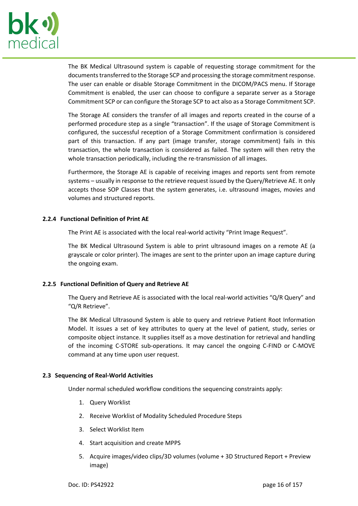

The BK Medical Ultrasound system is capable of requesting storage commitment for the documents transferred to the Storage SCP and processing the storage commitment response. The user can enable or disable Storage Commitment in the DICOM/PACS menu. If Storage Commitment is enabled, the user can choose to configure a separate server as a Storage Commitment SCP or can configure the Storage SCP to act also as a Storage Commitment SCP.

The Storage AE considers the transfer of all images and reports created in the course of a performed procedure step as a single "transaction". If the usage of Storage Commitment is configured, the successful reception of a Storage Commitment confirmation is considered part of this transaction. If any part (image transfer, storage commitment) fails in this transaction, the whole transaction is considered as failed. The system will then retry the whole transaction periodically, including the re-transmission of all images.

Furthermore, the Storage AE is capable of receiving images and reports sent from remote systems – usually in response to the retrieve request issued by the Query/Retrieve AE. It only accepts those SOP Classes that the system generates, i.e. ultrasound images, movies and volumes and structured reports.

#### <span id="page-15-0"></span>**2.2.4 Functional Definition of Print AE**

The Print AE is associated with the local real-world activity "Print Image Request".

The BK Medical Ultrasound System is able to print ultrasound images on a remote AE (a grayscale or color printer). The images are sent to the printer upon an image capture during the ongoing exam.

#### <span id="page-15-1"></span>**2.2.5 Functional Definition of Query and Retrieve AE**

The Query and Retrieve AE is associated with the local real-world activities "Q/R Query" and "Q/R Retrieve".

The BK Medical Ultrasound System is able to query and retrieve Patient Root Information Model. It issues a set of key attributes to query at the level of patient, study, series or composite object instance. It supplies itself as a move destination for retrieval and handling of the incoming C-STORE sub-operations. It may cancel the ongoing C-FIND or C-MOVE command at any time upon user request.

#### <span id="page-15-2"></span>**2.3 Sequencing of Real-World Activities**

Under normal scheduled workflow conditions the sequencing constraints apply:

- 1. Query Worklist
- 2. Receive Worklist of Modality Scheduled Procedure Steps
- 3. Select Worklist Item
- 4. Start acquisition and create MPPS
- 5. Acquire images/video clips/3D volumes (volume + 3D Structured Report + Preview image)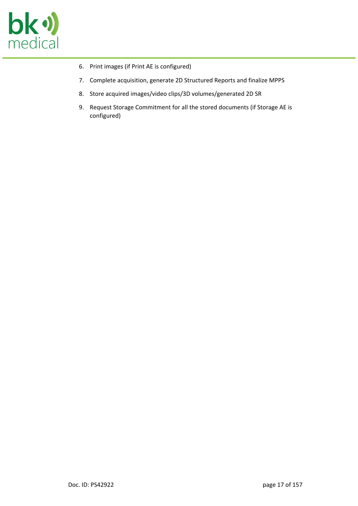

- 6. Print images (if Print AE is configured)
- 7. Complete acquisition, generate 2D Structured Reports and finalize MPPS
- 8. Store acquired images/video clips/3D volumes/generated 2D SR
- 9. Request Storage Commitment for all the stored documents (if Storage AE is configured)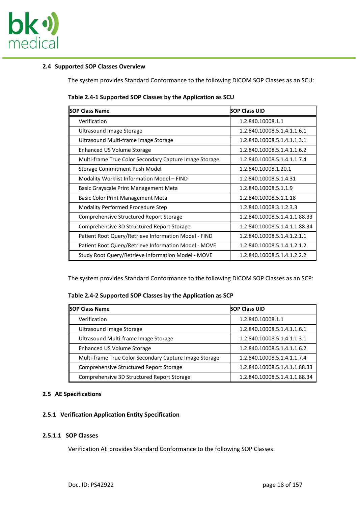

#### <span id="page-17-0"></span>**2.4 Supported SOP Classes Overview**

The system provides Standard Conformance to the following DICOM SOP Classes as an SCU:

| <b>SOP Class Name</b>                                  | <b>SOP Class UID</b>          |
|--------------------------------------------------------|-------------------------------|
| Verification                                           | 1.2.840.10008.1.1             |
| <b>Ultrasound Image Storage</b>                        | 1.2.840.10008.5.1.4.1.1.6.1   |
| Ultrasound Multi-frame Image Storage                   | 1.2.840.10008.5.1.4.1.1.3.1   |
| Enhanced US Volume Storage                             | 1.2.840.10008.5.1.4.1.1.6.2   |
| Multi-frame True Color Secondary Capture Image Storage | 1.2.840.10008.5.1.4.1.1.7.4   |
| Storage Commitment Push Model                          | 1.2.840.10008.1.20.1          |
| Modality Worklist Information Model - FIND             | 1.2.840.10008.5.1.4.31        |
| Basic Grayscale Print Management Meta                  | 1.2.840.10008.5.1.1.9         |
| Basic Color Print Management Meta                      | 1.2.840.10008.5.1.1.18        |
| Modality Performed Procedure Step                      | 1.2.840.10008.3.1.2.3.3       |
| Comprehensive Structured Report Storage                | 1.2.840.10008.5.1.4.1.1.88.33 |
| Comprehensive 3D Structured Report Storage             | 1.2.840.10008.5.1.4.1.1.88.34 |
| Patient Root Query/Retrieve Information Model - FIND   | 1.2.840.10008.5.1.4.1.2.1.1   |
| Patient Root Query/Retrieve Information Model - MOVE   | 1.2.840.10008.5.1.4.1.2.1.2   |
| Study Root Query/Retrieve Information Model - MOVE     | 1.2.840.10008.5.1.4.1.2.2.2   |

The system provides Standard Conformance to the following DICOM SOP Classes as an SCP:

**Table 2.4-2 Supported SOP Classes by the Application as SCP**

| <b>ISOP Class Name</b>                                 | <b>SOP Class UID</b>          |
|--------------------------------------------------------|-------------------------------|
| Verification                                           | 1.2.840.10008.1.1             |
| <b>Ultrasound Image Storage</b>                        | 1.2.840.10008.5.1.4.1.1.6.1   |
| Ultrasound Multi-frame Image Storage                   | 1.2.840.10008.5.1.4.1.1.3.1   |
| Enhanced US Volume Storage                             | 1.2.840.10008.5.1.4.1.1.6.2   |
| Multi-frame True Color Secondary Capture Image Storage | 1.2.840.10008.5.1.4.1.1.7.4   |
| Comprehensive Structured Report Storage                | 1.2.840.10008.5.1.4.1.1.88.33 |
| Comprehensive 3D Structured Report Storage             | 1.2.840.10008.5.1.4.1.1.88.34 |

### <span id="page-17-1"></span>**2.5 AE Specifications**

#### <span id="page-17-2"></span>**2.5.1 Verification Application Entity Specification**

#### **2.5.1.1 SOP Classes**

Verification AE provides Standard Conformance to the following SOP Classes: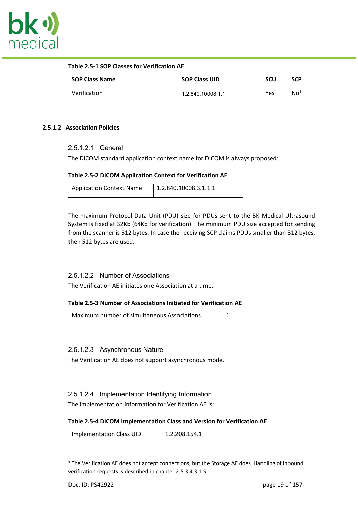

#### **Table 2.5-1 SOP Classes for Verification AE**

| <b>SOP Class Name</b> | <b>SOP Class UID</b> | <b>SCU</b> | <b>SCP</b>      |
|-----------------------|----------------------|------------|-----------------|
| Verification          | 1.2.840.10008.1.1    | Yes        | No <sup>1</sup> |

#### **2.5.1.2 Association Policies**

#### 2.5.1.2.1 General

The DICOM standard application context name for DICOM is always proposed:

#### **Table 2.5-2 DICOM Application Context for Verification AE**

| Application Context Name | 1.2.840.10008.3.1.1.1 |
|--------------------------|-----------------------|
|                          |                       |
|                          |                       |

The maximum Protocol Data Unit (PDU) size for PDUs sent to the BK Medical Ultrasound System is fixed at 32Kb (64Kb for verification). The minimum PDU size accepted for sending from the scanner is 512 bytes. In case the receiving SCP claims PDUs smaller than 512 bytes, then 512 bytes are used.

#### 2.5.1.2.2 Number of Associations

The Verification AE initiates one Association at a time.

#### **Table 2.5-3 Number of Associations Initiated for Verification AE**

| Maximum number of simultaneous Associations |  |
|---------------------------------------------|--|
|                                             |  |

# 2.5.1.2.3 Asynchronous Nature

The Verification AE does not support asynchronous mode.

# 2.5.1.2.4 Implementation Identifying Information

The implementation information for Verification AE is:

#### **Table 2.5-4 DICOM Implementation Class and Version for Verification AE**

| Implementation Class UID<br>1.2.208.154.1 |
|-------------------------------------------|
|-------------------------------------------|

<sup>1</sup> The Verification AE does not accept connections, but the Storage AE does. Handling of inbound verification requests is described in chapter [2.5.3.4.3.1.5](#page-44-0).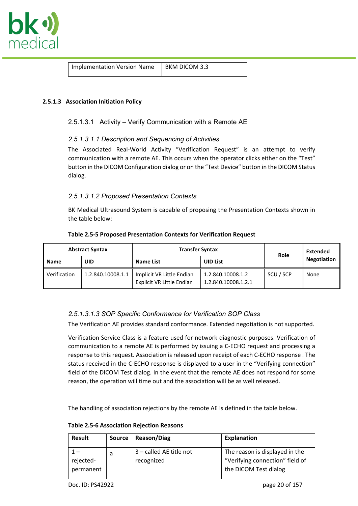

Implementation Version Name | BKM DICOM 3.3

#### **2.5.1.3 Association Initiation Policy**

### 2.5.1.3.1 Activity – Verify Communication with a Remote AE

# *2.5.1.3.1.1 Description and Sequencing of Activities*

The Associated Real-World Activity "Verification Request" is an attempt to verify communication with a remote AE. This occurs when the operator clicks either on the "Test" button in the DICOM Configuration dialog or on the "Test Device" button in the DICOM Status dialog.

# *2.5.1.3.1.2 Proposed Presentation Contexts*

BK Medical Ultrasound System is capable of proposing the Presentation Contexts shown in the table below:

#### **Table 2.5-5 Proposed Presentation Contexts for Verification Request**

|              | <b>Abstract Syntax</b> | <b>Transfer Syntax</b>                                 |                                          | Role      | Extended           |
|--------------|------------------------|--------------------------------------------------------|------------------------------------------|-----------|--------------------|
| <b>Name</b>  | UID                    | <b>Name List</b>                                       | <b>UID List</b>                          |           | <b>Negotiation</b> |
| Verification | 1.2.840.10008.1.1      | Implicit VR Little Endian<br>Explicit VR Little Endian | 1.2.840.10008.1.2<br>1.2.840.10008.1.2.1 | SCU / SCP | None               |

# *2.5.1.3.1.3 SOP Specific Conformance for Verification SOP Class*

The Verification AE provides standard conformance. Extended negotiation is not supported.

Verification Service Class is a feature used for network diagnostic purposes. Verification of communication to a remote AE is performed by issuing a C-ECHO request and processing a response to this request. Association is released upon receipt of each C-ECHO response . The status received in the C-ECHO response is displayed to a user in the "Verifying connection" field of the DICOM Test dialog. In the event that the remote AE does not respond for some reason, the operation will time out and the association will be as well released.

The handling of association rejections by the remote AE is defined in the table below.

| <b>Table 2.5-6 Association Rejection Reasons</b> |  |
|--------------------------------------------------|--|
|--------------------------------------------------|--|

| Result                 | <b>Source</b> | <b>Reason/Diag</b>                    | <b>Explanation</b>                                                                         |
|------------------------|---------------|---------------------------------------|--------------------------------------------------------------------------------------------|
| rejected-<br>permanent | a             | 3 - called AE title not<br>recognized | The reason is displayed in the<br>"Verifying connection" field of<br>the DICOM Test dialog |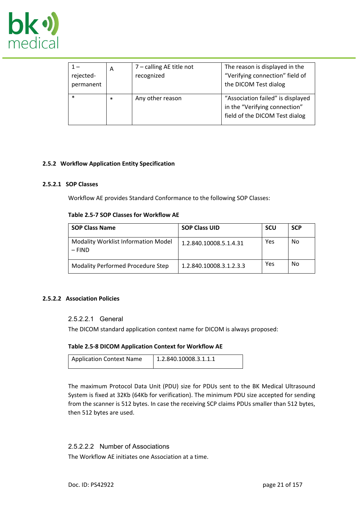

| rejected-<br>permanent | A      | 7 - calling AE title not<br>recognized | The reason is displayed in the<br>"Verifying connection" field of<br>the DICOM Test dialog           |
|------------------------|--------|----------------------------------------|------------------------------------------------------------------------------------------------------|
| $\ast$                 | $\ast$ | Any other reason                       | "Association failed" is displayed<br>in the "Verifying connection"<br>field of the DICOM Test dialog |

#### <span id="page-20-0"></span>**2.5.2 Workflow Application Entity Specification**

#### **2.5.2.1 SOP Classes**

Workflow AE provides Standard Conformance to the following SOP Classes:

#### **Table 2.5-7 SOP Classes for Workflow AE**

| <b>SOP Class Name</b>                                  | <b>SOP Class UID</b>    | <b>SCU</b> | <b>SCP</b> |
|--------------------------------------------------------|-------------------------|------------|------------|
| <b>Modality Worklist Information Model</b><br>$-$ FIND | 1.2.840.10008.5.1.4.31  | Yes        | No         |
| <b>Modality Performed Procedure Step</b>               | 1.2.840.10008.3.1.2.3.3 | Yes        | No         |

#### **2.5.2.2 Association Policies**

#### 2.5.2.2.1 General

The DICOM standard application context name for DICOM is always proposed:

#### **Table 2.5-8 DICOM Application Context for Workflow AE**

| Application Context Name | 1.2.840.10008.3.1.1.1 |
|--------------------------|-----------------------|
|--------------------------|-----------------------|

The maximum Protocol Data Unit (PDU) size for PDUs sent to the BK Medical Ultrasound System is fixed at 32Kb (64Kb for verification). The minimum PDU size accepted for sending from the scanner is 512 bytes. In case the receiving SCP claims PDUs smaller than 512 bytes, then 512 bytes are used.

# 2.5.2.2.2 Number of Associations

The Workflow AE initiates one Association at a time.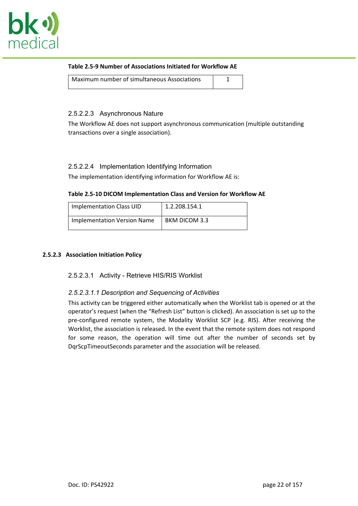

#### **Table 2.5-9 Number of Associations Initiated for Workflow AE**

| Maximum number of simultaneous Associations |  |
|---------------------------------------------|--|
|                                             |  |

# 2.5.2.2.3 Asynchronous Nature

The Workflow AE does not support asynchronous communication (multiple outstanding transactions over a single association).

#### 2.5.2.2.4 Implementation Identifying Information

The implementation identifying information for Workflow AE is:

#### **Table 2.5-10 DICOM Implementation Class and Version for Workflow AE**

| <b>Implementation Class UID</b> | 1.2.208.154.1 |
|---------------------------------|---------------|
| Implementation Version Name     | BKM DICOM 3.3 |

#### **2.5.2.3 Association Initiation Policy**

#### 2.5.2.3.1 Activity - Retrieve HIS/RIS Worklist

#### *2.5.2.3.1.1 Description and Sequencing of Activities*

This activity can be triggered either automatically when the Worklist tab is opened or at the operator's request (when the "Refresh List" button is clicked). An association is set up to the pre-configured remote system, the Modality Worklist SCP (e.g. RIS). After receiving the Worklist, the association is released. In the event that the remote system does not respond for some reason, the operation will time out after the number of seconds set by DqrScpTimeoutSeconds parameter and the association will be released.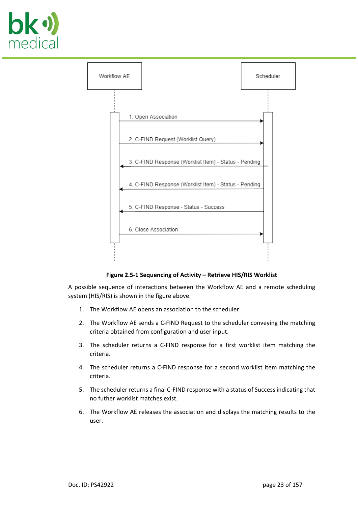



**Figure 2.5-1 Sequencing of Activity – Retrieve HIS/RIS Worklist**

A possible sequence of interactions between the Workflow AE and a remote scheduling system (HIS/RIS) is shown in the figure above.

- 1. The Workflow AE opens an association to the scheduler.
- 2. The Workflow AE sends a C-FIND Request to the scheduler conveying the matching criteria obtained from configuration and user input.
- 3. The scheduler returns a C-FIND response for a first worklist item matching the criteria.
- 4. The scheduler returns a C-FIND response for a second worklist item matching the criteria.
- 5. The scheduler returns a final C-FIND response with a status of Success indicating that no futher worklist matches exist.
- 6. The Workflow AE releases the association and displays the matching results to the user.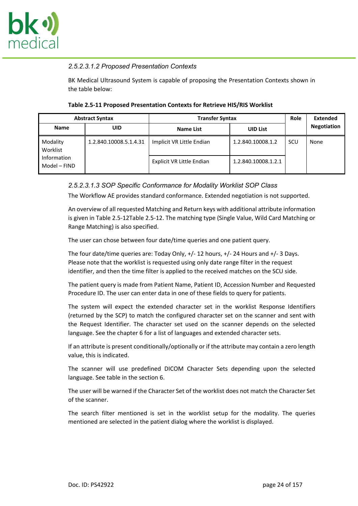

### *2.5.2.3.1.2 Proposed Presentation Contexts*

BK Medical Ultrasound System is capable of proposing the Presentation Contexts shown in the table below:

|  | Table 2.5-11 Proposed Presentation Contexts for Retrieve HIS/RIS Worklist |
|--|---------------------------------------------------------------------------|
|--|---------------------------------------------------------------------------|

|                             | <b>Abstract Syntax</b> | <b>Transfer Syntax</b>           |                     |     | <b>Extended</b>    |
|-----------------------------|------------------------|----------------------------------|---------------------|-----|--------------------|
| <b>Name</b>                 | <b>UID</b>             | <b>Name List</b>                 | <b>UID List</b>     |     | <b>Negotiation</b> |
| Modality<br>Worklist        | 1.2.840.10008.5.1.4.31 | Implicit VR Little Endian        | 1.2.840.10008.1.2   | SCU | None               |
| Information<br>Model - FIND |                        | <b>Explicit VR Little Endian</b> | 1.2.840.10008.1.2.1 |     |                    |

# *2.5.2.3.1.3 SOP Specific Conformance for Modality Worklist SOP Class*

The Workflow AE provides standard conformance. Extended negotiation is not supported.

An overview of all requested Matching and Return keys with additional attribute information is given in [Table 2.5-12Table 2.5-12](#page-24-0). The matching type (Single Value, Wild Card Matching or Range Matching) is also specified.

The user can chose between four date/time queries and one patient query.

The four date/time queries are: Today Only, +/- 12 hours, +/- 24 Hours and +/- 3 Days. Please note that the worklist is requested using only date range filter in the request identifier, and then the time filter is applied to the received matches on the SCU side.

The patient query is made from Patient Name, Patient ID, Accession Number and Requested Procedure ID. The user can enter data in one of these fields to query for patients.

The system will expect the extended character set in the worklist Response Identifiers (returned by the SCP) to match the configured character set on the scanner and sent with the Request Identifier. The character set used on the scanner depends on the selected language. See the chapter [6](#page-67-0) for a list of languages and extended character sets.

If an attribute is present conditionally/optionally or if the attribute may contain a zero length value, this is indicated.

The scanner will use predefined DICOM Character Sets depending upon the selected language. See table in the section [6](#page-67-0).

The user will be warned if the Character Set of the worklist does not match the Character Set of the scanner.

The search filter mentioned is set in the worklist setup for the modality. The queries mentioned are selected in the patient dialog where the worklist is displayed.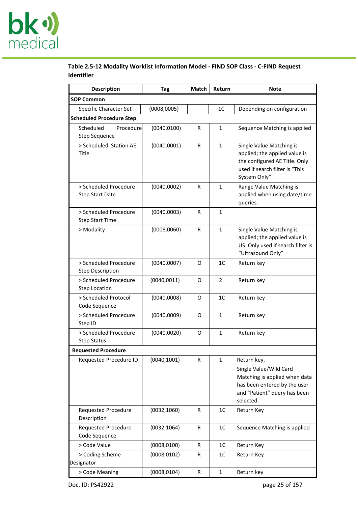

<span id="page-24-0"></span>

| Table 2.5-12 Modality Worklist Information Model - FIND SOP Class - C-FIND Request |  |
|------------------------------------------------------------------------------------|--|
| <b>Identifier</b>                                                                  |  |

| <b>Description</b>                               | <b>Tag</b>   | Match     | Return         | <b>Note</b>                                                                                                                                         |
|--------------------------------------------------|--------------|-----------|----------------|-----------------------------------------------------------------------------------------------------------------------------------------------------|
| <b>SOP Common</b>                                |              |           |                |                                                                                                                                                     |
| Specific Character Set                           | (0008,0005)  |           | 1 <sup>C</sup> | Depending on configuration                                                                                                                          |
| <b>Scheduled Procedure Step</b>                  |              |           |                |                                                                                                                                                     |
| Scheduled<br>Procedure<br><b>Step Sequence</b>   | (0040, 0100) | R         | $\mathbf{1}$   | Sequence Matching is applied                                                                                                                        |
| > Scheduled Station AE<br>Title                  | (0040,0001)  | R         | $\mathbf{1}$   | Single Value Matching is<br>applied; the applied value is<br>the configured AE Title. Only<br>used if search filter is "This<br>System Only"        |
| > Scheduled Procedure<br><b>Step Start Date</b>  | (0040,0002)  | R         | $\mathbf{1}$   | Range Value Matching is<br>applied when using date/time<br>queries.                                                                                 |
| > Scheduled Procedure<br><b>Step Start Time</b>  | (0040,0003)  | R         | $\mathbf{1}$   |                                                                                                                                                     |
| > Modality                                       | (0008, 0060) | R         | $\mathbf{1}$   | Single Value Matching is<br>applied; the applied value is<br>US. Only used if search filter is<br>"Ultrasound Only"                                 |
| > Scheduled Procedure<br><b>Step Description</b> | (0040,0007)  | $\Omega$  | 1 <sup>C</sup> | Return key                                                                                                                                          |
| > Scheduled Procedure<br><b>Step Location</b>    | (0040, 0011) | O         | $\overline{2}$ | Return key                                                                                                                                          |
| > Scheduled Protocol<br>Code Sequence            | (0040,0008)  | O         | 1 <sup>C</sup> | Return key                                                                                                                                          |
| > Scheduled Procedure<br>Step ID                 | (0040,0009)  | O         | $\mathbf{1}$   | Return key                                                                                                                                          |
| > Scheduled Procedure<br><b>Step Status</b>      | (0040, 0020) | O         | $\mathbf{1}$   | Return key                                                                                                                                          |
| <b>Requested Procedure</b>                       |              |           |                |                                                                                                                                                     |
| Requested Procedure ID                           | (0040, 1001) | R         | 1              | Return key.<br>Single Value/Wild Card<br>Matching is applied when data<br>has been entered by the user<br>and "Patient" query has been<br>selected. |
| <b>Requested Procedure</b><br>Description        | (0032, 1060) | R         | 1 <sup>C</sup> | Return Key                                                                                                                                          |
| <b>Requested Procedure</b><br>Code Sequence      | (0032, 1064) | R         | 1 <sup>C</sup> | Sequence Matching is applied                                                                                                                        |
| > Code Value                                     | (0008, 0100) | ${\sf R}$ | 1C             | Return Key                                                                                                                                          |
| > Coding Scheme<br>Designator                    | (0008, 0102) | R         | 1 <sup>C</sup> | Return Key                                                                                                                                          |
| > Code Meaning                                   | (0008, 0104) | R         | $\mathbf{1}$   | Return key                                                                                                                                          |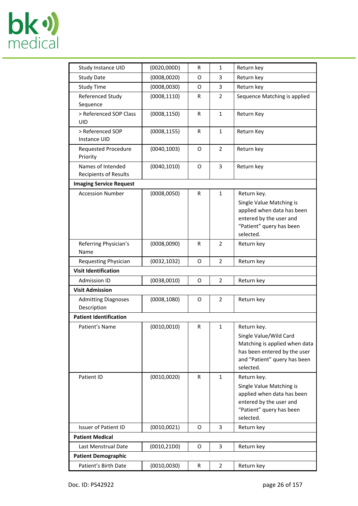

| Study Instance UID                                | (0020,000D)  | R | 1              | Return key                                                                                                                                          |
|---------------------------------------------------|--------------|---|----------------|-----------------------------------------------------------------------------------------------------------------------------------------------------|
| <b>Study Date</b>                                 | (0008, 0020) | O | 3              | Return key                                                                                                                                          |
| <b>Study Time</b>                                 | (0008, 0030) | O | 3              | Return key                                                                                                                                          |
| Referenced Study<br>Sequence                      | (0008, 1110) | R | $\overline{2}$ | Sequence Matching is applied                                                                                                                        |
| > Referenced SOP Class<br>UID                     | (0008, 1150) | R | $\mathbf{1}$   | Return Key                                                                                                                                          |
| > Referenced SOP<br>Instance UID                  | (0008, 1155) | R | $\mathbf{1}$   | Return Key                                                                                                                                          |
| <b>Requested Procedure</b><br>Priority            | (0040, 1003) | O | $\overline{2}$ | Return key                                                                                                                                          |
| Names of Intended<br><b>Recipients of Results</b> | (0040, 1010) | O | 3              | Return key                                                                                                                                          |
| <b>Imaging Service Request</b>                    |              |   |                |                                                                                                                                                     |
| <b>Accession Number</b>                           | (0008, 0050) | R | $\mathbf{1}$   | Return key.<br>Single Value Matching is<br>applied when data has been<br>entered by the user and<br>"Patient" query has been<br>selected.           |
| Referring Physician's<br>Name                     | (0008,0090)  | R | 2              | Return key                                                                                                                                          |
| Requesting Physician                              | (0032, 1032) | O | $\overline{2}$ | Return key                                                                                                                                          |
| <b>Visit Identification</b>                       |              |   |                |                                                                                                                                                     |
| <b>Admission ID</b>                               | (0038, 0010) | O | $\overline{2}$ | Return key                                                                                                                                          |
| <b>Visit Admission</b>                            |              |   |                |                                                                                                                                                     |
| <b>Admitting Diagnoses</b><br>Description         | (0008, 1080) | 0 | $\overline{2}$ | Return key                                                                                                                                          |
| <b>Patient Identification</b>                     |              |   |                |                                                                                                                                                     |
| Patient's Name                                    | (0010, 0010) | R | $\mathbf{1}$   | Return key.<br>Single Value/Wild Card<br>Matching is applied when data<br>has been entered by the user<br>and "Patient" query has been<br>selected. |
| Patient ID                                        | (0010, 0020) | R | 1              | Return key.<br>Single Value Matching is<br>applied when data has been<br>entered by the user and<br>"Patient" query has been<br>selected.           |
| <b>Issuer of Patient ID</b>                       | (0010, 0021) | O | 3              | Return key                                                                                                                                          |
| <b>Patient Medical</b>                            |              |   |                |                                                                                                                                                     |
| Last Menstrual Date                               | (0010, 21D0) | 0 | 3              | Return key                                                                                                                                          |
| <b>Patient Demographic</b>                        |              |   |                |                                                                                                                                                     |
| Patient's Birth Date                              | (0010, 0030) | R | $\overline{2}$ | Return key                                                                                                                                          |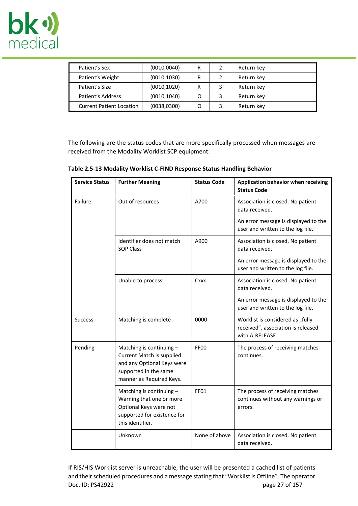

| Patient's Sex                   | (0010, 0040) | R | Return key |
|---------------------------------|--------------|---|------------|
| Patient's Weight                | (0010, 1030) | R | Return key |
| Patient's Size                  | (0010, 1020) | R | Return key |
| Patient's Address               | (0010, 1040) |   | Return key |
| <b>Current Patient Location</b> | (0038, 0300) |   | Return key |

The following are the status codes that are more specifically processed when messages are received from the Modality Worklist SCP equipment:

| <b>Service Status</b> | <b>Further Meaning</b>                                                                                                                   | <b>Status Code</b> | <b>Application behavior when receiving</b><br><b>Status Code</b>                          |
|-----------------------|------------------------------------------------------------------------------------------------------------------------------------------|--------------------|-------------------------------------------------------------------------------------------|
| Failure               | Out of resources                                                                                                                         | A700               | Association is closed. No patient<br>data received.                                       |
|                       |                                                                                                                                          |                    | An error message is displayed to the<br>user and written to the log file.                 |
|                       | Identifier does not match<br><b>SOP Class</b>                                                                                            | A900               | Association is closed. No patient<br>data received.                                       |
|                       |                                                                                                                                          |                    | An error message is displayed to the<br>user and written to the log file.                 |
|                       | Unable to process                                                                                                                        | Cxxx               | Association is closed. No patient<br>data received.                                       |
|                       |                                                                                                                                          |                    | An error message is displayed to the<br>user and written to the log file.                 |
| <b>Success</b>        | Matching is complete                                                                                                                     | 0000               | Worklist is considered as "fully<br>received", association is released<br>with A-RELEASE. |
| Pending               | Matching is continuing -<br>Current Match is supplied<br>and any Optional Keys were<br>supported in the same<br>manner as Required Keys. | FF00               | The process of receiving matches<br>continues.                                            |
|                       | Matching is continuing -<br>Warning that one or more<br>Optional Keys were not<br>supported for existence for<br>this identifier.        | FF01               | The process of receiving matches<br>continues without any warnings or<br>errors.          |
|                       | Unknown                                                                                                                                  | None of above      | Association is closed. No patient<br>data received.                                       |

**Table 2.5-13 Modality Worklist C-FIND Response Status Handling Behavior**

Doc. ID: PS42922 page 27 of 157 If RIS/HIS Worklist server is unreachable, the user will be presented a cached list of patients and their scheduled procedures and a message stating that "Worklist is Offline". The operator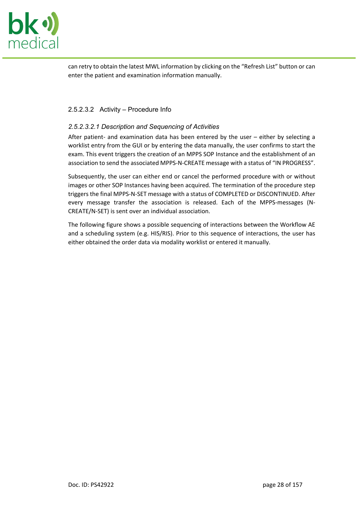

can retry to obtain the latest MWL information by clicking on the "Refresh List" button or can enter the patient and examination information manually.

### 2.5.2.3.2 Activity – Procedure Info

# *2.5.2.3.2.1 Description and Sequencing of Activities*

After patient- and examination data has been entered by the user – either by selecting a worklist entry from the GUI or by entering the data manually, the user confirms to start the exam. This event triggers the creation of an MPPS SOP Instance and the establishment of an association to send the associated MPPS-N-CREATE message with a status of "IN PROGRESS".

Subsequently, the user can either end or cancel the performed procedure with or without images or other SOP Instances having been acquired. The termination of the procedure step triggers the final MPPS-N-SET message with a status of COMPLETED or DISCONTINUED. After every message transfer the association is released. Each of the MPPS-messages (N-CREATE/N-SET) is sent over an individual association.

The following figure shows a possible sequencing of interactions between the Workflow AE and a scheduling system (e.g. HIS/RIS). Prior to this sequence of interactions, the user has either obtained the order data via modality worklist or entered it manually.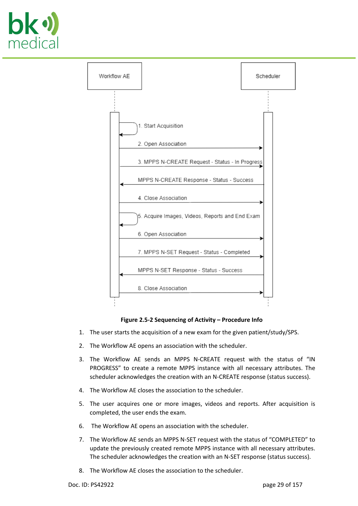



#### **Figure 2.5-2 Sequencing of Activity – Procedure Info**

- 1. The user starts the acquisition of a new exam for the given patient/study/SPS.
- 2. The Workflow AE opens an association with the scheduler.
- 3. The Workflow AE sends an MPPS N-CREATE request with the status of "IN PROGRESS" to create a remote MPPS instance with all necessary attributes. The scheduler acknowledges the creation with an N-CREATE response (status success).
- 4. The Workflow AE closes the association to the scheduler.
- 5. The user acquires one or more images, videos and reports. After acquisition is completed, the user ends the exam.
- 6. The Workflow AE opens an association with the scheduler.
- 7. The Workflow AE sends an MPPS N-SET request with the status of "COMPLETED" to update the previously created remote MPPS instance with all necessary attributes. The scheduler acknowledges the creation with an N-SET response (status success).
- 8. The Workflow AE closes the association to the scheduler.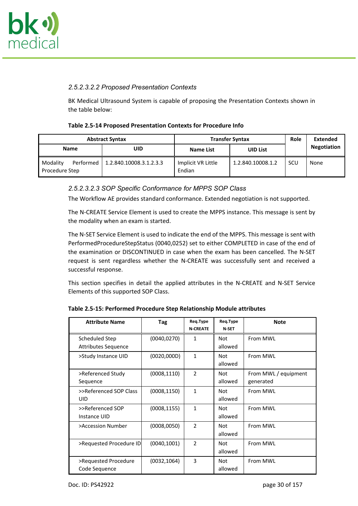

# *2.5.2.3.2.2 Proposed Presentation Contexts*

BK Medical Ultrasound System is capable of proposing the Presentation Contexts shown in the table below:

#### **Table 2.5-14 Proposed Presentation Contexts for Procedure Info**

|                                         | <b>Abstract Syntax</b>  | <b>Transfer Syntax</b>       |                   |     |                    |  |  | Role | <b>Extended</b> |
|-----------------------------------------|-------------------------|------------------------------|-------------------|-----|--------------------|--|--|------|-----------------|
| <b>Name</b>                             | UID                     | Name List                    | <b>UID List</b>   |     | <b>Negotiation</b> |  |  |      |                 |
| Performed<br>Modality<br>Procedure Step | 1.2.840.10008.3.1.2.3.3 | Implicit VR Little<br>Endian | 1.2.840.10008.1.2 | SCU | None               |  |  |      |                 |

# *2.5.2.3.2.3 SOP Specific Conformance for MPPS SOP Class*

The Workflow AE provides standard conformance. Extended negotiation is not supported.

The N-CREATE Service Element is used to create the MPPS instance. This message is sent by the modality when an exam is started.

The N-SET Service Element is used to indicate the end of the MPPS. This message is sent with PerformedProcedureStepStatus (0040,0252) set to either COMPLETED in case of the end of the examination or DISCONTINUED in case when the exam has been cancelled. The N-SET request is sent regardless whether the N-CREATE was successfully sent and received a successful response.

This section specifies in detail the applied attributes in the N-CREATE and N-SET Service Elements of this supported SOP Class.

| <b>Attribute Name</b>                        | Tag          | Req.Type<br><b>N-CREATE</b> | Req.Type<br>N-SET     | <b>Note</b>                       |
|----------------------------------------------|--------------|-----------------------------|-----------------------|-----------------------------------|
| Scheduled Step<br><b>Attributes Sequence</b> | (0040, 0270) | 1                           | <b>Not</b><br>allowed | From MWL                          |
| >Study Instance UID                          | (0020,000D)  | 1                           | Not<br>allowed        | From MWL                          |
| >Referenced Study<br>Sequence                | (0008, 1110) | $\mathcal{P}$               | Not<br>allowed        | From MWL / equipment<br>generated |
| >>Referenced SOP Class<br><b>UID</b>         | (0008, 1150) | 1                           | Not<br>allowed        | From MWL                          |
| >>Referenced SOP<br>Instance UID             | (0008, 1155) | 1                           | Not<br>allowed        | From MWL                          |
| >Accession Number                            | (0008, 0050) | 2                           | <b>Not</b><br>allowed | From MWL                          |
| >Requested Procedure ID                      | (0040, 1001) | $\mathcal{P}$               | Not<br>allowed        | From MWL                          |
| >Requested Procedure<br>Code Sequence        | (0032, 1064) | 3                           | Not<br>allowed        | From MWL                          |

**Table 2.5-15: Performed Procedure Step Relationship Module attributes**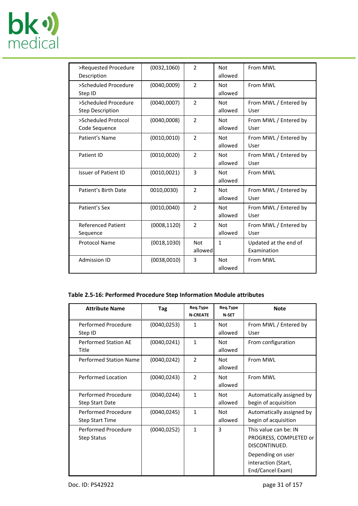

| >Requested Procedure        | (0032, 1060) | $\mathfrak{p}$ | <b>Not</b>   | From MWI              |
|-----------------------------|--------------|----------------|--------------|-----------------------|
| Description                 |              |                | allowed      |                       |
| >Scheduled Procedure        | (0040,0009)  | $\mathfrak{p}$ | <b>Not</b>   | From MWI              |
| Step ID                     |              |                | allowed      |                       |
| >Scheduled Procedure        | (0040,0007)  | $\overline{2}$ | <b>Not</b>   | From MWL / Entered by |
| <b>Step Description</b>     |              |                | allowed      | User                  |
| >Scheduled Protocol         | (0040,0008)  | $\overline{2}$ | <b>Not</b>   | From MWL / Entered by |
| Code Sequence               |              |                | allowed      | User                  |
| Patient's Name              | (0010, 0010) | $\overline{2}$ | <b>Not</b>   | From MWL / Entered by |
|                             |              |                | allowed      | User                  |
| Patient ID                  | (0010, 0020) | $\overline{2}$ | <b>Not</b>   | From MWL / Entered by |
|                             |              |                | allowed      | User                  |
| <b>Issuer of Patient ID</b> | (0010, 0021) | 3              | <b>Not</b>   | From MWL              |
|                             |              |                | allowed      |                       |
| Patient's Birth Date        | 0010,0030)   | $\mathfrak{p}$ | <b>Not</b>   | From MWL / Entered by |
|                             |              |                | allowed      | User                  |
| Patient's Sex               | (0010, 0040) | $\mathfrak{p}$ | Not          | From MWL / Entered by |
|                             |              |                | allowed      | User                  |
| <b>Referenced Patient</b>   | (0008, 1120) | $\overline{2}$ | <b>Not</b>   | From MWL / Entered by |
| Sequence                    |              |                | allowed      | User                  |
| <b>Protocol Name</b>        | (0018, 1030) | Not            | $\mathbf{1}$ | Updated at the end of |
|                             |              | allowed        |              | Examination           |
| <b>Admission ID</b>         | (0038,0010)  | 3              | <b>Not</b>   | From MWL              |
|                             |              |                | allowed      |                       |

#### **Table 2.5-16: Performed Procedure Step Information Module attributes**

| <b>Attribute Name</b>                         | Tag          | Req.Type<br><b>N-CREATE</b> | Req.Type<br>N-SET     | <b>Note</b>                                                      |
|-----------------------------------------------|--------------|-----------------------------|-----------------------|------------------------------------------------------------------|
| Performed Procedure<br>Step ID                | (0040, 0253) | $\mathbf{1}$                | <b>Not</b><br>allowed | From MWL / Entered by<br>User                                    |
| Performed Station AE<br>Title                 | (0040, 0241) | $\mathbf{1}$                | Not<br>allowed        | From configuration                                               |
| Performed Station Name                        | (0040, 0242) | $\mathcal{P}$               | <b>Not</b><br>allowed | From MWL                                                         |
| <b>Performed Location</b>                     | (0040, 0243) | $\mathcal{P}$               | <b>Not</b><br>allowed | From MWI                                                         |
| Performed Procedure<br><b>Step Start Date</b> | (0040, 0244) | $\mathbf{1}$                | Not<br>allowed        | Automatically assigned by<br>begin of acquisition                |
| Performed Procedure<br><b>Step Start Time</b> | (0040, 0245) | $\mathbf{1}$                | <b>Not</b><br>allowed | Automatically assigned by<br>begin of acquisition                |
| Performed Procedure<br><b>Step Status</b>     | (0040, 0252) | $\mathbf{1}$                | 3                     | This value can be: IN<br>PROGRESS, COMPLETED or<br>DISCONTINUED. |
|                                               |              |                             |                       | Depending on user<br>interaction (Start,<br>End/Cancel Exam)     |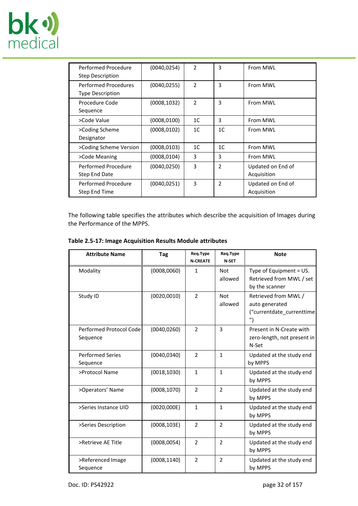

| Performed Procedure<br><b>Step Description</b>         | (0040, 0254) | $\mathcal{P}$  | 3              | From MWL                         |
|--------------------------------------------------------|--------------|----------------|----------------|----------------------------------|
| <b>Performed Procedures</b><br><b>Type Description</b> | (0040, 0255) | 2              | 3              | From MWL                         |
| Procedure Code<br>Sequence                             | (0008, 1032) | $\overline{2}$ | 3              | From MWL                         |
| >Code Value                                            | (0008,0100)  | 1 <sup>C</sup> | 3              | From MWL                         |
| >Coding Scheme<br>Designator                           | (0008, 0102) | 1 <sup>C</sup> | 1 <sup>C</sup> | From MWL                         |
| >Coding Scheme Version                                 | (0008,0103)  | 1 <sup>C</sup> | 1C             | From MWL                         |
| >Code Meaning                                          | (0008,0104)  | 3              | 3              | From MWL                         |
| Performed Procedure<br>Step End Date                   | (0040, 0250) | 3              | $\overline{2}$ | Updated on End of<br>Acquisition |
| Performed Procedure<br>Step End Time                   | (0040, 0251) | 3              | $\overline{2}$ | Updated on End of<br>Acquisition |

The following table specifies the attributes which describe the acquisition of Images during the Performance of the MPPS.

| <b>Attribute Name</b>               | Tag          | Req.Type<br><b>N-CREATE</b> | Reg.Type<br>N-SET     | <b>Note</b>                                                           |
|-------------------------------------|--------------|-----------------------------|-----------------------|-----------------------------------------------------------------------|
| Modality                            | (0008, 0060) | $\mathbf{1}$                | <b>Not</b><br>allowed | Type of Equipment = US.<br>Retrieved from MWL / set<br>by the scanner |
| Study ID                            | (0020, 0010) | $\mathcal{P}$               | <b>Not</b><br>allowed | Retrieved from MWL/<br>auto generated<br>("currentdate currenttime    |
| Performed Protocol Code<br>Sequence | (0040, 0260) | $\mathcal{P}$               | 3                     | Present in N-Create with<br>zero-length, not present in<br>N-Set      |
| <b>Performed Series</b><br>Sequence | (0040, 0340) | 2                           | $\mathbf{1}$          | Updated at the study end<br>by MPPS                                   |
| >Protocol Name                      | (0018, 1030) | $\mathbf{1}$                | $\mathbf{1}$          | Updated at the study end<br>by MPPS                                   |
| >Operators' Name                    | (0008, 1070) | $\overline{2}$              | $\overline{2}$        | Updated at the study end<br>by MPPS                                   |
| >Series Instance UID                | (0020,000E)  | $\mathbf{1}$                | $\mathbf{1}$          | Updated at the study end<br>by MPPS                                   |
| >Series Description                 | (0008, 103E) | $\overline{2}$              | $\overline{2}$        | Updated at the study end<br>by MPPS                                   |
| >Retrieve AE Title                  | (0008, 0054) | $\overline{2}$              | $\overline{2}$        | Updated at the study end<br>by MPPS                                   |
| >Referenced Image<br>Sequence       | (0008, 1140) | $\mathcal{P}$               | $\mathcal{P}$         | Updated at the study end<br>by MPPS                                   |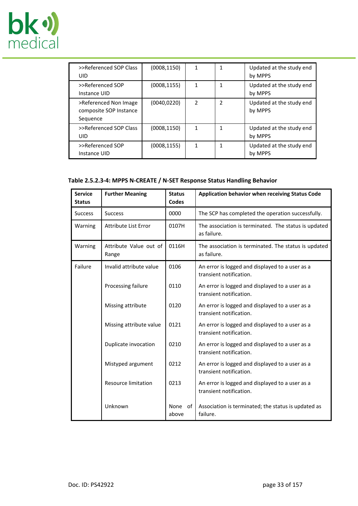

| >>Referenced SOP Class<br>UID                               | (0008, 1150) | 1             |   | Updated at the study end<br>by MPPS |
|-------------------------------------------------------------|--------------|---------------|---|-------------------------------------|
| >>Referenced SOP<br>Instance UID                            | (0008, 1155) | 1             | 1 | Updated at the study end<br>by MPPS |
| >Referenced Non Image<br>composite SOP Instance<br>Sequence | (0040, 0220) | $\mathcal{P}$ | 2 | Updated at the study end<br>by MPPS |
| >>Referenced SOP Class<br>UID                               | (0008, 1150) | 1             |   | Updated at the study end<br>by MPPS |
| >>Referenced SOP<br>Instance UID                            | (0008, 1155) | 1             | 1 | Updated at the study end<br>by MPPS |

# **Table 2.5.2.3-4: MPPS N-CREATE / N-SET Response Status Handling Behavior**

| <b>Service</b><br><b>Status</b> | <b>Further Meaning</b>          | <b>Status</b><br><b>Codes</b> | Application behavior when receiving Status Code                            |  |
|---------------------------------|---------------------------------|-------------------------------|----------------------------------------------------------------------------|--|
| <b>Success</b>                  | <b>Success</b>                  | 0000                          | The SCP has completed the operation successfully.                          |  |
| Warning                         | <b>Attribute List Error</b>     | 0107H                         | The association is terminated. The status is updated<br>as failure.        |  |
| Warning                         | Attribute Value out of<br>Range | 0116H                         | The association is terminated. The status is updated<br>as failure.        |  |
| Failure                         | Invalid attribute value         | 0106                          | An error is logged and displayed to a user as a<br>transient notification. |  |
|                                 | Processing failure              | 0110                          | An error is logged and displayed to a user as a<br>transient notification. |  |
|                                 | Missing attribute               | 0120                          | An error is logged and displayed to a user as a<br>transient notification. |  |
|                                 | Missing attribute value         | 0121                          | An error is logged and displayed to a user as a<br>transient notification. |  |
|                                 | Duplicate invocation            | 0210                          | An error is logged and displayed to a user as a<br>transient notification. |  |
|                                 | Mistyped argument               | 0212                          | An error is logged and displayed to a user as a<br>transient notification. |  |
|                                 | <b>Resource limitation</b>      | 0213                          | An error is logged and displayed to a user as a<br>transient notification. |  |
|                                 | Unknown                         | None<br>0f<br>above           | Association is terminated; the status is updated as<br>failure.            |  |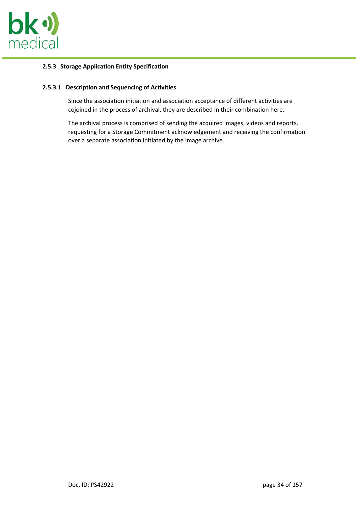

#### <span id="page-33-0"></span>**2.5.3 Storage Application Entity Specification**

#### **2.5.3.1 Description and Sequencing of Activities**

Since the association initiation and association acceptance of different activities are cojoined in the process of archival, they are described in their combination here.

The archival process is comprised of sending the acquired images, videos and reports, requesting for a Storage Commitment acknowledgement and receiving the confirmation over a separate association initiated by the image archive.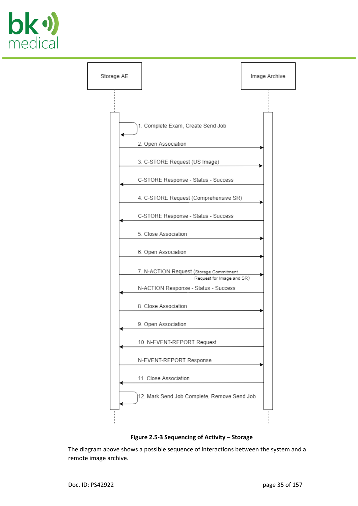





The diagram above shows a possible sequence of interactions between the system and a remote image archive.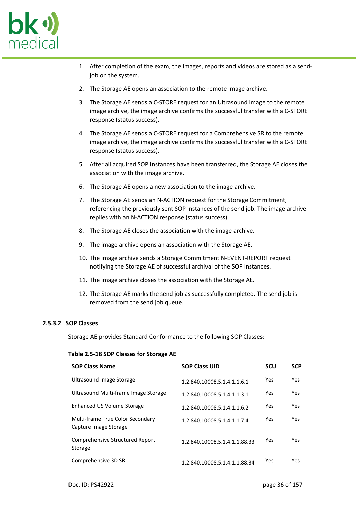

- 1. After completion of the exam, the images, reports and videos are stored as a sendjob on the system.
- 2. The Storage AE opens an association to the remote image archive.
- 3. The Storage AE sends a C-STORE request for an Ultrasound Image to the remote image archive, the image archive confirms the successful transfer with a C-STORE response (status success).
- 4. The Storage AE sends a C-STORE request for a Comprehensive SR to the remote image archive, the image archive confirms the successful transfer with a C-STORE response (status success).
- 5. After all acquired SOP Instances have been transferred, the Storage AE closes the association with the image archive.
- 6. The Storage AE opens a new association to the image archive.
- 7. The Storage AE sends an N-ACTION request for the Storage Commitment, referencing the previously sent SOP Instances of the send job. The image archive replies with an N-ACTION response (status success).
- 8. The Storage AE closes the association with the image archive.
- 9. The image archive opens an association with the Storage AE.
- 10. The image archive sends a Storage Commitment N-EVENT-REPORT request notifying the Storage AE of successful archival of the SOP Instances.
- 11. The image archive closes the association with the Storage AE.
- 12. The Storage AE marks the send job as successfully completed. The send job is removed from the send job queue.

# **2.5.3.2 SOP Classes**

Storage AE provides Standard Conformance to the following SOP Classes:

| Table 2.5-18 SOP Classes for Storage AE |  |  |  |  |
|-----------------------------------------|--|--|--|--|
|-----------------------------------------|--|--|--|--|

| <b>SOP Class Name</b>                                     | <b>SOP Class UID</b>          | <b>SCU</b> | <b>SCP</b> |
|-----------------------------------------------------------|-------------------------------|------------|------------|
| Ultrasound Image Storage                                  | 1.2.840.10008.5.1.4.1.1.6.1   | Yes        | Yes        |
| Ultrasound Multi-frame Image Storage                      | 1.2.840.10008.5.1.4.1.1.3.1   | Yes        | Yes        |
| Enhanced US Volume Storage                                | 1.2.840.10008.5.1.4.1.1.6.2   | Yes        | Yes        |
| Multi-frame True Color Secondary<br>Capture Image Storage | 1.2.840.10008.5.1.4.1.1.7.4   | Yes        | Yes        |
| Comprehensive Structured Report<br>Storage                | 1.2.840.10008.5.1.4.1.1.88.33 | Yes        | Yes        |
| Comprehensive 3D SR                                       | 1.2.840.10008.5.1.4.1.1.88.34 | Yes        | Yes        |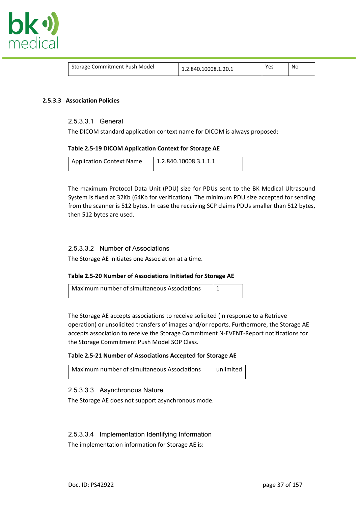

| Storage Commitment Push Model | 1.2.840.10008.1.20.1 | Yes | Nс |  |
|-------------------------------|----------------------|-----|----|--|
|-------------------------------|----------------------|-----|----|--|

#### **2.5.3.3 Association Policies**

#### 2.5.3.3.1 General

The DICOM standard application context name for DICOM is always proposed:

#### **Table 2.5-19 DICOM Application Context for Storage AE**

| Application Context Name | 1.2.840.10008.3.1.1.1 |
|--------------------------|-----------------------|
|--------------------------|-----------------------|

The maximum Protocol Data Unit (PDU) size for PDUs sent to the BK Medical Ultrasound System is fixed at 32Kb (64Kb for verification). The minimum PDU size accepted for sending from the scanner is 512 bytes. In case the receiving SCP claims PDUs smaller than 512 bytes, then 512 bytes are used.

#### 2.5.3.3.2 Number of Associations

The Storage AE initiates one Association at a time.

#### **Table 2.5-20 Number of Associations Initiated for Storage AE**

| Maximum number of simultaneous Associations |  |
|---------------------------------------------|--|
|                                             |  |

The Storage AE accepts associations to receive solicited (in response to a Retrieve operation) or unsolicited transfers of images and/or reports. Furthermore, the Storage AE accepts association to receive the Storage Commitment N-EVENT-Report notifications for the Storage Commitment Push Model SOP Class.

#### **Table 2.5-21 Number of Associations Accepted for Storage AE**

| Maximum number of simultaneous Associations | unlimited |
|---------------------------------------------|-----------|
|---------------------------------------------|-----------|

#### 2.5.3.3.3 Asynchronous Nature

The Storage AE does not support asynchronous mode.

# 2.5.3.3.4 Implementation Identifying Information

The implementation information for Storage AE is: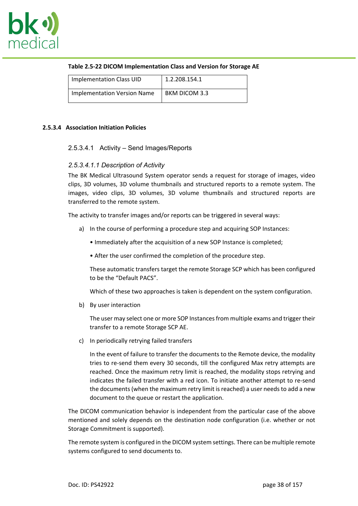

## **Table 2.5-22 DICOM Implementation Class and Version for Storage AE**

| Implementation Class UID    | 1.2.208.154.1 |
|-----------------------------|---------------|
| Implementation Version Name | BKM DICOM 3.3 |

#### **2.5.3.4 Association Initiation Policies**

#### 2.5.3.4.1 Activity – Send Images/Reports

#### *2.5.3.4.1.1 Description of Activity*

The BK Medical Ultrasound System operator sends a request for storage of images, video clips, 3D volumes, 3D volume thumbnails and structured reports to a remote system. The images, video clips, 3D volumes, 3D volume thumbnails and structured reports are transferred to the remote system.

The activity to transfer images and/or reports can be triggered in several ways:

- a) In the course of performing a procedure step and acquiring SOP Instances:
	- Immediately after the acquisition of a new SOP Instance is completed;
	- After the user confirmed the completion of the procedure step.

These automatic transfers target the remote Storage SCP which has been configured to be the "Default PACS".

Which of these two approaches is taken is dependent on the system configuration.

b) By user interaction

The user may select one or more SOP Instances from multiple exams and trigger their transfer to a remote Storage SCP AE.

c) In periodically retrying failed transfers

In the event of failure to transfer the documents to the Remote device, the modality tries to re-send them every 30 seconds, till the configured Max retry attempts are reached. Once the maximum retry limit is reached, the modality stops retrying and indicates the failed transfer with a red icon. To initiate another attempt to re-send the documents (when the maximum retry limit is reached) a user needs to add a new document to the queue or restart the application.

The DICOM communication behavior is independent from the particular case of the above mentioned and solely depends on the destination node configuration (i.e. whether or not Storage Commitment is supported).

The remote system is configured in the DICOM system settings. There can be multiple remote systems configured to send documents to.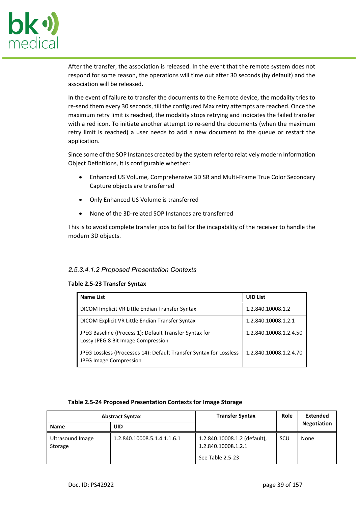

After the transfer, the association is released. In the event that the remote system does not respond for some reason, the operations will time out after 30 seconds (by default) and the association will be released.

In the event of failure to transfer the documents to the Remote device, the modality tries to re-send them every 30 seconds, till the configured Max retry attempts are reached. Once the maximum retry limit is reached, the modality stops retrying and indicates the failed transfer with a red icon. To initiate another attempt to re-send the documents (when the maximum retry limit is reached) a user needs to add a new document to the queue or restart the application.

Since some of the SOP Instances created by the system refer to relatively modern Information Object Definitions, it is configurable whether:

- Enhanced US Volume, Comprehensive 3D SR and Multi-Frame True Color Secondary Capture objects are transferred
- Only Enhanced US Volume is transferred
- None of the 3D-related SOP Instances are transferred

This is to avoid complete transfer jobs to fail for the incapability of the receiver to handle the modern 3D objects.

## *2.5.3.4.1.2 Proposed Presentation Contexts*

#### <span id="page-38-0"></span>**Table 2.5-23 Transfer Syntax**

| <b>Name List</b>                                                                                    | <b>UID List</b>        |
|-----------------------------------------------------------------------------------------------------|------------------------|
| DICOM Implicit VR Little Endian Transfer Syntax                                                     | 1.2.840.10008.1.2      |
| DICOM Explicit VR Little Endian Transfer Syntax                                                     | 1.2.840.10008.1.2.1    |
| JPEG Baseline (Process 1): Default Transfer Syntax for<br>Lossy JPEG 8 Bit Image Compression        | 1.2.840.10008.1.2.4.50 |
| JPEG Lossless (Processes 14): Default Transfer Syntax for Lossless<br><b>JPEG Image Compression</b> | 1.2.840.10008.1.2.4.70 |

#### **Table 2.5-24 Proposed Presentation Contexts for Image Storage**

| <b>Abstract Syntax</b>      |                             | <b>Transfer Syntax</b>                              | Role | Extended           |
|-----------------------------|-----------------------------|-----------------------------------------------------|------|--------------------|
| <b>Name</b>                 | <b>UID</b>                  |                                                     |      | <b>Negotiation</b> |
| Ultrasound Image<br>Storage | 1.2.840.10008.5.1.4.1.1.6.1 | 1.2.840.10008.1.2 (default),<br>1.2.840.10008.1.2.1 | SCU  | None               |
|                             |                             | See Table 2.5-23                                    |      |                    |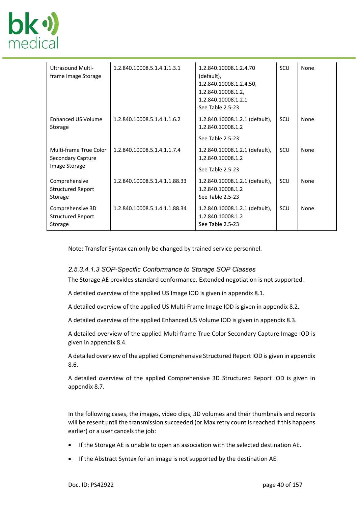

| <b>Ultrasound Multi-</b><br>frame Image Storage         | 1.2.840.10008.5.1.4.1.1.3.1   | 1.2.840.10008.1.2.4.70<br>(default),<br>1.2.840.10008.1.2.4.50,<br>1.2.840.10008.1.2,<br>1.2.840.10008.1.2.1<br>See Table 2.5-23 | SCU | None |
|---------------------------------------------------------|-------------------------------|----------------------------------------------------------------------------------------------------------------------------------|-----|------|
| <b>Enhanced US Volume</b><br>Storage                    | 1.2.840.10008.5.1.4.1.1.6.2   | 1.2.840.10008.1.2.1 (default),<br>1.2.840.10008.1.2                                                                              | SCU | None |
|                                                         |                               | See Table 2.5-23                                                                                                                 |     |      |
| Multi-frame True Color<br>Secondary Capture             | 1.2.840.10008.5.1.4.1.1.7.4   | 1.2.840.10008.1.2.1 (default),<br>1.2.840.10008.1.2                                                                              | SCU | None |
| Image Storage                                           |                               | See Table 2.5-23                                                                                                                 |     |      |
| Comprehensive<br><b>Structured Report</b><br>Storage    | 1.2.840.10008.5.1.4.1.1.88.33 | 1.2.840.10008.1.2.1 (default),<br>1.2.840.10008.1.2<br>See Table 2.5-23                                                          | SCU | None |
| Comprehensive 3D<br><b>Structured Report</b><br>Storage | 1.2.840.10008.5.1.4.1.1.88.34 | 1.2.840.10008.1.2.1 (default),<br>1.2.840.10008.1.2<br>See Table 2.5-23                                                          | SCU | None |

Note: Transfer Syntax can only be changed by trained service personnel.

## *2.5.3.4.1.3 SOP-Specific Conformance to Storage SOP Classes*

The Storage AE provides standard conformance. Extended negotiation is not supported.

A detailed overview of the applied US Image IOD is given in appendix [8.1](#page-70-0).

A detailed overview of the applied US Multi-Frame Image IOD is given in appendix [8.2](#page-71-0).

A detailed overview of the applied Enhanced US Volume IOD is given in appendix [8.3.](#page-71-1)

A detailed overview of the applied Multi-frame True Color Secondary Capture Image IOD is given in appendix [8.4](#page-73-0).

A detailed overview of the applied Comprehensive Structured Report IOD is given in appendix [8.6](#page-85-0).

A detailed overview of the applied Comprehensive 3D Structured Report IOD is given in appendix [8.7.](#page-151-0)

In the following cases, the images, video clips, 3D volumes and their thumbnails and reports will be resent until the transmission succeeded (or Max retry count is reached if this happens earlier) or a user cancels the job:

- If the Storage AE is unable to open an association with the selected destination AE.
- If the Abstract Syntax for an image is not supported by the destination AE.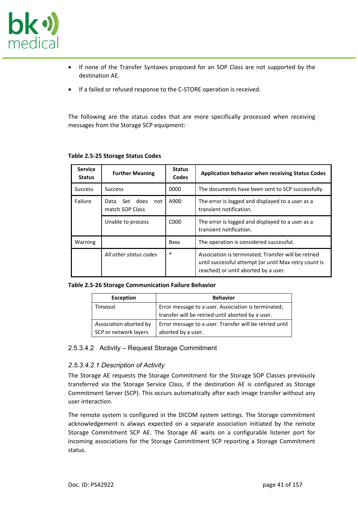

- If none of the Transfer Syntaxes proposed for an SOP Class are not supported by the destination AE.
- If a failed or refused response to the C-STORE operation is received.

The following are the status codes that are more specifically processed when receiving messages from the Storage SCP equipment:

| <b>Service</b><br><b>Status</b> | <b>Further Meaning</b>                     | <b>Status</b><br><b>Codes</b> | <b>Application behavior when receiving Status Codes</b>                                                                                              |
|---------------------------------|--------------------------------------------|-------------------------------|------------------------------------------------------------------------------------------------------------------------------------------------------|
| <b>Success</b>                  | <b>Success</b>                             | 0000                          | The documents have been sent to SCP successfully.                                                                                                    |
| Failure                         | Set does<br>Data<br>not<br>match SOP Class | A900                          | The error is logged and displayed to a user as a<br>transient notification.                                                                          |
|                                 | Unable to process                          | C <sub>000</sub>              | The error is logged and displayed to a user as a<br>transient notification.                                                                          |
| Warning                         |                                            | <b>Bxxx</b>                   | The operation is considered successful.                                                                                                              |
|                                 | All other status codes                     | $\ast$                        | Association is terminated; Transfer will be retried<br>until successful attempt (or until Max retry count is<br>reached) or until aborted by a user. |

#### **Table 2.5-25 Storage Status Codes**

#### **Table 2.5-26 Storage Communication Failure Behavior**

| <b>Exception</b>                                | <b>Behavior</b>                                                                                          |
|-------------------------------------------------|----------------------------------------------------------------------------------------------------------|
| Timeout                                         | Error message to a user. Association is terminated;<br>transfer will be retried until aborted by a user. |
| Association aborted by<br>SCP or network layers | Error message to a user. Transfer will be retried until<br>aborted by a user.                            |

#### 2.5.3.4.2 Activity – Request Storage Commitment

#### *2.5.3.4.2.1 Description of Activity*

The Storage AE requests the Storage Commitment for the Storage SOP Classes previously transferred via the Storage Service Class, if the destination AE is configured as Storage Commitment Server (SCP). This occurs automatically after each image transfer without any user interaction.

The remote system is configured in the DICOM system settings. The Storage commitment acknowledgement is always expected on a separate association initiated by the remote Storage Commitment SCP AE. The Storage AE waits on a configurable listener port for incoming associations for the Storage Commitment SCP reporting a Storage Commitment status.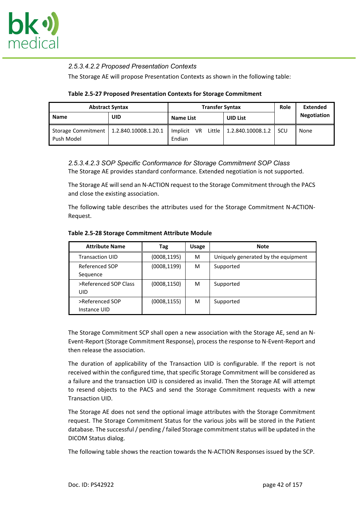

# *2.5.3.4.2.2 Proposed Presentation Contexts*

The Storage AE will propose Presentation Contexts as shown in the following table:

## **Table 2.5-27 Proposed Presentation Contexts for Storage Commitment**

| <b>Abstract Syntax</b>           |                      | <b>Transfer Syntax</b>              |                   | Role | <b>Extended</b>    |
|----------------------------------|----------------------|-------------------------------------|-------------------|------|--------------------|
| <b>Name</b>                      | <b>UID</b>           | Name List                           | <b>UID List</b>   |      | <b>Negotiation</b> |
| Storage Commitment<br>Push Model | 1.2.840.10008.1.20.1 | Little<br>Implicit<br>VR.<br>Endian | 1.2.840.10008.1.2 | SCU  | None               |

# *2.5.3.4.2.3 SOP Specific Conformance for Storage Commitment SOP Class* The Storage AE provides standard conformance. Extended negotiation is not supported.

The Storage AE will send an N-ACTION request to the Storage Commitment through the PACS and close the existing association.

The following table describes the attributes used for the Storage Commitment N-ACTION-Request.

| <b>Attribute Name</b>           | Tag          | <b>Usage</b> | <b>Note</b>                         |
|---------------------------------|--------------|--------------|-------------------------------------|
| <b>Transaction UID</b>          | (0008, 1195) | м            | Uniquely generated by the equipment |
| Referenced SOP<br>Sequence      | (0008, 1199) | м            | Supported                           |
| >Referenced SOP Class<br>UID    | (0008, 1150) | м            | Supported                           |
| >Referenced SOP<br>Instance UID | (0008, 1155) | м            | Supported                           |

#### **Table 2.5-28 Storage Commitment Attribute Module**

The Storage Commitment SCP shall open a new association with the Storage AE, send an N-Event-Report (Storage Commitment Response), process the response to N-Event-Report and then release the association.

The duration of applicability of the Transaction UID is configurable. If the report is not received within the configured time, that specific Storage Commitment will be considered as a failure and the transaction UID is considered as invalid. Then the Storage AE will attempt to resend objects to the PACS and send the Storage Commitment requests with a new Transaction UID.

The Storage AE does not send the optional image attributes with the Storage Commitment request. The Storage Commitment Status for the various jobs will be stored in the Patient database. The successful / pending / failed Storage commitment status will be updated in the DICOM Status dialog.

The following table shows the reaction towards the N-ACTION Responses issued by the SCP.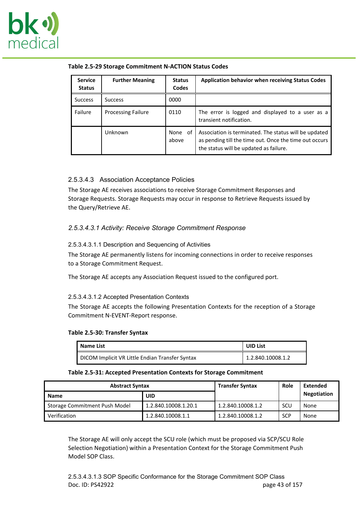

| <b>Service</b><br><b>Status</b> | <b>Further Meaning</b>    | <b>Status</b><br>Codes | Application behavior when receiving Status Codes                                                                                                          |
|---------------------------------|---------------------------|------------------------|-----------------------------------------------------------------------------------------------------------------------------------------------------------|
| <b>Success</b>                  | <b>Success</b>            | 0000                   |                                                                                                                                                           |
| Failure                         | <b>Processing Failure</b> | 0110                   | The error is logged and displayed to a user as a<br>transient notification.                                                                               |
|                                 | Unknown                   | None of<br>above       | Association is terminated. The status will be updated<br>as pending till the time out. Once the time out occurs<br>the status will be updated as failure. |

**Table 2.5-29 Storage Commitment N-ACTION Status Codes**

## 2.5.3.4.3 Association Acceptance Policies

The Storage AE receives associations to receive Storage Commitment Responses and Storage Requests. Storage Requests may occur in response to Retrieve Requests issued by the Query/Retrieve AE.

# *2.5.3.4.3.1 Activity: Receive Storage Commitment Response*

## 2.5.3.4.3.1.1 Description and Sequencing of Activities

The Storage AE permanently listens for incoming connections in order to receive responses to a Storage Commitment Request.

The Storage AE accepts any Association Request issued to the configured port.

## 2.5.3.4.3.1.2 Accepted Presentation Contexts

The Storage AE accepts the following Presentation Contexts for the reception of a Storage Commitment N-EVENT-Report response.

#### **Table 2.5-30: Transfer Syntax**

| <b>Name List</b>                                | <b>UID List</b>   |  |
|-------------------------------------------------|-------------------|--|
| DICOM Implicit VR Little Endian Transfer Syntax | 1.2.840.10008.1.2 |  |

#### **Table 2.5-31: Accepted Presentation Contexts for Storage Commitment**

| <b>Abstract Syntax</b>        | <b>Transfer Syntax</b> | Role              | Extended   |                    |
|-------------------------------|------------------------|-------------------|------------|--------------------|
| <b>Name</b>                   | UID                    |                   |            | <b>Negotiation</b> |
| Storage Commitment Push Model | 1.2.840.10008.1.20.1   | 1.2.840.10008.1.2 | <b>SCU</b> | None               |
| Verification                  | 1.2.840.10008.1.1      | 1.2.840.10008.1.2 | <b>SCP</b> | None               |

The Storage AE will only accept the SCU role (which must be proposed via SCP/SCU Role Selection Negotiation) within a Presentation Context for the Storage Commitment Push Model SOP Class.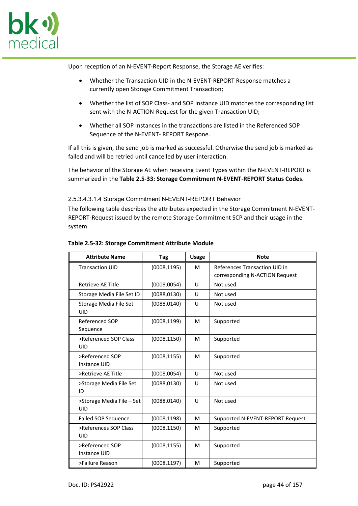

Upon reception of an N-EVENT-Report Response, the Storage AE verifies:

- Whether the Transaction UID in the N-EVENT-REPORT Response matches a currently open Storage Commitment Transaction;
- Whether the list of SOP Class- and SOP Instance UID matches the corresponding list sent with the N-ACTION-Request for the given Transaction UID;
- Whether all SOP Instances in the transactions are listed in the Referenced SOP Sequence of the N-EVENT- REPORT Respone.

If all this is given, the send job is marked as successful. Otherwise the send job is marked as failed and will be retried until cancelled by user interaction.

The behavior of the Storage AE when receiving Event Types within the N-EVENT-REPORT is summarized in the **[Table 2.5-33: Storage Commitment N-EVENT-REPORT Status Codes](#page-44-0)**.

## 2.5.3.4.3.1.4 Storage Commitment N-EVENT-REPORT Behavior

The following table describes the attributes expected in the Storage Commitment N-EVENT-REPORT-Request issued by the remote Storage Commitment SCP and their usage in the system.

| <b>Attribute Name</b>                   | Tag          | <b>Usage</b> | <b>Note</b>                                                     |
|-----------------------------------------|--------------|--------------|-----------------------------------------------------------------|
| <b>Transaction UID</b>                  | (0008, 1195) | M            | References Transaction UID in<br>corresponding N-ACTION Request |
| Retrieve AE Title                       | (0008, 0054) | U            | Not used                                                        |
| Storage Media File Set ID               | (0088, 0130) | U            | Not used                                                        |
| Storage Media File Set<br>UID           | (0088, 0140) | U            | Not used                                                        |
| Referenced SOP<br>Sequence              | (0008, 1199) | M            | Supported                                                       |
| >Referenced SOP Class<br>UID            | (0008, 1150) | M            | Supported                                                       |
| >Referenced SOP<br>Instance UID         | (0008, 1155) | M            | Supported                                                       |
| >Retrieve AE Title                      | (0008, 0054) | U            | Not used                                                        |
| >Storage Media File Set<br>ID           | (0088, 0130) | U            | Not used                                                        |
| >Storage Media File - Set<br><b>UID</b> | (0088, 0140) | U            | Not used                                                        |
| <b>Failed SOP Sequence</b>              | (0008, 1198) | M            | Supported N-EVENT-REPORT Request                                |
| >References SOP Class<br><b>UID</b>     | (0008, 1150) | M            | Supported                                                       |
| >Referenced SOP<br>Instance UID         | (0008, 1155) | M            | Supported                                                       |
| >Failure Reason                         | (0008, 1197) | M            | Supported                                                       |

#### **Table 2.5-32: Storage Commitment Attribute Module**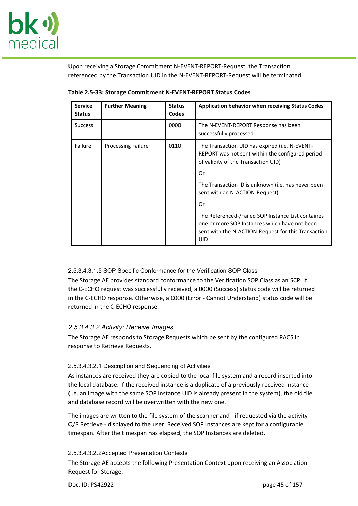

Upon receiving a Storage Commitment N-EVENT-REPORT-Request, the Transaction referenced by the Transaction UID in the N-EVENT-REPORT-Request will be terminated.

| <b>Service</b><br><b>Status</b> | <b>Further Meaning</b>    | <b>Status</b><br>Codes | Application behavior when receiving Status Codes                                                                                                                                                                                                                                                                                                                                                                   |
|---------------------------------|---------------------------|------------------------|--------------------------------------------------------------------------------------------------------------------------------------------------------------------------------------------------------------------------------------------------------------------------------------------------------------------------------------------------------------------------------------------------------------------|
| <b>Success</b>                  |                           | 0000                   | The N-EVENT-REPORT Response has been<br>successfully processed.                                                                                                                                                                                                                                                                                                                                                    |
| Failure                         | <b>Processing Failure</b> | 0110                   | The Transaction UID has expired (i.e. N-EVENT-<br>REPORT was not sent within the configured period<br>of validity of the Transaction UID)<br>0r<br>The Transaction ID is unknown (i.e. has never been<br>sent with an N-ACTION-Request)<br>0r<br>The Referenced-/Failed SOP Instance List containes<br>one or more SOP Instances which have not been<br>sent with the N-ACTION-Request for this Transaction<br>UID |

<span id="page-44-0"></span>**Table 2.5-33: Storage Commitment N-EVENT-REPORT Status Codes**

## 2.5.3.4.3.1.5 SOP Specific Conformance for the Verification SOP Class

The Storage AE provides standard conformance to the Verification SOP Class as an SCP. If the C-ECHO request was successfully received, a 0000 (Success) status code will be returned in the C-ECHO response. Otherwise, a C000 (Error - Cannot Understand) status code will be returned in the C-ECHO response.

## *2.5.3.4.3.2 Activity: Receive Images*

The Storage AE responds to Storage Requests which be sent by the configured PACS in response to Retrieve Requests.

## 2.5.3.4.3.2.1 Description and Sequencing of Activities

As instances are received they are copied to the local file system and a record inserted into the local database. If the received instance is a duplicate of a previously received instance (i.e. an image with the same SOP Instance UID is already present in the system), the old file and database record will be overwritten with the new one.

The images are written to the file system of the scanner and - if requested via the activity Q/R Retrieve - displayed to the user. Received SOP Instances are kept for a configurable timespan. After the timespan has elapsed, the SOP Instances are deleted.

#### 2.5.3.4.3.2.2Accepted Presentation Contexts

The Storage AE accepts the following Presentation Context upon receiving an Association Request for Storage.

Doc. ID: PS42922 page 45 of 157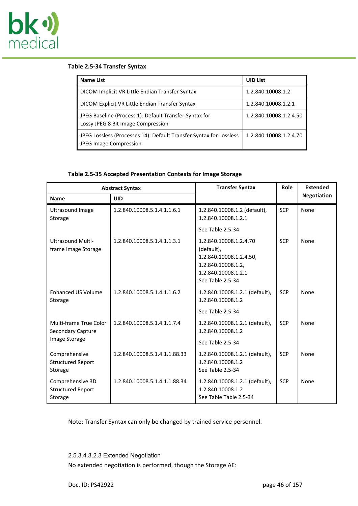

### <span id="page-45-0"></span>**Table 2.5-34 Transfer Syntax**

| <b>Name List</b>                                                                                    | <b>UID List</b>        |
|-----------------------------------------------------------------------------------------------------|------------------------|
| DICOM Implicit VR Little Endian Transfer Syntax                                                     | 1.2.840.10008.1.2      |
| DICOM Explicit VR Little Endian Transfer Syntax                                                     | 1.2.840.10008.1.2.1    |
| JPEG Baseline (Process 1): Default Transfer Syntax for<br>Lossy JPEG 8 Bit Image Compression        | 1.2.840.10008.1.2.4.50 |
| JPEG Lossless (Processes 14): Default Transfer Syntax for Lossless<br><b>JPEG Image Compression</b> | 1.2.840.10008.1.2.4.70 |

#### <span id="page-45-1"></span>**Table 2.5-35 Accepted Presentation Contexts for Image Storage**

|                                                         | <b>Abstract Syntax</b>        | <b>Transfer Syntax</b>                                                                                                           | Role       | <b>Extended</b>    |
|---------------------------------------------------------|-------------------------------|----------------------------------------------------------------------------------------------------------------------------------|------------|--------------------|
| <b>Name</b>                                             | <b>UID</b>                    |                                                                                                                                  |            | <b>Negotiation</b> |
| <b>Ultrasound Image</b><br>Storage                      | 1.2.840.10008.5.1.4.1.1.6.1   | 1.2.840.10008.1.2 (default),<br>1.2.840.10008.1.2.1                                                                              | <b>SCP</b> | None               |
|                                                         |                               | See Table 2.5-34                                                                                                                 |            |                    |
| <b>Ultrasound Multi-</b><br>frame Image Storage         | 1.2.840.10008.5.1.4.1.1.3.1   | 1.2.840.10008.1.2.4.70<br>(default),<br>1.2.840.10008.1.2.4.50,<br>1.2.840.10008.1.2,<br>1.2.840.10008.1.2.1<br>See Table 2.5-34 | <b>SCP</b> | None               |
| <b>Enhanced US Volume</b><br>Storage                    | 1.2.840.10008.5.1.4.1.1.6.2   | 1.2.840.10008.1.2.1 (default),<br>1.2.840.10008.1.2                                                                              | <b>SCP</b> | None               |
|                                                         |                               | See Table 2.5-34                                                                                                                 |            |                    |
| Multi-frame True Color<br>Secondary Capture             | 1.2.840.10008.5.1.4.1.1.7.4   | 1.2.840.10008.1.2.1 (default),<br>1.2.840.10008.1.2                                                                              | <b>SCP</b> | None               |
| Image Storage                                           |                               | See Table 2.5-34                                                                                                                 |            |                    |
| Comprehensive<br><b>Structured Report</b><br>Storage    | 1.2.840.10008.5.1.4.1.1.88.33 | 1.2.840.10008.1.2.1 (default),<br>1.2.840.10008.1.2<br>See Table 2.5-34                                                          | <b>SCP</b> | None               |
| Comprehensive 3D<br><b>Structured Report</b><br>Storage | 1.2.840.10008.5.1.4.1.1.88.34 | 1.2.840.10008.1.2.1 (default),<br>1.2.840.10008.1.2<br>See Table Table 2.5-34                                                    | <b>SCP</b> | None               |

Note: Transfer Syntax can only be changed by trained service personnel.

2.5.3.4.3.2.3 Extended Negotiation

No extended negotiation is performed, though the Storage AE:

Doc. ID: PS42922 page 46 of 157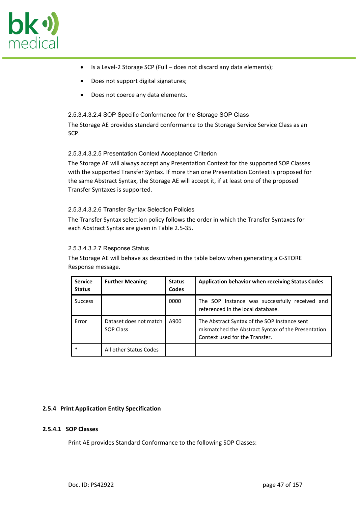

- Is a Level-2 Storage SCP (Full does not discard any data elements);
- Does not support digital signatures;
- Does not coerce any data elements.

2.5.3.4.3.2.4 SOP Specific Conformance for the Storage SOP Class

The Storage AE provides standard conformance to the Storage Service Service Class as an SCP.

#### 2.5.3.4.3.2.5 Presentation Context Acceptance Criterion

The Storage AE will always accept any Presentation Context for the supported SOP Classes with the supported Transfer Syntax. If more than one Presentation Context is proposed for the same Abstract Syntax, the Storage AE will accept it, if at least one of the proposed Transfer Syntaxes is supported.

#### 2.5.3.4.3.2.6 Transfer Syntax Selection Policies

The Transfer Syntax selection policy follows the order in which the Transfer Syntaxes for each Abstract Syntax are given in [Table 2.5-35.](#page-45-1)

#### 2.5.3.4.3.2.7 Response Status

The Storage AE will behave as described in the table below when generating a C-STORE Response message.

| <b>Service</b><br><b>Status</b> | <b>Further Meaning</b>                     | <b>Status</b><br>Codes | Application behavior when receiving Status Codes                                                                                     |
|---------------------------------|--------------------------------------------|------------------------|--------------------------------------------------------------------------------------------------------------------------------------|
| <b>Success</b>                  |                                            | 0000                   | The SOP Instance was successfully received and<br>referenced in the local database.                                                  |
| Error                           | Dataset does not match<br><b>SOP Class</b> | A900                   | The Abstract Syntax of the SOP Instance sent<br>mismatched the Abstract Syntax of the Presentation<br>Context used for the Transfer. |
| $\ast$                          | All other Status Codes                     |                        |                                                                                                                                      |

#### **2.5.4 Print Application Entity Specification**

#### **2.5.4.1 SOP Classes**

Print AE provides Standard Conformance to the following SOP Classes: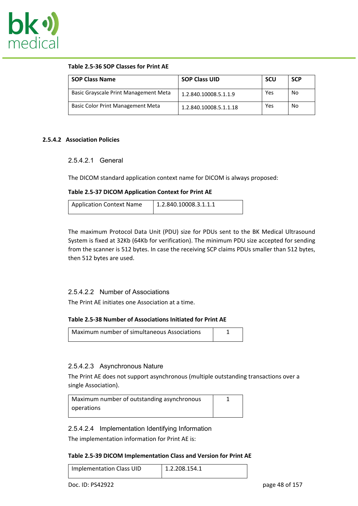

## **Table 2.5-36 SOP Classes for Print AE**

| <b>SOP Class Name</b>                 | <b>SOP Class UID</b>   | scu | <b>SCP</b> |
|---------------------------------------|------------------------|-----|------------|
| Basic Grayscale Print Management Meta | 1.2.840.10008.5.1.1.9  | Yes | No         |
| Basic Color Print Management Meta     | 1.2.840.10008.5.1.1.18 | Yes | No         |

## **2.5.4.2 Association Policies**

## 2.5.4.2.1 General

The DICOM standard application context name for DICOM is always proposed:

## **Table 2.5-37 DICOM Application Context for Print AE**

| <b>Application Context Name</b> | 1.2.840.10008.3.1.1.1 |
|---------------------------------|-----------------------|
|---------------------------------|-----------------------|

The maximum Protocol Data Unit (PDU) size for PDUs sent to the BK Medical Ultrasound System is fixed at 32Kb (64Kb for verification). The minimum PDU size accepted for sending from the scanner is 512 bytes. In case the receiving SCP claims PDUs smaller than 512 bytes, then 512 bytes are used.

## 2.5.4.2.2 Number of Associations

The Print AE initiates one Association at a time.

# **Table 2.5-38 Number of Associations Initiated for Print AE**

| Maximum number of simultaneous Associations |  |
|---------------------------------------------|--|
|                                             |  |

## 2.5.4.2.3 Asynchronous Nature

The Print AE does not support asynchronous (multiple outstanding transactions over a single Association).

| Maximum number of outstanding asynchronous |  |
|--------------------------------------------|--|
| operations                                 |  |

## 2.5.4.2.4 Implementation Identifying Information

The implementation information for Print AE is:

#### **Table 2.5-39 DICOM Implementation Class and Version for Print AE**

| Implementation Class UID | 1.2.208.154.1 |
|--------------------------|---------------|
|                          |               |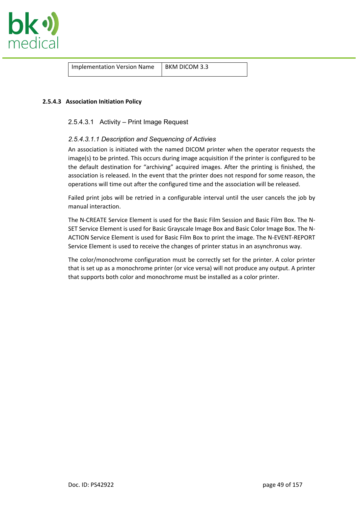

Implementation Version Name | BKM DICOM 3.3

#### **2.5.4.3 Association Initiation Policy**

#### 2.5.4.3.1 Activity – Print Image Request

#### *2.5.4.3.1.1 Description and Sequencing of Activies*

An association is initiated with the named DICOM printer when the operator requests the image(s) to be printed. This occurs during image acquisition if the printer is configured to be the default destination for "archiving" acquired images. After the printing is finished, the association is released. In the event that the printer does not respond for some reason, the operations will time out after the configured time and the association will be released.

Failed print jobs will be retried in a configurable interval until the user cancels the job by manual interaction.

The N-CREATE Service Element is used for the Basic Film Session and Basic Film Box. The N-SET Service Element is used for Basic Grayscale Image Box and Basic Color Image Box. The N-ACTION Service Element is used for Basic Film Box to print the image. The N-EVENT-REPORT Service Element is used to receive the changes of printer status in an asynchronus way.

The color/monochrome configuration must be correctly set for the printer. A color printer that is set up as a monochrome printer (or vice versa) will not produce any output. A printer that supports both color and monochrome must be installed as a color printer.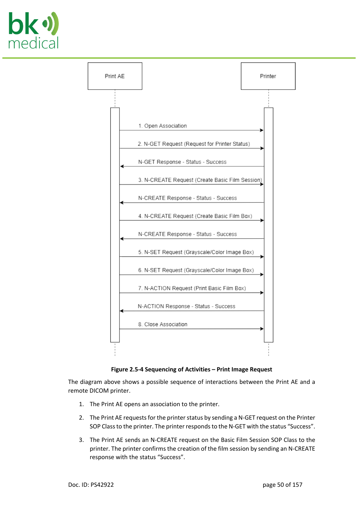



**Figure 2.5-4 Sequencing of Activities – Print Image Request**

The diagram above shows a possible sequence of interactions between the Print AE and a remote DICOM printer.

- 1. The Print AE opens an association to the printer.
- 2. The Print AE requests for the printer status by sending a N-GET request on the Printer SOP Class to the printer. The printer responds to the N-GET with the status "Success".
- 3. The Print AE sends an N-CREATE request on the Basic Film Session SOP Class to the printer. The printer confirms the creation of the film session by sending an N-CREATE response with the status "Success".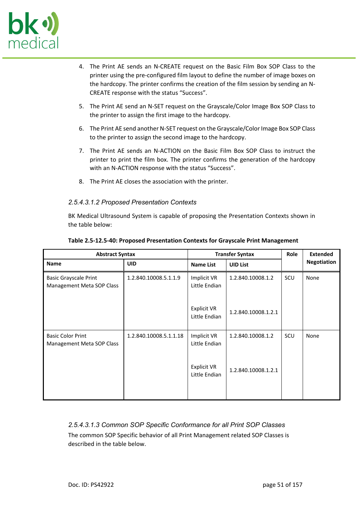

- 4. The Print AE sends an N-CREATE request on the Basic Film Box SOP Class to the printer using the pre-configured film layout to define the number of image boxes on the hardcopy. The printer confirms the creation of the film session by sending an N-CREATE response with the status "Success".
- 5. The Print AE send an N-SET request on the Grayscale/Color Image Box SOP Class to the printer to assign the first image to the hardcopy.
- 6. The Print AE send another N-SET request on the Grayscale/Color Image Box SOP Class to the printer to assign the second image to the hardcopy.
- 7. The Print AE sends an N-ACTION on the Basic Film Box SOP Class to instruct the printer to print the film box. The printer confirms the generation of the hardcopy with an N-ACTION response with the status "Success".
- 8. The Print AE closes the association with the printer.

## *2.5.4.3.1.2 Proposed Presentation Contexts*

BK Medical Ultrasound System is capable of proposing the Presentation Contexts shown in the table below:

| <b>Abstract Syntax</b>                                    |                        | <b>Transfer Syntax</b>              | Role                | <b>Extended</b> |                    |
|-----------------------------------------------------------|------------------------|-------------------------------------|---------------------|-----------------|--------------------|
| <b>Name</b>                                               | <b>UID</b>             | <b>Name List</b>                    | <b>UID List</b>     |                 | <b>Negotiation</b> |
| <b>Basic Grayscale Print</b><br>Management Meta SOP Class | 1.2.840.10008.5.1.1.9  | Implicit VR<br>Little Endian        | 1.2.840.10008.1.2   | SCU             | None               |
|                                                           |                        | <b>Explicit VR</b><br>Little Endian | 1.2.840.10008.1.2.1 |                 |                    |
| <b>Basic Color Print</b><br>Management Meta SOP Class     | 1.2.840.10008.5.1.1.18 | Implicit VR<br>Little Endian        | 1.2.840.10008.1.2   | SCU             | None               |
|                                                           |                        | Explicit VR<br>Little Endian        | 1.2.840.10008.1.2.1 |                 |                    |

#### **Table 2.5-12.5-40: Proposed Presentation Contexts for Grayscale Print Management**

## *2.5.4.3.1.3 Common SOP Specific Conformance for all Print SOP Classes*

The common SOP Specific behavior of all Print Management related SOP Classes is described in the table below.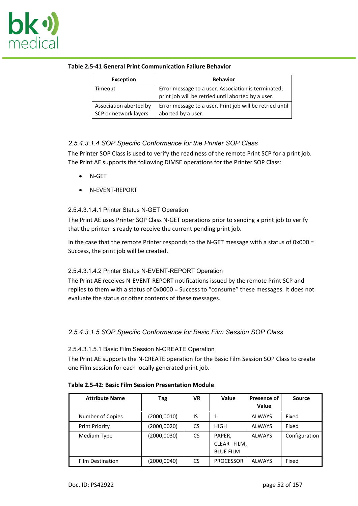

| <b>Exception</b>                                | <b>Behavior</b>                                                                                           |
|-------------------------------------------------|-----------------------------------------------------------------------------------------------------------|
| Timeout                                         | Error message to a user. Association is terminated;<br>print job will be retried until aborted by a user. |
| Association aborted by<br>SCP or network layers | Error message to a user. Print job will be retried until<br>aborted by a user.                            |

## **Table 2.5-41 General Print Communication Failure Behavior**

# *2.5.4.3.1.4 SOP Specific Conformance for the Printer SOP Class*

The Printer SOP Class is used to verify the readiness of the remote Print SCP for a print job. The Print AE supports the following DIMSE operations for the Printer SOP Class:

- N-GET
- N-EVENT-REPORT

## 2.5.4.3.1.4.1 Printer Status N-GET Operation

The Print AE uses Printer SOP Class N-GET operations prior to sending a print job to verify that the printer is ready to receive the current pending print job.

In the case that the remote Printer responds to the N-GET message with a status of 0x000 = Success, the print job will be created.

#### 2.5.4.3.1.4.2 Printer Status N-EVENT-REPORT Operation

The Print AE receives N-EVENT-REPORT notifications issued by the remote Print SCP and replies to them with a status of 0x0000 = Success to "consume" these messages. It does not evaluate the status or other contents of these messages.

## *2.5.4.3.1.5 SOP Specific Conformance for Basic Film Session SOP Class*

2.5.4.3.1.5.1 Basic Film Session N-CREATE Operation

The Print AE supports the N-CREATE operation for the Basic Film Session SOP Class to create one Film session for each locally generated print job.

| <b>Attribute Name</b>   | Tag          | VR  | Value            | Presence of   | <b>Source</b> |
|-------------------------|--------------|-----|------------------|---------------|---------------|
|                         |              |     |                  | Value         |               |
| Number of Copies        | (2000, 0010) | IS  |                  | <b>ALWAYS</b> | Fixed         |
| <b>Print Priority</b>   | (2000,0020)  | CS. | <b>HIGH</b>      | <b>ALWAYS</b> | Fixed         |
| Medium Type             | (2000, 0030) | CS. | PAPER,           | <b>ALWAYS</b> | Configuration |
|                         |              |     | CLEAR FILM,      |               |               |
|                         |              |     | <b>BLUE FILM</b> |               |               |
| <b>Film Destination</b> | (2000,0040)  | CS. | <b>PROCESSOR</b> | <b>ALWAYS</b> | Fixed         |

**Table 2.5-42: Basic Film Session Presentation Module**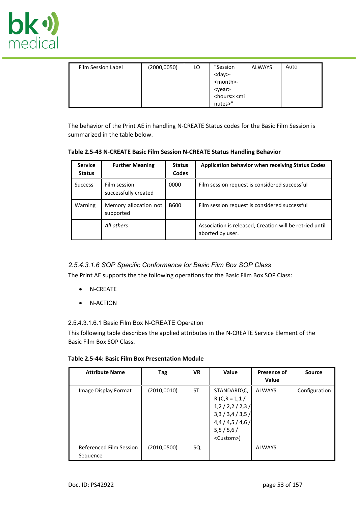

| Film Session Label | (2000, 0050) | LO | "Session                                                | ALWAYS | Auto |
|--------------------|--------------|----|---------------------------------------------------------|--------|------|
|                    |              |    | $<$ day>-                                               |        |      |
|                    |              |    | <month>-</month>                                        |        |      |
|                    |              |    | <year></year>                                           |        |      |
|                    |              |    | <hours>:<mi l<="" td=""><td></td><td></td></mi></hours> |        |      |
|                    |              |    | nutes>"                                                 |        |      |

The behavior of the Print AE in handling N-CREATE Status codes for the Basic Film Session is summarized in the table below.

| <b>Service</b><br><b>Status</b> | <b>Further Meaning</b>               | <b>Status</b><br><b>Codes</b> | <b>Application behavior when receiving Status Codes</b>                     |
|---------------------------------|--------------------------------------|-------------------------------|-----------------------------------------------------------------------------|
| <b>Success</b>                  | Film session<br>successfully created | 0000                          | Film session request is considered successful                               |
| Warning                         | Memory allocation not<br>supported   | B600                          | Film session request is considered successful                               |
|                                 | All others                           |                               | Association is released; Creation will be retried until<br>aborted by user. |

# *2.5.4.3.1.6 SOP Specific Conformance for Basic Film Box SOP Class*

The Print AE supports the the following operations for the Basic Film Box SOP Class:

- N-CREATE
- N-ACTION

## 2.5.4.3.1.6.1 Basic Film Box N-CREATE Operation

This following table describes the applied attributes in the N-CREATE Service Element of the Basic Film Box SOP Class.

| <b>Table 2.5-44: Basic Film Box Presentation Module</b> |  |  |
|---------------------------------------------------------|--|--|
|---------------------------------------------------------|--|--|

| <b>Attribute Name</b>               | Tag         | <b>VR</b> | Value                                                                                                           | <b>Presence of</b><br><b>Value</b> | <b>Source</b> |
|-------------------------------------|-------------|-----------|-----------------------------------------------------------------------------------------------------------------|------------------------------------|---------------|
| Image Display Format                | (2010,0010) | ST        | STANDARD\C,<br>$R(C,R = 1,1)$<br>1,2/2,2/2,3/<br>3,3/3,4/3,5/<br>4,4/4,5/4,6/<br>5,5/5,6/<br><custom>)</custom> | <b>ALWAYS</b>                      | Configuration |
| Referenced Film Session<br>Sequence | (2010,0500) | SQ        |                                                                                                                 | <b>ALWAYS</b>                      |               |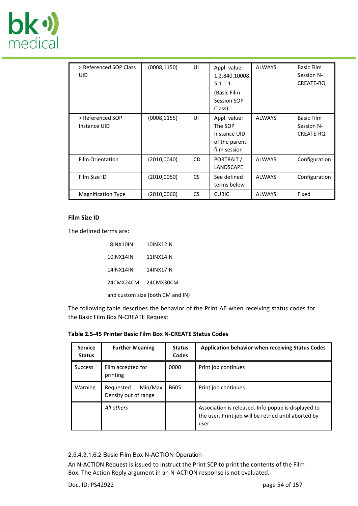

| > Referenced SOP Class<br><b>UID</b> | (0008, 1150) | UI  | Appl. value:<br>1.2.840.10008.<br>5.1.1.1<br>(Basic Film<br>Session SOP<br>Class) | <b>ALWAYS</b> | <b>Basic Film</b><br>Session N-<br>CREATE-RQ |
|--------------------------------------|--------------|-----|-----------------------------------------------------------------------------------|---------------|----------------------------------------------|
| > Referenced SOP<br>Instance UID     | (0008, 1155) | UI  | Appl. value:<br>The SOP<br>Instance UID<br>of the parent<br>film session          | <b>ALWAYS</b> | <b>Basic Film</b><br>Session N-<br>CREATE-RQ |
| <b>Film Orientation</b>              | (2010,0040)  | CD. | PORTRAIT /<br>LANDSCAPE                                                           | <b>ALWAYS</b> | Configuration                                |
| Film Size ID                         | (2010,0050)  | CS. | See defined<br>terms below                                                        | <b>ALWAYS</b> | Configuration                                |
| <b>Magnification Type</b>            | (2010,0060)  | CS. | <b>CUBIC</b>                                                                      | <b>ALWAYS</b> | Fixed                                        |

### **Film Size ID**

The defined terms are:

| 8INX10IN  | 10INX12IN                        |
|-----------|----------------------------------|
| 10INX14IN | 11INX14IN                        |
| 14INX14IN | <b>14INX17IN</b>                 |
| 24CMX24CM | 24CMX30CM                        |
|           | and custom size (both CM and IN) |

The following table describes the behavior of the Print AE when receiving status codes for the Basic Film Box N-CREATE Request

| <b>Service</b><br><b>Status</b> | <b>Further Meaning</b>                       | <b>Status</b><br>Codes | Application behavior when receiving Status Codes                                                                     |
|---------------------------------|----------------------------------------------|------------------------|----------------------------------------------------------------------------------------------------------------------|
| <b>Success</b>                  | Film accepted for<br>printing                | 0000                   | Print job continues                                                                                                  |
| Warning                         | Min/Max<br>Requested<br>Density out of range | B605                   | Print job continues                                                                                                  |
|                                 | All others                                   |                        | Association is released. Info popup is displayed to<br>the user. Print job will be retried until aborted by<br>user. |

#### **Table 2.5-45 Printer Basic Film Box N-CREATE Status Codes**

2.5.4.3.1.6.2 Basic Film Box N-ACTION Operation

An N-ACTION Request is issued to instruct the Print SCP to print the contents of the Film Box. The Action Reply argument in an N-ACTION response is not evaluated.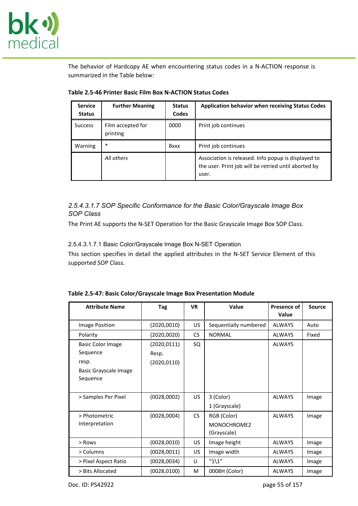

The behavior of Hardcopy AE when encountering status codes in a N-ACTION response is summarized in the Table below:

| <b>Service</b><br><b>Status</b> | <b>Further Meaning</b>        | <b>Status</b><br>Codes | <b>Application behavior when receiving Status Codes</b>                                                              |
|---------------------------------|-------------------------------|------------------------|----------------------------------------------------------------------------------------------------------------------|
| <b>Success</b>                  | Film accepted for<br>printing | 0000                   | Print job continues                                                                                                  |
| Warning                         | $\ast$                        | <b>Bxxx</b>            | Print job continues                                                                                                  |
|                                 | All others                    |                        | Association is released. Info popup is displayed to<br>the user. Print job will be retried until aborted by<br>user. |

**Table 2.5-46 Printer Basic Film Box N-ACTION Status Codes**

# *2.5.4.3.1.7 SOP Specific Conformance for the Basic Color/Grayscale Image Box SOP Class*

The Print AE supports the N-SET Operation for the Basic Grayscale Image Box SOP Class.

## 2.5.4.3.1.7.1 Basic Color/Grayscale Image Box N-SET Operation

This section specifies in detail the applied attributes in the N-SET Service Element of this supported SOP Class.

| <b>Attribute Name</b>                                                       | Tag                                   | <b>VR</b> | Value                                     | <b>Presence of</b><br>Value | <b>Source</b> |
|-----------------------------------------------------------------------------|---------------------------------------|-----------|-------------------------------------------|-----------------------------|---------------|
| <b>Image Position</b>                                                       | (2020,0010)                           | US        | Sequentially numbered                     | <b>ALWAYS</b>               | Auto          |
| Polarity                                                                    | (2020,0020)                           | CS        | <b>NORMAL</b>                             | <b>ALWAYS</b>               | Fixed         |
| Basic Color Image<br>Sequence<br>resp.<br>Basic Grayscale Image<br>Sequence | (2020, 0111)<br>Resp.<br>(2020, 0110) | SQ        |                                           | <b>ALWAYS</b>               |               |
| > Samples Per Pixel                                                         | (0028,0002)                           | US        | 3 (Color)<br>1 (Grayscale)                | <b>ALWAYS</b>               | Image         |
| > Photometric<br>Interpretation                                             | (0028,0004)                           | CS        | RGB (Color)<br>MONOCHROME2<br>(Grayscale) | <b>ALWAYS</b>               | Image         |
| > Rows                                                                      | (0028, 0010)                          | US        | Image height                              | <b>ALWAYS</b>               | Image         |
| > Columns                                                                   | (0028, 0011)                          | US.       | Image width                               | <b>ALWAYS</b>               | Image         |
| > Pixel Aspect Ratio                                                        | (0028, 0034)                          | U         | " $1\1$ "                                 | <b>ALWAYS</b>               | Image         |
| > Bits Allocated                                                            | (0028, 0100)                          | м         | 0008H (Color)                             | <b>ALWAYS</b>               | Image         |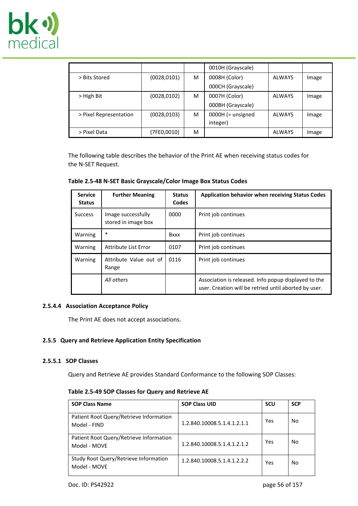

|                        |              |   | 0010H (Grayscale)             |               |       |
|------------------------|--------------|---|-------------------------------|---------------|-------|
| > Bits Stored          | (0028, 0101) | M | 0008H (Color)                 | <b>ALWAYS</b> | Image |
|                        |              |   | 000CH (Grayscale)             |               |       |
| > High Bit             | (0028, 0102) | м | 0007H (Color)                 | <b>ALWAYS</b> | Image |
|                        |              |   | 000BH (Grayscale)             |               |       |
| > Pixel Representation | (0028, 0103) | м | 0000H (= unsigned<br>integer) | AI WAYS       | Image |
| > Pixel Data           | (7FE0,0010)  | M |                               | <b>ALWAYS</b> | Image |

The following table describes the behavior of the Print AE when receiving status codes for the N-SET Request.

**Table 2.5-48 N-SET Basic Grayscale/Color Image Box Status Codes**

| <b>Service</b><br><b>Status</b> | <b>Further Meaning</b>                    | <b>Status</b><br><b>Codes</b> | <b>Application behavior when receiving Status Codes</b>                                                       |
|---------------------------------|-------------------------------------------|-------------------------------|---------------------------------------------------------------------------------------------------------------|
| <b>Success</b>                  | Image successfully<br>stored in image box | 0000                          | Print job continues                                                                                           |
| Warning                         | *                                         | Bxxx                          | Print job continues                                                                                           |
| Warning                         | Attribute List Error                      | 0107                          | Print job continues                                                                                           |
| Warning                         | Attribute Value out of<br>Range           | 0116                          | Print job continues                                                                                           |
|                                 | All others                                |                               | Association is released. Info popup displayed to the<br>user. Creation will be retried until aborted by user. |

### **2.5.4.4 Association Acceptance Policy**

The Print AE does not accept associations.

## **2.5.5 Query and Retrieve Application Entity Specification**

#### **2.5.5.1 SOP Classes**

Query and Retrieve AE provides Standard Conformance to the following SOP Classes:

|  |  | Table 2.5-49 SOP Classes for Query and Retrieve AE |
|--|--|----------------------------------------------------|
|--|--|----------------------------------------------------|

| <b>SOP Class Name</b>                                   | <b>SOP Class UID</b>        | <b>SCU</b> | <b>SCP</b> |
|---------------------------------------------------------|-----------------------------|------------|------------|
| Patient Root Query/Retrieve Information<br>Model - FIND | 1.2.840.10008.5.1.4.1.2.1.1 | Yes        | No         |
| Patient Root Query/Retrieve Information<br>Model - MOVE | 1.2.840.10008.5.1.4.1.2.1.2 | Yes        | No         |
| Study Root Query/Retrieve Information<br>Model - MOVE   | 1.2.840.10008.5.1.4.1.2.2.2 | Yes        | No         |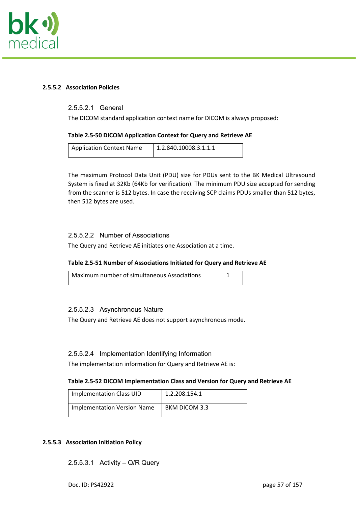

### **2.5.5.2 Association Policies**

## 2.5.5.2.1 General

The DICOM standard application context name for DICOM is always proposed:

#### **Table 2.5-50 DICOM Application Context for Query and Retrieve AE**

| <b>Application Context Name</b> | 1.2.840.10008.3.1.1.1 |
|---------------------------------|-----------------------|
|---------------------------------|-----------------------|

The maximum Protocol Data Unit (PDU) size for PDUs sent to the BK Medical Ultrasound System is fixed at 32Kb (64Kb for verification). The minimum PDU size accepted for sending from the scanner is 512 bytes. In case the receiving SCP claims PDUs smaller than 512 bytes, then 512 bytes are used.

## 2.5.5.2.2 Number of Associations

The Query and Retrieve AE initiates one Association at a time.

#### **Table 2.5-51 Number of Associations Initiated for Query and Retrieve AE**

| Maximum number of simultaneous Associations |  |
|---------------------------------------------|--|
|                                             |  |

#### 2.5.5.2.3 Asynchronous Nature

The Query and Retrieve AE does not support asynchronous mode.

#### 2.5.5.2.4 Implementation Identifying Information

The implementation information for Query and Retrieve AE is:

#### **Table 2.5-52 DICOM Implementation Class and Version for Query and Retrieve AE**

| <b>Implementation Class UID</b> | 1.2.208.154.1 |
|---------------------------------|---------------|
| Implementation Version Name     | BKM DICOM 3.3 |

#### **2.5.5.3 Association Initiation Policy**

2.5.5.3.1 Activity – Q/R Query

Doc. ID: PS42922 page 57 of 157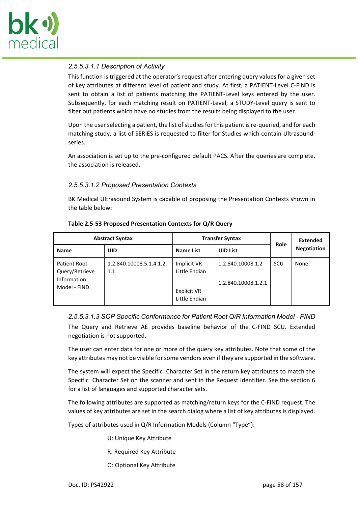

# *2.5.5.3.1.1 Description of Activity*

This function is triggered at the operator's request after entering query values for a given set of key attributes at different level of patient and study. At first, a PATIENT-Level C-FIND is sent to obtain a list of patients matching the PATIENT-Level keys entered by the user. Subsequently, for each matching result on PATIENT-Level, a STUDY-Level query is sent to filter out patients which have no studies from the results being displayed to the user.

Upon the user selecting a patient, the list of studies for this patient is re-queried, and for each matching study, a list of SERIES is requested to filter for Studies which contain Ultrasoundseries.

An association is set up to the pre-configured default PACS. After the queries are complete, the association is released.

# *2.5.5.3.1.2 Proposed Presentation Contexts*

BK Medical Ultrasound System is capable of proposing the Presentation Contexts shown in the table below:

|                                                               | <b>Abstract Syntax</b>          | <b>Transfer Syntax</b>                                              | <b>Role</b>                              | <b>Extended</b> |                    |
|---------------------------------------------------------------|---------------------------------|---------------------------------------------------------------------|------------------------------------------|-----------------|--------------------|
| <b>Name</b>                                                   | <b>UID</b>                      | <b>Name List</b>                                                    | <b>UID List</b>                          |                 | <b>Negotiation</b> |
| Patient Root<br>Query/Retrieve<br>Information<br>Model - FIND | 1.2.840.10008.5.1.4.1.2.<br>1.1 | Implicit VR<br>Little Endian<br><b>Explicit VR</b><br>Little Endian | 1.2.840.10008.1.2<br>1.2.840.10008.1.2.1 | <b>SCU</b>      | None               |

## **Table 2.5-53 Proposed Presentation Contexts for Q/R Query**

*2.5.5.3.1.3 SOP Specific Conformance for Patient Root Q/R Information Model - FIND* The Query and Retrieve AE provides baseline behavior of the C-FIND SCU. Extended negotiation is not supported.

The user can enter data for one or more of the query key attributes. Note that some of the key attributes may not be visible for some vendors even if they are supported in the software.

The system will expect the Specific Character Set in the return key attributes to match the Specific Character Set on the scanner and sent in the Request Identifier. See the section [6](#page-67-0) for a list of languages and supported character sets.

The following attributes are supported as matching/return keys for the C-FIND request. The values of key attributes are set in the search dialog where a list of key attributes is displayed.

Types of attributes used in Q/R Information Models (Column "Type"):

U: Unique Key Attribute

- R: Required Key Attribute
- O: Optional Key Attribute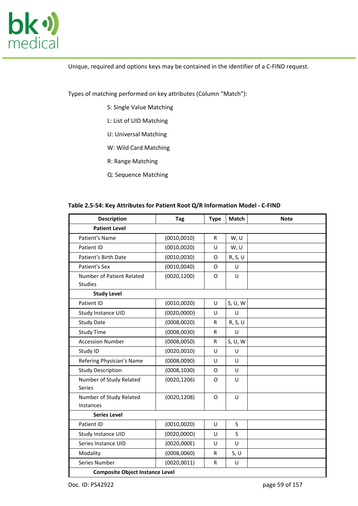

Unique, required and options keys may be contained in the identifier of a C-FIND request.

Types of matching performed on key attributes (Column "Match"):

- S: Single Value Matching
- L: List of UID Matching
- U: Universal Matching
- W: Wild Card Matching
- R: Range Matching
- Q: Sequence Matching

| <b>Description</b>                     | Tag          | <b>Type</b>  | Match   | <b>Note</b> |  |  |
|----------------------------------------|--------------|--------------|---------|-------------|--|--|
| <b>Patient Level</b>                   |              |              |         |             |  |  |
| Patient's Name                         | (0010, 0010) | $\mathsf{R}$ | W, U    |             |  |  |
| Patient ID                             | (0010, 0020) | $\cup$       | W, U    |             |  |  |
| Patient's Birth Date                   | (0010, 0030) | O            | R, S, U |             |  |  |
| Patient's Sex                          | (0010, 0040) | $\mathsf{O}$ | $\cup$  |             |  |  |
| Number of Patient Related              | (0020, 1200) | O            | U       |             |  |  |
| <b>Studies</b>                         |              |              |         |             |  |  |
| <b>Study Level</b>                     |              |              |         |             |  |  |
| Patient ID                             | (0010, 0020) | U            | S, U, W |             |  |  |
| Study Instance UID                     | (0020, 000D) | U            | U       |             |  |  |
| <b>Study Date</b>                      | (0008, 0020) | $\mathsf{R}$ | R, S, U |             |  |  |
| <b>Study Time</b>                      | (0008, 0030) | R            | $\sf U$ |             |  |  |
| <b>Accession Number</b>                | (0008, 0050) | R            | S, U, W |             |  |  |
| Study ID                               | (0020, 0010) | U            | U       |             |  |  |
| Refering Physician's Name              | (0008, 0090) | U            | U       |             |  |  |
| <b>Study Description</b>               | (0008, 1030) | 0            | U       |             |  |  |
| Number of Study Related                | (0020, 1206) | O            | U       |             |  |  |
| <b>Series</b>                          |              |              |         |             |  |  |
| Number of Study Related                | (0020, 1208) | $\circ$      | U       |             |  |  |
| Instances                              |              |              |         |             |  |  |
| <b>Series Level</b>                    |              |              |         |             |  |  |
| Patient ID                             | (0010, 0020) | U            | S       |             |  |  |
| Study Instance UID                     | (0020,000D)  | U            | S       |             |  |  |
| Series Instance UID                    | (0020,000E)  | U            | U       |             |  |  |
| Modality                               | (0008, 0060) | R            | S, U    |             |  |  |
| Series Number                          | (0020, 0011) | R            | U       |             |  |  |
| <b>Composite Object Instance Level</b> |              |              |         |             |  |  |

## **Table 2.5-54: Key Attributes for Patient Root Q/R Information Model - C-FIND**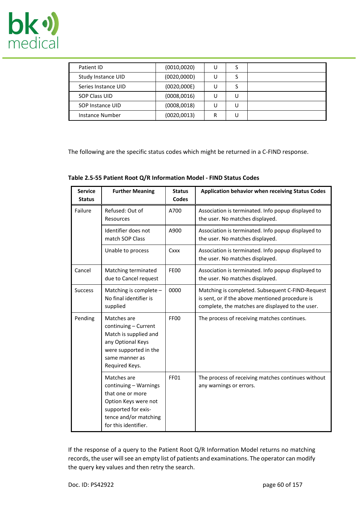

| Patient ID           | (0010, 0020) |   |   |  |
|----------------------|--------------|---|---|--|
| Study Instance UID   | (0020,000D)  |   |   |  |
| Series Instance UID  | (0020,000E)  |   |   |  |
| <b>SOP Class UID</b> | (0008,0016)  |   | U |  |
| SOP Instance UID     | (0008, 0018) |   | U |  |
| Instance Number      | (0020, 0013) | R |   |  |

The following are the specific status codes which might be returned in a C-FIND response.

**Table 2.5-55 Patient Root Q/R Information Model - FIND Status Codes**

| <b>Service</b><br><b>Status</b> | <b>Further Meaning</b>                                                                                                                                   | <b>Status</b><br>Codes | Application behavior when receiving Status Codes                                                                                                        |
|---------------------------------|----------------------------------------------------------------------------------------------------------------------------------------------------------|------------------------|---------------------------------------------------------------------------------------------------------------------------------------------------------|
| Failure                         | Refused: Out of<br>Resources                                                                                                                             | A700                   | Association is terminated. Info popup displayed to<br>the user. No matches displayed.                                                                   |
|                                 | Identifier does not<br>match SOP Class                                                                                                                   | A900                   | Association is terminated. Info popup displayed to<br>the user. No matches displayed.                                                                   |
|                                 | Unable to process                                                                                                                                        | Cxxx                   | Association is terminated. Info popup displayed to<br>the user. No matches displayed.                                                                   |
| Cancel                          | Matching terminated<br>due to Cancel request                                                                                                             | <b>FE00</b>            | Association is terminated. Info popup displayed to<br>the user. No matches displayed.                                                                   |
| <b>Success</b>                  | Matching is complete -<br>No final identifier is<br>supplied                                                                                             | 0000                   | Matching is completed. Subsequent C-FIND-Request<br>is sent, or if the above mentioned procedure is<br>complete, the matches are displayed to the user. |
| Pending                         | Matches are<br>continuing - Current<br>Match is supplied and<br>any Optional Keys<br>were supported in the<br>same manner as<br>Required Keys.           | FF <sub>00</sub>       | The process of receiving matches continues.                                                                                                             |
|                                 | Matches are<br>continuing - Warnings<br>that one or more<br>Option Keys were not<br>supported for exis-<br>tence and/or matching<br>for this identifier. | FF01                   | The process of receiving matches continues without<br>any warnings or errors.                                                                           |

If the response of a query to the Patient Root Q/R Information Model returns no matching records, the user will see an empty list of patients and examinations. The operator can modify the query key values and then retry the search.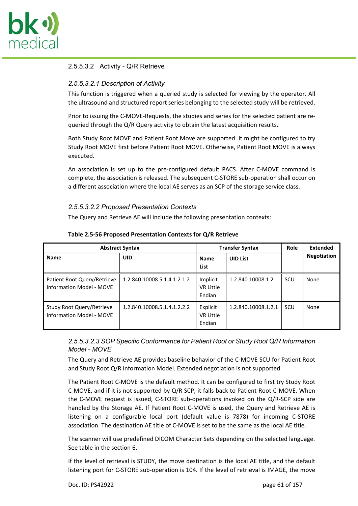

## 2.5.5.3.2 Activity - Q/R Retrieve

## *2.5.5.3.2.1 Description of Activity*

This function is triggered when a queried study is selected for viewing by the operator. All the ultrasound and structured report series belonging to the selected study will be retrieved.

Prior to issuing the C-MOVE-Requests, the studies and series for the selected patient are requeried through the Q/R Query activity to obtain the latest acquisition results.

Both Study Root MOVE and Patient Root Move are supported. It might be configured to try Study Root MOVE first before Patient Root MOVE. Otherwise, Patient Root MOVE is always executed.

An association is set up to the pre-configured default PACS. After C-MOVE command is complete, the association is released. The subsequent C-STORE sub-operation shall occur on a different association where the local AE serves as an SCP of the storage service class.

## *2.5.5.3.2.2 Proposed Presentation Contexts*

The Query and Retrieve AE will include the following presentation contexts:

| <b>Abstract Syntax</b>                                         |                             | <b>Transfer Syntax</b>                 |                     | Role | <b>Extended</b>    |
|----------------------------------------------------------------|-----------------------------|----------------------------------------|---------------------|------|--------------------|
| <b>Name</b>                                                    | <b>UID</b>                  | <b>Name</b><br>List                    | <b>UID List</b>     |      | <b>Negotiation</b> |
| Patient Root Query/Retrieve<br><b>Information Model - MOVE</b> | 1.2.840.10008.5.1.4.1.2.1.2 | Implicit<br><b>VR Little</b><br>Endian | 1.2.840.10008.1.2   | SCU  | None               |
| Study Root Query/Retrieve<br>Information Model - MOVE          | 1.2.840.10008.5.1.4.1.2.2.2 | Explicit<br><b>VR Little</b><br>Endian | 1.2.840.10008.1.2.1 | SCU  | None               |

#### **Table 2.5-56 Proposed Presentation Contexts for Q/R Retrieve**

## *2.5.5.3.2.3 SOP Specific Conformance for Patient Root or Study Root Q/R Information Model - MOVE*

The Query and Retrieve AE provides baseline behavior of the C-MOVE SCU for Patient Root and Study Root Q/R Information Model. Extended negotiation is not supported.

The Patient Root C-MOVE is the default method. It can be configured to first try Study Root C-MOVE, and if it is not supported by Q/R SCP, it falls back to Patient Root C-MOVE. When the C-MOVE request is issued, C-STORE sub-operations invoked on the Q/R-SCP side are handled by the Storage AE. If Patient Root C-MOVE is used, the Query and Retrieve AE is listening on a configurable local port (default value is 7878) for incoming C-STORE association. The destination AE title of C-MOVE is set to be the same as the local AE title.

The scanner will use predefined DICOM Character Sets depending on the selected language. See table in the section 6.

If the level of retrieval is STUDY, the move destination is the local AE title, and the default listening port for C-STORE sub-operation is 104. If the level of retrieval is IMAGE, the move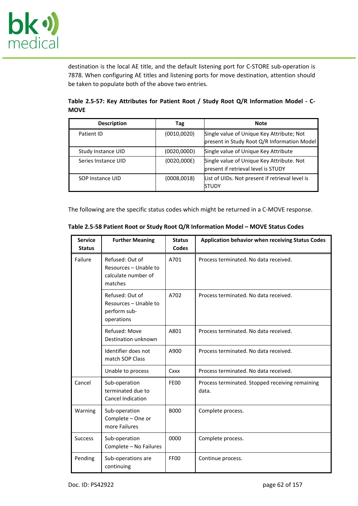

destination is the local AE title, and the default listening port for C-STORE sub-operation is 7878. When configuring AE titles and listening ports for move destination, attention should be taken to populate both of the above two entries.

| <b>Description</b>  | Tag          | <b>Note</b>                                                                              |
|---------------------|--------------|------------------------------------------------------------------------------------------|
| Patient ID          | (0010, 0020) | Single value of Unique Key Attribute; Not<br>present in Study Root Q/R Information Model |
| Study Instance UID  | (0020,000D)  | Single value of Unique Key Attribute                                                     |
| Series Instance UID | (0020,000E)  | Single value of Unique Key Attribute. Not<br>present if retrieval level is STUDY         |
| SOP Instance UID    | (0008, 0018) | List of UIDs. Not present if retrieval level is<br><b>STUDY</b>                          |

# Table 2.5-57: Key Attributes for Patient Root / Study Root Q/R Information Model - C-**MOVE**

The following are the specific status codes which might be returned in a C-MOVE response.

| <b>Service</b><br><b>Status</b> | <b>Further Meaning</b>                                                     | <b>Status</b><br><b>Codes</b> | Application behavior when receiving Status Codes         |
|---------------------------------|----------------------------------------------------------------------------|-------------------------------|----------------------------------------------------------|
| Failure                         | Refused: Out of<br>Resources - Unable to<br>calculate number of<br>matches | A701                          | Process terminated. No data received.                    |
|                                 | Refused: Out of<br>Resources - Unable to<br>perform sub-<br>operations     | A702                          | Process terminated. No data received.                    |
|                                 | Refused: Move<br>Destination unknown                                       | A801                          | Process terminated. No data received.                    |
|                                 | Identifier does not<br>match SOP Class                                     | A900                          | Process terminated. No data received.                    |
|                                 | Unable to process                                                          | Cxxx                          | Process terminated. No data received.                    |
| Cancel                          | Sub-operation<br>terminated due to<br>Cancel Indication                    | FE00                          | Process terminated. Stopped receiving remaining<br>data. |
| Warning                         | Sub-operation<br>Complete - One or<br>more Failures                        | <b>B000</b>                   | Complete process.                                        |
| <b>Success</b>                  | Sub-operation<br>Complete - No Failures                                    | 0000                          | Complete process.                                        |
| Pending                         | Sub-operations are<br>continuing                                           | FF <sub>00</sub>              | Continue process.                                        |

# **Table 2.5-58 Patient Root or Study Root Q/R Information Model – MOVE Status Codes**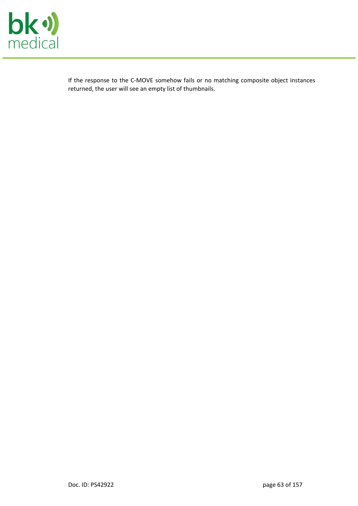

If the response to the C-MOVE somehow fails or no matching composite object instances returned, the user will see an empty list of thumbnails.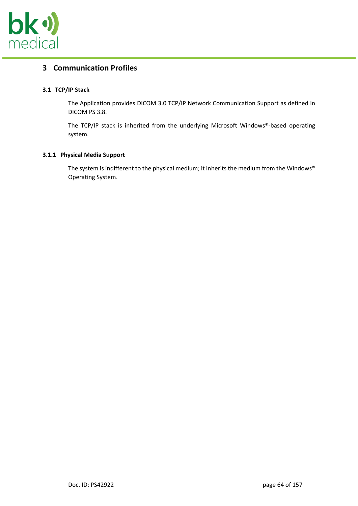

# **3 Communication Profiles**

## **3.1 TCP/IP Stack**

The Application provides DICOM 3.0 TCP/IP Network Communication Support as defined in DICOM PS 3.8.

The TCP/IP stack is inherited from the underlying Microsoft Windows®-based operating system.

## **3.1.1 Physical Media Support**

The system is indifferent to the physical medium; it inherits the medium from the Windows® Operating System.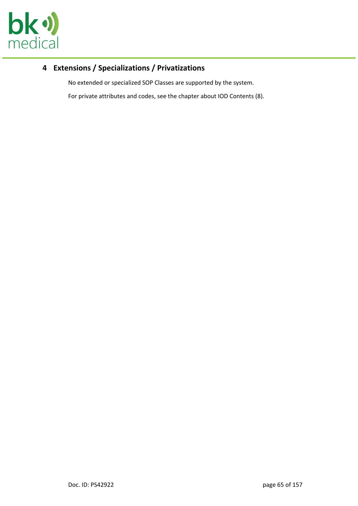

# **4 Extensions / Specializations / Privatizations**

No extended or specialized SOP Classes are supported by the system.

For private attributes and codes, see the chapter about IOD Contents [\(8\)](#page-70-1).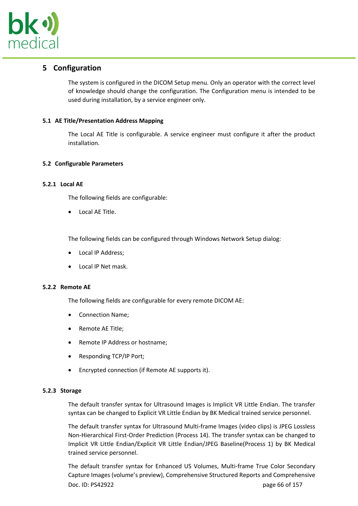

# **5 Configuration**

The system is configured in the DICOM Setup menu. Only an operator with the correct level of knowledge should change the configuration. The Configuration menu is intended to be used during installation, by a service engineer only.

## **5.1 AE Title/Presentation Address Mapping**

The Local AE Title is configurable. A service engineer must configure it after the product installation.

## **5.2 Configurable Parameters**

## **5.2.1 Local AE**

The following fields are configurable:

Local AE Title.

The following fields can be configured through Windows Network Setup dialog:

- Local IP Address;
- Local IP Net mask.

#### **5.2.2 Remote AE**

The following fields are configurable for every remote DICOM AE:

- Connection Name;
- Remote AE Title;
- Remote IP Address or hostname;
- Responding TCP/IP Port;
- Encrypted connection (if Remote AE supports it).

#### **5.2.3 Storage**

The default transfer syntax for Ultrasound Images is Implicit VR Little Endian. The transfer syntax can be changed to Explicit VR Little Endian by BK Medical trained service personnel.

The default transfer syntax for Ultrasound Multi-frame Images (video clips) is JPEG Lossless Non-Hierarchical First-Order Prediction (Process 14). The transfer syntax can be changed to Implicit VR Little Endian/Explicit VR Little Endian/JPEG Baseline(Process 1) by BK Medical trained service personnel.

Doc. ID: PS42922 page 66 of 157 The default transfer syntax for Enhanced US Volumes, Multi-frame True Color Secondary Capture Images (volume's preview), Comprehensive Structured Reports and Comprehensive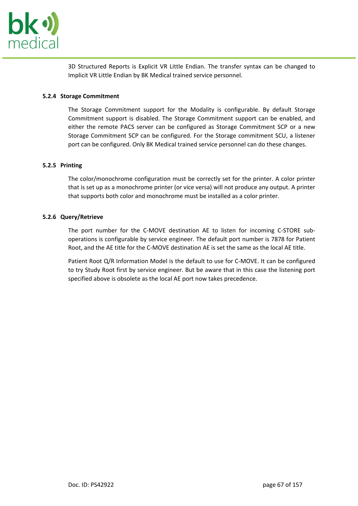

3D Structured Reports is Explicit VR Little Endian. The transfer syntax can be changed to Implicit VR Little Endian by BK Medical trained service personnel.

#### **5.2.4 Storage Commitment**

The Storage Commitment support for the Modality is configurable. By default Storage Commitment support is disabled. The Storage Commitment support can be enabled, and either the remote PACS server can be configured as Storage Commitment SCP or a new Storage Commitment SCP can be configured. For the Storage commitment SCU, a listener port can be configured. Only BK Medical trained service personnel can do these changes.

#### **5.2.5 Printing**

The color/monochrome configuration must be correctly set for the printer. A color printer that is set up as a monochrome printer (or vice versa) will not produce any output. A printer that supports both color and monochrome must be installed as a color printer.

#### **5.2.6 Query/Retrieve**

The port number for the C-MOVE destination AE to listen for incoming C-STORE suboperations is configurable by service engineer. The default port number is 7878 for Patient Root, and the AE title for the C-MOVE destination AE is set the same as the local AE title.

Patient Root Q/R Information Model is the default to use for C-MOVE. It can be configured to try Study Root first by service engineer. But be aware that in this case the listening port specified above is obsolete as the local AE port now takes precedence.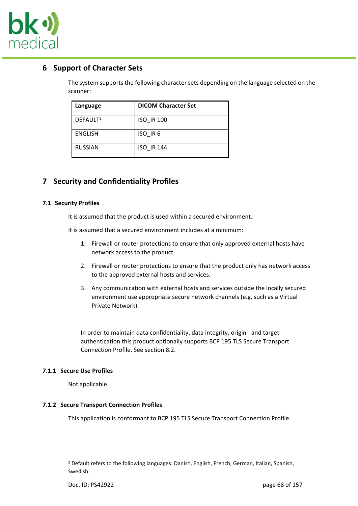

# <span id="page-67-0"></span>**6 Support of Character Sets**

The system supports the following character sets depending on the language selected on the scanner:

| Language             | <b>DICOM Character Set</b> |
|----------------------|----------------------------|
| DEFAULT <sup>2</sup> | <b>ISO IR 100</b>          |
| <b>ENGLISH</b>       | ISO_IR 6                   |
| <b>RUSSIAN</b>       | <b>ISO IR 144</b>          |

# **7 Security and Confidentiality Profiles**

## **7.1 Security Profiles**

It is assumed that the product is used within a secured environment.

It is assumed that a secured environment includes at a minimum:

- 1. Firewall or router protections to ensure that only approved external hosts have network access to the product.
- 2. Firewall or router protections to ensure that the product only has network access to the approved external hosts and services.
- 3. Any communication with external hosts and services outside the locally secured environment use appropriate secure network channels (e.g. such as a Virtual Private Network).

In order to maintain data confidentiality, data integrity, origin- and target authentication this product optionally supports BCP 195 TLS Secure Transport Connection Profile. See section 8.2.

#### **7.1.1 Secure Use Profiles**

Not applicable.

#### **7.1.2 Secure Transport Connection Profiles**

This application is conformant to BCP 195 TLS Secure Transport Connection Profile.

<sup>&</sup>lt;sup>2</sup> Default refers to the following languages: Danish, English, French, German, Italian, Spanish, Swedish.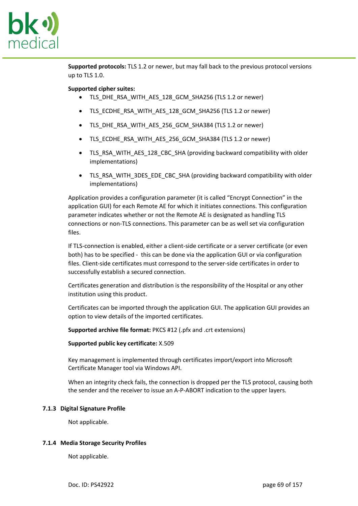

**Supported protocols:** TLS 1.2 or newer, but may fall back to the previous protocol versions up to TLS 1.0.

#### **Supported cipher suites:**

- TLS\_DHE\_RSA\_WITH\_AES\_128\_GCM\_SHA256 (TLS 1.2 or newer)
- TLS ECDHE\_RSA\_WITH\_AES\_128\_GCM\_SHA256 (TLS 1.2 or newer)
- TLS DHE\_RSA\_WITH\_AES\_256\_GCM\_SHA384 (TLS 1.2 or newer)
- TLS ECDHE\_RSA\_WITH\_AES\_256\_GCM\_SHA384 (TLS 1.2 or newer)
- TLS\_RSA\_WITH\_AES\_128\_CBC\_SHA (providing backward compatibility with older implementations)
- TLS\_RSA\_WITH\_3DES\_EDE\_CBC\_SHA (providing backward compatibility with older implementations)

Application provides a configuration parameter (it is called "Encrypt Connection" in the application GUI) for each Remote AE for which it initiates connections. This configuration parameter indicates whether or not the Remote AE is designated as handling TLS connections or non-TLS connections. This parameter can be as well set via configuration files.

If TLS-connection is enabled, either a client-side certificate or a server certificate (or even both) has to be specified - this can be done via the application GUI or via configuration files. Client-side certificates must correspond to the server-side certificates in order to successfully establish a secured connection.

Certificates generation and distribution is the responsibility of the Hospital or any other institution using this product.

Certificates can be imported through the application GUI. The application GUI provides an option to view details of the imported certificates.

**Supported archive file format:** PKCS #12 (.pfx and .crt extensions)

#### **Supported public key certificate:** X.509

Key management is implemented through certificates import/export into Microsoft Certificate Manager tool via Windows API.

When an integrity check fails, the connection is dropped per the TLS protocol, causing both the sender and the receiver to issue an A-P-ABORT indication to the upper layers.

#### **7.1.3 Digital Signature Profile**

Not applicable.

#### **7.1.4 Media Storage Security Profiles**

Not applicable.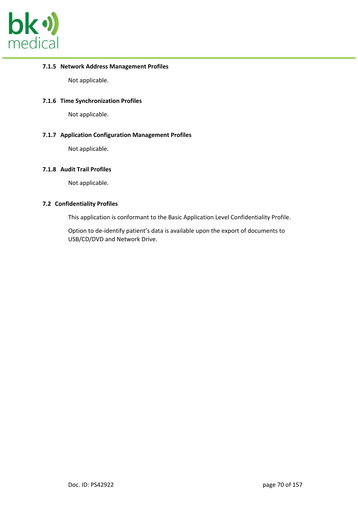

#### **7.1.5 Network Address Management Profiles**

Not applicable.

#### **7.1.6 Time Synchronization Profiles**

Not applicable.

#### **7.1.7 Application Configuration Management Profiles**

Not applicable.

### **7.1.8 Audit Trail Profiles**

Not applicable.

#### **7.2 Confidentiality Profiles**

This application is conformant to the Basic Application Level Confidentiality Profile.

Option to de-identify patient's data is available upon the export of documents to USB/CD/DVD and Network Drive.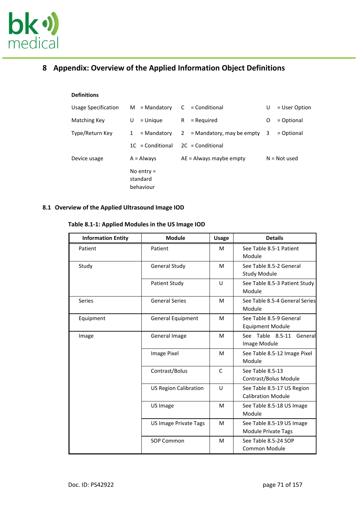

# <span id="page-70-1"></span>**8 Appendix: Overview of the Applied Information Object Definitions**

#### **Definitions**

| Usage Specification | $M =$ Mandatory                       | $C =$ Conditional             | = User Option<br>U |
|---------------------|---------------------------------------|-------------------------------|--------------------|
| Matching Key        | = Unique<br>U                         | $R = Required$                | = Optional<br>0    |
| Type/Return Key     | = Mandatory<br>$1 \quad$              | $2 =$ Mandatory, may be empty | 3<br>= Optional    |
|                     | $1C =$ Conditional                    | $2C =$ Conditional            |                    |
| Device usage        | $A =$ Always                          | $AE =$ Always maybe empty     | $N = Not used$     |
|                     | No entry $=$<br>standard<br>behaviour |                               |                    |

# <span id="page-70-0"></span>**8.1 Overview of the Applied Ultrasound Image IOD**

## **Table 8.1-1: Applied Modules in the US Image IOD**

| <b>Information Entity</b> | <b>Module</b>                | <b>Usage</b>                                            | <b>Details</b>                                          |
|---------------------------|------------------------------|---------------------------------------------------------|---------------------------------------------------------|
| Patient                   | Patient                      | м                                                       | See Table 8.5-1 Patient<br>Module                       |
| Study                     | <b>General Study</b>         | м                                                       | See Table 8.5-2 General<br><b>Study Module</b>          |
|                           | <b>Patient Study</b>         | U                                                       | See Table 8.5-3 Patient Study<br>Module                 |
| Series                    | <b>General Series</b>        | M                                                       | See Table 8.5-4 General Series<br>Module                |
| Equipment                 | <b>General Equipment</b>     | See Table 8.5-9 General<br>М<br><b>Equipment Module</b> |                                                         |
| Image                     | General Image                | M                                                       | See Table 8.5-11 General<br>Image Module                |
|                           | Image Pixel                  | М                                                       | See Table 8.5-12 Image Pixel<br>Module                  |
|                           | Contrast/Bolus               | C                                                       | See Table 8.5-13<br>Contrast/Bolus Module               |
|                           | <b>US Region Calibration</b> | U                                                       | See Table 8.5-17 US Region<br><b>Calibration Module</b> |
|                           | US Image                     | M                                                       | See Table 8.5-18 US Image<br>Module                     |
|                           | US Image Private Tags        | M                                                       | See Table 8.5-19 US Image<br>Module Private Tags        |
|                           | SOP Common                   | M                                                       | See Table 8.5-24 SOP<br>Common Module                   |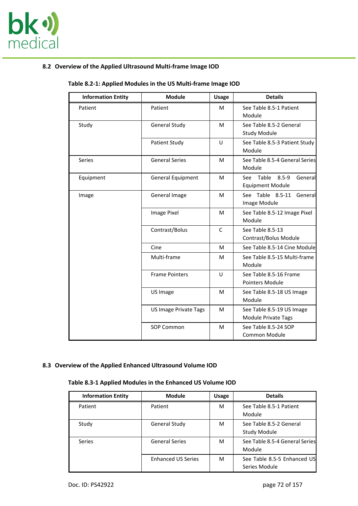

# <span id="page-71-0"></span>**8.2 Overview of the Applied Ultrasound Multi-frame Image IOD**

| <b>Information Entity</b> | <b>Module</b>                | <b>Usage</b> | <b>Details</b>                                                  |
|---------------------------|------------------------------|--------------|-----------------------------------------------------------------|
| Patient                   | Patient                      | M            | See Table 8.5-1 Patient<br>Module                               |
| Study                     | <b>General Study</b>         | M            | See Table 8.5-2 General<br><b>Study Module</b>                  |
|                           | <b>Patient Study</b>         | U            | See Table 8.5-3 Patient Study<br>Module                         |
| <b>Series</b>             | <b>General Series</b>        | M            | See Table 8.5-4 General Series<br>Module                        |
| Equipment                 | <b>General Equipment</b>     | M            | Table<br>$8.5 - 9$<br>General<br>See<br><b>Equipment Module</b> |
| Image                     | General Image                | M            | See Table 8.5-11<br>General<br>Image Module                     |
|                           | Image Pixel                  | M            | See Table 8.5-12 Image Pixel<br>Module                          |
|                           | Contrast/Bolus               | $\mathsf{C}$ | See Table 8.5-13<br>Contrast/Bolus Module                       |
|                           | Cine                         | M            | See Table 8.5-14 Cine Module                                    |
|                           | Multi-frame                  | M            | See Table 8.5-15 Multi-frame<br>Module                          |
|                           | <b>Frame Pointers</b>        | U            | See Table 8.5-16 Frame<br><b>Pointers Module</b>                |
|                           | US Image                     | M            | See Table 8.5-18 US Image<br>Module                             |
|                           | <b>US Image Private Tags</b> | M            | See Table 8.5-19 US Image<br>Module Private Tags                |
|                           | SOP Common                   | M            | See Table 8.5-24 SOP<br>Common Module                           |

# **Table 8.2-1: Applied Modules in the US Multi-frame Image IOD**

# <span id="page-71-1"></span>**8.3 Overview of the Applied Enhanced Ultrasound Volume IOD**

## **Table 8.3-1 Applied Modules in the Enhanced US Volume IOD**

| <b>Information Entity</b> | <b>Module</b>             | <b>Usage</b> | <b>Details</b>                               |
|---------------------------|---------------------------|--------------|----------------------------------------------|
| Patient                   | Patient                   | М            | See Table 8.5-1 Patient<br>Module            |
| Study                     | <b>General Study</b>      | м            | See Table 8.5-2 General<br>Study Module      |
| Series                    | <b>General Series</b>     | м            | See Table 8.5-4 General Series<br>Module     |
|                           | <b>Enhanced US Series</b> | м            | See Table 8.5-5 Enhanced US<br>Series Module |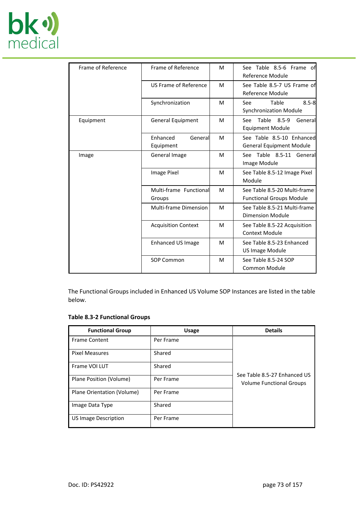

| Frame of Reference | Frame of Reference               | м | See Table 8.5-6 Frame of<br>Reference Module                    |
|--------------------|----------------------------------|---|-----------------------------------------------------------------|
|                    | <b>US Frame of Reference</b>     | M | See Table 8.5-7 US Frame of<br>Reference Module                 |
|                    | Synchronization                  | м | Table<br>$8.5 - 8$<br>See<br><b>Synchronization Module</b>      |
| Equipment          | <b>General Equipment</b>         | м | $8.5 - 9$<br>Table<br>General<br>See<br><b>Equipment Module</b> |
|                    | Enhanced<br>General<br>Equipment | M | See Table 8.5-10 Enhanced<br><b>General Equipment Module</b>    |
| Image              | General Image                    | м | Table 8.5-11 General<br>See<br>Image Module                     |
|                    | Image Pixel                      | м | See Table 8.5-12 Image Pixel<br>Module                          |
|                    | Multi-frame Functional<br>Groups | M | See Table 8.5-20 Multi-frame<br><b>Functional Groups Module</b> |
|                    | <b>Multi-frame Dimension</b>     | M | See Table 8.5-21 Multi-frame<br><b>Dimension Module</b>         |
|                    | <b>Acquisition Context</b>       |   | See Table 8.5-22 Acquisition<br><b>Context Module</b>           |
|                    | Enhanced US Image                | м | See Table 8.5-23 Enhanced<br>US Image Module                    |
|                    | SOP Common                       |   | See Table 8.5-24 SOP<br>Common Module                           |

The Functional Groups included in Enhanced US Volume SOP Instances are listed in the table below.

### **Table 8.3-2 Functional Groups**

| <b>Functional Group</b>     | <b>Usage</b> | <b>Details</b>                                                  |
|-----------------------------|--------------|-----------------------------------------------------------------|
| <b>Frame Content</b>        | Per Frame    |                                                                 |
| <b>Pixel Measures</b>       | Shared       |                                                                 |
| Frame VOI LUT               | Shared       |                                                                 |
| Plane Position (Volume)     | Per Frame    | See Table 8.5-27 Enhanced US<br><b>Volume Functional Groups</b> |
| Plane Orientation (Volume)  | Per Frame    |                                                                 |
| Image Data Type             | Shared       |                                                                 |
| <b>US Image Description</b> | Per Frame    |                                                                 |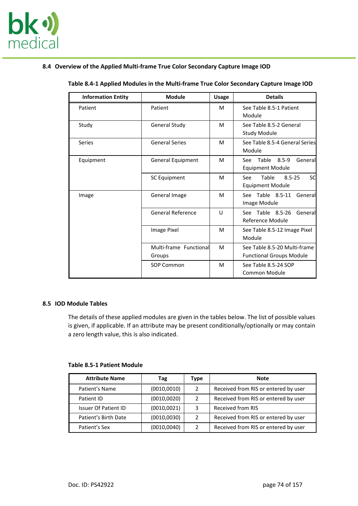

# **8.4 Overview of the Applied Multi-frame True Color Secondary Capture Image IOD**

| <b>Information Entity</b>                                  | <b>Module</b>                    | <b>Usage</b> | <b>Details</b>                                                  |
|------------------------------------------------------------|----------------------------------|--------------|-----------------------------------------------------------------|
| Patient                                                    | Patient                          | м            | See Table 8.5-1 Patient<br>Module                               |
| Study                                                      | <b>General Study</b>             | М            | See Table 8.5-2 General<br>Study Module                         |
| Series                                                     | <b>General Series</b>            | M            | See Table 8.5-4 General Series<br>Module                        |
| Equipment                                                  | General Equipment                | М            | General<br>Table<br>$8.5 - 9$<br>See<br><b>Equipment Module</b> |
|                                                            | SC Equipment                     | M            | See<br>Table<br>$8.5 - 25$<br>SC<br><b>Equipment Module</b>     |
| General Image<br>Image<br>General Reference<br>Image Pixel |                                  | М            | Table 8.5-11<br>General<br>See<br>Image Module                  |
|                                                            |                                  | U            | Table 8.5-26<br>General<br>See:<br>Reference Module             |
|                                                            |                                  | М            | See Table 8.5-12 Image Pixel<br>Module                          |
|                                                            | Multi-frame Functional<br>Groups | М            | See Table 8.5-20 Multi-frame<br><b>Functional Groups Module</b> |
|                                                            | SOP Common                       |              | See Table 8.5-24 SOP<br>Common Module                           |

# **Table 8.4-1 Applied Modules in the Multi-frame True Color Secondary Capture Image IOD**

### **8.5 IOD Module Tables**

The details of these applied modules are given in the tables below. The list of possible values is given, if applicable. If an attribute may be present conditionally/optionally or may contain a zero length value, this is also indicated.

| <b>Attribute Name</b>       | Tag          | Type | <b>Note</b>                          |
|-----------------------------|--------------|------|--------------------------------------|
| Patient's Name              | (0010, 0010) | 2    | Received from RIS or entered by user |
| Patient ID                  | (0010, 0020) | 2    | Received from RIS or entered by user |
| <b>Issuer Of Patient ID</b> | (0010, 0021) | 3    | <b>Received from RIS</b>             |
| Patient's Birth Date        | (0010, 0030) | 2    | Received from RIS or entered by user |
| Patient's Sex               | (0010, 0040) | 2    | Received from RIS or entered by user |

### <span id="page-73-0"></span>**Table 8.5-1 Patient Module**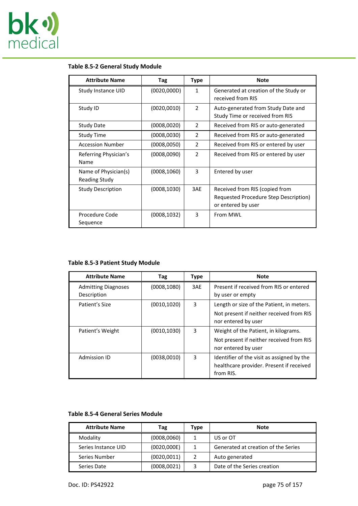

| <b>Attribute Name</b>                 | Tag          | <b>Type</b>    | <b>Note</b>                                                                                   |
|---------------------------------------|--------------|----------------|-----------------------------------------------------------------------------------------------|
| Study Instance UID                    | (0020,000D)  | 1              | Generated at creation of the Study or<br>received from RIS                                    |
| Study ID                              | (0020, 0010) | 2              | Auto-generated from Study Date and<br>Study Time or received from RIS                         |
| <b>Study Date</b>                     | (0008, 0020) | $\overline{2}$ | Received from RIS or auto-generated                                                           |
| <b>Study Time</b>                     | (0008,0030)  | $\overline{2}$ | Received from RIS or auto-generated                                                           |
| <b>Accession Number</b>               | (0008, 0050) | $\overline{2}$ | Received from RIS or entered by user                                                          |
| Referring Physician's<br>Name         | (0008,0090)  | $\mathcal{P}$  | Received from RIS or entered by user                                                          |
| Name of Physician(s)<br>Reading Study | (0008, 1060) | 3              | Entered by user                                                                               |
| <b>Study Description</b>              | (0008, 1030) | 3AE            | Received from RIS (copied from<br>Requested Procedure Step Description)<br>or entered by user |
| Procedure Code<br>Sequence            | (0008, 1032) | 3              | From MWL                                                                                      |

# <span id="page-74-0"></span>**Table 8.5-2 General Study Module**

# <span id="page-74-2"></span>**Table 8.5-3 Patient Study Module**

| <b>Attribute Name</b>                     | Tag          | <b>Type</b> | <b>Note</b>                                                                                                  |
|-------------------------------------------|--------------|-------------|--------------------------------------------------------------------------------------------------------------|
| <b>Admitting Diagnoses</b><br>Description | (0008, 1080) | 3AE         | Present if received from RIS or entered<br>by user or empty                                                  |
| Patient's Size                            | (0010, 1020) | 3           | Length or size of the Patient, in meters.<br>Not present if neither received from RIS<br>nor entered by user |
| Patient's Weight                          | (0010, 1030) | 3           | Weight of the Patient, in kilograms.<br>Not present if neither received from RIS<br>nor entered by user      |
| Admission ID                              | (0038,0010)  | 3           | Identifier of the visit as assigned by the<br>healthcare provider. Present if received<br>from RIS.          |

### <span id="page-74-1"></span>**Table 8.5-4 General Series Module**

| <b>Attribute Name</b> | Tag          | Type          | <b>Note</b>                         |
|-----------------------|--------------|---------------|-------------------------------------|
| Modality              | (0008,0060)  |               | US or OT                            |
| Series Instance UID   | (0020,000E)  |               | Generated at creation of the Series |
| Series Number         | (0020, 0011) | $\mathcal{P}$ | Auto generated                      |
| Series Date           | (0008, 0021) | 3             | Date of the Series creation         |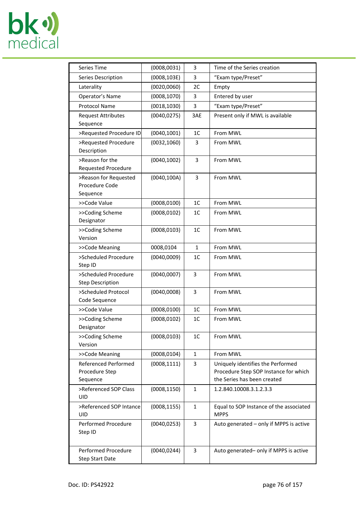

| Series Time                                   | (0008, 0031) | 3              | Time of the Series creation             |
|-----------------------------------------------|--------------|----------------|-----------------------------------------|
| Series Description                            | (0008, 103E) | 3              | "Exam type/Preset"                      |
| Laterality                                    | (0020, 0060) | 2C             | Empty                                   |
| Operator's Name                               | (0008, 1070) | 3              | Entered by user                         |
| <b>Protocol Name</b>                          | (0018, 1030) | 3              | "Exam type/Preset"                      |
| <b>Request Attributes</b>                     | (0040, 0275) | 3AE            | Present only if MWL is available        |
| Sequence                                      |              |                |                                         |
| >Requested Procedure ID                       | (0040, 1001) | 1 <sub>C</sub> | From MWL                                |
| >Requested Procedure                          | (0032, 1060) | 3              | From MWL                                |
| Description                                   |              |                |                                         |
| >Reason for the<br><b>Requested Procedure</b> | (0040, 1002) | 3              | From MWL                                |
| >Reason for Requested                         | (0040, 100A) | 3              | From MWL                                |
| Procedure Code                                |              |                |                                         |
| Sequence                                      |              |                |                                         |
| >>Code Value                                  | (0008, 0100) | 1 <sup>C</sup> | From MWL                                |
| >>Coding Scheme                               | (0008, 0102) | 1 <sup>C</sup> | From MWL                                |
| Designator                                    |              |                |                                         |
| >>Coding Scheme                               | (0008, 0103) | 1 <sup>C</sup> | From MWL                                |
| Version                                       |              |                |                                         |
| >>Code Meaning                                | 0008,0104    | $\mathbf{1}$   | From MWL                                |
| >Scheduled Procedure                          | (0040,0009)  | 1C             | From MWL                                |
| Step ID                                       |              |                |                                         |
| >Scheduled Procedure                          | (0040,0007)  | 3              | From MWL                                |
| <b>Step Description</b>                       |              |                |                                         |
| >Scheduled Protocol                           | (0040,0008)  | 3              | From MWL                                |
| Code Sequence                                 |              |                |                                         |
| >>Code Value                                  | (0008, 0100) | 1 <sup>C</sup> | From MWL                                |
| >>Coding Scheme<br>Designator                 | (0008, 0102) | 1 <sup>C</sup> | From MWL                                |
| >>Coding Scheme                               | (0008, 0103) | 1C             | From MWL                                |
| Version                                       |              |                |                                         |
| >>Code Meaning                                | (0008, 0104) | $\mathbf{1}$   | From MWL                                |
| <b>Referenced Performed</b>                   | (0008, 1111) | 3              | Uniquely identifies the Performed       |
| Procedure Step                                |              |                | Procedure Step SOP Instance for which   |
| Sequence                                      |              |                | the Series has been created             |
| >Referenced SOP Class                         | (0008, 1150) | 1              | 1.2.840.10008.3.1.2.3.3                 |
| UID                                           |              |                |                                         |
| >Referenced SOP Intance                       | (0008, 1155) | $\mathbf{1}$   | Equal to SOP Instance of the associated |
| <b>UID</b>                                    |              |                | <b>MPPS</b>                             |
| Performed Procedure                           | (0040, 0253) | 3              | Auto generated - only if MPPS is active |
| Step ID                                       |              |                |                                         |
|                                               |              |                |                                         |
| Performed Procedure<br><b>Step Start Date</b> | (0040, 0244) | 3              | Auto generated- only if MPPS is active  |
|                                               |              |                |                                         |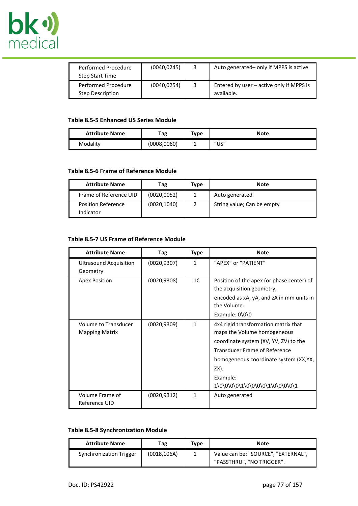

| Performed Procedure<br><b>Step Start Time</b>  | (0040, 0245) | 3 | Auto generated– only if MPPS is active                 |
|------------------------------------------------|--------------|---|--------------------------------------------------------|
| Performed Procedure<br><b>Step Description</b> | (0040, 0254) | 3 | Entered by user - active only if MPPS is<br>available. |

### **Table 8.5-5 Enhanced US Series Module**

| <b>Attribute Name</b> | Tag         | Type | <b>Note</b>                            |
|-----------------------|-------------|------|----------------------------------------|
| Modality              | (0008,0060) |      | $^{\prime\prime}$ US $^{\prime\prime}$ |

### <span id="page-76-0"></span>**Table 8.5-6 Frame of Reference Module**

| <b>Attribute Name</b>                  | Tag          | Type | <b>Note</b>                |
|----------------------------------------|--------------|------|----------------------------|
| Frame of Reference UID                 | (0020, 0052) |      | Auto generated             |
| <b>Position Reference</b><br>Indicator | (0020, 1040) |      | String value; Can be empty |

### <span id="page-76-1"></span>**Table 8.5-7 US Frame of Reference Module**

| <b>Attribute Name</b>                         | Tag          | <b>Type</b> | <b>Note</b>                                                                                                                                                                                                                                           |
|-----------------------------------------------|--------------|-------------|-------------------------------------------------------------------------------------------------------------------------------------------------------------------------------------------------------------------------------------------------------|
| <b>Ultrasound Acquisition</b><br>Geometry     | (0020, 9307) | 1           | "APEX" or "PATIENT"                                                                                                                                                                                                                                   |
| <b>Apex Position</b>                          | (0020, 9308) | 1C          | Position of the apex (or phase center) of<br>the acquisition geometry,<br>encoded as xA, yA, and zA in mm units in<br>the Volume.                                                                                                                     |
|                                               |              |             | Example: $0\,0\,0$                                                                                                                                                                                                                                    |
| Volume to Transducer<br><b>Mapping Matrix</b> | (0020, 9309) | 1           | 4x4 rigid transformation matrix that<br>maps the Volume homogeneous<br>coordinate system (XV, YV, ZV) to the<br><b>Transducer Frame of Reference</b><br>homogeneous coordinate system (XX, YX,<br>ZX).<br>Example:<br>1\0\0\0\0\1\0\0\0\0\1\0\0\0\0\1 |
| Volume Frame of<br>Reference UID              | (0020, 9312) | 1           | Auto generated                                                                                                                                                                                                                                        |

### <span id="page-76-2"></span>**Table 8.5-8 Synchronization Module**

| <b>Attribute Name</b>          | Tag          | Type | <b>Note</b>                                                      |
|--------------------------------|--------------|------|------------------------------------------------------------------|
| <b>Synchronization Trigger</b> | (0018, 106A) |      | Value can be: "SOURCE", "EXTERNAL",<br>"PASSTHRU", "NO TRIGGER". |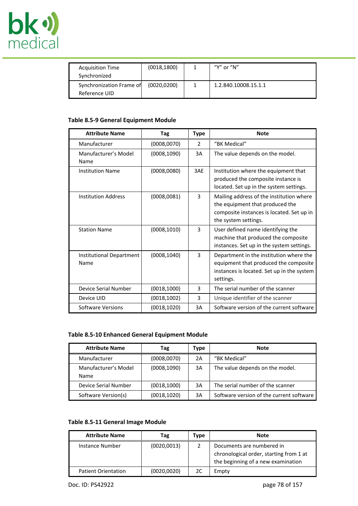

| <b>Acquisition Time</b><br>Synchronized   | (0018, 1800) | "Y" or "N"           |
|-------------------------------------------|--------------|----------------------|
| Synchronization Frame of<br>Reference UID | (0020, 0200) | 1.2.840.10008.15.1.1 |

### <span id="page-77-0"></span>**Table 8.5-9 General Equipment Module**

| <b>Attribute Name</b>            | Tag          | <b>Type</b> | <b>Note</b>                                                                                                                                      |
|----------------------------------|--------------|-------------|--------------------------------------------------------------------------------------------------------------------------------------------------|
| Manufacturer                     | (0008,0070)  | 2           | "BK Medical"                                                                                                                                     |
| Manufacturer's Model<br>Name     | (0008, 1090) | 3A          | The value depends on the model.                                                                                                                  |
| <b>Institution Name</b>          | (0008,0080)  | 3AE         | Institution where the equipment that<br>produced the composite instance is<br>located. Set up in the system settings.                            |
| <b>Institution Address</b>       | (0008, 0081) | 3           | Mailing address of the institution where<br>the equipment that produced the<br>composite instances is located. Set up in<br>the system settings. |
| <b>Station Name</b>              | (0008, 1010) | 3           | User defined name identifying the<br>machine that produced the composite<br>instances. Set up in the system settings.                            |
| Institutional Department<br>Name | (0008, 1040) | 3           | Department in the institution where the<br>equipment that produced the composite<br>instances is located. Set up in the system<br>settings.      |
| Device Serial Number             | (0018, 1000) | 3           | The serial number of the scanner                                                                                                                 |
| Device UID                       | (0018, 1002) | 3           | Unique identifier of the scanner                                                                                                                 |
| Software Versions                | (0018, 1020) | 3A          | Software version of the current software                                                                                                         |

# <span id="page-77-1"></span>**Table 8.5-10 Enhanced General Equipment Module**

| <b>Attribute Name</b>        | Tag          | Type | Note                                     |
|------------------------------|--------------|------|------------------------------------------|
| Manufacturer                 | (0008, 0070) | 2A   | "BK Medical"                             |
| Manufacturer's Model<br>Name | (0008, 1090) | 3A   | The value depends on the model.          |
| Device Serial Number         | (0018, 1000) | 3A   | The serial number of the scanner         |
| Software Version(s)          | (0018, 1020) | 3A   | Software version of the current software |

## <span id="page-77-2"></span>**Table 8.5-11 General Image Module**

| <b>Attribute Name</b>      | Tag          | Type | <b>Note</b>                                                                                                |
|----------------------------|--------------|------|------------------------------------------------------------------------------------------------------------|
| Instance Number            | (0020, 0013) |      | Documents are numbered in<br>chronological order, starting from 1 at<br>the beginning of a new examination |
| <b>Patient Orientation</b> | (0020, 0020) | 2C   | Empty                                                                                                      |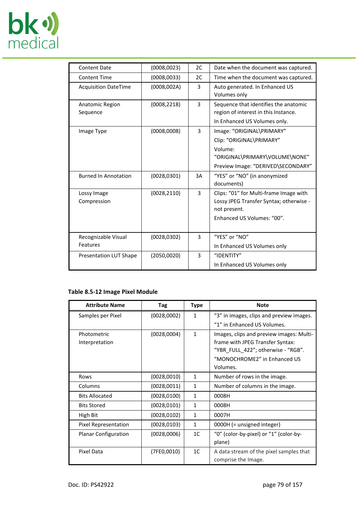

| <b>Content Date</b>         | (0008, 0023) | 2C | Date when the document was captured.    |
|-----------------------------|--------------|----|-----------------------------------------|
| <b>Content Time</b>         | (0008, 0033) | 2C | Time when the document was captured.    |
| <b>Acquisition DateTime</b> | (0008, 002A) | 3  | Auto generated. In Enhanced US          |
|                             |              |    | Volumes only                            |
| Anatomic Region             | (0008, 2218) | 3  | Sequence that identifies the anatomic   |
| Sequence                    |              |    | region of interest in this Instance.    |
|                             |              |    | In Enhanced US Volumes only.            |
| Image Type                  | (0008,0008)  | 3  | Image: "ORIGINAL\PRIMARY"               |
|                             |              |    | Clip: "ORIGINAL\PRIMARY"                |
|                             |              |    | Volume:                                 |
|                             |              |    | "ORIGINAL\PRIMARY\VOLUME\NONE"          |
|                             |              |    | Preview Image: "DERIVED\SECONDARY"      |
| <b>Burned In Annotation</b> | (0028, 0301) | 3A | "YES" or "NO" (in anonymized            |
|                             |              |    | documents)                              |
| Lossy Image                 | (0028, 2110) | 3  | Clips: "01" for Multi-frame Image with  |
| Compression                 |              |    | Lossy JPEG Transfer Syntax; otherwise - |
|                             |              |    | not present.                            |
|                             |              |    | Enhanced US Volumes: "00".              |
|                             |              |    |                                         |
| Recognizable Visual         | (0028, 0302) | 3  | "YFS" or " $NO$ "                       |
| Features                    |              |    | In Enhanced US Volumes only             |
| Presentation LUT Shape      | (2050,0020)  | 3  | "IDENTITY"                              |
|                             |              |    | In Enhanced US Volumes only             |

# <span id="page-78-0"></span>**Table 8.5-12 Image Pixel Module**

| <b>Attribute Name</b>       | Tag          | <b>Type</b>  | <b>Note</b>                              |
|-----------------------------|--------------|--------------|------------------------------------------|
| Samples per Pixel           | (0028,0002)  | 1            | "3" in images, clips and preview images. |
|                             |              |              | "1" in Enhanced US Volumes.              |
| Photometric                 | (0028,0004)  | $\mathbf{1}$ | Images, clips and preview images: Multi- |
| Interpretation              |              |              | frame with JPEG Transfer Syntax:         |
|                             |              |              | "YBR FULL 422"; otherwise - "RGB".       |
|                             |              |              | "MONOCHROME2" in Enhanced US             |
|                             |              |              | Volumes.                                 |
| Rows                        | (0028,0010)  | $\mathbf{1}$ | Number of rows in the image.             |
| Columns                     | (0028, 0011) | 1            | Number of columns in the image.          |
| <b>Bits Allocated</b>       | (0028, 0100) | 1            | 0008H                                    |
| <b>Bits Stored</b>          | (0028, 0101) | $\mathbf{1}$ | 0008H                                    |
| High Bit                    | (0028, 0102) | $\mathbf{1}$ | 0007H                                    |
| Pixel Representation        | (0028, 0103) | $\mathbf{1}$ | 0000H (= unsigned integer)               |
| <b>Planar Configuration</b> | (0028,0006)  | 1C           | "0" (color-by-pixel) or "1" (color-by-   |
|                             |              |              | plane)                                   |
| Pixel Data                  | (7FE0,0010)  | 1C           | A data stream of the pixel samples that  |
|                             |              |              | comprise the Image.                      |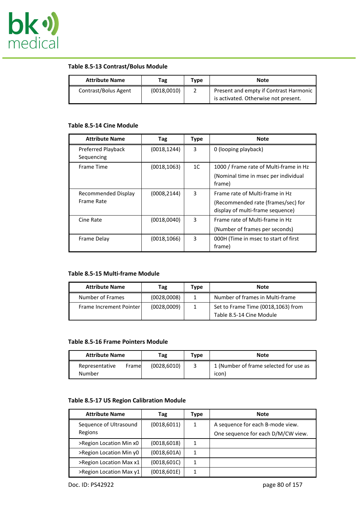

### **Table 8.5-13 Contrast/Bolus Module**

| <b>Attribute Name</b> | Tag         | Type | <b>Note</b>                                                                    |
|-----------------------|-------------|------|--------------------------------------------------------------------------------|
| Contrast/Bolus Agent  | (0018,0010) |      | Present and empty if Contrast Harmonic<br>is activated. Otherwise not present. |

# <span id="page-79-0"></span>**Table 8.5-14 Cine Module**

| <b>Attribute Name</b> | Tag          | <b>Type</b>    | <b>Note</b>                            |
|-----------------------|--------------|----------------|----------------------------------------|
| Preferred Playback    | (0018, 1244) | 3              | 0 (looping playback)                   |
| Sequencing            |              |                |                                        |
| Frame Time            | (0018, 1063) | 1 <sup>C</sup> | 1000 / Frame rate of Multi-frame in Hz |
|                       |              |                | (Nominal time in msec per individual   |
|                       |              |                | frame)                                 |
| Recommended Display   | (0008, 2144) | 3              | Frame rate of Multi-frame in Hz        |
| Frame Rate            |              |                | (Recommended rate (frames/sec) for     |
|                       |              |                | display of multi-frame sequence)       |
| Cine Rate             | (0018,0040)  | 3              | Frame rate of Multi-frame in Hz        |
|                       |              |                | (Number of frames per seconds)         |
| Frame Delay           | (0018, 1066) | 3              | 000H (Time in msec to start of first   |
|                       |              |                | frame)                                 |

### **Table 8.5-15 Multi-frame Module**

| <b>Attribute Name</b>   | Tag         | Type | <b>Note</b>                        |
|-------------------------|-------------|------|------------------------------------|
| Number of Frames        | (0028,0008) | 1    | Number of frames in Multi-frame    |
| Frame Increment Pointer | (0028,0009) | 1    | Set to Frame Time (0018,1063) from |
|                         |             |      | Table 8.5-14 Cine Module           |

### **Table 8.5-16 Frame Pointers Module**

| <b>Attribute Name</b>    |       | Tag          | Type | Note                                            |
|--------------------------|-------|--------------|------|-------------------------------------------------|
| Representative<br>Number | Frame | (0028, 6010) |      | 1 (Number of frame selected for use as<br>icon) |

# **Table 8.5-17 US Region Calibration Module**

| <b>Attribute Name</b>   | Tag          | Type | <b>Note</b>                        |
|-------------------------|--------------|------|------------------------------------|
| Sequence of Ultrasound  | (0018, 6011) | 1    | A sequence for each B-mode view.   |
| Regions                 |              |      | One sequence for each D/M/CW view. |
| >Region Location Min x0 | (0018, 6018) |      |                                    |
| >Region Location Min y0 | (0018, 601A) | 1    |                                    |
| >Region Location Max x1 | (0018, 601C) | 1    |                                    |
| >Region Location Max y1 | (0018, 601E) |      |                                    |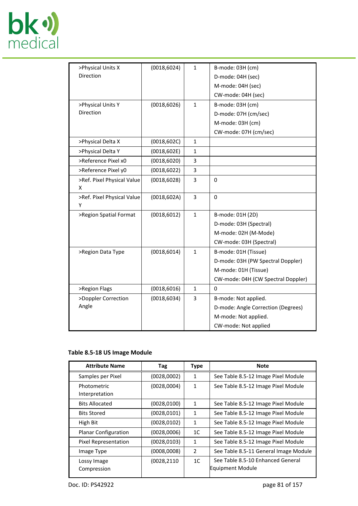

| >Physical Units X          | (0018, 6024) | $\mathbf{1}$ | B-mode: 03H (cm)                   |
|----------------------------|--------------|--------------|------------------------------------|
| Direction                  |              |              | D-mode: 04H (sec)                  |
|                            |              |              | M-mode: 04H (sec)                  |
|                            |              |              | CW-mode: 04H (sec)                 |
| >Physical Units Y          | (0018, 6026) | $\mathbf{1}$ | B-mode: 03H (cm)                   |
| Direction                  |              |              | D-mode: 07H (cm/sec)               |
|                            |              |              | M-mode: 03H (cm)                   |
|                            |              |              | CW-mode: 07H (cm/sec)              |
| >Physical Delta X          | (0018, 602C) | $\mathbf{1}$ |                                    |
| >Physical Delta Y          | (0018, 602E) | $\mathbf{1}$ |                                    |
| >Reference Pixel x0        | (0018, 6020) | 3            |                                    |
| >Reference Pixel y0        | (0018, 6022) | 3            |                                    |
| >Ref. Pixel Physical Value | (0018, 6028) | 3            | $\mathbf 0$                        |
| X                          |              |              |                                    |
| >Ref. Pixel Physical Value | (0018, 602A) | 3            | 0                                  |
| Υ                          |              |              |                                    |
| >Region Spatial Format     | (0018, 6012) | $\mathbf{1}$ | B-mode: 01H (2D)                   |
|                            |              |              | D-mode: 03H (Spectral)             |
|                            |              |              | M-mode: 02H (M-Mode)               |
|                            |              |              | CW-mode: 03H (Spectral)            |
| >Region Data Type          | (0018, 6014) | $\mathbf{1}$ | B-mode: 01H (Tissue)               |
|                            |              |              | D-mode: 03H (PW Spectral Doppler)  |
|                            |              |              | M-mode: 01H (Tissue)               |
|                            |              |              | CW-mode: 04H (CW Spectral Doppler) |
| >Region Flags              | (0018, 6016) | $\mathbf{1}$ | $\Omega$                           |
| >Doppler Correction        | (0018, 6034) | 3            | B-mode: Not applied.               |
| Angle                      |              |              | D-mode: Angle Correction (Degrees) |
|                            |              |              | M-mode: Not applied.               |
|                            |              |              | CW-mode: Not applied               |

### **Table 8.5-18 US Image Module**

| <b>Attribute Name</b>         | Tag          | <b>Type</b>    | <b>Note</b>                                           |
|-------------------------------|--------------|----------------|-------------------------------------------------------|
| Samples per Pixel             | (0028,0002)  | $\mathbf{1}$   | See Table 8.5-12 Image Pixel Module                   |
| Photometric<br>Interpretation | (0028,0004)  | 1              | See Table 8.5-12 Image Pixel Module                   |
| <b>Bits Allocated</b>         | (0028, 0100) | $\mathbf{1}$   | See Table 8.5-12 Image Pixel Module                   |
| <b>Bits Stored</b>            | (0028, 0101) | 1              | See Table 8.5-12 Image Pixel Module                   |
| High Bit                      | (0028, 0102) | 1              | See Table 8.5-12 Image Pixel Module                   |
| <b>Planar Configuration</b>   | (0028,0006)  | 1 <sup>C</sup> | See Table 8.5-12 Image Pixel Module                   |
| Pixel Representation          | (0028, 0103) | $\mathbf{1}$   | See Table 8.5-12 Image Pixel Module                   |
| Image Type                    | (0008,0008)  | 2              | See Table 8.5-11 General Image Module                 |
| Lossy Image<br>Compression    | (0028, 2110) | 1 <sup>C</sup> | See Table 8.5-10 Enhanced General<br>Equipment Module |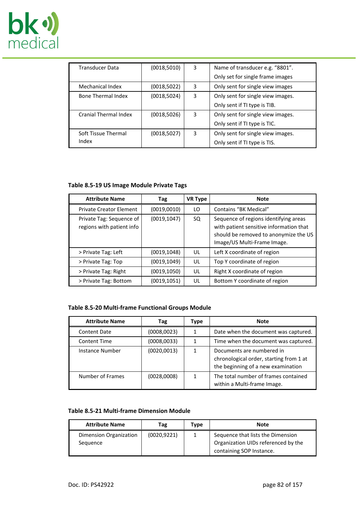

| <b>Transducer Data</b>       | (0018, 5010) | 3 | Name of transducer e.g. "8801".   |
|------------------------------|--------------|---|-----------------------------------|
|                              |              |   | Only set for single frame images  |
| Mechanical Index             | (0018, 5022) | 3 | Only sent for single view images  |
| <b>Bone Thermal Index</b>    | (0018, 5024) | 3 | Only sent for single view images. |
|                              |              |   | Only sent if TI type is TIB.      |
| <b>Cranial Thermal Index</b> | (0018, 5026) | 3 | Only sent for single view images. |
|                              |              |   | Only sent if TI type is TIC.      |
| Soft Tissue Thermal          | (0018, 5027) | 3 | Only sent for single view images. |
| Index                        |              |   | Only sent if TI type is TIS.      |

### **Table 8.5-19 US Image Module Private Tags**

| <b>Attribute Name</b>                                 | Tag          | <b>VR Type</b> | <b>Note</b>                                                                                                                                              |
|-------------------------------------------------------|--------------|----------------|----------------------------------------------------------------------------------------------------------------------------------------------------------|
| <b>Private Creator Element</b>                        | (0019, 0010) | LO             | Contains "BK Medical"                                                                                                                                    |
| Private Tag: Sequence of<br>regions with patient info | (0019, 1047) | SQ             | Sequence of regions identifying areas<br>with patient sensitive information that<br>should be removed to anonymize the US<br>Image/US Multi-Frame Image. |
| > Private Tag: Left                                   | (0019, 1048) | UL             | Left X coordinate of region                                                                                                                              |
| > Private Tag: Top                                    | (0019, 1049) | UL             | Top Y coordinate of region                                                                                                                               |
| > Private Tag: Right                                  | (0019, 1050) | UL             | Right X coordinate of region                                                                                                                             |
| > Private Tag: Bottom                                 | (0019, 1051) | UL             | Bottom Y coordinate of region                                                                                                                            |

# <span id="page-81-0"></span>**Table 8.5-20 Multi-frame Functional Groups Module**

| <b>Attribute Name</b>   | Tag          | Type | <b>Note</b>                                                                                                |
|-------------------------|--------------|------|------------------------------------------------------------------------------------------------------------|
| <b>Content Date</b>     | (0008, 0023) | 1    | Date when the document was captured.                                                                       |
| <b>Content Time</b>     | (0008, 0033) |      | Time when the document was captured.                                                                       |
| Instance Number         | (0020, 0013) | 1    | Documents are numbered in<br>chronological order, starting from 1 at<br>the beginning of a new examination |
| <b>Number of Frames</b> | (0028,0008)  | 1    | The total number of frames contained<br>within a Multi-frame Image.                                        |

### <span id="page-81-1"></span>**Table 8.5-21 Multi-frame Dimension Module**

| <b>Attribute Name</b>  | Tag          | Type | <b>Note</b>                         |
|------------------------|--------------|------|-------------------------------------|
| Dimension Organization | (0020, 9221) |      | Sequence that lists the Dimension   |
| Sequence               |              |      | Organization UIDs referenced by the |
|                        |              |      | containing SOP Instance.            |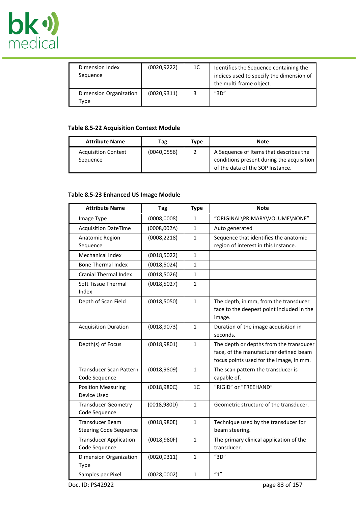

| Dimension Index<br>Sequence    | (0020, 9222) | 1C | Identifies the Sequence containing the<br>indices used to specify the dimension of<br>the multi-frame object. |
|--------------------------------|--------------|----|---------------------------------------------------------------------------------------------------------------|
| Dimension Organization<br>Type | (0020, 9311) | 3  | $^{\prime\prime}3D^{\prime\prime}$                                                                            |

### <span id="page-82-0"></span>**Table 8.5-22 Acquisition Context Module**

| <b>Attribute Name</b>                  | Tag          | Type | <b>Note</b>                                                                                                             |
|----------------------------------------|--------------|------|-------------------------------------------------------------------------------------------------------------------------|
| <b>Acquisition Context</b><br>Sequence | (0040, 0556) |      | A Sequence of Items that describes the<br>conditions present during the acquisition<br>of the data of the SOP Instance. |

# <span id="page-82-1"></span>**Table 8.5-23 Enhanced US Image Module**

| <b>Attribute Name</b>                            | Tag          | <b>Type</b>    | <b>Note</b>                                                                                                                  |
|--------------------------------------------------|--------------|----------------|------------------------------------------------------------------------------------------------------------------------------|
| Image Type                                       | (0008,0008)  | 1              | "ORIGINAL\PRIMARY\VOLUME\NONE"                                                                                               |
| <b>Acquisition DateTime</b>                      | (0008, 002A) | $\mathbf{1}$   | Auto generated                                                                                                               |
| Anatomic Region<br>Sequence                      | (0008, 2218) | $\mathbf{1}$   | Sequence that identifies the anatomic<br>region of interest in this Instance.                                                |
| <b>Mechanical Index</b>                          | (0018, 5022) | $\mathbf{1}$   |                                                                                                                              |
| <b>Bone Thermal Index</b>                        | (0018, 5024) | $\mathbf{1}$   |                                                                                                                              |
| <b>Cranial Thermal Index</b>                     | (0018, 5026) | $\mathbf{1}$   |                                                                                                                              |
| Soft Tissue Thermal<br>Index                     | (0018, 5027) | $\mathbf{1}$   |                                                                                                                              |
| Depth of Scan Field                              | (0018, 5050) | $\mathbf{1}$   | The depth, in mm, from the transducer<br>face to the deepest point included in the<br>image.                                 |
| <b>Acquisition Duration</b>                      | (0018, 9073) | $\mathbf{1}$   | Duration of the image acquisition in<br>seconds.                                                                             |
| Depth(s) of Focus                                | (0018,9801)  | $\mathbf{1}$   | The depth or depths from the transducer<br>face, of the manufacturer defined beam<br>focus points used for the image, in mm. |
| Transducer Scan Pattern<br>Code Sequence         | (0018,9809)  | 1              | The scan pattern the transducer is<br>capable of.                                                                            |
| <b>Position Measuring</b><br>Device Used         | (0018,980C)  | 1 <sup>C</sup> | "RIGID" or "FREEHAND"                                                                                                        |
| <b>Transducer Geometry</b><br>Code Sequence      | (0018,980D)  | $\mathbf{1}$   | Geometric structure of the transducer.                                                                                       |
| Transducer Beam<br><b>Steering Code Sequence</b> | (0018,980E)  | $\mathbf{1}$   | Technique used by the transducer for<br>beam steering.                                                                       |
| <b>Transducer Application</b><br>Code Sequence   | (0018,980F)  | $\mathbf{1}$   | The primary clinical application of the<br>transducer.                                                                       |
| Dimension Organization<br>Type                   | (0020, 9311) | $\mathbf{1}$   | $^{\prime\prime}3D^{\prime\prime}$                                                                                           |
| Samples per Pixel                                | (0028,0002)  | $\mathbf{1}$   | 4 <sup>n</sup>                                                                                                               |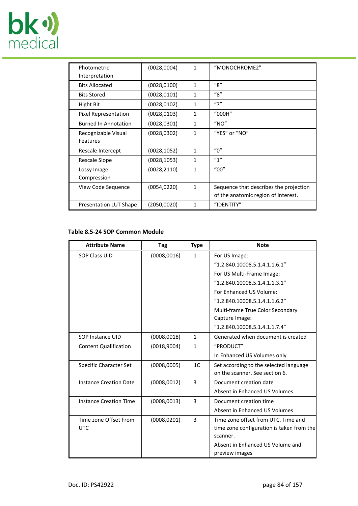

| Photometric<br>Interpretation | (0028,0004)  | $\mathbf{1}$ | "MONOCHROME2"                          |
|-------------------------------|--------------|--------------|----------------------------------------|
| <b>Bits Allocated</b>         | (0028,0100)  | 1            | ''S''                                  |
| <b>Bits Stored</b>            | (0028,0101)  | 1            | ''S''                                  |
| Hight Bit                     | (0028,0102)  | 1            | "7"                                    |
| Pixel Representation          | (0028,0103)  | $\mathbf{1}$ | "000H"                                 |
| <b>Burned In Annotation</b>   | (0028, 0301) | 1            | $^{\prime\prime}$ NO $^{\prime\prime}$ |
| Recognizable Visual           | (0028, 0302) | 1            | "YES" or "NO"                          |
| Features                      |              |              |                                        |
| Rescale Intercept             | (0028,1052)  | 1            | $^{\prime\prime}$ <sup>"</sup>         |
| Rescale Slope                 | (0028,1053)  | 1            | 4''''                                  |
| Lossy Image                   | (0028, 2110) | 1            | $^{\prime\prime}00^{\prime\prime}$     |
| Compression                   |              |              |                                        |
| View Code Sequence            | (0054, 0220) | $\mathbf{1}$ | Sequence that describes the projection |
|                               |              |              | of the anatomic region of interest.    |
| <b>Presentation LUT Shape</b> | (2050,0020)  | $\mathbf{1}$ | "IDENTITY"                             |

### <span id="page-83-0"></span>**Table 8.5-24 SOP Common Module**

| <b>Attribute Name</b>         | Tag          | <b>Type</b>    | <b>Note</b>                               |
|-------------------------------|--------------|----------------|-------------------------------------------|
| <b>SOP Class UID</b>          | (0008, 0016) | $\mathbf{1}$   | For US Image:                             |
|                               |              |                | "1.2.840.10008.5.1.4.1.1.6.1"             |
|                               |              |                | For US Multi-Frame Image:                 |
|                               |              |                | "1.2.840.10008.5.1.4.1.1.3.1"             |
|                               |              |                | For Enhanced US Volume:                   |
|                               |              |                | "1.2.840.10008.5.1.4.1.1.6.2"             |
|                               |              |                | Multi-frame True Color Secondary          |
|                               |              |                | Capture Image:                            |
|                               |              |                | "1.2.840.10008.5.1.4.1.1.7.4"             |
| SOP Instance UID              | (0008, 0018) | $\mathbf{1}$   | Generated when document is created        |
| <b>Content Qualification</b>  | (0018,9004)  | $\mathbf{1}$   | "PRODUCT"                                 |
|                               |              |                | In Enhanced US Volumes only               |
| Specific Character Set        | (0008,0005)  | 1 <sup>C</sup> | Set according to the selected language    |
|                               |              |                | on the scanner. See section 6.            |
| <b>Instance Creation Date</b> | (0008, 0012) | 3              | Document creation date                    |
|                               |              |                | Absent in Enhanced US Volumes             |
| <b>Instance Creation Time</b> | (0008, 0013) | 3              | Document creation time                    |
|                               |              |                | Absent in Enhanced US Volumes             |
| Time zone Offset From         | (0008, 0201) | 3              | Time zone offset from UTC. Time and       |
| <b>UTC</b>                    |              |                | time zone configuration is taken from the |
|                               |              |                | scanner.                                  |
|                               |              |                | Absent in Enhanced US Volume and          |
|                               |              |                | preview images                            |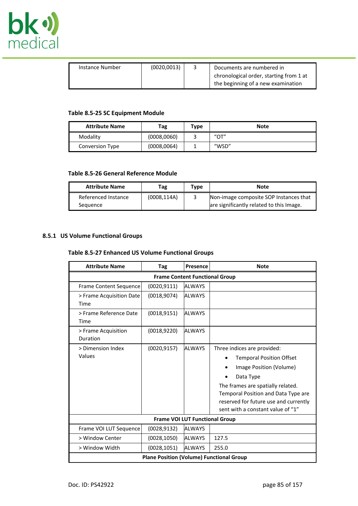

| Instance Number | (0020, 0013) | 3 | Documents are numbered in               |
|-----------------|--------------|---|-----------------------------------------|
|                 |              |   | chronological order, starting from 1 at |
|                 |              |   | the beginning of a new examination      |

### <span id="page-84-1"></span>**Table 8.5-25 SC Equipment Module**

| <b>Attribute Name</b>  | Tag         | Type | Note  |
|------------------------|-------------|------|-------|
| Modality               | (0008,0060) |      | "O T" |
| <b>Conversion Type</b> | (0008,0064) |      | "WSD" |

## <span id="page-84-2"></span>**Table 8.5-26 General Reference Module**

| <b>Attribute Name</b> | Tag          | Type | Note                                     |
|-----------------------|--------------|------|------------------------------------------|
| Referenced Instance   | (0008, 114A) |      | Non-image composite SOP Instances that   |
| Sequence              |              |      | are significantly related to this Image. |

### **8.5.1 US Volume Functional Groups**

#### <span id="page-84-0"></span>**Table 8.5-27 Enhanced US Volume Functional Groups**

| <b>Attribute Name</b>                           | Tag                                   | Presence      | <b>Note</b>                           |  |  |
|-------------------------------------------------|---------------------------------------|---------------|---------------------------------------|--|--|
| <b>Frame Content Functional Group</b>           |                                       |               |                                       |  |  |
| <b>Frame Content Sequence</b>                   | (0020, 9111)                          | <b>ALWAYS</b> |                                       |  |  |
| > Frame Acquisition Date<br>Time                | (0018, 9074)                          | <b>ALWAYS</b> |                                       |  |  |
| > Frame Reference Date<br>Time                  | (0018, 9151)                          | <b>ALWAYS</b> |                                       |  |  |
| > Frame Acquisition<br>Duration                 | (0018, 9220)                          | <b>ALWAYS</b> |                                       |  |  |
| > Dimension Index                               | (0020, 9157)                          | <b>ALWAYS</b> | Three indices are provided:           |  |  |
| Values                                          |                                       |               | <b>Temporal Position Offset</b>       |  |  |
|                                                 |                                       |               | Image Position (Volume)               |  |  |
|                                                 |                                       |               | Data Type                             |  |  |
|                                                 |                                       |               | The frames are spatially related.     |  |  |
|                                                 |                                       |               | Temporal Position and Data Type are   |  |  |
|                                                 |                                       |               | reserved for future use and currently |  |  |
|                                                 |                                       |               | sent with a constant value of "1"     |  |  |
|                                                 | <b>Frame VOI LUT Functional Group</b> |               |                                       |  |  |
| Frame VOI LUT Sequence                          | (0028, 9132)                          | <b>ALWAYS</b> |                                       |  |  |
| > Window Center                                 | (0028, 1050)                          | <b>ALWAYS</b> | 127.5                                 |  |  |
| > Window Width                                  | (0028, 1051)                          | <b>ALWAYS</b> | 255.0                                 |  |  |
| <b>Plane Position (Volume) Functional Group</b> |                                       |               |                                       |  |  |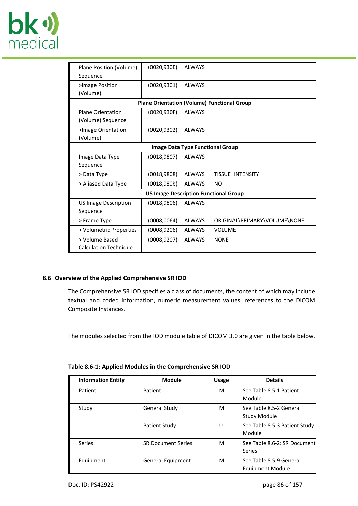

| Plane Position (Volume)<br>Sequence                | (0020, 930E)                                 | <b>ALWAYS</b> |                              |  |  |
|----------------------------------------------------|----------------------------------------------|---------------|------------------------------|--|--|
| >Image Position<br>(Volume)                        | (0020, 9301)                                 | <b>ALWAYS</b> |                              |  |  |
| <b>Plane Orientation (Volume) Functional Group</b> |                                              |               |                              |  |  |
| <b>Plane Orientation</b><br>(Volume) Sequence      | (0020, 930F)                                 | <b>ALWAYS</b> |                              |  |  |
| >Image Orientation<br>(Volume)                     | (0020, 9302)                                 | <b>ALWAYS</b> |                              |  |  |
|                                                    | <b>Image Data Type Functional Group</b>      |               |                              |  |  |
| Image Data Type<br>Sequence                        | (0018,9807)                                  | <b>ALWAYS</b> |                              |  |  |
| > Data Type                                        | (0018,9808)                                  | <b>ALWAYS</b> | <b>TISSUE INTENSITY</b>      |  |  |
| > Aliased Data Type                                | (0018,980b)                                  | <b>ALWAYS</b> | NO.                          |  |  |
|                                                    | <b>US Image Description Functional Group</b> |               |                              |  |  |
| <b>US Image Description</b><br>Sequence            | (0018,9806)                                  | <b>ALWAYS</b> |                              |  |  |
| > Frame Type                                       | (0008, 0064)                                 | <b>ALWAYS</b> | ORIGINAL\PRIMARY\VOLUME\NONE |  |  |
| > Volumetric Properties                            | (0008, 9206)                                 | <b>ALWAYS</b> | <b>VOLUME</b>                |  |  |
| > Volume Based<br><b>Calculation Technique</b>     | (0008, 9207)                                 | <b>ALWAYS</b> | <b>NONE</b>                  |  |  |

### **8.6 Overview of the Applied Comprehensive SR IOD**

The Comprehensive SR IOD specifies a class of documents, the content of which may include textual and coded information, numeric measurement values, references to the DICOM Composite Instances.

The modules selected from the IOD module table of DICOM 3.0 are given in the table below.

| <b>Information Entity</b> | <b>Module</b>             | <b>Usage</b> | <b>Details</b>                                 |
|---------------------------|---------------------------|--------------|------------------------------------------------|
| Patient                   | Patient                   | м            | See Table 8.5-1 Patient<br>Module              |
| Study                     | <b>General Study</b>      | м            | See Table 8.5-2 General<br><b>Study Module</b> |
|                           | Patient Study             | U            | See Table 8.5-3 Patient Study<br>Module        |
| Series                    | <b>SR Document Series</b> | м            | See Table 8.6-2: SR Document<br>Series         |
| Equipment                 | General Equipment         | м            | See Table 8.5-9 General<br>Equipment Module    |

| Table 8.6-1: Applied Modules in the Comprehensive SR IOD |  |  |  |
|----------------------------------------------------------|--|--|--|
|----------------------------------------------------------|--|--|--|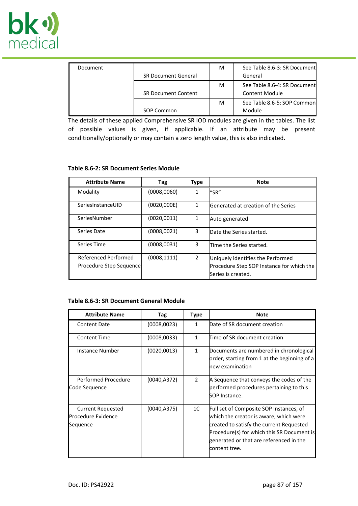

| Document |                            | м | See Table 8.6-3: SR Document |
|----------|----------------------------|---|------------------------------|
|          | <b>SR Document General</b> |   | General                      |
|          |                            | м | See Table 8.6-4: SR Document |
|          | <b>SR Document Content</b> |   | <b>Content Module</b>        |
|          |                            | м | See Table 8.6-5: SOP Common  |
|          | SOP Common                 |   | Module                       |

The details of these applied Comprehensive SR IOD modules are given in the tables. The list of possible values is given, if applicable. If an attribute may be present conditionally/optionally or may contain a zero length value, this is also indicated.

| <b>Attribute Name</b>                           | Tag          | <b>Type</b>    | <b>Note</b>                                                                                           |
|-------------------------------------------------|--------------|----------------|-------------------------------------------------------------------------------------------------------|
| Modality                                        | (0008,0060)  | 1              | l"SR"                                                                                                 |
| SeriesInstanceUID                               | (0020,000E)  | 1              | Generated at creation of the Series                                                                   |
| SeriesNumber                                    | (0020, 0011) | 1              | Auto generated                                                                                        |
| Series Date                                     | (0008,0021)  | 3              | Date the Series started.                                                                              |
| Series Time                                     | (0008,0031)  | 3              | Time the Series started.                                                                              |
| Referenced Performed<br>Procedure Step Sequence | (0008, 1111) | $\overline{2}$ | Uniquely identifies the Performed<br>Procedure Step SOP Instance for which the<br>lSeries is created. |

### <span id="page-86-0"></span>**Table 8.6-2: SR Document Series Module**

# <span id="page-86-1"></span>**Table 8.6-3: SR Document General Module**

| <b>Attribute Name</b>                                               | Tag          | Type          | <b>Note</b>                                                                                                                                                                                                                              |
|---------------------------------------------------------------------|--------------|---------------|------------------------------------------------------------------------------------------------------------------------------------------------------------------------------------------------------------------------------------------|
| <b>Content Date</b>                                                 | (0008, 0023) | 1             | Date of SR document creation                                                                                                                                                                                                             |
| <b>Content Time</b>                                                 | (0008,0033)  | $\mathbf{1}$  | Time of SR document creation                                                                                                                                                                                                             |
| Instance Number                                                     | (0020, 0013) | $\mathbf{1}$  | Documents are numbered in chronological<br>order, starting from 1 at the beginning of a<br>lnew examination                                                                                                                              |
| Performed Procedure<br>Code Sequence                                | (0040, A372) | $\mathcal{P}$ | A Sequence that conveys the codes of the<br>performed procedures pertaining to this<br>ISOP Instance.                                                                                                                                    |
| <b>Current Requested</b><br><b>I</b> Procedure Evidence<br>Sequence | (0040, A375) | 1C            | Full set of Composite SOP Instances, of<br>which the creator is aware, which were<br>created to satisfy the current Requested<br>Procedure(s) for which this SR Document is<br>generated or that are referenced in the<br>lcontent tree. |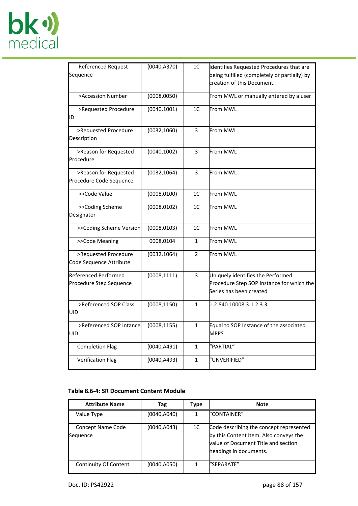

| Referenced Request                                     | (0040, A370) | 1 <sup>C</sup> | Identifies Requested Procedures that are                                                                  |
|--------------------------------------------------------|--------------|----------------|-----------------------------------------------------------------------------------------------------------|
| Sequence                                               |              |                | being fulfilled (completely or partially) by<br>creation of this Document.                                |
| >Accession Number                                      | (0008, 0050) |                | From MWL or manually entered by a user                                                                    |
| >Requested Procedure<br>ID                             | (0040, 1001) | 1 <sup>C</sup> | From MWL                                                                                                  |
| >Requested Procedure<br>Description                    | (0032, 1060) | 3              | From MWL                                                                                                  |
| >Reason for Requested<br>Procedure                     | (0040, 1002) | 3              | From MWL                                                                                                  |
| >Reason for Requested<br>Procedure Code Sequence       | (0032, 1064) | 3              | From MWL                                                                                                  |
| >>Code Value                                           | (0008, 0100) | 1 <sup>C</sup> | From MWL                                                                                                  |
| >>Coding Scheme<br>Designator                          | (0008, 0102) | 1 <sup>C</sup> | From MWL                                                                                                  |
| >>Coding Scheme Version                                | (0008, 0103) | 1 <sup>C</sup> | From MWL                                                                                                  |
| >>Code Meaning                                         | 0008,0104    | $\mathbf{1}$   | From MWL                                                                                                  |
| >Requested Procedure<br>Code Sequence Attribute        | (0032, 1064) | $\overline{2}$ | From MWL                                                                                                  |
| <b>Referenced Performed</b><br>Procedure Step Sequence | (0008, 1111) | 3              | Uniquely identifies the Performed<br>Procedure Step SOP Instance for which the<br>Series has been created |
| >Referenced SOP Class<br>UID                           | (0008, 1150) | $\mathbf{1}$   | 1.2.840.10008.3.1.2.3.3                                                                                   |
| >Referenced SOP Intance<br>UID                         | (0008, 1155) | $\mathbf{1}$   | Equal to SOP Instance of the associated<br><b>MPPS</b>                                                    |
| <b>Completion Flag</b>                                 | (0040, A491) | $\mathbf{1}$   | "PARTIAL"                                                                                                 |
| <b>Verification Flag</b>                               | (0040, A493) | $\mathbf{1}$   | "UNVERIFIED"                                                                                              |

### <span id="page-87-0"></span>**Table 8.6-4: SR Document Content Module**

| <b>Attribute Name</b>         | Tag          | Type | <b>Note</b>                                                                                                                                        |
|-------------------------------|--------------|------|----------------------------------------------------------------------------------------------------------------------------------------------------|
| Value Type                    | (0040, A040) |      | l"CONTAINER"                                                                                                                                       |
| Concept Name Code<br>Sequence | (0040, A043) | 1C   | Code describing the concept represented<br>by this Content Item. Also conveys the<br>value of Document Title and section<br>headings in documents. |
| Continuity Of Content         | (0040, A050) |      | l"SEPARATE"                                                                                                                                        |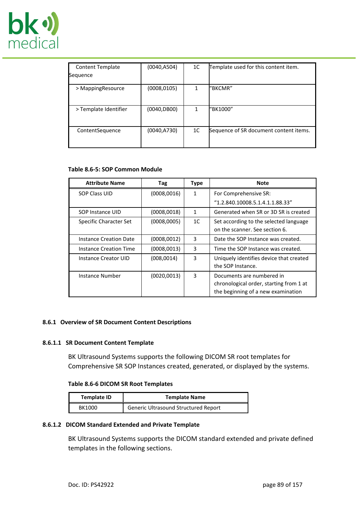

| <b>Content Template</b> | (0040,A504)  | 1 <sup>C</sup> | Template used for this content item.   |
|-------------------------|--------------|----------------|----------------------------------------|
| Sequence                |              |                |                                        |
| > Mapping Resource      | (0008, 0105) |                | l"BKCMR"                               |
| > Template Identifier   | (0040,DB00)  |                | l"BK1000"                              |
| ContentSequence         | (0040,A730)  | 1C             | Sequence of SR document content items. |

#### <span id="page-88-0"></span>**Table 8.6-5: SOP Common Module**

| <b>Attribute Name</b>           | Tag          | <b>Type</b>  | Note                                    |
|---------------------------------|--------------|--------------|-----------------------------------------|
| SOP Class UID                   | (0008, 0016) | $\mathbf{1}$ | For Comprehensive SR:                   |
|                                 |              |              | "1.2.840.10008.5.1.4.1.1.88.33"         |
| SOP Instance UID                | (0008, 0018) | 1            | Generated when SR or 3D SR is created   |
| Specific Character Set          | (0008,0005)  | 1C           | Set according to the selected language  |
|                                 |              |              | on the scanner. See section 6.          |
| <b>Instance Creation Date</b>   | (0008, 0012) | 3            | Date the SOP Instance was created.      |
| Instance Creation Time          | (0008, 0013) | 3            | Time the SOP Instance was created.      |
| Instance Creator UID            | (008,0014)   | 3            | Uniquely identifies device that created |
|                                 |              |              | the SOP Instance.                       |
| (0020, 0013)<br>Instance Number |              | 3            | Documents are numbered in               |
|                                 |              |              | chronological order, starting from 1 at |
|                                 |              |              | the beginning of a new examination      |

### **8.6.1 Overview of SR Document Content Descriptions**

#### **8.6.1.1 SR Document Content Template**

BK Ultrasound Systems supports the following DICOM SR root templates for Comprehensive SR SOP Instances created, generated, or displayed by the systems.

#### **Table 8.6-6 DICOM SR Root Templates**

| <b>Template ID</b> | <b>Template Name</b>                        |
|--------------------|---------------------------------------------|
| BK1000             | <b>Generic Ultrasound Structured Report</b> |

### **8.6.1.2 DICOM Standard Extended and Private Template**

BK Ultrasound Systems supports the DICOM standard extended and private defined templates in the following sections.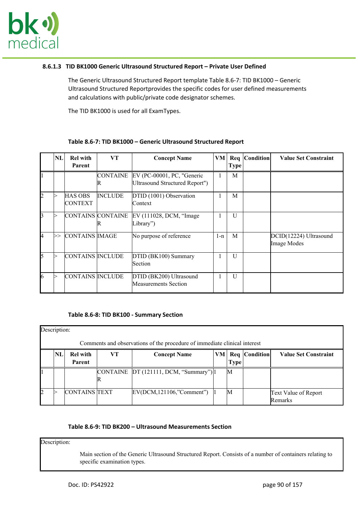

### **8.6.1.3 TID BK1000 Generic Ultrasound Structured Report – Private User Defined**

The Generic Ultrasound Structured Report template Table 8.6-7: TID BK1000 – Generic Ultrasound Structured Reportprovides the specific codes for user defined measurements and calculations with public/private code designator schemes.

The TID BK1000 is used for all ExamTypes.

|                | NL | <b>Rel with</b><br>Parent        | VT                     | <b>Concept Name</b>                                            | VM           | <b>Type</b> | Req Condition | <b>Value Set Constraint</b>           |
|----------------|----|----------------------------------|------------------------|----------------------------------------------------------------|--------------|-------------|---------------|---------------------------------------|
|                |    |                                  | <b>CONTAINE</b><br>IR  | $EV$ (PC-00001, PC, "Generic<br>Ultrasound Structured Report") | 1            | M           |               |                                       |
| $\overline{c}$ |    | <b>HAS OBS</b><br><b>CONTEXT</b> | <b>INCLUDE</b>         | DTID (1001) Observation<br>Context                             | $\perp$      | M           |               |                                       |
| $\overline{3}$ |    |                                  | CONTAINS CONTAINE<br>R | EV (111028, DCM, "Image<br>Library")                           | $\mathbf{I}$ | U           |               |                                       |
| 4              | ⊳> | CONTAINS MAGE                    |                        | No purpose of reference                                        | $1-n$        | M           |               | DCID(12224) Ultrasound<br>Image Modes |
| 5              |    | CONTAINS INCLUDE                 |                        | DTID (BK100) Summary<br>Section                                | J.           | U           |               |                                       |
| 6              |    | CONTAINS INCLUDE                 |                        | DTID (BK200) Ultrasound<br><b>Measurements Section</b>         | -1           | U           |               |                                       |

### **Table 8.6-7: TID BK1000 – Generic Ultrasound Structured Report**

### **Table 8.6-8: TID BK100 - Summary Section**

|    | Description:                                                              |                 |    |                                         |    |             |                 |                             |  |  |  |
|----|---------------------------------------------------------------------------|-----------------|----|-----------------------------------------|----|-------------|-----------------|-----------------------------|--|--|--|
|    | Comments and observations of the procedure of immediate clinical interest |                 |    |                                         |    |             |                 |                             |  |  |  |
|    | NL                                                                        | <b>Rel with</b> | VТ | <b>Concept Name</b>                     | VM |             | Req   Condition | <b>Value Set Constraint</b> |  |  |  |
|    |                                                                           | Parent          |    |                                         |    | <b>Type</b> |                 |                             |  |  |  |
|    |                                                                           |                 |    | CONTAINE  DT (121111, DCM, "Summary") 1 |    | M           |                 |                             |  |  |  |
|    |                                                                           |                 | R  |                                         |    |             |                 |                             |  |  |  |
| 12 |                                                                           | CONTAINS TEXT   |    | EV(DCM, 121106, "Comment")              |    | M           |                 | Text Value of Report        |  |  |  |
|    |                                                                           |                 |    |                                         |    |             |                 | Remarks                     |  |  |  |

### **Table 8.6-9: TID BK200 – Ultrasound Measurements Section**

Description:

Main section of the Generic Ultrasound Structured Report. Consists of a number of containers relating to specific examination types.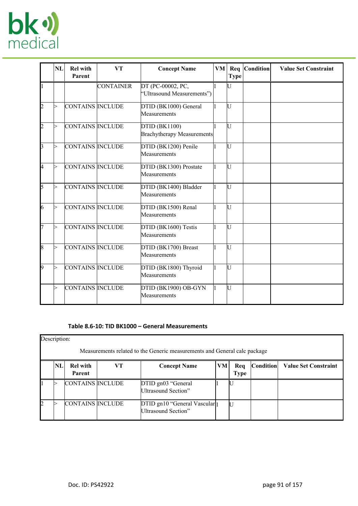

|                | <b>NL</b> | <b>Rel with</b><br>Parent | <b>VT</b>        | <b>Concept Name</b>                                | VM | Req<br><b>Type</b> | <b>Condition</b> | <b>Value Set Constraint</b> |
|----------------|-----------|---------------------------|------------------|----------------------------------------------------|----|--------------------|------------------|-----------------------------|
| $\vert$ 1      |           |                           | <b>CONTAINER</b> | DT (PC-00002, PC,<br>"Ultrasound Measurements")    |    | IU                 |                  |                             |
| $\overline{c}$ | ↘         | CONTAINS INCLUDE          |                  | DTID (BK1000) General<br>Measurements              |    | IU                 |                  |                             |
| $\overline{2}$ |           | CONTAINS INCLUDE          |                  | <b>DTID (BK1100)</b><br>Brachytherapy Measurements |    | IJ                 |                  |                             |
| 3              | >         | CONTAINS INCLUDE          |                  | DTID (BK1200) Penile<br>Measurements               |    | lU                 |                  |                             |
| 4              |           | CONTAINS INCLUDE          |                  | DTID (BK1300) Prostate<br>Measurements             |    | IJ                 |                  |                             |
| 5              | ↘         | CONTAINS INCLUDE          |                  | DTID (BK1400) Bladder<br>Measurements              |    | IJ                 |                  |                             |
| 6              | ↘         | CONTAINS INCLUDE          |                  | DTID (BK1500) Renal<br>Measurements                |    | lt J               |                  |                             |
| 7              |           | <b>CONTAINS INCLUDE</b>   |                  | DTID (BK1600) Testis<br>Measurements               |    | IJ                 |                  |                             |
| 8              | ↘         | CONTAINS INCLUDE          |                  | DTID (BK1700) Breast<br>Measurements               |    | lU                 |                  |                             |
| 19             |           | CONTAINS INCLUDE          |                  | DTID (BK1800) Thyroid<br>Measurements              |    | U                  |                  |                             |
|                | >         | CONTAINS INCLUDE          |                  | DTID (BK1900) OB-GYN<br>Measurements               |    | IU                 |                  |                             |

### **Table 8.6-10: TID BK1000 – General Measurements**

|    | Description:                                                              |                           |    |                                 |    |             |           |                             |  |  |  |
|----|---------------------------------------------------------------------------|---------------------------|----|---------------------------------|----|-------------|-----------|-----------------------------|--|--|--|
|    | Measurements related to the Generic measurements and General calc package |                           |    |                                 |    |             |           |                             |  |  |  |
|    | NL                                                                        | <b>Rel with</b><br>Parent | VТ | <b>Concept Name</b>             | VM | Req         | Condition | <b>Value Set Constraint</b> |  |  |  |
|    |                                                                           |                           |    |                                 |    | <b>Type</b> |           |                             |  |  |  |
|    |                                                                           | CONTAINS INCLUDE          |    | DTID gn03 "General              |    |             |           |                             |  |  |  |
|    |                                                                           |                           |    | Ultrasound Section"             |    |             |           |                             |  |  |  |
| 12 |                                                                           | CONTAINS INCLUDE          |    | $DTID$ gn10 "General Vascular 1 |    | U           |           |                             |  |  |  |
|    |                                                                           |                           |    | Ultrasound Section"             |    |             |           |                             |  |  |  |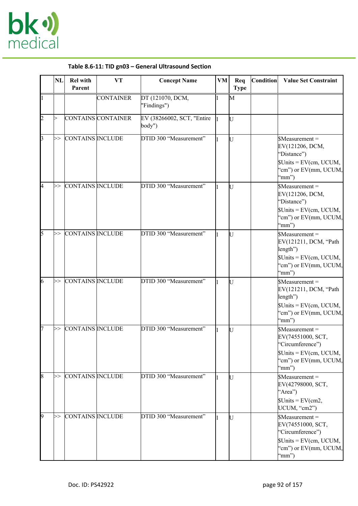

|                  | <b>NL</b> | <b>Rel with</b><br>Parent | VT                 | <b>Concept Name</b>                  | <b>VM</b> | Req<br><b>Type</b> | Condition | <b>Value Set Constraint</b>                                                                                                                               |
|------------------|-----------|---------------------------|--------------------|--------------------------------------|-----------|--------------------|-----------|-----------------------------------------------------------------------------------------------------------------------------------------------------------|
| 11               |           |                           | <b>CONTAINER</b>   | DT (121070, DCM,<br>"Findings")      |           | M                  |           |                                                                                                                                                           |
| $\overline{2}$   | >         |                           | CONTAINS CONTAINER | EV (38266002, SCT, "Entire<br>body") |           | IJ                 |           |                                                                                                                                                           |
| $\mathbf{E}$     | >>        | CONTAINS INCLUDE          |                    | DTID 300 "Measurement"               |           | U                  |           | $$Measurement =$<br>EV(121206, DCM,<br>"Distance")<br>$\text{SUnits} = \text{EV}(\text{cm}, \text{UCUM},$<br>"cm") or EV(mm, UCUM,<br>$\lq{mm'}$          |
| <sup>4</sup>     | >>        | CONTAINS INCLUDE          |                    | DTID 300 "Measurement"               |           | U                  |           | $$Measurement =$<br>EV(121206, DCM,<br>"Distance")<br>$Units = EV(cm, UCUM,$                                                                              |
|                  |           |                           |                    |                                      |           |                    |           | 'cm'') or EV(mm, UCUM,<br>$\lq{mm'}$                                                                                                                      |
| $\mathsf{S}$     | >>        | CONTAINS INCLUDE          |                    | DTID 300 "Measurement"               |           | IJ                 |           | \$Measurement=<br>EV(121211, DCM, "Path<br>length")                                                                                                       |
|                  |           |                           |                    |                                      |           |                    |           | $\text{SUnits} = \text{EV}(\text{cm}, \text{UCUM},$<br>'cm'') or EV(mm, UCUM,<br>'mm'')                                                                   |
| $\vert 6 \vert$  | >>        | CONTAINS INCLUDE          |                    | DTID 300 "Measurement"               |           | IJ                 |           | \$Measurement=<br>EV(121211, DCM, "Path<br>length")<br>$$Units = EV(cm, UCUM,$<br>"cm") or EV(mm, UCUM,<br>$\lq{mm'}$                                     |
| I7               | >>        | CONTAINS INCLUDE          |                    | DTID 300 "Measurement"               |           | U                  |           | $$Measurement =$<br>EV(74551000, SCT,<br>'Circumference'')<br>$\text{SUnits} = \text{EV}(\text{cm}, \text{UCUM},$<br>'cm'') or EV(mm, UCUM,<br>$\lq{mm'}$ |
| $\vert$ 8        | >>        | CONTAINS INCLUDE          |                    | DTID 300 "Measurement"               |           | IJ                 |           | $$Measurement =$<br>EV(42798000, SCT,<br>"Area")<br>$\text{J Units} = \text{EV}(\text{cm2},$<br>UCUM, "cm2")                                              |
| $\boldsymbol{9}$ | >>        | CONTAINS INCLUDE          |                    | DTID 300 "Measurement"               |           | U                  |           | $$Measurement =$<br>EV(74551000, SCT,<br>"Circumference")<br>$Units = EV(cm, UCUM,$<br>"cm") or EV(mm, UCUM,<br>'mm'')                                    |

# **Table 8.6-11: TID gn03 – General Ultrasound Section**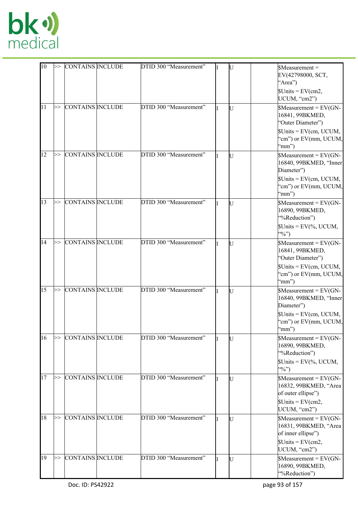

| $\vert$ 10    | ⊳> | <b>CONTAINS INCLUDE</b> | DTID 300 "Measurement" | IJ   | \$Measurement=<br>EV(42798000, SCT,<br>"Area")<br>$\text{J Units} = \text{EV}(\text{cm2},$<br>UCUM, "cm2")                                                   |
|---------------|----|-------------------------|------------------------|------|--------------------------------------------------------------------------------------------------------------------------------------------------------------|
| $\mathbf{11}$ | ⊳> | CONTAINS INCLUDE        | DTID 300 "Measurement" | U    | $Measurement = EV(GN-$<br>16841, 99BKMED,<br>"Outer Diameter")<br>$\text{SUnits} = \text{EV}(\text{cm}, \text{UCUM},$<br>"cm") or EV(mm, UCUM,<br>$\lq{mm'}$ |
| 12            | ⊳> | CONTAINS INCLUDE        | DTID 300 "Measurement" | IJ   | $Measurement = EV(GN-$<br>16840, 99BKMED, "Inner<br>Diameter")<br>$Units = EV(cm, UCUM,$<br>"cm") or EV(mm, UCUM,<br>$\lq{mm'}$                              |
| $\vert$ 13    | ⊳> | CONTAINS INCLUDE        | DTID 300 "Measurement" | IJ   | $Measurement = EV(GN-$<br>16890, 99BKMED,<br>"%Reduction")<br>$\text{SUnits} = \text{EV}(\% , \text{UCUM}, )$<br>$\binom{40}{0}$                             |
| 14            | ⊳> | CONTAINS INCLUDE        | DTID 300 "Measurement" | IJ   | $Measurement = EV(GN-$<br>16841, 99BKMED,<br>"Outer Diameter")<br>$$Units = EV(cm, UCUM,$<br>"cm") or EV(mm, UCUM,<br>$\lq{mm'}$                             |
| 15            | ⊳> | CONTAINS INCLUDE        | DTID 300 "Measurement" | lt j | $Measurement = EV(GN-$<br>16840, 99BKMED, "Inner<br>Diameter")<br>$Units = EV(cm, UCUM,$<br>"cm") or EV(mm, UCUM,<br>" $mm"$                                 |
| 16            | ⊳> | CONTAINS INCLUDE        | DTID 300 "Measurement" | U    | $Measurement = EV(GN-$<br>16890, 99BKMED,<br>"%Reduction")<br>$\text{SUnits} = \text{EV}$ %, UCUM,<br>$\binom{40}{0}$                                        |
| 17            | ⊳> | CONTAINS INCLUDE        | DTID 300 "Measurement" | IJ   | $Measurement = EV(GN-$<br>16832, 99BKMED, "Area<br>of outer ellipse")<br>$\text{J Units} = \text{EV}(\text{cm2},$<br>UCUM, "cm2")                            |
| 18            | ⊳> | CONTAINS INCLUDE        | DTID 300 "Measurement" | IJ   | $Measurement = EV(GN-$<br>16831, 99BKMED, "Area<br>of inner ellipse")<br>$\text{5 Units} = \text{EV}(\text{cm2},$<br>UCUM, "cm2")                            |
| $\vert$ 19    | ⊳> | CONTAINS INCLUDE        | DTID 300 "Measurement" | IJ   | $\mathcal{S}$ Measurement = EV(GN-<br>16890, 99BKMED,<br>"%Reduction")                                                                                       |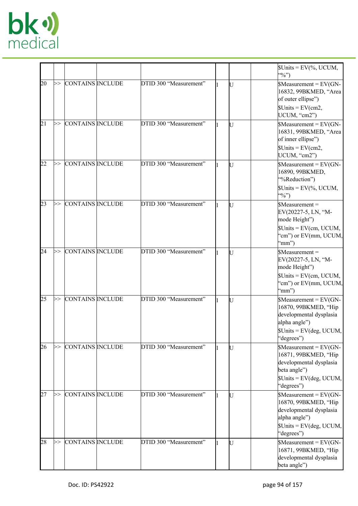

|    |    |                         |                        |    | $\text{SUnits} = \text{EV}$ %, UCUM,<br>$\cdot\cdot\cdot\cdot$                                                                                                |
|----|----|-------------------------|------------------------|----|---------------------------------------------------------------------------------------------------------------------------------------------------------------|
| 20 | ⊳> | CONTAINS INCLUDE        | DTID 300 "Measurement" | IJ | $Mear$ easurement = EV(GN-<br>16832, 99BKMED, "Area<br>of outer ellipse")<br>$\text{J Units} = \text{EV}(\text{cm2},$<br>UCUM, "cm2")                         |
| 21 | ⊳> | CONTAINS INCLUDE        | DTID 300 "Measurement" | IJ | $Mear$ easurement = EV(GN-<br>16831, 99BKMED, "Area<br>of inner ellipse")<br>$$Units = EV(cm2,$<br>UCUM, "cm2")                                               |
| 22 | >> | <b>CONTAINS INCLUDE</b> | DTID 300 "Measurement" | IJ | $Measurement = EV(GN-$<br>16890, 99BKMED,<br>"%Reduction")<br>$\text{SUnits} = \text{EV}(\% , \text{UCUM}, )$<br>$\mathfrak{so}_{0}^{(2)}$                    |
| 23 | ⊳> | CONTAINS INCLUDE        | DTID 300 "Measurement" | IJ | $$Measurement =$<br>EV(20227-5, LN, "M-<br>mode Height")<br>$\text{SUnits} = \text{EV}(\text{cm}, \text{UCUM},$<br>'cm'') or EV(mm, UCUM,<br>$\lq{mm'}$       |
| 24 | ⊳> | CONTAINS INCLUDE        | DTID 300 "Measurement" | IJ | $$Measurement =$<br>EV(20227-5, LN, "M-<br>mode Height")<br>$\text{SUnits} = \text{EV}(\text{cm}, \text{UCUM},$<br>'cm'') or EV(mm, UCUM,<br>'mm'')           |
| 25 | ⊳> | CONTAINS INCLUDE        | DTID 300 "Measurement" | IJ | $Measurement = EV(GN-$<br>16870, 99BKMED, "Hip<br>developmental dysplasia<br>alpha angle")<br>$\text{SUnits} = \text{EV(deg}, \text{UCUM},$<br>"degrees")     |
| 26 | >> | <b>CONTAINS INCLUDE</b> | DTID 300 "Measurement" | U  | $Mear$ easurement = EV(GN-<br>16871, 99BKMED, "Hip<br>developmental dysplasia<br>beta angle")<br>$\text{SUnits} = \text{EV(deg}, \text{UCUM},$<br>'degrees'') |
| 27 | >> | CONTAINS INCLUDE        | DTID 300 "Measurement" | IJ | $Mear$ easurement = EV(GN-<br>16870, 99BKMED, "Hip<br>developmental dysplasia<br>alpha angle")<br>$\text{SUnits} = \text{EV(deg}, \text{UCUM},$<br>"degrees") |
| 28 | ⊳> | CONTAINS INCLUDE        | DTID 300 "Measurement" | IJ | $Measurement = EV(GN-$<br>16871, 99BKMED, "Hip<br>developmental dysplasia<br>beta angle")                                                                     |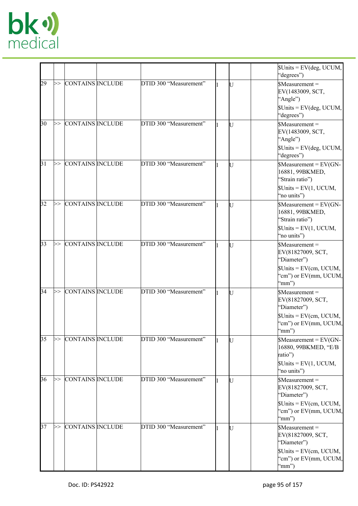

|                 |                  |                         |                        |    | $\text{SUnits} = \text{EV(deg}, \text{UCUM},$<br>'degrees")                                                                     |
|-----------------|------------------|-------------------------|------------------------|----|---------------------------------------------------------------------------------------------------------------------------------|
| 29              | ⊳>               | CONTAINS INCLUDE        | DTID 300 "Measurement" | IJ | $$Measurement =$<br>EV(1483009, SCT,<br>"Angle")<br>$\text{SUnits} = \text{EV(deg}, \text{UCUM},$<br>'degrees'')                |
| 30 <sup>°</sup> | $\triangleright$ | CONTAINS INCLUDE        | DTID 300 "Measurement" | IJ | \$Measurement=<br>EV(1483009, SCT,<br>"Angle")<br>$\text{SUnits} = \text{EV(deg}, \text{UCUM},$<br>'degrees'')                  |
| 31              | ⊳>               | <b>CONTAINS INCLUDE</b> | DTID 300 "Measurement" | IJ | $Mear$ easurement = EV(GN-<br>16881, 99BKMED,<br>'Strain ratio")<br>$\text{S Units} = \text{EV}(1, \text{UCUM},$<br>'no units") |
| 32              | ⊳>               | CONTAINS INCLUDE        | DTID 300 "Measurement" | U  | $Measurement = EV(GN-$<br>16881, 99BKMED,<br>'Strain ratio")<br>$\text{S Units} = \text{EV}(1, \text{UCUM},$<br>'no units")     |
| 33              | ⊳>               | CONTAINS INCLUDE        | DTID 300 "Measurement" | U  | \$Measurement =<br>EV(81827009, SCT,<br>'Diameter'')<br>$$Units = EV(cm, UCUM,$<br>'cm'') or EV(mm, UCUM,<br>'mm'')             |
| 34              | ⊳>               | CONTAINS INCLUDE        | DTID 300 "Measurement" | IU | \$Measurement=<br>EV(81827009, SCT,<br>"Diameter")<br>$Units = EV(cm, UCUM,$<br>'cm'') or EV(mm, UCUM,<br>'mm'')                |
| 35              | ⊳>               | CONTAINS INCLUDE        | DTID 300 "Measurement" | IJ | $Measurement = EV(GN-$<br>16880, 99BKMED, "E/B<br>ratio")<br>$\text{S Units} = \text{EV}(1, \text{UCUM},$<br>"no units")        |
| 36              | ⊳>               | CONTAINS INCLUDE        | DTID 300 "Measurement" | U  | \$Measurement=<br>EV(81827009, SCT,<br>'Diameter'')<br>$$Units = EV(cm, UCUM,$<br>'cm'') or EV(mm, UCUM,<br>'mm'')              |
| 37              | ⊳>               | CONTAINS INCLUDE        | DTID 300 "Measurement" | IJ | $$Measurement =$<br>EV(81827009, SCT,<br>'Diameter'')<br>$$Units = EV(cm, UCUM,$<br>'cm'') or EV(mm, UCUM,<br>'mm'')            |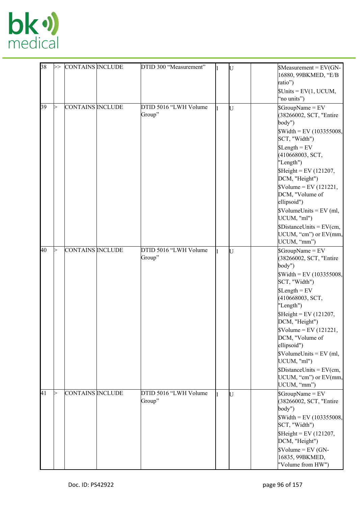

| 38 | ⊳> | <b>CONTAINS INCLUDE</b> | DTID 300 "Measurement"          | U  | $Measurement = EV(GN-$<br>16880, 99BKMED, "E/B<br>ratio")<br>$\text{SUnits} = \text{EV}(1, \text{UCUM},$<br>'no units")                                                                                                                                                                                                                                                                                                                               |
|----|----|-------------------------|---------------------------------|----|-------------------------------------------------------------------------------------------------------------------------------------------------------------------------------------------------------------------------------------------------------------------------------------------------------------------------------------------------------------------------------------------------------------------------------------------------------|
| 39 |    | CONTAINS INCLUDE        | DTID 5016 "LWH Volume<br>Group" | U  | $S$ GroupName = EV<br>(38266002, SCT, "Entire<br>body")<br>$\text{Width} = \text{EV} (103355008,$<br>SCT, "Width")<br>$$Length = EV$<br>$(410668003, \text{SCT},$<br>"Length")<br>$$Height = EV (121207,$<br>DCM, "Height")<br>$\text{S}$ Volume = EV (121221,<br>DCM, "Volume of<br>ellipsoid")<br>$\text{VolumelUnits} = \text{EV (ml)}$<br>UCUM, "ml")<br>$Distance Units = EV(cm,$<br>UCUM, "cm") or EV(mm,                                       |
| 40 |    | CONTAINS INCLUDE        | DTID 5016 "LWH Volume<br>Group" | U  | UCUM, "mm")<br>$\text{SGroupName} = \text{EV}$<br>(38266002, SCT, "Entire<br>body")<br>$\text{Width} = \text{EV} (103355008,$<br>SCT, "Width")<br>$$Length = EV$<br>(410668003, SCT,<br>"Length")<br>$$Height = EV (121207,$<br>DCM, "Height")<br>$\text{Volume} = \text{EV} (121221,$<br>DCM, "Volume of<br>ellipsoid")<br>$\text{Volumelmits} = \text{EV (ml)}$<br>UCUM, "ml")<br>$Distance Units = EV(cm,$<br>UCUM, "cm") or EV(mm,<br>UCUM, "mm") |
| 41 |    | CONTAINS INCLUDE        | DTID 5016 "LWH Volume<br>Group" | IJ | $SGroupName = EV$<br>(38266002, SCT, "Entire<br>body")<br>$\text{Width} = \text{EV} (103355008,$<br>SCT, "Width")<br>$$Height = EV (121207,$<br>DCM, "Height")<br>$\text{Volume} = \text{EV} (\text{GN} - \text{C})$<br>16835, 99BKMED,<br>"Volume from HW")                                                                                                                                                                                          |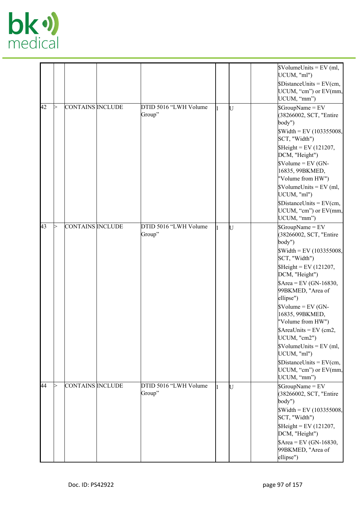

|    |   |                  |                                 |   | $\text{VolumelInits} = \text{EV (ml)}$<br>UCUM, "ml")                |
|----|---|------------------|---------------------------------|---|----------------------------------------------------------------------|
|    |   |                  |                                 |   | $Distance Units = EV(cm,$                                            |
|    |   |                  |                                 |   | UCUM, "cm") or EV(mm,<br>UCUM, "mm")                                 |
| 42 | ⊳ | CONTAINS INCLUDE | DTID 5016 "LWH Volume<br>Group" | U | $\text{SGroupName} = \text{EV}$<br>(38266002, SCT, "Entire           |
|    |   |                  |                                 |   | body")                                                               |
|    |   |                  |                                 |   | $\text{Width} = \text{EV} (103355008,$<br>SCT, "Width")              |
|    |   |                  |                                 |   | $$Height = EV (121207,$<br>DCM, "Height")                            |
|    |   |                  |                                 |   | $\text{S}$ Volume = EV (GN-<br>16835, 99BKMED,<br>"Volume from HW")  |
|    |   |                  |                                 |   | $\text{Volumelmits} = \text{EV (ml)}$<br>UCUM, "ml")                 |
|    |   |                  |                                 |   | $Distance Units = EV(cm,$<br>UCUM, "cm") or EV(mm,<br>UCUM, "mm")    |
| 43 | ⊳ | CONTAINS INCLUDE | DTID 5016 "LWH Volume           | U | $S$ GroupName = EV                                                   |
|    |   |                  | Group"                          |   | (38266002, SCT, "Entire<br>body")                                    |
|    |   |                  |                                 |   | $\text{Width} = \text{EV} (103355008,$<br>SCT, "Width")              |
|    |   |                  |                                 |   | $$Height = EV (121207,$<br>DCM, "Height")                            |
|    |   |                  |                                 |   | $\text{Area} = \text{EV}$ (GN-16830,<br>99BKMED, "Area of            |
|    |   |                  |                                 |   | ellipse")<br>$\text{Volume} = \text{EV} (\text{GN} - \text{C})$      |
|    |   |                  |                                 |   | 16835, 99BKMED,<br>"Volume from HW")                                 |
|    |   |                  |                                 |   | $\text{AreaUnits} = \text{EV (cm2,}$<br>UCUM, "cm2")                 |
|    |   |                  |                                 |   | $\text{Volumelmits} = \text{EV (ml)}$<br>UCUM, "ml")                 |
|    |   |                  |                                 |   | $Distance Units = EV(cm,$<br>UCUM, "cm") or EV(mm,<br>UCUM, "mm")    |
| 44 | Ь | CONTAINS INCLUDE | DTID 5016 "LWH Volume<br>Group" | U | $\text{SGroupName} = \text{EV}$<br>(38266002, SCT, "Entire<br>body") |
|    |   |                  |                                 |   | $\text{Width} = \text{EV} (103355008,$<br>SCT, "Width")              |
|    |   |                  |                                 |   | $$Height = EV (121207,$<br>DCM, "Height")                            |
|    |   |                  |                                 |   | $\text{Area} = \text{EV}$ (GN-16830,                                 |
|    |   |                  |                                 |   | 99BKMED, "Area of<br>ellipse")                                       |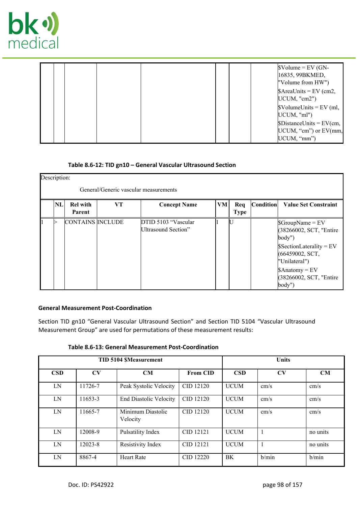

|  | $\text{Volume} = \text{EV (GN-}$<br>16835, 99BKMED,<br>"Volume from HW") |
|--|--------------------------------------------------------------------------|
|  | $\text{SAreaUnits} = \text{EV (cm2,}$<br>UCUM, "cm2")                    |
|  | $\text{S}$ VolumeUnits = EV (ml,<br>UCUM, "ml")                          |
|  | $SDistance Units = EV(cm,$<br>$UCUM, "cm")$ or $EV(mm,$<br>[UCUM, "mm")  |

### **Table 8.6-12: TID gn10 – General Vascular Ultrasound Section**

| Description:<br>General/Generic vascular measurements |                           |    |                                            |           |                    |                  |                                                                                                                                                                                                    |
|-------------------------------------------------------|---------------------------|----|--------------------------------------------|-----------|--------------------|------------------|----------------------------------------------------------------------------------------------------------------------------------------------------------------------------------------------------|
| NL                                                    | <b>Rel with</b><br>Parent | VТ | <b>Concept Name</b>                        | <b>VM</b> | Req<br><b>Type</b> | <b>Condition</b> | <b>Value Set Constraint</b>                                                                                                                                                                        |
|                                                       | CONTAINS INCLUDE          |    | DTID 5103 "Vascular<br>Ultrasound Section" |           | IJ                 |                  | $\text{\$GroupName} = \text{EV}$<br>(38266002, SCT, "Entire"<br>[body")<br>$$SectionLaterality = EV$<br>(66459002, SCT,<br>"Unilateral")<br>$\&$ Anatomy = EV<br>(38266002, SCT, "Entire<br>body") |

### **General Measurement Post-Coordination**

Section TID gn10 "General Vascular Ultrasound Section" and Section TID 5104 "Vascular Ultrasound Measurement Group" are used for permutations of these measurement results:

### **Table 8.6-13: General Measurement Post-Coordination**

|            |         | <b>TID 5104 SMeasurement</b>  | Units           |             |            |          |
|------------|---------|-------------------------------|-----------------|-------------|------------|----------|
| <b>CSD</b> | CV      | CM                            | <b>From CID</b> | <b>CSD</b>  | $\bf{CV}$  | CM       |
| LN         | 11726-7 | Peak Systolic Velocity        | CID 12120       | <b>UCUM</b> | $\rm cm/s$ | cm/s     |
| LN         | 11653-3 | <b>End Diastolic Velocity</b> | CID 12120       | <b>UCUM</b> | $\rm cm/s$ | cm/s     |
| LN         | 11665-7 | Minimum Diastolic<br>Velocity | CID 12120       | <b>UCUM</b> | cm/s       | cm/s     |
| LN         | 12008-9 | Pulsatility Index             | CID 12121       | <b>UCUM</b> |            | no units |
| LN         | 12023-8 | Resistivity Index             | CID 12121       | <b>UCUM</b> |            | no units |
| LN         | 8867-4  | <b>Heart Rate</b>             | CID 12220       | BK          | b/min      | b/min    |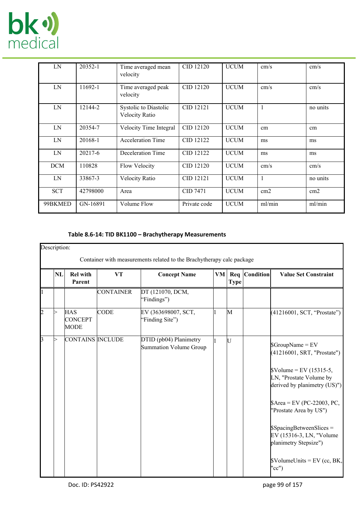

| LN         | 20352-1  | Time averaged mean<br>velocity          | CID 12120    | <b>UCUM</b> | cm/s           | cm/s            |
|------------|----------|-----------------------------------------|--------------|-------------|----------------|-----------------|
| LN         | 11692-1  | Time averaged peak<br>velocity          | CID 12120    | <b>UCUM</b> | cm/s           | cm/s            |
| LN         | 12144-2  | Systolic to Diastolic<br>Velocity Ratio | CID 12121    | <b>UCUM</b> | $\overline{1}$ | no units        |
| LN         | 20354-7  | Velocity Time Integral                  | CID 12120    | <b>UCUM</b> | cm             | cm              |
| LN         | 20168-1  | <b>Acceleration Time</b>                | CID 12122    | <b>UCUM</b> | ms             | ms              |
| LN         | 20217-6  | Deceleration Time                       | CID 12122    | <b>UCUM</b> | ms             | ms              |
| <b>DCM</b> | 110828   | Flow Velocity                           | CID 12120    | <b>UCUM</b> | $\rm cm/s$     | cm/s            |
| LN         | 33867-3  | Velocity Ratio                          | CID 12121    | <b>UCUM</b> | $\overline{1}$ | no units        |
| <b>SCT</b> | 42798000 | Area                                    | CID 7471     | <b>UCUM</b> | cm2            | cm <sub>2</sub> |
| 99BKMED    | GN-16891 | Volume Flow                             | Private code | <b>UCUM</b> | ml/min         | ml/min          |

# **Table 8.6-14: TID BK1100 – Brachytherapy Measurements**

|                | Description: |                                      |                  | Container with measurements related to the Brachytherapy calc package |    |             |                 |                                                                                                                                                                                                                                                                                                                 |
|----------------|--------------|--------------------------------------|------------------|-----------------------------------------------------------------------|----|-------------|-----------------|-----------------------------------------------------------------------------------------------------------------------------------------------------------------------------------------------------------------------------------------------------------------------------------------------------------------|
|                | NL           | <b>Rel with</b><br>Parent            | VT               | <b>Concept Name</b>                                                   | VM | <b>Type</b> | Req   Condition | <b>Value Set Constraint</b>                                                                                                                                                                                                                                                                                     |
|                |              |                                      | <b>CONTAINER</b> | DT (121070, DCM,<br>"Findings")                                       |    |             |                 |                                                                                                                                                                                                                                                                                                                 |
| $\overline{2}$ |              | <b>HAS</b><br><b>CONCEPT</b><br>MODE | <b>CODE</b>      | EV (363698007, SCT,<br>"Finding Site")                                |    | M           |                 | $(41216001, \text{SCT}, \text{``Prostate''})$                                                                                                                                                                                                                                                                   |
| 3              | ⊳            | CONTAINS INCLUDE                     |                  | DTID (pb04) Planimetry<br>Summation Volume Group                      |    | lt j        |                 | $S$ GroupName = EV<br>(41216001, SRT, "Prostate")<br>$\text{Volume} = \text{EV} (15315 - 5,$<br>LN, "Prostate Volume by<br>derived by planimetry (US)")<br>$\text{Area} = \text{EV}$ (PC-22003, PC,<br>"Prostate Area by US")<br>$$SpacingBetweenSlices =$<br>EV (15316-3, LN, "Volume<br>planimetry Stepsize") |
|                |              |                                      |                  |                                                                       |    |             |                 | $\text{VolumelUnits} = \text{EV}$ (cc, BK,<br>" $cc$ ")                                                                                                                                                                                                                                                         |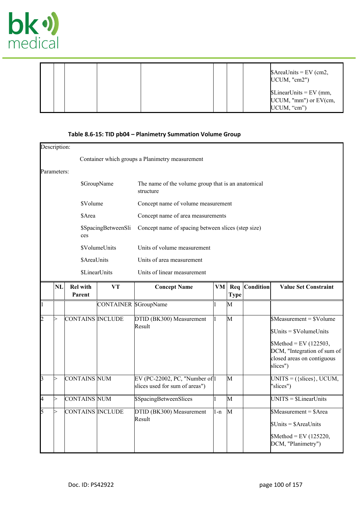

|  |  |  | $\text{A}$ reaUnits = EV (cm2,<br>UCUM, "cm2")                      |
|--|--|--|---------------------------------------------------------------------|
|  |  |  | $SLinear Units = EV (mm,$<br>[UCUM, "mm") or EV(cm,<br>[UCUM, "cm") |

# **Table 8.6-15: TID pb04 – Planimetry Summation Volume Group**

| Description:                                                                     |             |                           |                      |                                                                    |       |                    |           |                                                                                                                                                                        |  |  |
|----------------------------------------------------------------------------------|-------------|---------------------------|----------------------|--------------------------------------------------------------------|-------|--------------------|-----------|------------------------------------------------------------------------------------------------------------------------------------------------------------------------|--|--|
|                                                                                  |             |                           |                      | Container which groups a Planimetry measurement                    |       |                    |           |                                                                                                                                                                        |  |  |
| Parameters:                                                                      |             |                           |                      |                                                                    |       |                    |           |                                                                                                                                                                        |  |  |
|                                                                                  | \$GroupName |                           |                      | The name of the volume group that is an anatomical<br>structure    |       |                    |           |                                                                                                                                                                        |  |  |
| \$Volume                                                                         |             |                           |                      | Concept name of volume measurement                                 |       |                    |           |                                                                                                                                                                        |  |  |
| \$Area                                                                           |             |                           |                      | Concept name of area measurements                                  |       |                    |           |                                                                                                                                                                        |  |  |
| Concept name of spacing between slices (step size)<br>\$SpacingBetweenSli<br>ces |             |                           |                      |                                                                    |       |                    |           |                                                                                                                                                                        |  |  |
|                                                                                  |             |                           | <b>\$VolumeUnits</b> | Units of volume measurement                                        |       |                    |           |                                                                                                                                                                        |  |  |
|                                                                                  |             | <b>\$AreaUnits</b>        |                      | Units of area measurement                                          |       |                    |           |                                                                                                                                                                        |  |  |
|                                                                                  |             |                           | <b>\$LinearUnits</b> | Units of linear measurement                                        |       |                    |           |                                                                                                                                                                        |  |  |
|                                                                                  | NL          | <b>Rel</b> with<br>Parent | <b>VT</b>            | <b>Concept Name</b>                                                | $V$ M | Req<br><b>Type</b> | Condition | <b>Value Set Constraint</b>                                                                                                                                            |  |  |
| 1                                                                                |             |                           | CONTAINER SGroupName |                                                                    | 1     | М                  |           |                                                                                                                                                                        |  |  |
| $\overline{2}$                                                                   |             | <b>CONTAINS INCLUDE</b>   |                      | DTID (BK300) Measurement<br>Result                                 | 1     | M                  |           | $$Measurement = $Volume$<br>$\text{S Units} = \text{SVolume Units}$<br>\$Method = EV (122503,<br>DCM, "Integration of sum of<br>closed areas on contiguous<br>slices") |  |  |
| $\mathsf{B}$                                                                     |             | CONTAINS NUM              |                      | $EV$ (PC-22002, PC, "Number of 1<br>slices used for sum of areas") |       | M                  |           | $UNITS = (\{ slices\}, UCUM,$<br>"slices")                                                                                                                             |  |  |
| 4                                                                                |             | CONTAINS NUM              |                      | \$SpacingBetweenSlices                                             | 1     | M                  |           | $UNITS = $Linear Units$                                                                                                                                                |  |  |
| 5                                                                                |             | CONTAINS INCLUDE          |                      | DTID (BK300) Measurement<br>Result                                 | 1-n   | M                  |           | $$Measurement = $Area$<br>$Units = AreaUnits$<br>\$Method = EV (125220,<br>DCM, "Planimetry")                                                                          |  |  |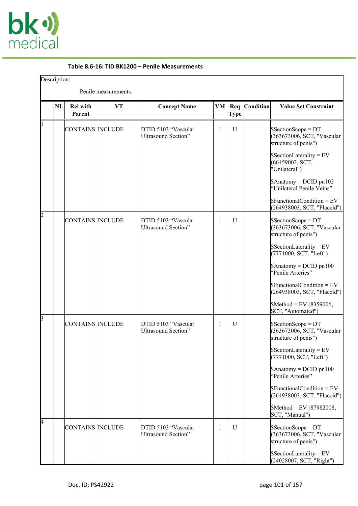

| Description:     |                           | Penile measurements. |                                            |              |             |               |                                                                                           |
|------------------|---------------------------|----------------------|--------------------------------------------|--------------|-------------|---------------|-------------------------------------------------------------------------------------------|
| NL               | <b>Rel</b> with<br>Parent | VT                   | <b>Concept Name</b>                        | VM           | <b>Type</b> | Req Condition | <b>Value Set Constraint</b>                                                               |
| 1                | CONTAINS INCLUDE          |                      | DTID 5103 "Vascular<br>Ultrasound Section" | $\mathbf{1}$ | U           |               | \$SectionScope = DT<br>(363673006, SCT, "Vascular<br>structure of penis")                 |
|                  |                           |                      |                                            |              |             |               | $SsectionLaterality = EV$<br>(66459002, SCT,<br>"Unilateral")                             |
|                  |                           |                      |                                            |              |             |               | $\text{M}\right)$ Anatomy = DCID pn102<br>"Unilateral Penile Veins"                       |
|                  |                           |                      |                                            |              |             |               | \$FunctionalCondition = EV<br>(264938003, SCT, "Flaccid")                                 |
| $\boldsymbol{p}$ | CONTAINS INCLUDE          |                      | DTID 5103 "Vascular<br>Ultrasound Section" | $\mathbf{1}$ | U           |               | \$SectionScope = DT<br>(363673006, SCT, "Vascular<br>structure of penis")                 |
|                  |                           |                      |                                            |              |             |               | $SsectionLaterality = EV$<br>(7771000, SCT, "Left")                                       |
|                  |                           |                      |                                            |              |             |               | $\text{M}\right)$ Anatomy = DCID pn100<br>'Penile Arteries"                               |
|                  |                           |                      |                                            |              |             |               | $$FunctionalCondition = EV$<br>(264938003, SCT, "Flaccid")                                |
| $\beta$          |                           |                      |                                            |              |             |               | \$Method = EV $(8359006,$<br>SCT, "Automated")                                            |
|                  | CONTAINS INCLUDE          |                      | DTID 5103 "Vascular<br>Ultrasound Section" | 1            | U           |               | \$SectionScope = DT<br>(363673006, SCT, "Vascular<br>structure of penis")                 |
|                  |                           |                      |                                            |              |             |               | $SsectionLaterality = EV$<br>(7771000, SCT, "Left")                                       |
|                  |                           |                      |                                            |              |             |               | $\text{M}\right)$ Anatomy = DCID pn100<br>"Penile Arteries"                               |
|                  |                           |                      |                                            |              |             |               | \$FunctionalCondition = EV<br>(264938003, SCT, "Flaccid")                                 |
|                  |                           |                      |                                            |              |             |               | $$Method = EV (87982008,$<br>SCT, "Manual")                                               |
|                  | CONTAINS INCLUDE          |                      | DTID 5103 "Vascular<br>Ultrasound Section" | 1            | U           |               | $Ssection \text{Scope} = \text{DT}$<br>(363673006, SCT, "Vascular<br>structure of penis") |
|                  |                           |                      |                                            |              |             |               | $SsectionLaterality = EV$<br>(24028007, SCT, "Right")                                     |

### **Table 8.6-16: TID BK1200 – Penile Measurements**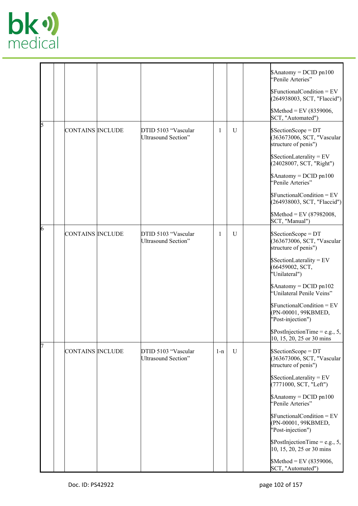

|    |                  |                                            |              |             | $\text{\$Anatory} = \text{DCID} \text{pn100}$<br>"Penile Arteries"         |
|----|------------------|--------------------------------------------|--------------|-------------|----------------------------------------------------------------------------|
|    |                  |                                            |              |             | $$FunctionalCondition = EV$<br>(264938003, SCT, "Flaccid")                 |
|    |                  |                                            |              |             | $$Method = EV (8359006,$<br>SCT, "Automated")                              |
| l5 | CONTAINS INCLUDE | DTID 5103 "Vascular<br>Ultrasound Section" | $\mathbf{1}$ | $\mathbf U$ | \$SectionScope = DT<br>(363673006, SCT, "Vascular<br>structure of penis")  |
|    |                  |                                            |              |             | $SsectionLaterality = EV$<br>(24028007, SCT, "Right")                      |
|    |                  |                                            |              |             | $\Lambda$ natomy = DCID pn100<br>"Penile Arteries"                         |
|    |                  |                                            |              |             | $$FunctionalCondition = EV$<br>(264938003, SCT, "Flaccid")                 |
|    |                  |                                            |              |             | $$Method = EV (87982008,$<br>SCT, "Manual")                                |
| 6  | CONTAINS INCLUDE | DTID 5103 "Vascular<br>Ultrasound Section" | $\mathbf{1}$ | U           | \$SectionScope = DT<br>(363673006, SCT, "Vascular<br>structure of penis")  |
|    |                  |                                            |              |             | $SsectionLaterality = EV$<br>(66459002, SCT,<br>"Unilateral")              |
|    |                  |                                            |              |             | $\beta$ Anatomy = DCID pn102<br>"Unilateral Penile Veins"                  |
|    |                  |                                            |              |             | $$FunctionalCondition = EV$<br>(PN-00001, 99KBMED,<br>"Post-injection")    |
|    |                  |                                            |              |             | $\beta$ PostInjectionTime = e.g., 5,<br>10, 15, 20, 25 or 30 mins          |
|    | CONTAINS INCLUDE | DTID 5103 "Vascular<br>Ultrasound Section" | $1 - n$      | $\mathbf U$ | $SsectionScope = DT$<br>(363673006, SCT, "Vascular<br>structure of penis") |
|    |                  |                                            |              |             | $SsectionLaterality = EV$<br>(7771000, SCT, "Left")                        |
|    |                  |                                            |              |             | $\text{\$Anatory} = \text{DCID} \text{pn100}$<br>"Penile Arteries"         |
|    |                  |                                            |              |             | $$FunctionalCondition = EV$<br>(PN-00001, 99KBMED,<br>"Post-injection")    |
|    |                  |                                            |              |             | $\text{SPostInjectionTime} = e.g., 5,$<br>10, 15, 20, 25 or 30 mins        |
|    |                  |                                            |              |             | \$Method = EV (8359006,<br>SCT, "Automated")                               |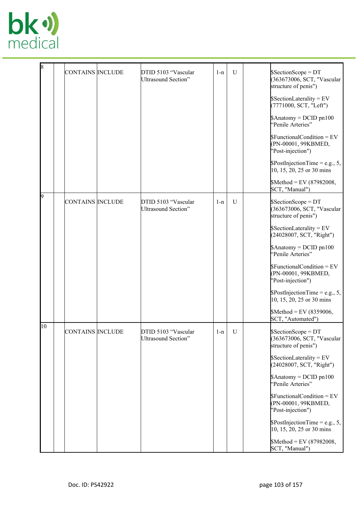

| 18         | CONTAINS INCLUDE  | DTID 5103 "Vascular<br>Ultrasound Section" | $1 - n$ | U | $SsectionScope = DT$<br>(363673006, SCT, "Vascular<br>structure of penis") |
|------------|-------------------|--------------------------------------------|---------|---|----------------------------------------------------------------------------|
|            |                   |                                            |         |   | $SsectionLaterality = EV$<br>(7771000, SCT, "Left")                        |
|            |                   |                                            |         |   | $\Lambda$ natomy = DCID pn100<br>"Penile Arteries"                         |
|            |                   |                                            |         |   | $$FunctionalCondition = EV$<br>(PN-00001, 99KBMED,<br>"Post-injection")    |
|            |                   |                                            |         |   | $\text{SPostInjectionTime} = e.g., 5,$<br>10, 15, 20, 25 or 30 mins        |
|            |                   |                                            |         |   | $$Method = EV (87982008,$<br>SCT, "Manual")                                |
| $\vert$ 9  | CONTAINS INCLUDE  | DTID 5103 "Vascular<br>Ultrasound Section" | $1 - n$ | U | $SSectionScope = DT$<br>(363673006, SCT, "Vascular<br>structure of penis") |
|            |                   |                                            |         |   | $SsectionLaterality = EV$<br>(24028007, SCT, "Right")                      |
|            |                   |                                            |         |   | $\Lambda$ natomy = DCID pn100<br>"Penile Arteries"                         |
|            |                   |                                            |         |   | $$FunctionalCondition = EV$<br>(PN-00001, 99KBMED,<br>"Post-injection")    |
|            |                   |                                            |         |   | $\text{SPostInjectionTime} = e.g., 5,$<br>10, 15, 20, 25 or 30 mins        |
|            |                   |                                            |         |   | $$Method = EV (8359006,$<br>SCT, "Automated")                              |
| $\vert$ 10 | CONTAINS  INCLUDE | DTID 5103 "Vascular<br>Ultrasound Section" | $1-n$   | U | $SsectionScope = DT$<br>(363673006, SCT, "Vascular<br>structure of penis") |
|            |                   |                                            |         |   | $SsectionLaterality = EV$<br>(24028007, SCT, "Right")                      |
|            |                   |                                            |         |   | $\beta$ Anatomy = DCID pn100<br>"Penile Arteries"                          |
|            |                   |                                            |         |   | $$FunctionalCondition = EV$<br>(PN-00001, 99KBMED,<br>"Post-injection")    |
|            |                   |                                            |         |   | $\text{SPostInjectionTime} = e.g., 5,$<br>10, 15, 20, 25 or 30 mins        |
|            |                   |                                            |         |   | $$Method = EV (87982008,$<br>SCT, "Manual")                                |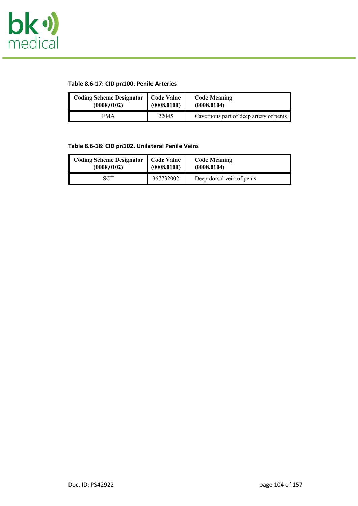

# **Table 8.6-17: CID pn100. Penile Arteries**

| <b>Coding Scheme Designator</b> | <b>Code Value</b> | <b>Code Meaning</b>                    |
|---------------------------------|-------------------|----------------------------------------|
| (0008, 0102)                    | (0008, 0100)      | (0008, 0104)                           |
| <b>FMA</b>                      | 22045             | Cavernous part of deep artery of penis |

### **Table 8.6-18: CID pn102. Unilateral Penile Veins**

| <b>Coding Scheme Designator</b> | <b>Code Value</b> | <b>Code Meaning</b>       |
|---------------------------------|-------------------|---------------------------|
| (0008, 0102)                    | (0008, 0100)      | (0008, 0104)              |
| SCT                             | 367732002         | Deep dorsal vein of penis |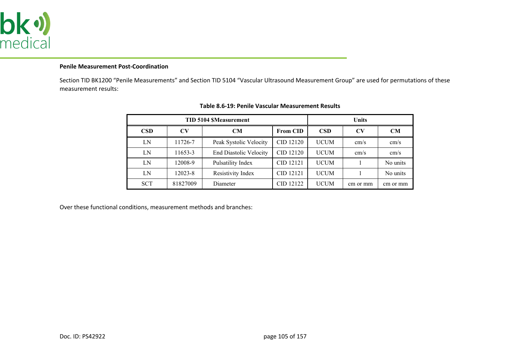

### **Penile Measurement Post-Coordination**

Section TID BK1200 "Penile Measurements" and Section TID 5104 "Vascular Ultrasound Measurement Group" are used for permutations of these measurement results:

|            | <b>TID 5104 \$Measurement</b> | <b>Units</b>                  |                 |             |          |           |  |  |  |
|------------|-------------------------------|-------------------------------|-----------------|-------------|----------|-----------|--|--|--|
| <b>CSD</b> | $\bf{CV}$                     | CM                            | <b>From CID</b> | <b>CSD</b>  | CV       | <b>CM</b> |  |  |  |
| LN         | 11726-7                       | Peak Systolic Velocity        | CID 12120       | <b>UCUM</b> | cm/s     | cm/s      |  |  |  |
| LN         | 11653-3                       | <b>End Diastolic Velocity</b> | CID 12120       | <b>UCUM</b> | cm/s     | cm/s      |  |  |  |
| LN         | 12008-9                       | Pulsatility Index             | CID 12121       | <b>UCUM</b> |          | No units  |  |  |  |
| LN         | 12023-8                       | Resistivity Index             | CID 12121       | <b>UCUM</b> |          | No units  |  |  |  |
| <b>SCT</b> | 81827009                      | Diameter                      | CID 12122       | <b>UCUM</b> | cm or mm | cm or mm  |  |  |  |

#### **Table 8.6-19: Penile Vascular Measurement Results**

Over these functional conditions, measurement methods and branches: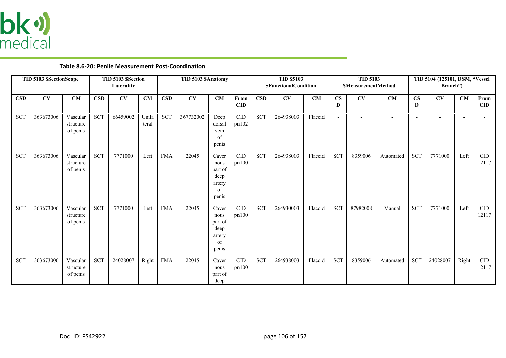

| Table 8.6-20: Penile Measurement Post-Coordination |  |
|----------------------------------------------------|--|
|----------------------------------------------------|--|

| TID 5103 \$SectionScope |                      |                                   | TID 5103 \$Section<br>Laterality |                        |                | TID 5103 \$Anatomy |           |                                                           |                                  | <b>TID \$5103</b><br><b>SFunctionalCondition</b> |           |         |                             | <b>TID 5103</b><br><b>\$MeasurementMethod</b> |                          | TID 5104 (125101, DSM, "Vessel<br>Branch") |                                   |                          |                          |  |
|-------------------------|----------------------|-----------------------------------|----------------------------------|------------------------|----------------|--------------------|-----------|-----------------------------------------------------------|----------------------------------|--------------------------------------------------|-----------|---------|-----------------------------|-----------------------------------------------|--------------------------|--------------------------------------------|-----------------------------------|--------------------------|--------------------------|--|
| $\bf CSD$               | $\overline{\bf{CV}}$ | CM                                | $\mathbf{CSD}$                   | $\overline{\text{CV}}$ | CM             | $\mathbf{CSD}$     | CV        | CM                                                        | From<br>$\mathbf{CID}$           | <b>CSD</b>                                       | CV        | CM      | $\overline{\text{CS}}$<br>D | CV                                            | CM                       | $\mathbf{CS}$<br>D                         | $\overline{\mathbf{C}\mathbf{V}}$ | <b>CM</b>                | From<br>$\mathbf{CID}$   |  |
| <b>SCT</b>              | 363673006            | Vascular<br>structure<br>of penis | <b>SCT</b>                       | 66459002               | Unila<br>teral | <b>SCT</b>         | 367732002 | Deep<br>dorsal<br>vein<br>of<br>penis                     | <b>CID</b><br>pn102              | <b>SCT</b>                                       | 264938003 | Flaccid | $\overline{\phantom{a}}$    | $\blacksquare$                                | $\overline{\phantom{0}}$ | $\overline{\phantom{a}}$                   | $\overline{\phantom{a}}$          | $\overline{\phantom{a}}$ | $\overline{\phantom{a}}$ |  |
| <b>SCT</b>              | 363673006            | Vascular<br>structure<br>of penis | <b>SCT</b>                       | 7771000                | Left           | <b>FMA</b>         | 22045     | Caver<br>nous<br>part of<br>deep<br>artery<br>of<br>penis | CID<br>pn100                     | <b>SCT</b>                                       | 264938003 | Flaccid | <b>SCT</b>                  | 8359006                                       | Automated                | <b>SCT</b>                                 | 7771000                           | Left                     | CID<br>12117             |  |
| <b>SCT</b>              | 363673006            | Vascular<br>structure<br>of penis | <b>SCT</b>                       | 7771000                | Left           | <b>FMA</b>         | 22045     | Caver<br>nous<br>part of<br>deep<br>artery<br>of<br>penis | <b>CID</b><br>pn100              | <b>SCT</b>                                       | 264930003 | Flaccid | <b>SCT</b>                  | 87982008                                      | Manual                   | <b>SCT</b>                                 | 7771000                           | Left                     | CID<br>12117             |  |
| <b>SCT</b>              | 363673006            | Vascular<br>structure<br>of penis | <b>SCT</b>                       | 24028007               | Right          | <b>FMA</b>         | 22045     | Caver<br>nous<br>part of<br>deep                          | <b>CID</b><br>p <sub>n</sub> 100 | <b>SCT</b>                                       | 264938003 | Flaccid | <b>SCT</b>                  | 8359006                                       | Automated                | <b>SCT</b>                                 | 24028007                          | Right                    | <b>CID</b><br>12117      |  |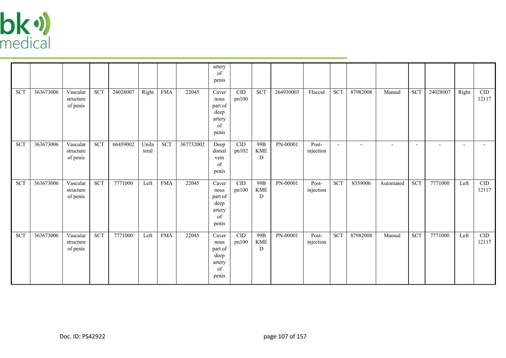

|            |           |                                   |            |          |                |            |           | artery<br>of<br>penis                                     |                                      |                                         |           |                    |            |                |                |                |                          |        |                                      |
|------------|-----------|-----------------------------------|------------|----------|----------------|------------|-----------|-----------------------------------------------------------|--------------------------------------|-----------------------------------------|-----------|--------------------|------------|----------------|----------------|----------------|--------------------------|--------|--------------------------------------|
| <b>SCT</b> | 363673006 | Vascular<br>structure<br>of penis | <b>SCT</b> | 24028007 | Right          | <b>FMA</b> | 22045     | Caver<br>nous<br>part of<br>deep<br>artery<br>of<br>penis | $\ensuremath{\mathrm{CID}}$<br>pn100 | <b>SCT</b>                              | 264930003 | Flaccid            | <b>SCT</b> | 87982008       | Manual         | <b>SCT</b>     | 24028007                 | Right  | $\ensuremath{\mathrm{CID}}$<br>12117 |
| <b>SCT</b> | 363673006 | Vascular<br>structure<br>of penis | <b>SCT</b> | 66459002 | Unila<br>teral | <b>SCT</b> | 367732002 | Deep<br>dorsal<br>vein<br>of<br>penis                     | <b>CID</b><br>pn102                  | 99B<br><b>KME</b><br>D                  | PN-00001  | Post-<br>injection | $\sim$     | $\overline{a}$ | $\overline{a}$ | $\overline{a}$ | $\overline{\phantom{a}}$ | $\sim$ | $\overline{\phantom{a}}$             |
| <b>SCT</b> | 363673006 | Vascular<br>structure<br>of penis | <b>SCT</b> | 7771000  | Left           | <b>FMA</b> | 22045     | Caver<br>nous<br>part of<br>deep<br>artery<br>of<br>penis | <b>CID</b><br>pn100                  | 99B<br><b>KME</b><br>D                  | PN-00001  | Post-<br>injection | <b>SCT</b> | 8359006        | Automated      | <b>SCT</b>     | 7771000                  | Left   | CID<br>12117                         |
| <b>SCT</b> | 363673006 | Vascular<br>structure<br>of penis | <b>SCT</b> | 7771000  | Left           | <b>FMA</b> | 22045     | Caver<br>nous<br>part of<br>deep<br>artery<br>of<br>penis | $\mbox{CID}$<br>pn100                | 99B<br>$\ensuremath{\mathsf{KME}}$<br>D | PN-00001  | Post-<br>injection | <b>SCT</b> | 87982008       | Manual         | <b>SCT</b>     | 7771000                  | Left   | CID<br>12117                         |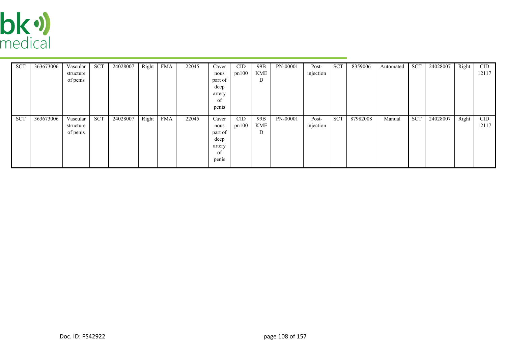

| <b>SCT</b> | 363673006 | Vascular  | <b>SCT</b> | 24028007 | Right | <b>FMA</b> | 22045 | Caver   | <b>CID</b> | 99B | PN-00001 | Post-     | <b>SCT</b> | 8359006  | Automated | <b>SCT</b> | 24028007 | Right | CID   |
|------------|-----------|-----------|------------|----------|-------|------------|-------|---------|------------|-----|----------|-----------|------------|----------|-----------|------------|----------|-------|-------|
|            |           | structure |            |          |       |            |       | nous    | pn100      | KME |          | injection |            |          |           |            |          |       | 12117 |
|            |           | of penis  |            |          |       |            |       | part of |            | D   |          |           |            |          |           |            |          |       |       |
|            |           |           |            |          |       |            |       | deep    |            |     |          |           |            |          |           |            |          |       |       |
|            |           |           |            |          |       |            |       | artery  |            |     |          |           |            |          |           |            |          |       |       |
|            |           |           |            |          |       |            |       | οt      |            |     |          |           |            |          |           |            |          |       |       |
|            |           |           |            |          |       |            |       | penis   |            |     |          |           |            |          |           |            |          |       |       |
|            |           |           |            |          |       |            |       |         |            |     |          |           |            |          |           |            |          |       |       |
| <b>SCT</b> | 363673006 | Vascular  | <b>SCT</b> | 24028007 | Right | <b>FMA</b> | 22045 | Caver   | CID        | 99B | PN-00001 | Post-     | <b>SCT</b> | 87982008 | Manual    | <b>SCT</b> | 24028007 | Right | CID   |
|            |           | structure |            |          |       |            |       | nous    | pn100      | KME |          | injection |            |          |           |            |          |       | 12117 |
|            |           | of penis  |            |          |       |            |       | part of |            | D   |          |           |            |          |           |            |          |       |       |
|            |           |           |            |          |       |            |       | deep    |            |     |          |           |            |          |           |            |          |       |       |
|            |           |           |            |          |       |            |       | artery  |            |     |          |           |            |          |           |            |          |       |       |
|            |           |           |            |          |       |            |       | οt      |            |     |          |           |            |          |           |            |          |       |       |
|            |           |           |            |          |       |            |       | penis   |            |     |          |           |            |          |           |            |          |       |       |
|            |           |           |            |          |       |            |       |         |            |     |          |           |            |          |           |            |          |       |       |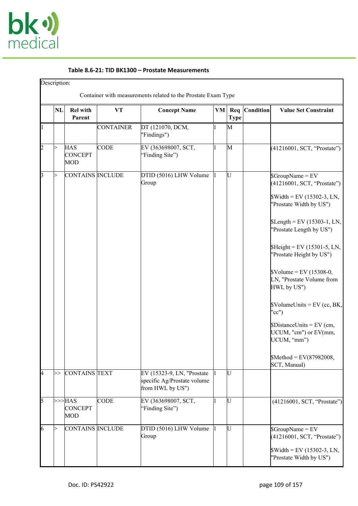

| NL                 | <b>Rel with</b><br>Parent           | <b>VT</b>        | <b>Concept Name</b>                                                           | $V$ M     | <b>Type</b> | Req Condition | <b>Value Set Constraint</b>                                                                                                                                                                                                                                                                                                                                                                                                                                                                                                 |
|--------------------|-------------------------------------|------------------|-------------------------------------------------------------------------------|-----------|-------------|---------------|-----------------------------------------------------------------------------------------------------------------------------------------------------------------------------------------------------------------------------------------------------------------------------------------------------------------------------------------------------------------------------------------------------------------------------------------------------------------------------------------------------------------------------|
|                    |                                     | <b>CONTAINER</b> | DT (121070, DCM,<br>"Findings")                                               | 1         | M           |               |                                                                                                                                                                                                                                                                                                                                                                                                                                                                                                                             |
|                    | <b>HAS</b><br><b>CONCEPT</b><br>MOD | <b>CODE</b>      | EV (363698007, SCT,<br>'Finding Site")                                        | 1         | M           |               | (41216001, SCT, "Prostate")                                                                                                                                                                                                                                                                                                                                                                                                                                                                                                 |
|                    | CONTAINS INCLUDE                    |                  | DTID (5016) LHW Volume<br>Group                                               | $\vert$ 1 | IU          |               | $S$ GroupName = EV<br>(41216001, SCT, "Prostate")<br>$Width = EV (15302-3, LN,$<br>"Prostate Width by US")<br>$\text{SLength} = \text{EV} (15303 - 1, \text{LN},$<br>"Prostate Length by US")<br>$$Height = EV (15301-5, LN,$<br>"Prostate Height by US")<br>$\text{Volume} = \text{EV} (15308-0,$<br>LN, "Prostate Volume from<br>HWL by US")<br>$\text{VolumelUnits} = \text{EV}$ (cc, BK,<br>" $cc$ ")<br>$Distance Units = EV$ (cm,<br>UCUM, "cm") or EV(mm,<br>UCUM, "mm")<br>$$Method = EV(87982008,$<br>SCT, Manual) |
| <sup>4</sup><br>>> | CONTAINS TEXT                       |                  | EV (15323-9, LN, "Prostate<br>specific Ag/Prostate volume<br>from HWL by US") | l1        | IU          |               |                                                                                                                                                                                                                                                                                                                                                                                                                                                                                                                             |
|                    | >>>HAS<br><b>CONCEPT</b><br>MOD     | <b>CODE</b>      | EV (363698007, SCT,<br>"Finding Site")                                        | 1         | U           |               | (41216001, SCT, "Prostate")                                                                                                                                                                                                                                                                                                                                                                                                                                                                                                 |
| ⊳                  | CONTAINS INCLUDE                    |                  | DTID (5016) LHW Volume<br>Group                                               |           | IJ          |               | $\text{SGroupName} = \text{EV}$<br>(41216001, SCT, "Prostate")<br>$Width = EV (15302-3, LN,$<br>"Prostate Width by US")                                                                                                                                                                                                                                                                                                                                                                                                     |

# **Table 8.6-21: TID BK1300 – Prostate Measurements**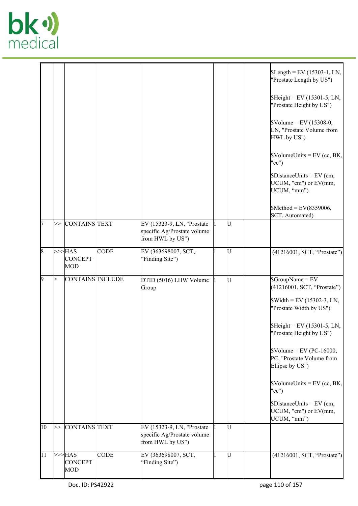

|              |    |                                 |             |                                                                               |    | $\text{SLength} = \text{EV} (15303 - 1, \text{LN},$<br>"Prostate Length by US")                                                              |
|--------------|----|---------------------------------|-------------|-------------------------------------------------------------------------------|----|----------------------------------------------------------------------------------------------------------------------------------------------|
|              |    |                                 |             |                                                                               |    | $$Height = EV (15301-5, LN,$<br>"Prostate Height by US")                                                                                     |
|              |    |                                 |             |                                                                               |    | $\text{Volume} = \text{EV} (15308 - 0,$<br>LN, "Prostate Volume from<br>HWL by US")                                                          |
|              |    |                                 |             |                                                                               |    | $\text{VolumelUnits} = \text{EV}$ (cc, BK,<br>" $cc$ ")                                                                                      |
|              |    |                                 |             |                                                                               |    | $Distance Units = EV$ (cm,<br>UCUM, "cm") or EV(mm,<br>UCUM, "mm")                                                                           |
|              |    |                                 |             |                                                                               |    | \$Method = $EV(8359006,$<br>SCT, Automated)                                                                                                  |
|              | ⊳> | <b>CONTAINS TEXT</b>            |             | EV (15323-9, LN, "Prostate<br>specific Ag/Prostate volume<br>from HWL by US") | U  |                                                                                                                                              |
| 8            |    | >>HAS<br><b>CONCEPT</b><br>MOD  | <b>CODE</b> | EV (363698007, SCT,<br>"Finding Site")                                        | ঢ  | (41216001, SCT, "Prostate")                                                                                                                  |
| 9            |    | CONTAINS INCLUDE                |             | DTID (5016) LHW Volume<br>Group                                               | U  | $\text{SGroupName} = \text{EV}$<br>(41216001, SCT, "Prostate")<br>$\text{Width} = \text{EV} (15302-3, \text{LN},$<br>"Prostate Width by US") |
|              |    |                                 |             |                                                                               |    | $$Height = EV (15301-5, LN,$<br>"Prostate Height by US")                                                                                     |
|              |    |                                 |             |                                                                               |    | $\text{S}$ Volume = EV (PC-16000,<br>PC, "Prostate Volume from<br>Ellipse by US")                                                            |
|              |    |                                 |             |                                                                               |    | $\text{VolumelUnits} = \text{EV}$ (cc, BK,<br>" $cc$ ")                                                                                      |
|              |    |                                 |             |                                                                               |    | $Distance Units = EV$ (cm,<br>UCUM, "cm") or EV(mm,<br>UCUM, "mm")                                                                           |
| $ 10\rangle$ | ⊳> | CONTAINS TEXT                   |             | EV (15323-9, LN, "Prostate<br>specific Ag/Prostate volume<br>from HWL by US") | IJ |                                                                                                                                              |
| 11           |    | >>>HAS<br><b>CONCEPT</b><br>MOD | <b>CODE</b> | EV (363698007, SCT,<br>"Finding Site")                                        | U  | (41216001, SCT, "Prostate")                                                                                                                  |
|              |    |                                 |             |                                                                               |    |                                                                                                                                              |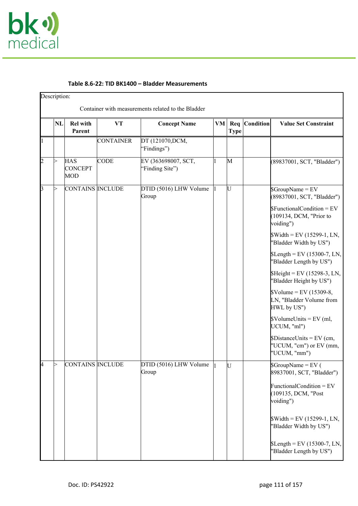

|              | Description:<br>Container with measurements related to the Bladder |                                     |                  |                                        |    |             |               |                                                                                    |  |  |  |
|--------------|--------------------------------------------------------------------|-------------------------------------|------------------|----------------------------------------|----|-------------|---------------|------------------------------------------------------------------------------------|--|--|--|
|              | NL                                                                 | <b>Rel with</b><br>Parent           | <b>VT</b>        | <b>Concept Name</b>                    | VM | <b>Type</b> | Req Condition | <b>Value Set Constraint</b>                                                        |  |  |  |
| I1           |                                                                    |                                     | <b>CONTAINER</b> | DT (121070, DCM,<br>"Findings")        |    |             |               |                                                                                    |  |  |  |
| 2            | ⊳                                                                  | <b>HAS</b><br><b>CONCEPT</b><br>MOD | <b>CODE</b>      | EV (363698007, SCT,<br>"Finding Site") |    | M           |               | (89837001, SCT, "Bladder")                                                         |  |  |  |
| $\mathsf{B}$ | ⊳                                                                  | CONTAINS INCLUDE                    |                  | DTID (5016) LHW Volume<br>Group        |    | ঢ           |               | $\text{SGroupName} = \text{EV}$<br>(89837001, SCT, "Bladder")                      |  |  |  |
|              |                                                                    |                                     |                  |                                        |    |             |               | $$FunctionalCondition = EV$<br>(109134, DCM, "Prior to<br>voiding")                |  |  |  |
|              |                                                                    |                                     |                  |                                        |    |             |               | $Width = EV (15299-1, LN,$<br>"Bladder Width by US")                               |  |  |  |
|              |                                                                    |                                     |                  |                                        |    |             |               | $\text{SLength} = \text{EV} (15300 - 7, \text{LN},$<br>"Bladder Length by US")     |  |  |  |
|              |                                                                    |                                     |                  |                                        |    |             |               | $$Height = EV (15298-3, LN,$<br>"Bladder Height by US")                            |  |  |  |
|              |                                                                    |                                     |                  |                                        |    |             |               | $\text{Volume} = \text{EV} (15309 - 8,$<br>LN, "Bladder Volume from<br>HWL by US") |  |  |  |
|              |                                                                    |                                     |                  |                                        |    |             |               | $\text{VolumelInits} = \text{EV (ml)}$<br>UCUM, "ml")                              |  |  |  |
|              |                                                                    |                                     |                  |                                        |    |             |               | $Distance Units = EV$ (cm,<br>"UCUM, "cm") or EV (mm,<br>"UCUM, "mm")              |  |  |  |
| <b>4</b>     |                                                                    | CONTAINS INCLUDE                    |                  | $DTID(5016) LHW Volume$  1<br>Group    |    | <b>U</b>    |               | $\text{SGroupName} = \text{EV}$ (<br>89837001, SCT, "Bladder")                     |  |  |  |
|              |                                                                    |                                     |                  |                                        |    |             |               | Functional Condition = $EV$<br>(109135, DCM, "Post<br>voiding")                    |  |  |  |
|              |                                                                    |                                     |                  |                                        |    |             |               | $Width = EV (15299-1, LN,$<br>"Bladder Width by US")                               |  |  |  |
|              |                                                                    |                                     |                  |                                        |    |             |               | $\text{SLength} = \text{EV} (15300-7, \text{LN},$<br>"Bladder Length by US")       |  |  |  |

# **Table 8.6-22: TID BK1400 – Bladder Measurements**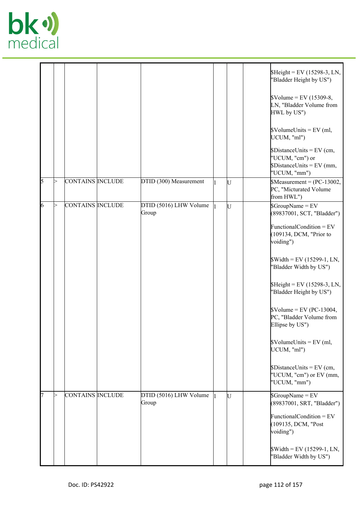

|    |   |                         |                                 |           | $$Height = EV (15298-3, LN,$<br>"Bladder Height by US")                                                   |
|----|---|-------------------------|---------------------------------|-----------|-----------------------------------------------------------------------------------------------------------|
|    |   |                         |                                 |           | $\text{Volume} = \text{EV} (15309 - 8,$<br>LN, "Bladder Volume from<br>HWL by US")                        |
|    |   |                         |                                 |           | $\text{Volumelmits} = \text{EV (ml)}$<br>UCUM, "ml")                                                      |
|    |   |                         |                                 |           | $\text{Distance Units} = \text{EV (cm,}$<br>"UCUM, "cm") or<br>$Distance Units = EV (mm,$<br>"UCUM, "mm") |
| 5  | ⊳ | CONTAINS INCLUDE        | DTID (300) Measurement          | U         | $$Measurement = (PC-13002,$<br>PC, "Micturated Volume<br>from HWL")                                       |
| 6  | ⊳ | <b>CONTAINS INCLUDE</b> | DTID (5016) LHW Volume<br>Group | U         | $\text{SGroupName} = \text{EV}$<br>(89837001, SCT, "Bladder")                                             |
|    |   |                         |                                 |           | Functional Condition = $EV$<br>(109134, DCM, "Prior to<br>voiding")                                       |
|    |   |                         |                                 |           | $Width = EV (15299-1, LN,$<br>"Bladder Width by US")                                                      |
|    |   |                         |                                 |           | $$Height = EV (15298-3, LN,$<br>"Bladder Height by US")                                                   |
|    |   |                         |                                 |           | $\text{S}$ Volume = EV (PC-13004,<br>PC, "Bladder Volume from<br>Ellipse by US")                          |
|    |   |                         |                                 |           | $\text{Volumelmits} = \text{EV (ml)}$<br>UCUM, "ml")                                                      |
|    |   |                         |                                 |           | $Distance Units = EV$ (cm,<br>"UCUM, "cm") or EV (mm,<br>"UCUM, "mm")                                     |
| 17 | ⊳ | CONTAINS INCLUDE        | DTID (5016) LHW Volume<br>Group | <b>IU</b> | $\text{SGroupName} = \text{EV}$<br>(89837001, SRT, "Bladder")                                             |
|    |   |                         |                                 |           | $FunctionalCondition = EV$<br>(109135, DCM, "Post<br>voiding")                                            |
|    |   |                         |                                 |           | $\text{Width} = \text{EV} (15299-1, \text{LN},$<br>"Bladder Width by US")                                 |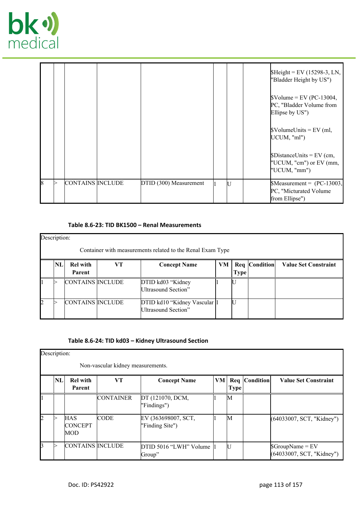

|  |                  |                        |     | $$Height = EV (15298-3, LN,$<br>"Bladder Height by US")                                |
|--|------------------|------------------------|-----|----------------------------------------------------------------------------------------|
|  |                  |                        |     | $\text{SVolume} = \text{EV (PC-13004},$<br>PC, "Bladder Volume from<br>Ellipse by US") |
|  |                  |                        |     | $\text{S}$ VolumeUnits = EV (ml,<br>$UCUM$ , "ml")                                     |
|  |                  |                        |     | $\Delta$ EV (cm,<br>"UCUM, "cm") or EV (mm,<br>"UCUM, "mm")                            |
|  | CONTAINS INCLUDE | DTID (300) Measurement | IU. | $$Measurement = (PC-13003,$<br>PC, "Micturated Volume<br>from Ellipse")                |

### **Table 8.6-23: TID BK1500 – Renal Measurements**

|    | Description:                                               |                           |     |                                                      |    |             |                 |                             |  |  |  |  |
|----|------------------------------------------------------------|---------------------------|-----|------------------------------------------------------|----|-------------|-----------------|-----------------------------|--|--|--|--|
|    | Container with measurements related to the Renal Exam Type |                           |     |                                                      |    |             |                 |                             |  |  |  |  |
|    | NL                                                         | <b>Rel with</b><br>Parent | VT) | <b>Concept Name</b>                                  | VM | <b>Type</b> | Req   Condition | <b>Value Set Constraint</b> |  |  |  |  |
|    |                                                            | CONTAINS INCLUDE          |     | DTID kd03 "Kidney<br>Ultrasound Section"             |    |             |                 |                             |  |  |  |  |
| 12 |                                                            | CONTAINS INCLUDE          |     | DTID kd10 "Kidney Vascular  1<br>Ultrasound Section" |    |             |                 |                             |  |  |  |  |

# **Table 8.6-24: TID kd03 – Kidney Ultrasound Section**

|    | Description:                      |                                     |                  |                                        |    |                    |           |                                                             |  |  |  |  |
|----|-----------------------------------|-------------------------------------|------------------|----------------------------------------|----|--------------------|-----------|-------------------------------------------------------------|--|--|--|--|
|    | Non-vascular kidney measurements. |                                     |                  |                                        |    |                    |           |                                                             |  |  |  |  |
|    | NL                                | <b>Rel with</b><br>Parent           | VТ               | <b>Concept Name</b>                    | VM | Req<br><b>Type</b> | Condition | <b>Value Set Constraint</b>                                 |  |  |  |  |
|    |                                   |                                     | <b>CONTAINER</b> | DT (121070, DCM,<br>"Findings")        |    | M                  |           |                                                             |  |  |  |  |
| I2 |                                   | <b>HAS</b><br><b>CONCEPT</b><br>MOD | <b>CODE</b>      | EV (363698007, SCT,<br>"Finding Site") |    | M                  |           | (64033007, SCT, "Kidney")                                   |  |  |  |  |
| ß  |                                   | CONTAINS INCLUDE                    |                  | DTID 5016 "LWH" Volume<br>Group"       |    | IU                 |           | $\text{GroupName} = \text{EV}$<br>(64033007, SCT, "Kidney") |  |  |  |  |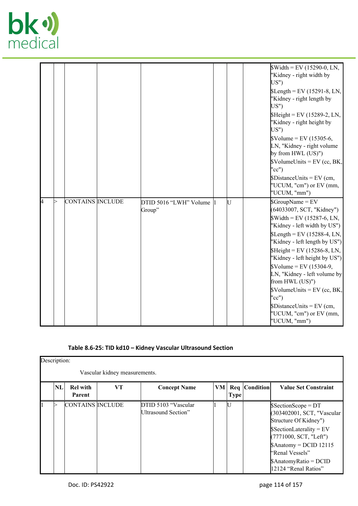

|              |   |                         |                                      |           | $\text{Width} = \text{EV} (15290-0, \text{LN},$<br>"Kidney - right width by<br>US")      |
|--------------|---|-------------------------|--------------------------------------|-----------|------------------------------------------------------------------------------------------|
|              |   |                         |                                      |           | $\text{SLength} = \text{EV} (15291 - 8, \text{LN},$<br>"Kidney - right length by<br>US") |
|              |   |                         |                                      |           | $$Height = EV (15289-2, LN,$<br>"Kidney - right height by<br>US")                        |
|              |   |                         |                                      |           | $\text{S}$ Volume = EV (15305-6,<br>LN, "Kidney - right volume<br>by from HWL (US)")     |
|              |   |                         |                                      |           | $\text{VolumelUnits} = \text{EV}$ (cc, BK,<br>" $cc$ ")                                  |
|              |   |                         |                                      |           | $Distance Units = EV$ (cm,<br>"UCUM, "cm") or EV (mm,<br>"UCUM, "mm")                    |
| <sup>4</sup> | ⊳ | <b>CONTAINS INCLUDE</b> | $DTID$ 5016 "LWH" Volume 1<br>Group" | <b>IU</b> | $\text{SGroupName} = \text{EV}$<br>(64033007, SCT, "Kidney")                             |
|              |   |                         |                                      |           | $\text{Width} = \text{EV} (15287-6, \text{LN},$<br>"Kidney - left width by US")          |
|              |   |                         |                                      |           | $\text{SLength} = \text{EV} (15288-4, \text{LN},$<br>"Kidney - left length by US")       |
|              |   |                         |                                      |           | $$Height = EV (15286-8, LN,$<br>"Kidney - left height by US")                            |
|              |   |                         |                                      |           | $\text{S}$ Volume = EV (15304-9,<br>LN, "Kidney - left volume by<br>from HWL (US)")      |
|              |   |                         |                                      |           | $\text{VolumelUnits} = \text{EV}$ (cc, BK,<br>" $cc$ ")                                  |
|              |   |                         |                                      |           | $Distance Units = EV$ (cm,<br>"UCUM, "cm") or EV (mm,<br>"UCUM, "mm")                    |

# **Table 8.6-25: TID kd10 – Kidney Vascular Ultrasound Section**

| Description:                  |                           |    |                                            |    |             |                 |                                                                             |  |  |  |  |
|-------------------------------|---------------------------|----|--------------------------------------------|----|-------------|-----------------|-----------------------------------------------------------------------------|--|--|--|--|
| Vascular kidney measurements. |                           |    |                                            |    |             |                 |                                                                             |  |  |  |  |
| NL                            | <b>Rel with</b><br>Parent | VT | <b>Concept Name</b>                        | VM | <b>Type</b> | Req   Condition | <b>Value Set Constraint</b>                                                 |  |  |  |  |
|                               | <b>CONTAINS INCLUDE</b>   |    | DTID 5103 "Vascular<br>Ultrasound Section" |    | IU          |                 | $SSectionScope = DT$<br>(303402001, SCT, "Vascular<br>Structure Of Kidney") |  |  |  |  |
|                               |                           |    |                                            |    |             |                 | $SsectionLaterality = EV$<br>(7771000, SCT, "Left")                         |  |  |  |  |
|                               |                           |    |                                            |    |             |                 | $\text{\$Anatory} = \text{DCID} 12115$<br>"Renal Vessels"                   |  |  |  |  |
|                               |                           |    |                                            |    |             |                 | $\beta$ AnatomyRatio = DCID<br>12124 "Renal Ratios"                         |  |  |  |  |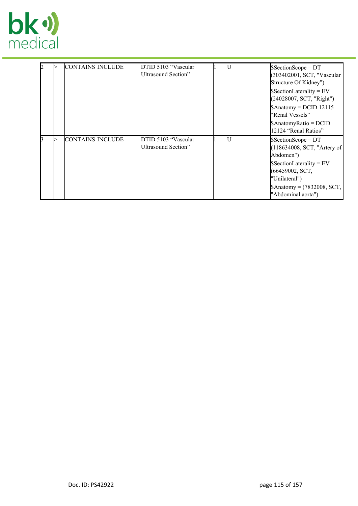

|   | CONTAINS INCLUDE |                  | DTID 5103 "Vascular<br>Ultrasound Section" | IJ   | $SSectionScope = DT$<br>(303402001, SCT, "Vascular<br>Structure Of Kidney") |
|---|------------------|------------------|--------------------------------------------|------|-----------------------------------------------------------------------------|
|   |                  |                  |                                            |      | $SsectionLaterality = EV$<br>(24028007, SCT, "Right")                       |
|   |                  |                  |                                            |      | $\text{\$Anatomy} = \text{DCID} 12115$<br>"Renal Vessels"                   |
|   |                  |                  |                                            |      | $\$\text{Anatom}$ y Ratio = DCID<br>12124 "Renal Ratios"                    |
| ß |                  | CONTAINS INCLUDE | DTID 5103 "Vascular<br>Ultrasound Section" | IT J | $SsectionScope = DT$<br>(118634008, SCT, "Artery of<br>Abdomen")            |
|   |                  |                  |                                            |      | $SsectionLaterality = EV$<br>$(66459002, \text{SCT},$<br>"Unilateral")      |
|   |                  |                  |                                            |      | $\{\text{Anatory} = (7832008, SCT,$<br>"Abdominal aorta")                   |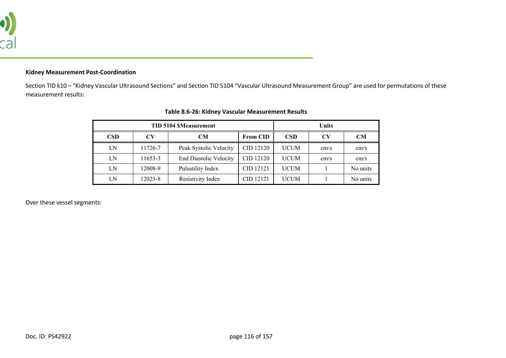

# **Kidney Measurement Post-Coordination**

Section TID k10 – "Kidney Vascular Ultrasound Sections" and Section TID 5104 "Vascular Ultrasound Measurement Group" are used for permutations of these measurement results:

|            |         | <b>TID 5104 \$Measurement</b> | <b>Units</b>    |             |            |           |  |  |
|------------|---------|-------------------------------|-----------------|-------------|------------|-----------|--|--|
| <b>CSD</b> | CV      | CМ                            | <b>From CID</b> | <b>CSD</b>  | CV         | <b>CM</b> |  |  |
| LN         | 11726-7 | Peak Systolic Velocity        | CID 12120       | <b>UCUM</b> | cm/s       | cm/s      |  |  |
| LN         | 11653-3 | <b>End Diastolic Velocity</b> | CID 12120       | <b>UCUM</b> | $\rm cm/s$ | cm/s      |  |  |
| LN         | 12008-9 | Pulsatility Index             | CID 12121       | <b>UCUM</b> |            | No units  |  |  |
| LN         | 12023-8 | Resistivity Index             | CID 12121       | <b>UCUM</b> |            | No units  |  |  |

# **Table 8.6-26: Kidney Vascular Measurement Results**

Over these vessel segments: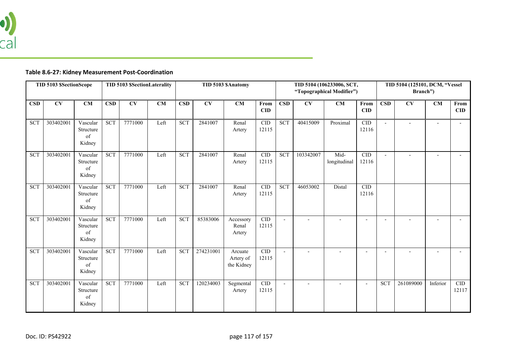

# **Table 8.6-27: Kidney Measurement Post-Coordination**

|                         | TID 5103 \$SectionScope           |                                       | <b>TID 5103 \$SectionLaterality</b> |                                   |                        | TID 5103 \$Anatomy      |                                   |                                    | TID 5104 (106233006, SCT,<br>"Topographical Modifier") |                         |                                   |                        | TID 5104 (125101, DCM, "Vessel<br>Branch") |                          |                                   |                          |                          |
|-------------------------|-----------------------------------|---------------------------------------|-------------------------------------|-----------------------------------|------------------------|-------------------------|-----------------------------------|------------------------------------|--------------------------------------------------------|-------------------------|-----------------------------------|------------------------|--------------------------------------------|--------------------------|-----------------------------------|--------------------------|--------------------------|
| $\overline{\text{CSD}}$ | $\overline{\mathbf{C}\mathbf{V}}$ | $\overline{\text{CM}}$                | $\overline{\text{CSD}}$             | $\overline{\mathbf{C}\mathbf{V}}$ | $\overline{\text{CM}}$ | $\overline{\text{CSD}}$ | $\overline{\mathbf{C}\mathbf{V}}$ | $\overline{\text{CM}}$             | From<br><b>CID</b>                                     | $\overline{\text{CSD}}$ | $\overline{\mathbf{C}\mathbf{V}}$ | $\overline{\text{CM}}$ | From<br>$\mathbf{CID}$                     | $\overline{\text{CSD}}$  | $\overline{\mathbf{C}\mathbf{V}}$ | $\overline{\text{CM}}$   | From<br>$\mathbf{CID}$   |
| <b>SCT</b>              | 303402001                         | Vascular<br>Structure<br>of<br>Kidney | <b>SCT</b>                          | 7771000                           | Left                   | <b>SCT</b>              | 2841007                           | Renal<br>Artery                    | CID<br>12115                                           | <b>SCT</b>              | 40415009                          | Proximal               | CID<br>12116                               | $\overline{a}$           |                                   |                          |                          |
| <b>SCT</b>              | 303402001                         | Vascular<br>Structure<br>of<br>Kidney | <b>SCT</b>                          | 7771000                           | Left                   | <b>SCT</b>              | 2841007                           | Renal<br>Artery                    | CID<br>12115                                           | <b>SCT</b>              | 103342007                         | Mid-<br>longitudinal   | CID<br>12116                               | $\overline{\phantom{a}}$ | $\blacksquare$                    | $\overline{\phantom{a}}$ | $\overline{a}$           |
| <b>SCT</b>              | 303402001                         | Vascular<br>Structure<br>of<br>Kidney | <b>SCT</b>                          | 7771000                           | Left                   | <b>SCT</b>              | 2841007                           | Renal<br>Artery                    | CID<br>12115                                           | <b>SCT</b>              | 46053002                          | Distal                 | CID<br>12116                               |                          |                                   |                          |                          |
| $\overline{SCT}$        | 303402001                         | Vascular<br>Structure<br>of<br>Kidney | $\overline{SCT}$                    | 7771000                           | Left                   | $\overline{SCT}$        | 85383006                          | Accessory<br>Renal<br>Artery       | $\overline{CID}$<br>12115                              | $\overline{a}$          |                                   |                        |                                            | L,                       |                                   |                          |                          |
| <b>SCT</b>              | 303402001                         | Vascular<br>Structure<br>of<br>Kidney | <b>SCT</b>                          | 7771000                           | Left                   | <b>SCT</b>              | 274231001                         | Arcuate<br>Artery of<br>the Kidney | CID<br>12115                                           | $\blacksquare$          | $\overline{\phantom{a}}$          |                        | $\blacksquare$                             | $\blacksquare$           | $\overline{\phantom{a}}$          | $\overline{a}$           | $\overline{\phantom{a}}$ |
| <b>SCT</b>              | 303402001                         | Vascular<br>Structure<br>of<br>Kidney | <b>SCT</b>                          | 7771000                           | Left                   | <b>SCT</b>              | 120234003                         | Segmental<br>Artery                | CID<br>12115                                           | $\overline{a}$          | $\overline{a}$                    |                        | $\overline{a}$                             | <b>SCT</b>               | 261089000                         | Inferior                 | <b>CID</b><br>12117      |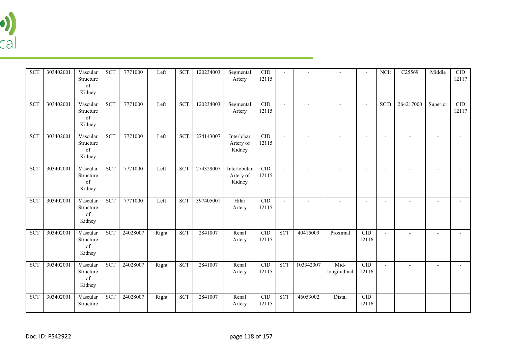

| <b>SCT</b>       | 303402001 | Vascular<br>Structure<br>of<br>Kidney | <b>SCT</b>       | 7771000  | Left  | <b>SCT</b>       | 120234003 | Segmental<br>Artery                 | CID<br>12115                         | $\overline{a}$           |                          |                      | $\blacksquare$                       | <b>NCIt</b>              | C25569                   | Middle         | CID<br>12117   |
|------------------|-----------|---------------------------------------|------------------|----------|-------|------------------|-----------|-------------------------------------|--------------------------------------|--------------------------|--------------------------|----------------------|--------------------------------------|--------------------------|--------------------------|----------------|----------------|
| <b>SCT</b>       | 303402001 | Vascular<br>Structure<br>of<br>Kidney | <b>SCT</b>       | 7771000  | Left  | <b>SCT</b>       | 120234003 | Segmental<br>Artery                 | CD<br>12115                          | $\overline{\phantom{a}}$ |                          |                      | $\blacksquare$                       | <b>SCTt</b>              | 264217000                | Superior       | CID<br>12117   |
| $\overline{SCT}$ | 303402001 | Vascular<br>Structure<br>of<br>Kidney | SCT              | 7771000  | Left  | $\overline{SCT}$ | 274143007 | Interlobar<br>Artery of<br>Kidney   | $\overline{\text{CID}}$<br>12115     | $\overline{a}$           |                          |                      | $\overline{a}$                       | $\overline{\phantom{a}}$ |                          |                |                |
| <b>SCT</b>       | 303402001 | Vascular<br>Structure<br>of<br>Kidney | <b>SCT</b>       | 7771000  | Left  | <b>SCT</b>       | 274329007 | Interlobular<br>Artery of<br>Kidney | CID<br>12115                         | $\overline{\phantom{a}}$ | $\overline{\phantom{a}}$ |                      | $\blacksquare$                       | $\overline{a}$           | $\overline{a}$           | $\overline{a}$ | $\overline{a}$ |
| <b>SCT</b>       | 303402001 | Vascular<br>Structure<br>of<br>Kidney | $\overline{SCT}$ | 7771000  | Left  | $\overline{SCT}$ | 397405001 | Hilar<br>Artery                     | $\overline{\text{CID}}$<br>12115     | $\overline{a}$           | $\overline{\phantom{a}}$ |                      | $\blacksquare$                       |                          | $\overline{\phantom{a}}$ | $\overline{a}$ | $\overline{a}$ |
| <b>SCT</b>       | 303402001 | Vascular<br>Structure<br>of<br>Kidney | <b>SCT</b>       | 24028007 | Right | <b>SCT</b>       | 2841007   | Renal<br>Artery                     | $\ensuremath{\mathrm{CID}}$<br>12115 | <b>SCT</b>               | 40415009                 | Proximal             | $\ensuremath{\mathrm{CID}}$<br>12116 | $\sim$                   | $\overline{\phantom{a}}$ | $\overline{a}$ | $\overline{a}$ |
| <b>SCT</b>       | 303402001 | Vascular<br>Structure<br>of<br>Kidney | <b>SCT</b>       | 24028007 | Right | $\overline{SCT}$ | 2841007   | Renal<br>Artery                     | CID<br>12115                         | <b>SCT</b>               | 103342007                | Mid-<br>longitudinal | CID<br>12116                         | $\overline{\phantom{a}}$ | $\overline{a}$           |                | $\overline{a}$ |
| <b>SCT</b>       | 303402001 | Vascular<br>Structure                 | <b>SCT</b>       | 24028007 | Right | $\overline{SCT}$ | 2841007   | Renal<br>Artery                     | CID<br>12115                         | <b>SCT</b>               | 46053002                 | Distal               | CID<br>12116                         |                          |                          |                |                |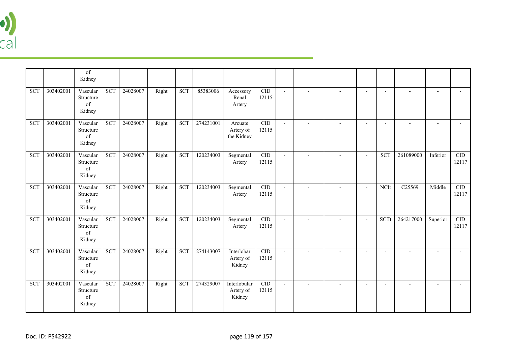

|                  |           | of<br>Kidney                          |                  |          |       |                  |           |                                     |                                      |                          |                          |                          |                          |                          |                          |                          |
|------------------|-----------|---------------------------------------|------------------|----------|-------|------------------|-----------|-------------------------------------|--------------------------------------|--------------------------|--------------------------|--------------------------|--------------------------|--------------------------|--------------------------|--------------------------|
| <b>SCT</b>       | 303402001 | Vascular<br>Structure<br>of<br>Kidney | $\overline{SCT}$ | 24028007 | Right | $\overline{SCT}$ | 85383006  | Accessory<br>Renal<br>Artery        | $\ensuremath{\mathrm{CID}}$<br>12115 | $\blacksquare$           | $\blacksquare$           | $\sim$                   | $\sim$                   | $\overline{\phantom{a}}$ | $\overline{\phantom{a}}$ | $\blacksquare$           |
| <b>SCT</b>       | 303402001 | Vascular<br>Structure<br>of<br>Kidney | <b>SCT</b>       | 24028007 | Right | <b>SCT</b>       | 274231001 | Arcuate<br>Artery of<br>the Kidney  | $\overline{\text{CID}}$<br>12115     | $\overline{a}$           |                          | $\overline{a}$           | $\overline{a}$           | $\overline{a}$           | L,                       | $\overline{a}$           |
| $\overline{SCT}$ | 303402001 | Vascular<br>Structure<br>of<br>Kidney | $\overline{SCT}$ | 24028007 | Right | $\overline{SCT}$ | 120234003 | Segmental<br>Artery                 | CID<br>12115                         | $\overline{a}$           |                          | $\overline{a}$           | <b>SCT</b>               | 261089000                | Inferior                 | CID<br>12117             |
| <b>SCT</b>       | 303402001 | Vascular<br>Structure<br>of<br>Kidney | <b>SCT</b>       | 24028007 | Right | $\overline{SCT}$ | 120234003 | Segmental<br>Artery                 | CID<br>12115                         | $\overline{a}$           | $\overline{a}$           | $\overline{a}$           | <b>NCIt</b>              | C25569                   | Middle                   | CID<br>12117             |
| <b>SCT</b>       | 303402001 | Vascular<br>Structure<br>of<br>Kidney | $\overline{SCT}$ | 24028007 | Right | $\overline{SCT}$ | 120234003 | Segmental<br>Artery                 | $\ensuremath{\mathrm{CID}}$<br>12115 | $\overline{a}$           | $\blacksquare$           | $\sim$                   | <b>SCTt</b>              | 264217000                | Superior                 | CID<br>12117             |
| <b>SCT</b>       | 303402001 | Vascular<br>Structure<br>of<br>Kidney | <b>SCT</b>       | 24028007 | Right | <b>SCT</b>       | 274143007 | Interlobar<br>Artery of<br>Kidney   | CID<br>12115                         | $\blacksquare$           | $\overline{\phantom{a}}$ | $\overline{\phantom{a}}$ | $\overline{\phantom{a}}$ | $\overline{\phantom{a}}$ | $\overline{\phantom{a}}$ | $\overline{\phantom{a}}$ |
| SCT              | 303402001 | Vascular<br>Structure<br>of<br>Kidney | SCT              | 24028007 | Right | $\overline{SCT}$ | 274329007 | Interlobular<br>Artery of<br>Kidney | CID<br>12115                         | $\overline{\phantom{a}}$ |                          |                          |                          |                          | $\overline{a}$           | $\blacksquare$           |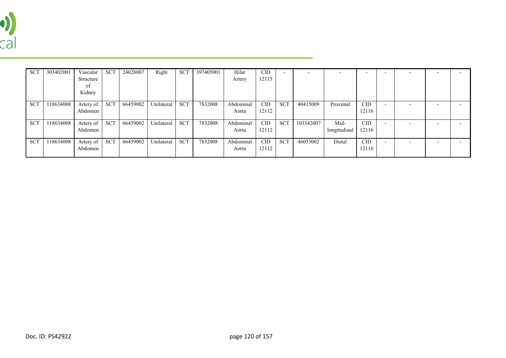

| <b>SCT</b> | 303402001 | Vascular  | <b>SCT</b> | 24028007 | Right      | <b>SCT</b> | 397405001 | Hilar     | <b>CID</b> |            |           |              |            |                          |                          |  |
|------------|-----------|-----------|------------|----------|------------|------------|-----------|-----------|------------|------------|-----------|--------------|------------|--------------------------|--------------------------|--|
|            |           | Structure |            |          |            |            |           | Artery    | 12115      |            |           |              |            |                          |                          |  |
|            |           | of        |            |          |            |            |           |           |            |            |           |              |            |                          |                          |  |
|            |           | Kidney    |            |          |            |            |           |           |            |            |           |              |            |                          |                          |  |
|            |           |           |            |          |            |            |           |           |            |            |           |              |            |                          |                          |  |
| <b>SCT</b> | 118634008 | Artery of | SCT        | 66459002 | Unilateral | <b>SCT</b> | 7832008   | Abdominal | <b>CID</b> | <b>SCT</b> | 40415009  | Proximal     | <b>CID</b> | $\overline{\phantom{0}}$ | $\overline{\phantom{0}}$ |  |
|            |           | Abdomen   |            |          |            |            |           | Aorta     | 12112      |            |           |              | 12116      |                          |                          |  |
|            |           |           |            |          |            |            |           |           |            |            |           |              |            |                          |                          |  |
| <b>SCT</b> | 18634008  | Artery of | <b>SCT</b> | 66459002 | Unilateral | <b>SCT</b> | 7832008   | Abdominal | CID        | <b>SCT</b> | 103342007 | Mid-         | CID        | $\overline{\phantom{a}}$ | -                        |  |
|            |           | Abdomen   |            |          |            |            |           | Aorta     | 12112      |            |           | longitudinal | 12116      |                          |                          |  |
|            |           |           |            |          |            |            |           |           |            |            |           |              |            |                          |                          |  |
| <b>SCT</b> | 18634008  | Artery of | SCT        | 66459002 | Unilateral | <b>SCT</b> | 7832008   | Abdominal | CID        | <b>SCT</b> | 46053002  | Distal       | <b>CID</b> | $\overline{\phantom{0}}$ | $\overline{\phantom{0}}$ |  |
|            |           | Abdomen   |            |          |            |            |           | Aorta     | 12112      |            |           |              | 12116      |                          |                          |  |
|            |           |           |            |          |            |            |           |           |            |            |           |              |            |                          |                          |  |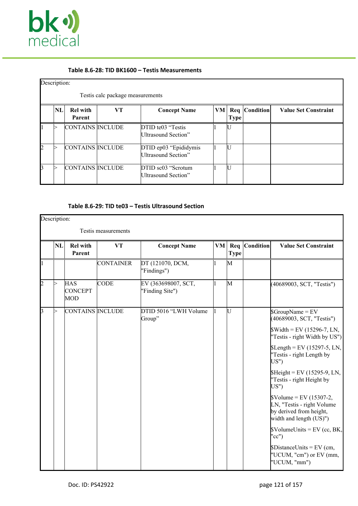

# **Table 8.6-28: TID BK1600 – Testis Measurements**

# Description:

|                |    |                           | Testis calc package measurements |                                              |    |             |                 |                             |
|----------------|----|---------------------------|----------------------------------|----------------------------------------------|----|-------------|-----------------|-----------------------------|
|                | NL | <b>Rel with</b><br>Parent | VТ                               | <b>Concept Name</b>                          | VM | <b>Type</b> | Req   Condition | <b>Value Set Constraint</b> |
|                |    | CONTAINS INCLUDE          |                                  | DTID te03 "Testis"<br>Ultrasound Section"    |    |             |                 |                             |
| $\overline{c}$ |    | CONTAINS INCLUDE          |                                  | DTID ep03 "Epididymis<br>Ultrasound Section" |    |             |                 |                             |
| 3              |    | CONTAINS INCLUDE          |                                  | DTID sc03 "Scrotum"<br>Ultrasound Section"   |    |             |                 |                             |

#### **Table 8.6-29: TID te03 – Testis Ultrasound Section**

| Description:            |    |                                     | Testis measurements |                                        |              |             |               |                                                                                                                                                                                                                                                                                                                                                                                                                                                                                                                                                                                        |
|-------------------------|----|-------------------------------------|---------------------|----------------------------------------|--------------|-------------|---------------|----------------------------------------------------------------------------------------------------------------------------------------------------------------------------------------------------------------------------------------------------------------------------------------------------------------------------------------------------------------------------------------------------------------------------------------------------------------------------------------------------------------------------------------------------------------------------------------|
|                         | NL | <b>Rel with</b><br>Parent           | VT                  | <b>Concept Name</b>                    | VM           | <b>Type</b> | Req Condition | <b>Value Set Constraint</b>                                                                                                                                                                                                                                                                                                                                                                                                                                                                                                                                                            |
| $\vert$ 1               |    |                                     | <b>CONTAINER</b>    | DT (121070, DCM,<br>"Findings")        |              | M           |               |                                                                                                                                                                                                                                                                                                                                                                                                                                                                                                                                                                                        |
| $\overline{2}$          | ⊳  | <b>HAS</b><br><b>CONCEPT</b><br>MOD | <b>CODE</b>         | EV (363698007, SCT,<br>"Finding Site") | 1            | M           |               | (40689003, SCT, "Testis")                                                                                                                                                                                                                                                                                                                                                                                                                                                                                                                                                              |
| $\overline{\mathbf{3}}$ | ⊳  | CONTAINS INCLUDE                    |                     | DTID 5016 "LWH Volume<br>Group"        | $\mathbf{1}$ | IJ          |               | $\text{SGroupName} = \text{EV}$<br>(40689003, SCT, "Testis")<br>$\text{Width} = \text{EV} (15296 - 7, \text{LN},$<br>"Testis - right Width by US")<br>$\text{SLength} = \text{EV} (15297 - 5, \text{LN},$<br>"Testis - right Length by<br>US")<br>$$Height = EV (15295-9, LN,$<br>"Testis - right Height by<br>US")<br>$\text{Volume} = \text{EV} (15307 - 2,$<br>LN, "Testis - right Volume<br>by derived from height,<br>width and length (US)")<br>$\text{VolumelUnits} = \text{EV}$ (cc, BK,<br>" $cc$ ")<br>$Distance Units = EV$ (cm,<br>"UCUM, "cm") or EV (mm,<br>"UCUM, "mm") |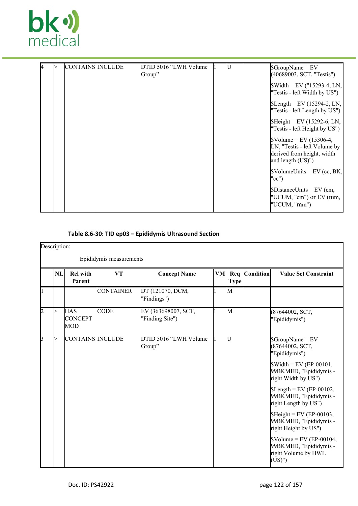

|  | CONTAINS INCLUDE | DTID 5016 "LWH Volume"<br>Group" |  | $\text{GroupName} = \text{EV}$<br>(40689003, SCT, "Testis")<br>$\text{Width} = \text{EV}$ ("15293-4, LN,<br>"Testis - left Width by US") |
|--|------------------|----------------------------------|--|------------------------------------------------------------------------------------------------------------------------------------------|
|  |                  |                                  |  | $\text{SLength} = \text{EV} (15294 - 2, \text{LN})$<br>"Testis - left Length by US")                                                     |
|  |                  |                                  |  | $$Height = EV (15292-6, LN,$<br>"Testis - left Height by US")                                                                            |
|  |                  |                                  |  | $\text{Volume} = \text{EV} (15306-4,$<br>LN, "Testis - left Volume by<br>derived from height, width<br>and length $(US)$ ")              |
|  |                  |                                  |  | $\text{Volumelmits} = \text{EV}$ (cc, BK,<br>"cc")                                                                                       |
|  |                  |                                  |  | $\text{Distance Units} = \text{EV (cm,}$<br>"UCUM, "cm") or EV (mm,<br>"UCUM, "mm")                                                      |

# **Table 8.6-30: TID ep03 – Epididymis Ultrasound Section**

| Description:   |    |                                     | Epididymis measurements |                                        |    |             |               |                                                                                                                                                                                                                                                                                                                                                                                                                                          |
|----------------|----|-------------------------------------|-------------------------|----------------------------------------|----|-------------|---------------|------------------------------------------------------------------------------------------------------------------------------------------------------------------------------------------------------------------------------------------------------------------------------------------------------------------------------------------------------------------------------------------------------------------------------------------|
|                | NL | <b>Rel with</b><br>Parent           | <b>VT</b>               | <b>Concept Name</b>                    | VM | <b>Type</b> | Req Condition | <b>Value Set Constraint</b>                                                                                                                                                                                                                                                                                                                                                                                                              |
|                |    |                                     | <b>CONTAINER</b>        | DT (121070, DCM,<br>"Findings")        |    | M           |               |                                                                                                                                                                                                                                                                                                                                                                                                                                          |
| $\overline{2}$ |    | <b>HAS</b><br><b>CONCEPT</b><br>MOD | <b>CODE</b>             | EV (363698007, SCT,<br>"Finding Site") |    | M           |               | (87644002, SCT,<br>"Epididymis")                                                                                                                                                                                                                                                                                                                                                                                                         |
| 3              | ⊳  | CONTAINS INCLUDE                    |                         | DTID 5016 "LWH Volume<br>Group"        |    | IJ          |               | $\text{SGroupName} = \text{EV}$<br>(87644002, SCT,<br>"Epididymis")<br>$\text{Width} = \text{EV}$ (EP-00101,<br>99BKMED, "Epididymis -<br>right Width by US")<br>$\text{SLength} = \text{EV}$ (EP-00102,<br>99BKMED, "Epididymis -<br>right Length by US")<br>$$Height = EV (EP-00103,$<br>99BKMED, "Epididymis -<br>right Height by US")<br>$\text{S}$ Volume = EV (EP-00104,<br>99BKMED, "Epididymis -<br>right Volume by HWL<br>(US)" |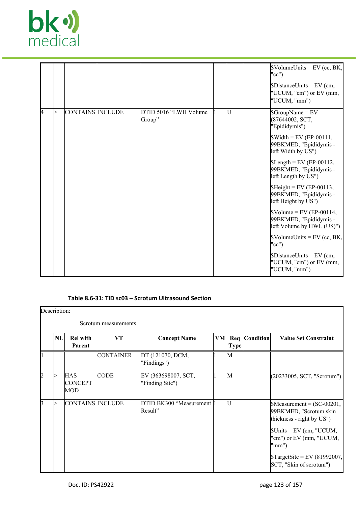

|    |   |                  |                                  |    | $\text{VolumelInits} = \text{EV}$ (cc, BK,<br>" $cc$ ")<br>$Distance Units = EV$ (cm,<br>"UCUM, "cm") or EV (mm,<br>"UCUM, "mm")                                                                                                                                                                                                                                                                                                                                                                                                                           |
|----|---|------------------|----------------------------------|----|------------------------------------------------------------------------------------------------------------------------------------------------------------------------------------------------------------------------------------------------------------------------------------------------------------------------------------------------------------------------------------------------------------------------------------------------------------------------------------------------------------------------------------------------------------|
| I4 | ⊳ | CONTAINS INCLUDE | DTID 5016 "LWH Volume"<br>Group" | IJ | $S$ GroupName = EV<br>(87644002, SCT,<br>"Epididymis")<br>$\text{Width} = \text{EV} (\text{EP-00111},$<br>99BKMED, "Epididymis -<br>left Width by US")<br>$\text{SLength} = \text{EV}$ (EP-00112,<br>99BKMED, "Epididymis -<br>left Length by US")<br>$$Height = EV (EP-00113,$<br>99BKMED, "Epididymis -<br>left Height by US")<br>$\text{S}$ Volume = EV (EP-00114,<br>99BKMED, "Epididymis -<br>left Volume by HWL (US)")<br>$\text{Volumelmits} = \text{EV}$ (cc, BK,<br>"cc"<br>$Distance Units = EV$ (cm,<br>"UCUM, "cm") or EV (mm,<br>"UCUM, "mm") |

### **Table 8.6-31: TID sc03 – Scrotum Ultrasound Section**

| Description:   |    |                                     | Scrotum measurements |                                        |                |             |               |                                                                                                                                                                                                                                           |
|----------------|----|-------------------------------------|----------------------|----------------------------------------|----------------|-------------|---------------|-------------------------------------------------------------------------------------------------------------------------------------------------------------------------------------------------------------------------------------------|
|                | NL | <b>Rel with</b><br>Parent           | VT                   | <b>Concept Name</b>                    | V <sub>M</sub> | <b>Type</b> | Req Condition | <b>Value Set Constraint</b>                                                                                                                                                                                                               |
|                |    |                                     | <b>CONTAINER</b>     | DT (121070, DCM,<br>"Findings")        |                | M           |               |                                                                                                                                                                                                                                           |
| 2              |    | <b>HAS</b><br><b>CONCEPT</b><br>MOD | <b>CODE</b>          | EV (363698007, SCT,<br>"Finding Site") |                | M           |               | (20233005, SCT, "Scrotum")                                                                                                                                                                                                                |
| $\overline{3}$ |    | CONTAINS INCLUDE                    |                      | DTID BK300 "Measurement  1<br>Result"  |                | IU          |               | $Measurement = (SC-00201,$<br>99BKMED, "Scrotum skin<br>thickness - right by US")<br>$\text{SUnits} = \text{EV (cm, "UCUM,}$<br>"cm") or EV (mm, "UCUM,<br>"mm")<br>$\text{STargetSite} = \text{EV}(81992007,$<br>SCT, "Skin of scrotum") |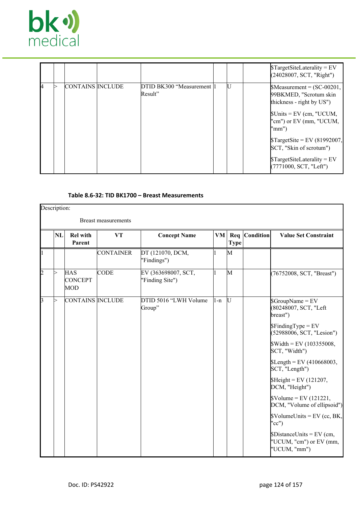

|          |                  |                                       |    | $T \text{argetSiteLaterality} = EV$<br>(24028007, SCT, "Right")                                                                                                                                                                             |
|----------|------------------|---------------------------------------|----|---------------------------------------------------------------------------------------------------------------------------------------------------------------------------------------------------------------------------------------------|
| <b>I</b> | CONTAINS INCLUDE | DTID BK300 "Measurement   <br>Result" | IJ | $$Measurement = (SC-00201,$<br>99BKMED, "Scrotum skin<br>thickness - right by US")<br>$\text{SUnits} = \text{EV}$ (cm, "UCUM,<br>"cm") or EV (mm, "UCUM,<br>"mm")<br>$\text{STargetSite} = \text{EV} (81992007,$<br>SCT, "Skin of scrotum") |
|          |                  |                                       |    | $T \text{argetSiteLaterality} = EV$<br>(7771000, SCT, "Left")                                                                                                                                                                               |

# **Table 8.6-32: TID BK1700 – Breast Measurements**

| Description:   |           |                                     | <b>Breast measurements</b> |                                        |           |                    |           |                                                                                                                                                                                                                                                                                                                                                                                                                                                                                                         |
|----------------|-----------|-------------------------------------|----------------------------|----------------------------------------|-----------|--------------------|-----------|---------------------------------------------------------------------------------------------------------------------------------------------------------------------------------------------------------------------------------------------------------------------------------------------------------------------------------------------------------------------------------------------------------------------------------------------------------------------------------------------------------|
|                | <b>NL</b> | <b>Rel with</b><br>Parent           | <b>VT</b>                  | <b>Concept Name</b>                    | <b>VM</b> | Req<br><b>Type</b> | Condition | <b>Value Set Constraint</b>                                                                                                                                                                                                                                                                                                                                                                                                                                                                             |
| 1              |           |                                     | <b>CONTAINER</b>           | DT (121070, DCM,<br>"Findings")        |           | M                  |           |                                                                                                                                                                                                                                                                                                                                                                                                                                                                                                         |
| $\overline{2}$ |           | <b>HAS</b><br><b>CONCEPT</b><br>MOD | <b>CODE</b>                | EV (363698007, SCT,<br>"Finding Site") |           | M                  |           | (76752008, SCT, "Breast")                                                                                                                                                                                                                                                                                                                                                                                                                                                                               |
| $\mathsf{B}$   |           | CONTAINS INCLUDE                    |                            | DTID 5016 "LWH Volume<br>Group"        | $1-n$     | U                  |           | $SGroupName = EV$<br>(80248007, SCT, "Left<br>breast")<br>$\frac{1}{2}$ Finding Type = EV<br>(52988006, SCT, "Lesion")<br>$\text{Width} = \text{EV} (103355008,$<br>SCT, "Width")<br>$\text{SLength} = \text{EV} (410668003,$<br>SCT, "Length")<br>$$Height = EV (121207,$<br>DCM, "Height")<br>$\text{Volume} = \text{EV} (121221,$<br>DCM, "Volume of ellipsoid")<br>$\text{VolumelUnits} = \text{EV}$ (cc, BK,<br>" $cc$ ")<br>$Distance Units = EV$ (cm,<br>"UCUM, "cm") or EV (mm,<br>"UCUM, "mm") |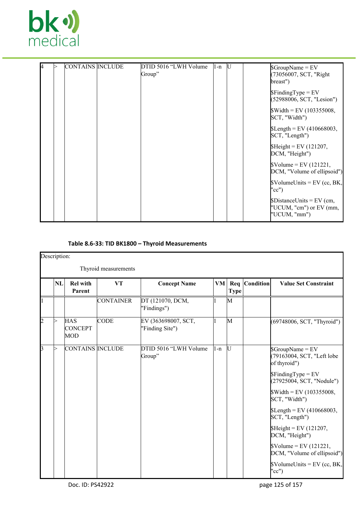

|  | CONTAINS INCLUDE | DTID 5016 "LWH Volume" | l1-n | JU. | $\text{GroupName} = \text{EV}$                             |                                      |
|--|------------------|------------------------|------|-----|------------------------------------------------------------|--------------------------------------|
|  |                  | Group"                 |      |     | (73056007, SCT, "Right                                     |                                      |
|  |                  |                        |      |     | breast")                                                   |                                      |
|  |                  |                        |      |     | $\mathcal{S} \text{FindingType} = \mathcal{E} \text{V}$    |                                      |
|  |                  |                        |      |     | (52988006, SCT, "Lesion")                                  |                                      |
|  |                  |                        |      |     | $\text{Width} = \text{EV} (103355008,$<br>SCT, "Width")    |                                      |
|  |                  |                        |      |     | $\text{SLength} = \text{EV} (410668003,$<br>SCT, "Length") |                                      |
|  |                  |                        |      |     | $$Height = EV (121207,$<br>DCM, "Height")                  |                                      |
|  |                  |                        |      |     | $\text{Volume} = \text{EV} (121221,$                       | DCM, "Volume of ellipsoid")          |
|  |                  |                        |      |     | "cc")                                                      | $\text{S}$ VolumeUnits = EV (cc, BK, |
|  |                  |                        |      |     | $Distance Units = EV$ (cm,<br>"UCUM, "mm")                 | "UCUM, "cm") or EV (mm,              |

# **Table 8.6-33: TID BK1800 – Thyroid Measurements**

| Description: |                                     | Thyroid measurements |                                        |       |             |               |                                                                                                                                                                                                                                                                                                                                                                                                                            |
|--------------|-------------------------------------|----------------------|----------------------------------------|-------|-------------|---------------|----------------------------------------------------------------------------------------------------------------------------------------------------------------------------------------------------------------------------------------------------------------------------------------------------------------------------------------------------------------------------------------------------------------------------|
| <b>NL</b>    | <b>Rel with</b><br>Parent           | <b>VT</b>            | <b>Concept Name</b>                    | VM    | <b>Type</b> | Req Condition | <b>Value Set Constraint</b>                                                                                                                                                                                                                                                                                                                                                                                                |
|              |                                     | <b>CONTAINER</b>     | DT (121070, DCM,<br>"Findings")        |       | M           |               |                                                                                                                                                                                                                                                                                                                                                                                                                            |
| ⊳            | <b>HAS</b><br><b>CONCEPT</b><br>MOD | <b>CODE</b>          | EV (363698007, SCT,<br>"Finding Site") |       | M           |               | (69748006, SCT, "Thyroid")                                                                                                                                                                                                                                                                                                                                                                                                 |
| ⊳            | <b>CONTAINS INCLUDE</b>             |                      | DTID 5016 "LWH Volume<br>Group"        | $1-n$ | <b>IU</b>   |               | $SGroupName = EV$<br>(79163004, SCT, "Left lobe<br>of thyroid")<br>$$FindingType = EV$<br>(27925004, SCT, "Nodule")<br>$\text{Width} = \text{EV} (103355008,$<br>SCT, "Width")<br>$\text{SLength} = \text{EV} (410668003,$<br>SCT, "Length")<br>$$Height = EV (121207,$<br>DCM, "Height")<br>$\text{Volume} = \text{EV} (121221,$<br>DCM, "Volume of ellipsoid")<br>$\text{Volumelmits} = \text{EV}$ (cc, BK,<br>" $cc$ ") |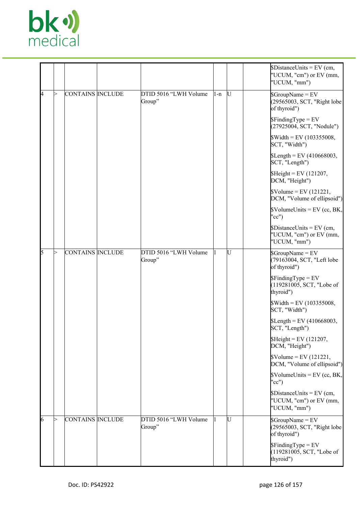

|                           |   |                  |                                  |     |     | $Distance Units = EV$ (cm,<br>"UCUM, "cm") or EV (mm,<br>"UCUM, "mm")     |
|---------------------------|---|------------------|----------------------------------|-----|-----|---------------------------------------------------------------------------|
| <sup>4</sup>              | ⊳ | CONTAINS INCLUDE | DTID 5016 "LWH Volume"<br>Group" | 1-n | U   | $S$ GroupName = EV<br>(29565003, SCT, "Right lobe<br>of thyroid")         |
|                           |   |                  |                                  |     |     | $\frac{1}{2}$ Finding Type = EV<br>(27925004, SCT, "Nodule")              |
|                           |   |                  |                                  |     |     | $\text{Width} = \text{EV} (103355008,$<br>SCT, "Width")                   |
|                           |   |                  |                                  |     |     | $\text{SLength} = \text{EV} (410668003,$<br>SCT, "Length")                |
|                           |   |                  |                                  |     |     | $$Height = EV (121207,$<br>DCM, "Height")                                 |
|                           |   |                  |                                  |     |     | $\text{Volume} = \text{EV} (121221,$<br>DCM, "Volume of ellipsoid")       |
|                           |   |                  |                                  |     |     | $\text{VolumelUnits} = \text{EV}$ (cc, BK,<br>" $cc$ ")                   |
|                           |   |                  |                                  |     |     | $Distance Units = EV$ (cm,<br>"UCUM, "cm") or EV (mm,<br>"UCUM, "mm")     |
| $\mathsf{I}^{\mathsf{5}}$ | ⊳ | CONTAINS INCLUDE | DTID 5016 "LWH Volume<br>Group"  | 11  | IU  | $S$ GroupName = EV<br>(79163004, SCT, "Left lobe<br>of thyroid")          |
|                           |   |                  |                                  |     |     | $\frac{1}{2}$ Finding Type = EV<br>(119281005, SCT, "Lobe of<br>thyroid") |
|                           |   |                  |                                  |     |     | $\text{Width} = \text{EV} (103355008,$<br>SCT, "Width")                   |
|                           |   |                  |                                  |     |     | $\text{SLength} = \text{EV} (410668003,$<br>SCT, "Length")                |
|                           |   |                  |                                  |     |     | $$Height = EV (121207,$<br>DCM, "Height")                                 |
|                           |   |                  |                                  |     |     | $\text{Volume} = \text{EV} (121221,$<br>DCM, "Volume of ellipsoid")       |
|                           |   |                  |                                  |     |     | $\text{Volumelmits} = \text{EV}$ (cc, BK,<br>" $cc$ ")                    |
|                           |   |                  |                                  |     |     | $Distance Units = EV$ (cm,<br>"UCUM, "cm") or EV (mm,<br>"UCUM, "mm")     |
| 6                         | ⊳ | CONTAINS INCLUDE | DTID 5016 "LWH Volume<br>Group"  | П.  | IU. | $S$ GroupName = EV<br>(29565003, SCT, "Right lobe<br>of thyroid")         |
|                           |   |                  |                                  |     |     | $$FindingType = EV$<br>(119281005, SCT, "Lobe of<br>thyroid")             |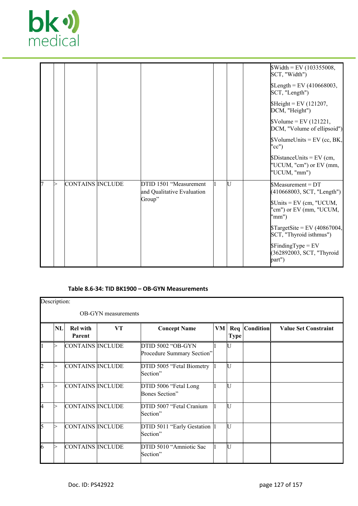

|    |   |                  |                                                                |    | $\text{Width} = \text{EV} (103355008,$<br>SCT, "Width")<br>$\text{SLength} = \text{EV} (410668003,$<br>SCT, "Length")<br>$$Height = EV (121207,$<br>DCM, "Height")<br>$\text{Volume} = \text{EV} (121221,$<br>DCM, "Volume of ellipsoid")<br>$\text{VolumelUnits} = \text{EV}$ (cc, BK,<br>"cc"<br>$Distance Units = EV$ (cm,<br>"UCUM, "cm") or EV (mm,<br>"UCUM, "mm") |
|----|---|------------------|----------------------------------------------------------------|----|--------------------------------------------------------------------------------------------------------------------------------------------------------------------------------------------------------------------------------------------------------------------------------------------------------------------------------------------------------------------------|
| 17 | ⊳ | CONTAINS INCLUDE | DTID 1501 "Measurement<br>and Qualitative Evaluation<br>Group" | IJ | $$Measurement = DT$<br>(410668003, SCT, "Length")<br>$\text{SUnits} = \text{EV (cm, "UCUM,}$<br>"cm") or EV (mm, "UCUM,<br>"mm")<br>$TargetSite = EV (40867004,$<br>SCT, "Thyroid isthmus")<br>$\mathcal{S} \text{FindingType} = \mathcal{E} \text{V}$<br>(362892003, SCT, "Thyroid<br> part")                                                                           |

#### **Table 8.6-34: TID BK1900 – OB-GYN Measurements**

|                | Description:  |                           |                     |                                                 |    |             |                 |                             |  |  |  |
|----------------|---------------|---------------------------|---------------------|-------------------------------------------------|----|-------------|-----------------|-----------------------------|--|--|--|
|                |               |                           | OB-GYN measurements |                                                 |    |             |                 |                             |  |  |  |
|                | $\mathbf{NL}$ | <b>Rel with</b><br>Parent | VT                  | <b>Concept Name</b>                             | VM | <b>Type</b> | Req   Condition | <b>Value Set Constraint</b> |  |  |  |
|                |               | CONTAINS INCLUDE          |                     | DTID 5002 "OB-GYN<br>Procedure Summary Section" |    | IJ          |                 |                             |  |  |  |
| $\overline{c}$ |               | CONTAINS INCLUDE          |                     | DTID 5005 "Fetal Biometry  1<br>Section"        |    | lt j        |                 |                             |  |  |  |
| 3              |               | CONTAINS INCLUDE          |                     | DTID 5006 "Fetal Long<br>Bones Section"         |    | U           |                 |                             |  |  |  |
| l4             |               | CONTAINS INCLUDE          |                     | DTID 5007 "Fetal Cranium<br>Section"            |    | Ū           |                 |                             |  |  |  |
| 5              |               | CONTAINS INCLUDE          |                     | DTID 5011 "Early Gestation  1<br>Section"       |    | IJ          |                 |                             |  |  |  |
| 6              |               | CONTAINS INCLUDE          |                     | DTID 5010 "Amniotic Sac<br>Section"             |    | IJ          |                 |                             |  |  |  |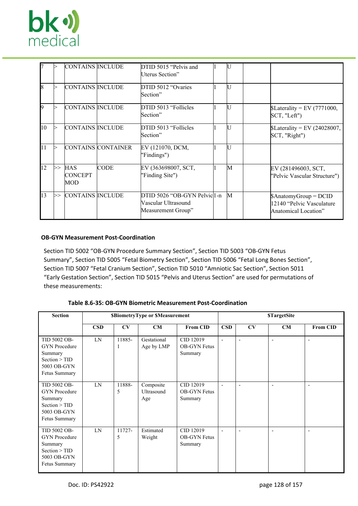

|          |    | <b>CONTAINS INCLUDE</b>                       |                    | DTID 5015 "Pelvis and<br>Uterus Section"                                  | IU.  |                                                                                        |
|----------|----|-----------------------------------------------|--------------------|---------------------------------------------------------------------------|------|----------------------------------------------------------------------------------------|
| <b>R</b> |    | CONTAINS INCLUDE                              |                    | DTID 5012 "Ovaries<br>Section"                                            | lt j |                                                                                        |
| 19       |    | CONTAINS INCLUDE                              |                    | DTID 5013 "Follicles<br>Section"                                          | IJ   | $\text{SLaterality} = \text{EV} (7771000,$<br>SCT, "Left")                             |
| 10       |    | CONTAINS INCLUDE                              |                    | DTID 5013 "Follicles<br>Section"                                          | ΙU   | $\text{SLaterality} = \text{EV} (24028007,$<br>SCT, "Right")                           |
| 11       |    |                                               | CONTAINS CONTAINER | EV (121070, DCM,<br>"Findings")                                           | lt j |                                                                                        |
| 12       |    | $\triangleright$ HAS<br><b>CONCEPT</b><br>MOD | <b>CODE</b>        | EV (363698007, SCT,<br>"Finding Site")                                    | M    | EV (281496003, SCT,<br>"Pelvic Vascular Structure")                                    |
| 13       | ⊳> | <b>CONTAINS INCLUDE</b>                       |                    | DTID 5026 "OB-GYN Pelvicl1-n<br>Vascular Ultrasound<br>Measurement Group" | M    | $\text{M}{A}$ natomyGroup = DCID<br>12140 "Pelvic Vasculature"<br>Anatomical Location" |

# **OB-GYN Measurement Post-Coordination**

Section TID 5002 "OB-GYN Procedure Summary Section", Section TID 5003 "OB-GYN Fetus Summary", Section TID 5005 "Fetal Biometry Section", Section TID 5006 "Fetal Long Bones Section", Section TID 5007 "Fetal Cranium Section", Section TID 5010 "Amniotic Sac Section", Section 5011 "Early Gestation Section", Section TID 5015 "Pelvis and Uterus Section" are used for permutations of these measurements:

| <b>Section</b>                                                                                   |            |             | <b>SBiometryType or SMeasurement</b> |                                             |                          |    | <b>STargetSite</b> |                          |
|--------------------------------------------------------------------------------------------------|------------|-------------|--------------------------------------|---------------------------------------------|--------------------------|----|--------------------|--------------------------|
|                                                                                                  | <b>CSD</b> | CV          | CM                                   | <b>From CID</b>                             | <b>CSD</b>               | CV | CM                 | <b>From CID</b>          |
| TID 5002 OB-<br><b>GYN</b> Procedure<br>Summary<br>Section > TID<br>5003 OB-GYN<br>Fetus Summary | LN         | 11885-<br>1 | Gestational<br>Age by LMP            | CID 12019<br><b>OB-GYN Fetus</b><br>Summary | $\overline{\phantom{a}}$ |    |                    | $\overline{\phantom{a}}$ |
| TID 5002 OB-<br><b>GYN</b> Procedure<br>Summary<br>Section > TID<br>5003 OB-GYN<br>Fetus Summary | LN         | 11888-<br>5 | Composite<br>Ultrasound<br>Age       | CID 12019<br><b>OB-GYN</b> Fetus<br>Summary | $\blacksquare$           |    |                    | $\overline{\phantom{a}}$ |
| TID 5002 OB-<br><b>GYN</b> Procedure<br>Summary<br>Section > TID<br>5003 OB-GYN<br>Fetus Summary | LN         | 11727-<br>5 | Estimated<br>Weight                  | CID 12019<br><b>OB-GYN</b> Fetus<br>Summary | $\blacksquare$           |    | ٠                  | $\overline{\phantom{a}}$ |

**Table 8.6-35: OB-GYN Biometric Measurement Post-Coordination**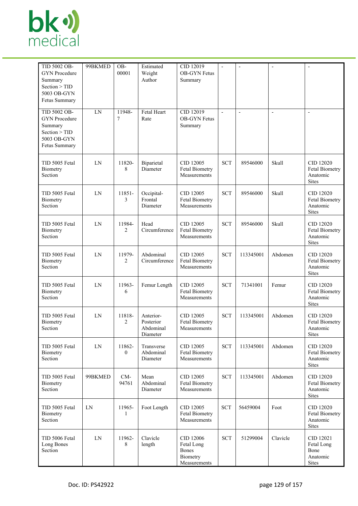

| TID 5002 OB-<br><b>GYN</b> Procedure                                                             | 99BKMED | OB-<br>00001               | Estimated<br>Weight                             | CID 12019<br><b>OB-GYN Fetus</b>                                    |                          |                          |               |                                                                |
|--------------------------------------------------------------------------------------------------|---------|----------------------------|-------------------------------------------------|---------------------------------------------------------------------|--------------------------|--------------------------|---------------|----------------------------------------------------------------|
| Summary<br>Section > TID<br>5003 OB-GYN<br>Fetus Summary                                         |         |                            | Author                                          | Summary                                                             |                          |                          |               |                                                                |
| TID 5002 OB-<br><b>GYN</b> Procedure<br>Summary<br>Section > TID<br>5003 OB-GYN<br>Fetus Summary | LN      | 11948-<br>7                | Fetal Heart<br>Rate                             | CID 12019<br><b>OB-GYN Fetus</b><br>Summary                         | $\overline{\phantom{a}}$ | $\overline{\phantom{a}}$ | $\frac{1}{2}$ | $\overline{a}$                                                 |
| TID 5005 Fetal<br>Biometry<br>Section                                                            | LN      | 11820-<br>8                | Biparietal<br>Diameter                          | CID 12005<br><b>Fetal Biometry</b><br>Measurements                  | <b>SCT</b>               | 89546000                 | Skull         | CID 12020<br><b>Fetal Biometry</b><br>Anatomic<br><b>Sites</b> |
| TID 5005 Fetal<br>Biometry<br>Section                                                            | LN      | 11851-<br>3                | Occipital-<br>Frontal<br>Diameter               | CID 12005<br>Fetal Biometry<br>Measurements                         | <b>SCT</b>               | 89546000                 | <b>Skull</b>  | CID 12020<br><b>Fetal Biometry</b><br>Anatomic<br><b>Sites</b> |
| TID 5005 Fetal<br>Biometry<br>Section                                                            | LN      | 11984-<br>$\overline{c}$   | Head<br>Circumference                           | CID 12005<br><b>Fetal Biometry</b><br>Measurements                  | <b>SCT</b>               | 89546000                 | Skull         | CID 12020<br><b>Fetal Biometry</b><br>Anatomic<br><b>Sites</b> |
| TID 5005 Fetal<br>Biometry<br>Section                                                            | LN      | 11979-<br>2                | Abdominal<br>Circumference                      | CID 12005<br><b>Fetal Biometry</b><br>Measurements                  | <b>SCT</b>               | 113345001                | Abdomen       | CID 12020<br><b>Fetal Biometry</b><br>Anatomic<br><b>Sites</b> |
| TID 5005 Fetal<br>Biometry<br>Section                                                            | LN      | 11963-<br>6                | Femur Length                                    | CID 12005<br><b>Fetal Biometry</b><br>Measurements                  | <b>SCT</b>               | 71341001                 | Femur         | CID 12020<br><b>Fetal Biometry</b><br>Anatomic<br><b>Sites</b> |
| TID 5005 Fetal<br>Biometry<br>Section                                                            | LN      | 11818-<br>2                | Anterior-<br>Posterior<br>Abdominal<br>Diameter | CID 12005<br><b>Fetal Biometry</b><br>Measurements                  | <b>SCT</b>               | 113345001                | Abdomen       | CID 12020<br><b>Fetal Biometry</b><br>Anatomic<br><b>Sites</b> |
| TID 5005 Fetal<br>Biometry<br>Section                                                            | LN      | 11862-<br>$\boldsymbol{0}$ | Transverse<br>Abdominal<br>Diameter             | CID 12005<br>Fetal Biometry<br>Measurements                         | <b>SCT</b>               | 113345001                | Abdomen       | CID 12020<br><b>Fetal Biometry</b><br>Anatomic<br><b>Sites</b> |
| TID 5005 Fetal<br>Biometry<br>Section                                                            | 99BKMED | $CM-$<br>94761             | Mean<br>Abdominal<br>Diameter                   | CID 12005<br>Fetal Biometry<br>Measurements                         | <b>SCT</b>               | 113345001                | Abdomen       | CID 12020<br><b>Fetal Biometry</b><br>Anatomic<br><b>Sites</b> |
| TID 5005 Fetal<br>Biometry<br>Section                                                            | LN      | 11965-<br>1                | Foot Length                                     | CID 12005<br>Fetal Biometry<br>Measurements                         | <b>SCT</b>               | 56459004                 | Foot          | CID 12020<br><b>Fetal Biometry</b><br>Anatomic<br><b>Sites</b> |
| TID 5006 Fetal<br>Long Bones<br>Section                                                          | LN      | 11962-<br>8                | Clavicle<br>length                              | CID 12006<br>Fetal Long<br><b>Bones</b><br>Biometry<br>Measurements | <b>SCT</b>               | 51299004                 | Clavicle      | CID 12021<br>Fetal Long<br>Bone<br>Anatomic<br><b>Sites</b>    |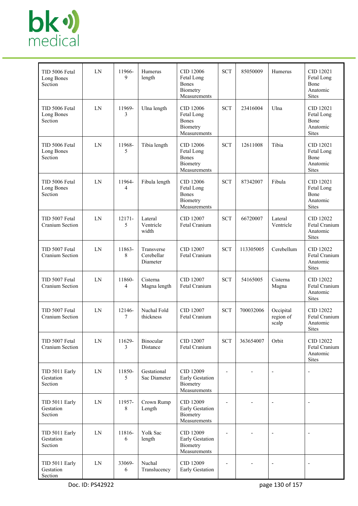

| TID 5006 Fetal<br>Long Bones<br>Section  | LN         | 11966-<br>9              | Humerus<br>length                    | CID 12006<br>Fetal Long<br><b>Bones</b><br>Biometry<br>Measurements | <b>SCT</b>               | 85050009  | Humerus                         | CID 12021<br>Fetal Long<br>Bone<br>Anatomic<br><b>Sites</b> |
|------------------------------------------|------------|--------------------------|--------------------------------------|---------------------------------------------------------------------|--------------------------|-----------|---------------------------------|-------------------------------------------------------------|
| TID 5006 Fetal<br>Long Bones<br>Section  | LN         | 11969-<br>3              | Ulna length                          | CID 12006<br>Fetal Long<br>Bones<br>Biometry<br>Measurements        | <b>SCT</b>               | 23416004  | Ulna                            | CID 12021<br>Fetal Long<br>Bone<br>Anatomic<br><b>Sites</b> |
| TID 5006 Fetal<br>Long Bones<br>Section  | LN         | 11968-<br>5              | Tibia length                         | CID 12006<br>Fetal Long<br>Bones<br>Biometry<br>Measurements        | <b>SCT</b>               | 12611008  | Tibia                           | CID 12021<br>Fetal Long<br>Bone<br>Anatomic<br><b>Sites</b> |
| TID 5006 Fetal<br>Long Bones<br>Section  | LN         | 11964-<br>$\overline{4}$ | Fibula length                        | CID 12006<br>Fetal Long<br><b>Bones</b><br>Biometry<br>Measurements | <b>SCT</b>               | 87342007  | Fibula                          | CID 12021<br>Fetal Long<br>Bone<br>Anatomic<br><b>Sites</b> |
| TID 5007 Fetal<br>Cranium Section        | LN         | 12171-<br>5              | Lateral<br>Ventricle<br>width        | CID 12007<br>Fetal Cranium                                          | <b>SCT</b>               | 66720007  | Lateral<br>Ventricle            | CID 12022<br>Fetal Cranium<br>Anatomic<br><b>Sites</b>      |
| TID 5007 Fetal<br>Cranium Section        | LN         | 11863-<br>8              | Transverse<br>Cerebellar<br>Diameter | CID 12007<br>Fetal Cranium                                          | <b>SCT</b>               | 113305005 | Cerebellum                      | CID 12022<br>Fetal Cranium<br>Anatomic<br><b>Sites</b>      |
| TID 5007 Fetal<br>Cranium Section        | LN         | 11860-<br>$\overline{4}$ | Cisterna<br>Magna length             | CID 12007<br>Fetal Cranium                                          | <b>SCT</b>               | 54165005  | Cisterna<br>Magna               | CID 12022<br>Fetal Cranium<br>Anatomic<br><b>Sites</b>      |
| TID 5007 Fetal<br><b>Cranium Section</b> | LN         | 12146-<br>7              | Nuchal Fold<br>thickness             | CID 12007<br>Fetal Cranium                                          | <b>SCT</b>               | 700032006 | Occipital<br>region of<br>scalp | CID 12022<br>Fetal Cranium<br>Anatomic<br>Sites             |
| TID 5007 Fetal<br>Cranium Section        | ${\rm LN}$ | 11629-<br>$\mathbf{3}$   | Binocular<br>Distance                | CID 12007<br>Fetal Cranium                                          | <b>SCT</b>               | 363654007 | Orbit                           | CID 12022<br>Fetal Cranium<br>Anatomic<br><b>Sites</b>      |
| TID 5011 Early<br>Gestation<br>Section   | ${\rm LN}$ | 11850-<br>5              | Gestational<br>Sac Diameter          | CID 12009<br>Early Gestation<br>Biometry<br>Measurements            | $\overline{a}$           |           | $\overline{\phantom{a}}$        | ÷,                                                          |
| TID 5011 Early<br>Gestation<br>Section   | ${\rm LN}$ | 11957-<br>8              | Crown Rump<br>Length                 | CID 12009<br>Early Gestation<br>Biometry<br>Measurements            |                          |           | $\overline{\phantom{a}}$        |                                                             |
| TID 5011 Early<br>Gestation<br>Section   | LN         | 11816-<br>6              | Yolk Sac<br>length                   | CID 12009<br>Early Gestation<br>Biometry<br>Measurements            | $\overline{a}$           |           | $\overline{\phantom{a}}$        |                                                             |
| TID 5011 Early<br>Gestation<br>Section   | ${\rm LN}$ | 33069-<br>6              | Nuchal<br>Translucency               | CID 12009<br>Early Gestation                                        | $\overline{\phantom{a}}$ |           | $\overline{\phantom{a}}$        | $\overline{a}$                                              |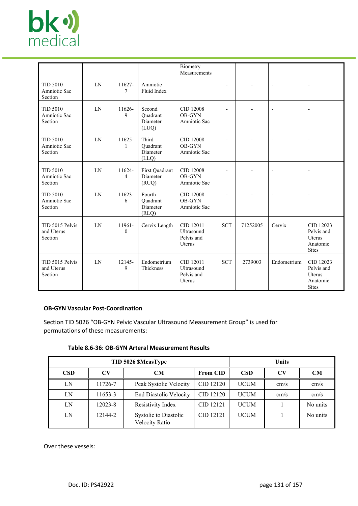

|                                            |    |                           |                                         | Biometry<br>Measurements                        |            |          |                          |                                                               |
|--------------------------------------------|----|---------------------------|-----------------------------------------|-------------------------------------------------|------------|----------|--------------------------|---------------------------------------------------------------|
| <b>TID 5010</b><br>Amniotic Sac<br>Section | LN | 11627-<br>7               | Amniotic<br>Fluid Index                 |                                                 |            |          | $\overline{\phantom{a}}$ | $\overline{\phantom{a}}$                                      |
| <b>TID 5010</b><br>Amniotic Sac<br>Section | LN | $11626 -$<br>9            | Second<br>Quadrant<br>Diameter<br>(LUQ) | CID 12008<br>OB-GYN<br>Amniotic Sac             |            |          |                          |                                                               |
| <b>TID 5010</b><br>Amniotic Sac<br>Section | LN | $11625 -$<br>$\mathbf{1}$ | Third<br>Quadrant<br>Diameter<br>(LLQ)  | CID 12008<br>OB-GYN<br>Amniotic Sac             |            |          |                          |                                                               |
| <b>TID 5010</b><br>Amniotic Sac<br>Section | LN | 11624-<br>$\overline{4}$  | First Quadrant<br>Diameter<br>(RUQ)     | CID 12008<br>OB-GYN<br>Amniotic Sac             |            |          | $\overline{\phantom{a}}$ |                                                               |
| <b>TID 5010</b><br>Amniotic Sac<br>Section | LN | 11623-<br>6               | Fourth<br>Quadrant<br>Diameter<br>(RLQ) | CID 12008<br>OB-GYN<br>Amniotic Sac             |            |          | $\overline{a}$           |                                                               |
| TID 5015 Pelvis<br>and Uterus<br>Section   | LN | 11961-<br>$\mathbf{0}$    | Cervix Length                           | CID 12011<br>Ultrasound<br>Pelvis and<br>Uterus | <b>SCT</b> | 71252005 | Cervix                   | CID 12023<br>Pelvis and<br>Uterus<br>Anatomic<br><b>Sites</b> |
| TID 5015 Pelvis<br>and Uterus<br>Section   | LN | 12145-<br>9               | Endometrium<br>Thickness                | CID 12011<br>Ultrasound<br>Pelvis and<br>Uterus | <b>SCT</b> | 2739003  | Endometrium              | CID 12023<br>Pelvis and<br>Uterus<br>Anatomic<br><b>Sites</b> |

#### **OB-GYN Vascular Post-Coordination**

Section TID 5026 "OB-GYN Pelvic Vascular Ultrasound Measurement Group" is used for permutations of these measurements:

#### **Table 8.6-36: OB-GYN Arteral Measurement Results**

|            |         | TID 5026 \$MeasType                     |                 |             | <b>Units</b> |           |
|------------|---------|-----------------------------------------|-----------------|-------------|--------------|-----------|
| <b>CSD</b> | CV      | <b>CM</b>                               | <b>From CID</b> | <b>CSD</b>  | CV           | <b>CM</b> |
| LN         | 11726-7 | Peak Systolic Velocity                  | CID 12120       | <b>UCUM</b> | cm/s         | cm/s      |
| LN         | 11653-3 | <b>End Diastolic Velocity</b>           | CID 12120       | <b>UCUM</b> | cm/s         | cm/s      |
| LN         | 12023-8 | Resistivity Index                       | CID 12121       | <b>UCUM</b> |              | No units  |
| LN         | 12144-2 | Systolic to Diastolic<br>Velocity Ratio | CID 12121       | <b>UCUM</b> |              | No units  |

Over these vessels: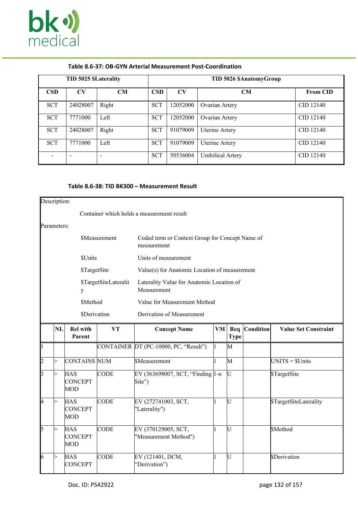

|            | TID 5025 \$Laterality |       | TID 5026 \$AnatomyGroup |                        |                         |                 |  |  |  |  |
|------------|-----------------------|-------|-------------------------|------------------------|-------------------------|-----------------|--|--|--|--|
| <b>CSD</b> | CV                    | CM    | <b>CSD</b>              | $\mathbf{C}\mathbf{V}$ | <b>CM</b>               | <b>From CID</b> |  |  |  |  |
| <b>SCT</b> | 24028007              | Right | <b>SCT</b>              | 12052000               | Ovarian Artery          | CID 12140       |  |  |  |  |
| <b>SCT</b> | 7771000               | Left  | <b>SCT</b>              | 12052000               | Ovarian Artery          | CID 12140       |  |  |  |  |
| <b>SCT</b> | 24028007              | Right | <b>SCT</b>              | 91079009               | <b>Uterine Artery</b>   | CID 12140       |  |  |  |  |
| <b>SCT</b> | 7771000               | Left  | <b>SCT</b>              | 91079009               | Uterine Artery          | CID 12140       |  |  |  |  |
|            |                       |       | <b>SCT</b>              | 50536004               | <b>Umbilical Artery</b> | CID 12140       |  |  |  |  |

# **Table 8.6-37: OB-GYN Arterial Measurement Post-Coordination**

#### **Table 8.6-38: TID BK300 – Measurement Result**

| Description:   |                                                                                                                            |                                     |                       |                                                                      |                 |                         |           |                             |  |  |  |
|----------------|----------------------------------------------------------------------------------------------------------------------------|-------------------------------------|-----------------------|----------------------------------------------------------------------|-----------------|-------------------------|-----------|-----------------------------|--|--|--|
|                |                                                                                                                            |                                     |                       | Container which holds a measurement result                           |                 |                         |           |                             |  |  |  |
| Parameters:    |                                                                                                                            |                                     |                       |                                                                      |                 |                         |           |                             |  |  |  |
|                |                                                                                                                            |                                     | <b>\$Measurement</b>  | Coded term or Context Group for Concept Name of<br>measurement       |                 |                         |           |                             |  |  |  |
|                |                                                                                                                            | <b>\$Units</b>                      |                       | Units of measurement                                                 |                 |                         |           |                             |  |  |  |
|                |                                                                                                                            | \$TargetSite                        |                       | Value(s) for Anatomic Location of measurement                        |                 |                         |           |                             |  |  |  |
|                |                                                                                                                            | y                                   | \$TargetSiteLateralit | Laterality Value for Anatomic Location of<br>Measurement             |                 |                         |           |                             |  |  |  |
|                |                                                                                                                            | <b>\$Method</b>                     |                       | Value for Measurement Method                                         |                 |                         |           |                             |  |  |  |
|                |                                                                                                                            | \$Derivation                        |                       | Derivation of Measurement                                            |                 |                         |           |                             |  |  |  |
|                | NL                                                                                                                         | <b>Rel with</b><br>Parent           | <b>VT</b>             | <b>Concept Name</b>                                                  | VM <sub>l</sub> | Req<br><b>Type</b>      | Condition | <b>Value Set Constraint</b> |  |  |  |
| $\vert$ 1      |                                                                                                                            |                                     |                       | CONTAINER DT (PC-10000, PC, "Result")                                |                 | $\overline{\mathbf{M}}$ |           |                             |  |  |  |
| $\overline{c}$ | ⊳                                                                                                                          | CONTAINS NUM                        |                       | <b>SMeasurement</b>                                                  |                 | M                       |           | $UNITS = $Units$            |  |  |  |
| 3              |                                                                                                                            | <b>HAS</b><br><b>CONCEPT</b><br>MOD | <b>CODE</b>           | EV (363698007, SCT, "Finding 1-n<br>Site")                           |                 | U                       |           | <b>STargetSite</b>          |  |  |  |
| 14             | EV (272741003, SCT,<br><b>HAS</b><br><b>CODE</b><br>IJ<br>\$TargetSiteLaterality<br><b>CONCEPT</b><br>"Laterality")<br>MOD |                                     |                       |                                                                      |                 |                         |           |                             |  |  |  |
| 5              |                                                                                                                            | <b>HAS</b><br><b>CONCEPT</b><br>MOD | <b>CODE</b>           | EV (370129005, SCT,<br>IU<br><b>SMethod</b><br>"Measurement Method") |                 |                         |           |                             |  |  |  |
| 6              | ⊳                                                                                                                          | <b>HAS</b><br><b>CONCEPT</b>        | <b>CODE</b>           | EV (121401, DCM,<br>"Derivation")                                    |                 | U                       |           | <b>SDerivation</b>          |  |  |  |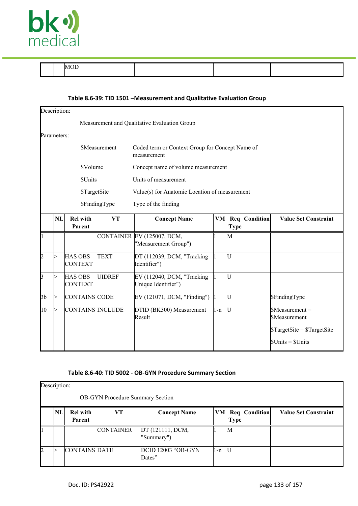

|  | $\sim$ $\sim$<br>MO H<br>$\cdots$ |  |  |  |
|--|-----------------------------------|--|--|--|
|  |                                   |  |  |  |
|  |                                   |  |  |  |

#### **Table 8.6-39: TID 1501 –Measurement and Qualitative Evaluation Group**

|                         | Description:                                                  |                                  |                      |                                                                |       |             |               |                                                                                           |  |  |
|-------------------------|---------------------------------------------------------------|----------------------------------|----------------------|----------------------------------------------------------------|-------|-------------|---------------|-------------------------------------------------------------------------------------------|--|--|
|                         |                                                               |                                  |                      | Measurement and Qualitative Evaluation Group                   |       |             |               |                                                                                           |  |  |
|                         | Parameters:                                                   |                                  |                      |                                                                |       |             |               |                                                                                           |  |  |
|                         |                                                               |                                  |                      |                                                                |       |             |               |                                                                                           |  |  |
|                         |                                                               |                                  | <b>\$Measurement</b> | Coded term or Context Group for Concept Name of<br>measurement |       |             |               |                                                                                           |  |  |
|                         |                                                               | \$Volume                         |                      | Concept name of volume measurement                             |       |             |               |                                                                                           |  |  |
|                         |                                                               | <b>\$Units</b>                   |                      | Units of measurement                                           |       |             |               |                                                                                           |  |  |
|                         | \$TargetSite<br>Value(s) for Anatomic Location of measurement |                                  |                      |                                                                |       |             |               |                                                                                           |  |  |
|                         | \$FindingType<br>Type of the finding                          |                                  |                      |                                                                |       |             |               |                                                                                           |  |  |
|                         | <b>NL</b>                                                     | <b>Rel with</b><br>Parent        | <b>VT</b>            | <b>Concept Name</b>                                            | VM    | <b>Type</b> | Req Condition | <b>Value Set Constraint</b>                                                               |  |  |
| $\vert$ 1               |                                                               |                                  |                      | CONTAINER EV (125007, DCM,<br>"Measurement Group")             |       | M           |               |                                                                                           |  |  |
| $\overline{2}$          |                                                               | <b>HAS OBS</b><br><b>CONTEXT</b> | <b>TEXT</b>          | DT (112039, DCM, "Tracking<br>Identifier")                     |       | IJ          |               |                                                                                           |  |  |
| $\overline{\mathbf{3}}$ |                                                               | <b>HAS OBS</b><br><b>CONTEXT</b> | <b>UIDREF</b>        | EV (112040, DCM, "Tracking<br>Unique Identifier")              |       | U           |               |                                                                                           |  |  |
| 3 <sub>b</sub>          | ⊳                                                             | CONTAINS CODE                    |                      | EV (121071, DCM, "Finding")                                    |       | lt j        |               | \$FindingType                                                                             |  |  |
| $\overline{10}$         | ⊳                                                             | <b>CONTAINS INCLUDE</b>          |                      | DTID (BK300) Measurement<br>Result                             | $1-n$ | IU          |               | $$Measurement =$<br><b>SMeasurement</b><br>$TargetSite = TargetSite$<br>$$Units = $Units$ |  |  |

#### **Table 8.6-40: TID 5002 - OB-GYN Procedure Summary Section**

| Description: |                                         |                 |                  |                                |       |              |                 |                             |  |  |
|--------------|-----------------------------------------|-----------------|------------------|--------------------------------|-------|--------------|-----------------|-----------------------------|--|--|
|              | <b>OB-GYN</b> Procedure Summary Section |                 |                  |                                |       |              |                 |                             |  |  |
|              | NL                                      | <b>Rel with</b> | VT.              | <b>Concept Name</b>            | $V$ M |              | Req   Condition | <b>Value Set Constraint</b> |  |  |
|              |                                         | Parent          |                  |                                |       | Type         |                 |                             |  |  |
|              |                                         |                 | <b>CONTAINER</b> | DT (121111, DCM,<br>"Summary") |       | ΙM           |                 |                             |  |  |
| 2            |                                         | CONTAINS DATE   |                  | DCID 12003 "OB-GYN<br>Dates"   | l-n   | $\mathbb{I}$ |                 |                             |  |  |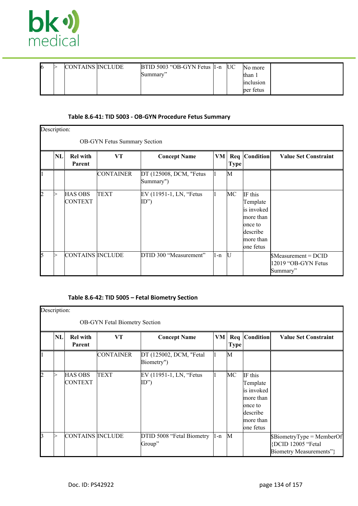

|  | CONTAINS INCLUDE | $BTID$ 5003 "OB-GYN Fetus  1-n  UC |  | No more   |
|--|------------------|------------------------------------|--|-----------|
|  |                  | Summary"                           |  | than.     |
|  |                  |                                    |  | inclusion |
|  |                  |                                    |  | ber fetus |

# **Table 8.6-41: TID 5003 - OB-GYN Procedure Fetus Summary**

|                | Description:<br><b>OB-GYN</b> Fetus Summary Section |                                  |                  |                                      |     |             |                                                                                                      |                                                         |  |  |  |
|----------------|-----------------------------------------------------|----------------------------------|------------------|--------------------------------------|-----|-------------|------------------------------------------------------------------------------------------------------|---------------------------------------------------------|--|--|--|
|                | NL                                                  | <b>Rel with</b><br>Parent        | <b>VT</b>        | <b>Concept Name</b>                  | VM  | <b>Type</b> | Req   Condition                                                                                      | <b>Value Set Constraint</b>                             |  |  |  |
|                |                                                     |                                  | <b>CONTAINER</b> | DT (125008, DCM, "Fetus<br>Summary") |     | M           |                                                                                                      |                                                         |  |  |  |
| $\overline{2}$ | ⊳                                                   | <b>HAS OBS</b><br><b>CONTEXT</b> | <b>TEXT</b>      | EV (11951-1, LN, "Fetus<br>ID")      |     | MС          | IF this<br>Template<br>is invoked<br>lmore than<br>lonce to<br>ldescribe<br>lmore than<br>lone fetus |                                                         |  |  |  |
| 5              |                                                     | CONTAINS INCLUDE                 |                  | DTID 300 "Measurement"               | 1-n | IJ          |                                                                                                      | \$Measurement = DCID<br>12019 "OB-GYN Fetus<br>Summary" |  |  |  |

# **Table 8.6-42: TID 5005 – Fetal Biometry Section**

|                | Description:<br><b>OB-GYN Fetal Biometry Section</b> |                                  |                  |                                       |       |             |                                                                                                       |                                                                                  |  |  |  |
|----------------|------------------------------------------------------|----------------------------------|------------------|---------------------------------------|-------|-------------|-------------------------------------------------------------------------------------------------------|----------------------------------------------------------------------------------|--|--|--|
|                | NL                                                   | <b>Rel with</b><br>Parent        | VT               | <b>Concept Name</b>                   | $V$ M | <b>Type</b> | Req Condition                                                                                         | <b>Value Set Constraint</b>                                                      |  |  |  |
| $\vert$        |                                                      |                                  | <b>CONTAINER</b> | DT (125002, DCM, "Fetal<br>Biometry") |       | M           |                                                                                                       |                                                                                  |  |  |  |
| $\overline{2}$ | ⊳                                                    | <b>HAS OBS</b><br><b>CONTEXT</b> | <b>TEXT</b>      | EV (11951-1, LN, "Fetus<br>ID")       |       | MС          | IF this<br>Template<br>lis invoked<br>lmore than<br>lonce to<br>ldescribe<br>lmore than<br>lone fetus |                                                                                  |  |  |  |
| $\overline{3}$ |                                                      | CONTAINS INCLUDE                 |                  | DTID 5008 "Fetal Biometry<br>Group"   | 1-n   | M           |                                                                                                       | $\beta$ BiometryType = MemberOf<br>{DCID 12005 "Fetal<br>Biometry Measurements"} |  |  |  |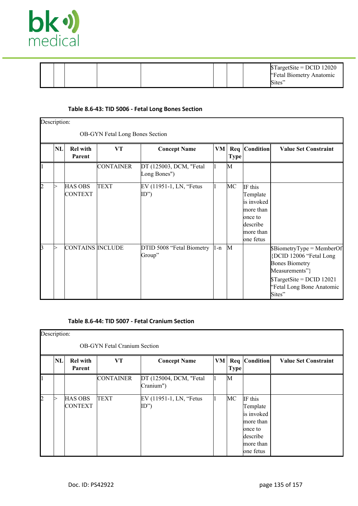

|  |  |  |  |  |  |  | $\text{STargetSite} = DCID 12020$<br>"Fetal Biometry Anatomic<br>Sites" |
|--|--|--|--|--|--|--|-------------------------------------------------------------------------|
|--|--|--|--|--|--|--|-------------------------------------------------------------------------|

# **Table 8.6-43: TID 5006 - Fetal Long Bones Section**

|                         | Description:<br>OB-GYN Fetal Long Bones Section |                                  |                  |                                         |         |             |                                                                                                  |                                                                                                                                                                           |  |  |
|-------------------------|-------------------------------------------------|----------------------------------|------------------|-----------------------------------------|---------|-------------|--------------------------------------------------------------------------------------------------|---------------------------------------------------------------------------------------------------------------------------------------------------------------------------|--|--|
|                         | NL                                              | <b>Rel with</b><br>Parent        | <b>VT</b>        | <b>Concept Name</b>                     | VM      | <b>Type</b> | Req   Condition                                                                                  | <b>Value Set Constraint</b>                                                                                                                                               |  |  |
| $\vert$                 |                                                 |                                  | <b>CONTAINER</b> | DT (125003, DCM, "Fetal<br>Long Bones") |         | M           |                                                                                                  |                                                                                                                                                                           |  |  |
| $\overline{2}$          |                                                 | <b>HAS OBS</b><br><b>CONTEXT</b> | <b>TEXT</b>      | EV (11951-1, LN, "Fetus<br>ID")         |         | MС          | IF this<br>Template<br>is invoked<br>more than<br>lonce to<br>describe<br>more than<br>one fetus |                                                                                                                                                                           |  |  |
| $\overline{\mathsf{3}}$ |                                                 | CONTAINS INCLUDE                 |                  | DTID 5008 "Fetal Biometry<br>Group"     | $ 1-n $ | M           |                                                                                                  | $\beta$ BiometryType = MemberOf<br>{DCID 12006 "Fetal Long<br><b>Bones Biometry</b><br>Measurements"}<br>$TargetSite = DCID 12021$<br>"Fetal Long Bone Anatomic<br>Sites" |  |  |

# **Table 8.6-44: TID 5007 - Fetal Cranium Section**

| Description:   |                                     |                                  |                  |                                      |    |      |                                                                                                  |                             |  |  |
|----------------|-------------------------------------|----------------------------------|------------------|--------------------------------------|----|------|--------------------------------------------------------------------------------------------------|-----------------------------|--|--|
|                | <b>OB-GYN</b> Fetal Cranium Section |                                  |                  |                                      |    |      |                                                                                                  |                             |  |  |
|                | NL                                  | <b>Rel with</b><br>Parent        | <b>VT</b>        | <b>Concept Name</b>                  | VM | Type | Req   Condition                                                                                  | <b>Value Set Constraint</b> |  |  |
|                |                                     |                                  | <b>CONTAINER</b> | DT (125004, DCM, "Fetal<br>Cranium") |    | M    |                                                                                                  |                             |  |  |
| $\overline{2}$ |                                     | <b>HAS OBS</b><br><b>CONTEXT</b> | <b>TEXT</b>      | EV (11951-1, LN, "Fetus<br>ID'       |    | MC   | IF this<br>Template<br>is invoked<br>more than<br>lonce to<br>describe<br>more than<br>one fetus |                             |  |  |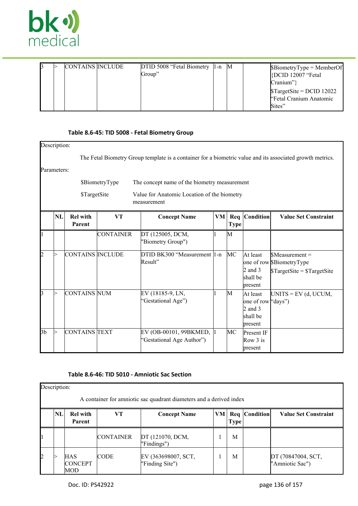

|  | <b>CONTAINS INCLUDE</b> | DTID 5008 "Fetal Biometry $ 1-n $ M<br>Group" |  |  | $\beta$ BiometryType = MemberOf<br>$[$ {DCID 12007 "Fetal $]$<br>Cranium"<br>$\text{STargetSite} = DCID 12022$<br>"Fetal Cranium Anatomic<br>Sites" |
|--|-------------------------|-----------------------------------------------|--|--|-----------------------------------------------------------------------------------------------------------------------------------------------------|
|--|-------------------------|-----------------------------------------------|--|--|-----------------------------------------------------------------------------------------------------------------------------------------------------|

# **Table 8.6-45: TID 5008 - Fetal Biometry Group**

| Description:   |                                                                            |                           |                  |                                                                                                           |    |             |                                                                    |                                                                                                |  |  |  |
|----------------|----------------------------------------------------------------------------|---------------------------|------------------|-----------------------------------------------------------------------------------------------------------|----|-------------|--------------------------------------------------------------------|------------------------------------------------------------------------------------------------|--|--|--|
|                |                                                                            |                           |                  | The Fetal Biometry Group template is a container for a biometric value and its associated growth metrics. |    |             |                                                                    |                                                                                                |  |  |  |
| Parameters:    |                                                                            |                           |                  |                                                                                                           |    |             |                                                                    |                                                                                                |  |  |  |
|                | \$BiometryType<br>The concept name of the biometry measurement             |                           |                  |                                                                                                           |    |             |                                                                    |                                                                                                |  |  |  |
|                | \$TargetSite<br>Value for Anatomic Location of the biometry<br>measurement |                           |                  |                                                                                                           |    |             |                                                                    |                                                                                                |  |  |  |
|                | NL                                                                         | <b>Rel with</b><br>Parent | VT               | <b>Concept Name</b>                                                                                       | VM | <b>Type</b> | Req Condition                                                      | <b>Value Set Constraint</b>                                                                    |  |  |  |
|                |                                                                            |                           | <b>CONTAINER</b> | DT (125005, DCM,<br>"Biometry Group")                                                                     |    | M           |                                                                    |                                                                                                |  |  |  |
| 2              |                                                                            | CONTAINS INCLUDE          |                  | DTID BK300 "Measurement  1-n<br>Result"                                                                   |    | MC          | At least<br>$2$ and $3$<br>shall be<br>present                     | \$Measurement=<br>one of row <b>SBiometryType</b><br>$\text{STargetSite} = \text{STargetSite}$ |  |  |  |
| 3              |                                                                            | CONTAINS NUM              |                  | EV (18185-9, LN,<br>"Gestational Age")                                                                    |    | M           | At least<br>one of row "days")<br>$2$ and 3<br>shall be<br>present | $UNITS = EV$ (d, UCUM,                                                                         |  |  |  |
| 3 <sub>b</sub> |                                                                            | CONTAINS TEXT             |                  | EV (OB-00101, 99BKMED,<br>"Gestational Age Author")                                                       |    | MС          | Present IF<br>Row 3 is<br>present                                  |                                                                                                |  |  |  |

#### **Table 8.6-46: TID 5010 - Amniotic Sac Section**

| Description: |    |                                            |                  | A container for amniotic sac quadrant diameters and a derived index |    |             |                 |                                       |
|--------------|----|--------------------------------------------|------------------|---------------------------------------------------------------------|----|-------------|-----------------|---------------------------------------|
|              | NL | <b>Rel with</b><br>Parent                  | VT               | <b>Concept Name</b>                                                 | VM | <b>Type</b> | Req   Condition | <b>Value Set Constraint</b>           |
|              |    |                                            | <b>CONTAINER</b> | DT (121070, DCM,<br>"Findings")                                     |    | М           |                 |                                       |
| 2            |    | <b>HAS</b><br><b>CONCEPT</b><br><b>MOD</b> | ICODE            | EV (363698007, SCT,<br>"Finding Site")                              |    | M           |                 | DT (70847004, SCT,<br>"Amniotic Sac") |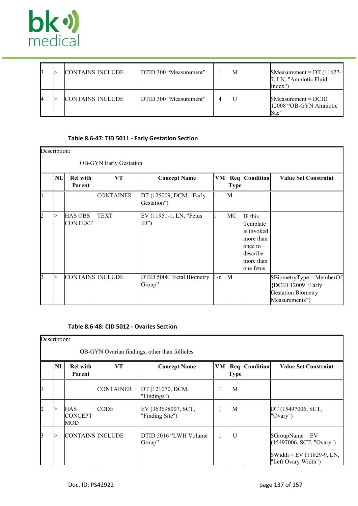

|  | CONTAINS INCLUDE        | DTID 300 "Measurement" | М | $ \text{SMeasurement} = DT (11627 -$<br>7, LN, "Amniotic Fluid"<br>Index") |
|--|-------------------------|------------------------|---|----------------------------------------------------------------------------|
|  | <b>CONTAINS INCLUDE</b> | DTID 300 "Measurement" |   | $$Measurement = DCID$<br>12008 "OB-GYN Amniotic<br>Sac"                    |

# **Table 8.6-47: TID 5011 - Early Gestation Section**

| Description: |                               |                                  |                  |                                        |         |             |                                                                                                     |                                                                                                      |  |
|--------------|-------------------------------|----------------------------------|------------------|----------------------------------------|---------|-------------|-----------------------------------------------------------------------------------------------------|------------------------------------------------------------------------------------------------------|--|
|              | <b>OB-GYN</b> Early Gestation |                                  |                  |                                        |         |             |                                                                                                     |                                                                                                      |  |
|              | NL                            | <b>Rel with</b><br>Parent        | VT               | <b>Concept Name</b>                    | $V$ M   | <b>Type</b> | Req   Condition                                                                                     | <b>Value Set Constraint</b>                                                                          |  |
| п            |                               |                                  | <b>CONTAINER</b> | DT (125009, DCM, "Early<br>Gestation") |         | M           |                                                                                                     |                                                                                                      |  |
| 2            |                               | <b>HAS OBS</b><br><b>CONTEXT</b> | <b>TEXT</b>      | EV (11951-1, LN, "Fetus<br>ID")        |         | MС          | IF this<br>Template<br>is invoked<br>lmore than<br>lonce to<br>ldescribe<br>lmore than<br>one fetus |                                                                                                      |  |
| 3            |                               | CONTAINS INCLUDE                 |                  | DTID 5008 "Fetal Biometry<br>Group"    | $ 1-n $ | M           |                                                                                                     | $\beta$ BiometryType = MemberOf<br>{DCID 12009 "Early<br><b>Gestation Biometry</b><br>Measurements"} |  |

# **Table 8.6-48: CID 5012 - Ovaries Section**

|   | Description:                                  |                                     |                  |                                        |    |              |               |                                                                                                                 |  |
|---|-----------------------------------------------|-------------------------------------|------------------|----------------------------------------|----|--------------|---------------|-----------------------------------------------------------------------------------------------------------------|--|
|   | OB-GYN Ovarian findings, other than follicles |                                     |                  |                                        |    |              |               |                                                                                                                 |  |
|   | NL                                            | <b>Rel with</b><br>Parent           | <b>VT</b>        | <b>Concept Name</b>                    | VM | <b>Type</b>  | Req Condition | <b>Value Set Constraint</b>                                                                                     |  |
|   |                                               |                                     | <b>CONTAINER</b> | DT (121070, DCM,<br>"Findings")        |    | M            |               |                                                                                                                 |  |
| 2 |                                               | <b>HAS</b><br><b>CONCEPT</b><br>MOD | <b>CODE</b>      | EV (363698007, SCT,<br>"Finding Site") |    | M            |               | DT (15497006, SCT,<br>"Ovary")                                                                                  |  |
| 3 |                                               | CONTAINS INCLUDE                    |                  | DTID 5016 "LWH Volume<br>Group"        | 1  | $\mathbf{U}$ |               | $\text{GroupName} = \text{EV}$<br>(15497006, SCT, "Ovary")<br>$Width = EV (11829-9, LN,$<br>"Left Ovary Width") |  |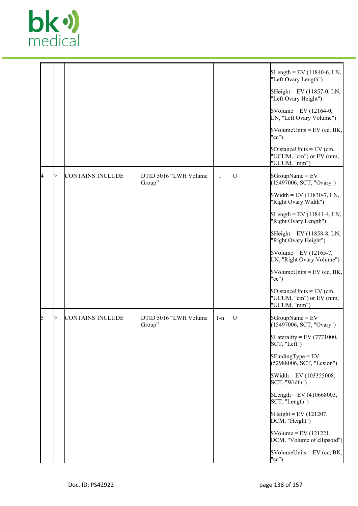

|    |                  |                                 |              |   | $\text{SLength} = \text{EV} (11840-6, \text{LN},$<br>"Left Ovary Length")  |
|----|------------------|---------------------------------|--------------|---|----------------------------------------------------------------------------|
|    |                  |                                 |              |   | $$Height = EV (11857-0, LN,$<br>"Left Ovary Height")                       |
|    |                  |                                 |              |   | $\text{Volume} = \text{EV} (12164 - 0,$<br>LN, "Left Ovary Volume")        |
|    |                  |                                 |              |   | $\text{VolumelUnits} = \text{EV}$ (cc, BK,<br>"cc")                        |
|    |                  |                                 |              |   | $Distance Units = EV$ (cm,<br>'UCUM, "cm") or EV (mm,<br>"UCUM, "mm")      |
| 14 | CONTAINS INCLUDE | DTID 5016 "LWH Volume<br>Group" | $\mathbf{1}$ | U | $\text{SGroupName} = \text{EV}$<br>(15497006, SCT, "Ovary")                |
|    |                  |                                 |              |   | $Width = EV (11830-7, LN,$<br>"Right Ovary Width")                         |
|    |                  |                                 |              |   | $\text{SLength} = \text{EV} (11841-4, \text{LN},$<br>'Right Ovary Length") |
|    |                  |                                 |              |   | $$Height = EV (11858-8, LN,$<br>"Right Ovary Height")                      |
|    |                  |                                 |              |   | $\text{Volume} = \text{EV} (12165 - 7,$<br>LN, "Right Ovary Volume")       |
|    |                  |                                 |              |   | $\text{VolumelUnits} = \text{EV}$ (cc, BK,<br>$'cc'$ )                     |
|    |                  |                                 |              |   | $Distance Units = EV$ (cm,<br>"UCUM, "cm") or EV (mm,<br>"UCUM, "mm")      |
| 15 | CONTAINS INCLUDE | DTID 5016 "LWH Volume<br>Group" | $1-n$        | U | $\text{SGroupName} = \text{EV}$<br>(15497006, SCT, "Ovary")                |
|    |                  |                                 |              |   | $SLaterality = EV (7771000,$<br>SCT, "Left")                               |
|    |                  |                                 |              |   | $\frac{1}{2}$ Finding Type = EV<br>(52988006, SCT, "Lesion")               |
|    |                  |                                 |              |   | $Width = EV (103355008,$<br>SCT, "Width")                                  |
|    |                  |                                 |              |   | $\text{SLength} = \text{EV} (410668003,$<br>SCT, "Length")                 |
|    |                  |                                 |              |   | $$Height = EV (121207,$<br>DCM, "Height")                                  |
|    |                  |                                 |              |   | $\text{Volume} = \text{EV} (121221,$<br>DCM, "Volume of ellipsoid")        |
|    |                  |                                 |              |   | $\text{Volumelmits} = \text{EV}$ (cc, BK,<br>$"cc"$ )                      |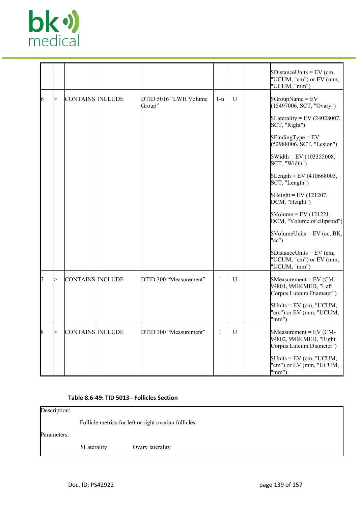

|                 |   |                   |                                 |              |   | $Distance Units = EV$ (cm,<br>"UCUM, "cm") or EV (mm,<br>"UCUM, "mm")                    |
|-----------------|---|-------------------|---------------------------------|--------------|---|------------------------------------------------------------------------------------------|
| $\vert 6 \vert$ | ⊳ | CONTAINS  INCLUDE | DTID 5016 "LWH Volume<br>Group" | $1-n$        | U | $\text{SGroupName} = \text{EV}$<br>(15497006, SCT, "Ovary")                              |
|                 |   |                   |                                 |              |   | $\text{SLaterality} = \text{EV} (24028007,$<br>SCT, "Right")                             |
|                 |   |                   |                                 |              |   | $$FindingType = EV$<br>(52988006, SCT, "Lesion")                                         |
|                 |   |                   |                                 |              |   | $\text{Width} = \text{EV} (103355008,$<br>SCT, "Width")                                  |
|                 |   |                   |                                 |              |   | $\text{SLength} = \text{EV} (410668003,$<br>SCT, "Length")                               |
|                 |   |                   |                                 |              |   | $$Height = EV (121207,$<br>DCM, "Height")                                                |
|                 |   |                   |                                 |              |   | $\text{Volume} = \text{EV} (121221,$<br>DCM, "Volume of ellipsoid")                      |
|                 |   |                   |                                 |              |   | $\text{VolumelUnits} = \text{EV}$ (cc, BK,<br>"cc")                                      |
|                 |   |                   |                                 |              |   | $Distance Units = EV$ (cm,<br>"UCUM, "cm") or EV (mm,<br>"UCUM, "mm")                    |
| I7              |   | CONTAINS INCLUDE  | DTID 300 "Measurement"          | $\mathbf{1}$ | U | $\mathcal{S}$ Measurement = EV (CM-<br>94801, 99BKMED, "Left<br>Corpus Luteum Diameter") |
|                 |   |                   |                                 |              |   | $\text{SUnits} = \text{EV}$ (cm, "UCUM,<br>"cm") or EV (mm, "UCUM,<br>"mm")              |
| $\vert$ 8       | ↘ | CONTAINS INCLUDE  | DTID 300 "Measurement"          | $\mathbf{1}$ | U | $$Measurement = EV (CM-$<br>94802, 99BKMED, "Right<br>Corpus Luteum Diameter")           |
|                 |   |                   |                                 |              |   | $Units = EV$ (cm, "UCUM,<br>"cm") or EV (mm, "UCUM,<br>"mm")                             |

#### **Table 8.6-49: TID 5013 - Follicles Section**

Description:

Follicle metrics for left or right ovarian follicles.

Parameters:

\$Laterality Ovary laterality

Doc. ID: PS42922 page 139 of 157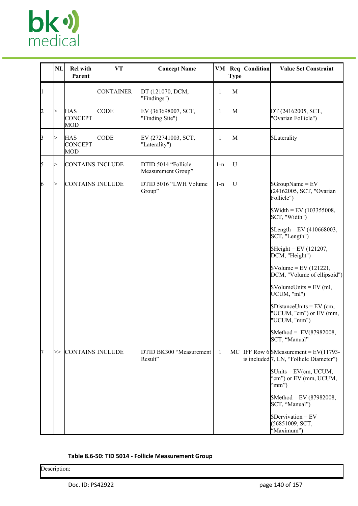

|    | NL | <b>Rel with</b><br>Parent           | <b>VT</b>        | <b>Concept Name</b>                       | VM           | Req<br><b>Type</b> | Condition | <b>Value Set Constraint</b>                                                          |
|----|----|-------------------------------------|------------------|-------------------------------------------|--------------|--------------------|-----------|--------------------------------------------------------------------------------------|
|    |    |                                     | <b>CONTAINER</b> | DT (121070, DCM,<br>"Findings")           | $\mathbf{1}$ | M                  |           |                                                                                      |
| 12 |    | <b>HAS</b><br><b>CONCEPT</b><br>MOD | <b>CODE</b>      | EV (363698007, SCT,<br>"Finding Site")    | $\mathbf{1}$ | M                  |           | DT (24162005, SCT,<br>"Ovarian Follicle")                                            |
| 3  |    | <b>HAS</b><br><b>CONCEPT</b><br>MOD | <b>CODE</b>      | EV (272741003, SCT,<br>"Laterality")      | $\mathbf{1}$ | M                  |           | <b>SLaterality</b>                                                                   |
| 5  | ⊳  | CONTAINS INCLUDE                    |                  | DTID 5014 "Follicle<br>Measurement Group" | $1 - n$      | $\mathbf U$        |           |                                                                                      |
| 16 | ⊳  | CONTAINS INCLUDE                    |                  | DTID 5016 "LWH Volume<br>Group"           | $1 - n$      | U                  |           | $S$ GroupName = EV<br>(24162005, SCT, "Ovarian<br>Follicle")                         |
|    |    |                                     |                  |                                           |              |                    |           | $\text{Width} = \text{EV} (103355008,$<br>SCT, "Width")                              |
|    |    |                                     |                  |                                           |              |                    |           | $\text{SLength} = \text{EV} (410668003,$<br>SCT, "Length")                           |
|    |    |                                     |                  |                                           |              |                    |           | $$Height = EV (121207,$<br>DCM, "Height")                                            |
|    |    |                                     |                  |                                           |              |                    |           | $\text{Volume} = \text{EV} (121221,$<br>DCM, "Volume of ellipsoid")                  |
|    |    |                                     |                  |                                           |              |                    |           | $\text{Volumelunits} = \text{EV (ml)}$<br>UCUM, "ml")                                |
|    |    |                                     |                  |                                           |              |                    |           | $Distance Units = EV$ (cm,<br>"UCUM, "cm") or EV (mm,<br>"UCUM, "mm")                |
|    |    |                                     |                  |                                           |              |                    |           | \$Method = $EV(87982008,$<br>SCT, "Manual"                                           |
|    | ⊳> | CONTAINS INCLUDE                    |                  | DTID BK300 "Measurement<br>Result"        | $\mathbf{1}$ |                    |           | MC IFF Row 6 \$Measurement = $EV(11793 -$<br>is included 7, LN, "Follicle Diameter") |
|    |    |                                     |                  |                                           |              |                    |           | $$Units = EV(cm, UCUM,$<br>"cm") or EV (mm, UCUM,<br>"mm")                           |
|    |    |                                     |                  |                                           |              |                    |           | $$Method = EV (87982008,$<br>SCT, "Manual")                                          |
|    |    |                                     |                  |                                           |              |                    |           | $\text{Dervivation} = \text{EV}$<br>(56851009, SCT,<br>"Maximum")                    |

### **Table 8.6-50: TID 5014 - Follicle Measurement Group**

Description: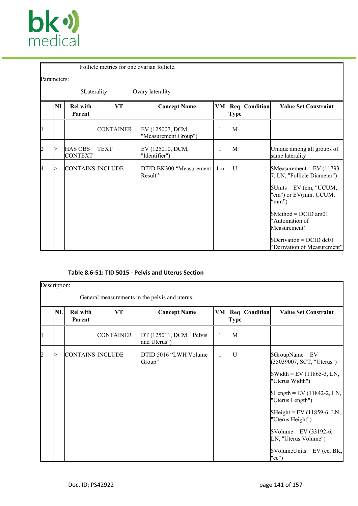

|    | Follicle metrics for one ovarian follicle. |                                  |                  |                                          |     |             |               |                                                                                                                                                                                                                                                                              |  |
|----|--------------------------------------------|----------------------------------|------------------|------------------------------------------|-----|-------------|---------------|------------------------------------------------------------------------------------------------------------------------------------------------------------------------------------------------------------------------------------------------------------------------------|--|
|    | Parameters:                                |                                  |                  |                                          |     |             |               |                                                                                                                                                                                                                                                                              |  |
|    | <b>\$Laterality</b><br>Ovary laterality    |                                  |                  |                                          |     |             |               |                                                                                                                                                                                                                                                                              |  |
|    | NL                                         | <b>Rel with</b><br>Parent        | <b>VT</b>        | <b>Concept Name</b>                      | VM  | <b>Type</b> | Req Condition | <b>Value Set Constraint</b>                                                                                                                                                                                                                                                  |  |
|    |                                            |                                  | <b>CONTAINER</b> | EV (125007, DCM,<br>"Measurement Group") | 1   | M           |               |                                                                                                                                                                                                                                                                              |  |
| 12 |                                            | <b>HAS OBS</b><br><b>CONTEXT</b> | TEXT             | EV (125010, DCM,<br>"Identifier")        | 1   | M           |               | Unique among all groups of<br>same laterality                                                                                                                                                                                                                                |  |
| 14 |                                            | CONTAINS INCLUDE                 |                  | DTID BK300 "Measurement<br>Result"       | 1-n | U           |               | $Measurement = EV (11793 -$<br>7, LN, "Follicle Diameter")<br>$\text{SUnits} = \text{EV (cm, "UCUM,}$<br>"cm") or EV(mm, UCUM,<br>"mm")<br>$$Method = DCID$ am01<br>"Automation of<br>Measurement"<br>$\text{SDerivation} = \text{DCID de01}$<br>"Derivation of Measurement" |  |

# **Table 8.6-51: TID 5015 - Pelvis and Uterus Section**

|                | Description:<br>General measurements in the pelvis and uterus. |                           |           |                                          |              |             |                 |                                                                                                                                                                                                                                                                                                                                                                                         |
|----------------|----------------------------------------------------------------|---------------------------|-----------|------------------------------------------|--------------|-------------|-----------------|-----------------------------------------------------------------------------------------------------------------------------------------------------------------------------------------------------------------------------------------------------------------------------------------------------------------------------------------------------------------------------------------|
|                | NL                                                             | <b>Rel with</b><br>Parent | VT        | <b>Concept Name</b>                      | VM           | <b>Type</b> | Req   Condition | <b>Value Set Constraint</b>                                                                                                                                                                                                                                                                                                                                                             |
|                |                                                                |                           | CONTAINER | DT (125011, DCM, "Pelvis<br>and Uterus") | $\mathbf{1}$ | M           |                 |                                                                                                                                                                                                                                                                                                                                                                                         |
| $\overline{2}$ |                                                                | CONTAINS INCLUDE          |           | DTID 5016 "LWH Volume"<br>Group"         | 1            | U           |                 | $\text{GroupName} = \text{EV}$<br>(35039007, SCT, "Uterus")<br>$\text{Width} = \text{EV} (11865-3, \text{LN},$<br>"Uterus Width")<br>$\text{SLength} = \text{EV} (11842 - 2, \text{LN},$<br>"Uterus Length")<br>$$Height = EV (11859-6, LN,$<br>"Uterus Height")<br>$\text{Volume} = \text{EV} (33192-6,$<br>LN, "Uterus Volume")<br>$\text{Volumelmits} = \text{EV}$ (cc, BK,<br>"cc") |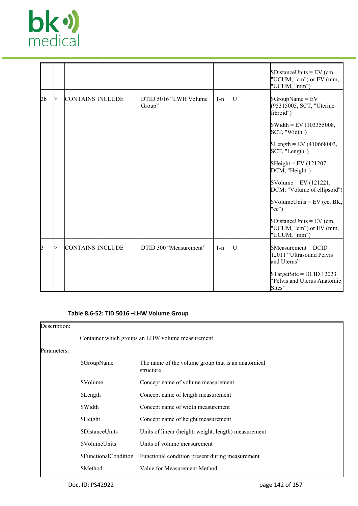

|                |                  |                                  |       |              | $Distance Units = EV$ (cm,<br>"UCUM, "cm") or EV (mm,<br>"UCUM, "mm")               |
|----------------|------------------|----------------------------------|-------|--------------|-------------------------------------------------------------------------------------|
| 2 <sub>b</sub> | CONTAINS INCLUDE | DTID 5016 "LWH Volume"<br>Group" | $1-n$ | U            | $S$ GroupName = EV<br>(95315005, SCT, "Uterine<br>fibroid")                         |
|                |                  |                                  |       |              | $\text{Width} = \text{EV} (103355008,$<br>SCT, "Width")                             |
|                |                  |                                  |       |              | $\text{SLength} = \text{EV} (410668003,$<br>SCT, "Length")                          |
|                |                  |                                  |       |              | $$Height = EV (121207,$<br>DCM, "Height")                                           |
|                |                  |                                  |       |              | $\text{Volume} = \text{EV} (121221,$<br>DCM, "Volume of ellipsoid")                 |
|                |                  |                                  |       |              | $\text{VolumelUnits} = \text{EV}$ (cc, BK,<br>" $cc$ ")                             |
|                |                  |                                  |       |              | $\text{Distance Units} = \text{EV (cm,}$<br>"UCUM, "cm") or EV (mm,<br>"UCUM, "mm") |
| $\mathbf{E}$   | CONTAINS INCLUDE | DTID 300 "Measurement"           | $1-n$ | $\mathbf{U}$ | $$Measurement = DCID$<br>12011 "Ultrasound Pelvis<br>and Uterus"                    |
|                |                  |                                  |       |              | $TargetSite = DCID 12023$<br>"Pelvis and Uterus Anatomic<br>Sites"                  |

# **Table 8.6-52: TID 5016 –LHW Volume Group**

| Description: |                                                  |                                                                 |  |  |  |  |  |  |
|--------------|--------------------------------------------------|-----------------------------------------------------------------|--|--|--|--|--|--|
|              | Container which groups an LHW volume measurement |                                                                 |  |  |  |  |  |  |
| Parameters:  |                                                  |                                                                 |  |  |  |  |  |  |
|              | \$GroupName                                      | The name of the volume group that is an anatomical<br>structure |  |  |  |  |  |  |
|              | \$Volume                                         | Concept name of volume measurement                              |  |  |  |  |  |  |
|              | \$Length                                         | Concept name of length measurement                              |  |  |  |  |  |  |
|              | \$Width                                          | Concept name of width measurement                               |  |  |  |  |  |  |
|              | \$Height                                         | Concept name of height measurement                              |  |  |  |  |  |  |
|              | \$DistanceUnits                                  | Units of linear (height, weight, length) measurement            |  |  |  |  |  |  |
|              | \$VolumeUnits                                    | Units of volume measurement                                     |  |  |  |  |  |  |
|              | \$FunctionalCondition                            | Functional condition present during measurement                 |  |  |  |  |  |  |
|              | <b>SMethod</b>                                   | Value for Measurement Method                                    |  |  |  |  |  |  |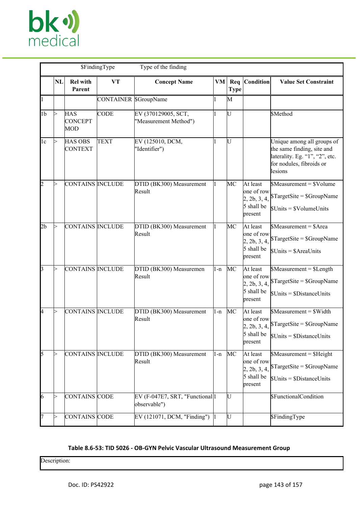

|                | Type of the finding<br>\$FindingType |                                     |                      |                                                               |         |                    |                                                                 |                                                                                                                                       |  |
|----------------|--------------------------------------|-------------------------------------|----------------------|---------------------------------------------------------------|---------|--------------------|-----------------------------------------------------------------|---------------------------------------------------------------------------------------------------------------------------------------|--|
|                | <b>NL</b>                            | <b>Rel with</b><br>Parent           | VT                   | <b>Concept Name</b>                                           | VM      | Req<br><b>Type</b> | Condition                                                       | <b>Value Set Constraint</b>                                                                                                           |  |
|                |                                      |                                     | CONTAINER SGroupName |                                                               |         | M                  |                                                                 |                                                                                                                                       |  |
| 1 <sub>b</sub> | ⊳                                    | <b>HAS</b><br><b>CONCEPT</b><br>MOD | <b>CODE</b>          | EV (370129005, SCT,<br>"Measurement Method")                  |         | U                  |                                                                 | \$Method                                                                                                                              |  |
| 1c             |                                      | <b>HAS OBS</b><br><b>CONTEXT</b>    | <b>TEXT</b>          | EV (125010, DCM,<br>"Identifier")                             |         | U                  |                                                                 | Unique among all groups of<br>the same finding, site and<br>laterality. Eg. "1", "2", etc.<br>for nodules, fibroids or<br>lesions     |  |
| 2              | ⊳                                    | CONTAINS INCLUDE                    |                      | DTID (BK300) Measurement<br>Result                            |         | MС                 | At least<br>one of row<br>2, 2b, 3, 4,<br>5 shall be<br>present | $$Measurement = $Volume$<br>\$TargetSite = \$GroupName<br>$$Units = $VolumeUnits$                                                     |  |
| 2b             | >                                    | CONTAINS INCLUDE                    |                      | DTID (BK300) Measurement<br>Result                            |         | МC                 | At least<br>one of row<br>2, 2b, 3, 4,<br>5 shall be<br>present | $$Measurement = $Area$<br>\$TargetSite = \$GroupName<br>$Units = AreaUnits$                                                           |  |
| $\mathsf{B}$   | ⊳                                    | CONTAINS INCLUDE                    |                      | DTID (BK300) Measuremen<br>Result                             | 1-n     | MC                 | At least<br>one of row<br>2, 2b, 3, 4,<br>5 shall be<br>present | $$Measurement = $Length$<br>$TargetSite = $GroupName$<br>$\text{J Units} = \text{Distance Units}$                                     |  |
| 4              | >                                    | CONTAINS INCLUDE                    |                      | DTID (BK300) Measurement<br>Result                            | l-n     | MC                 | At least<br>one of row<br>5 shall be<br>present                 | \$Measurement = \$Width<br>$2, 2b, 3, 4$ , $\sqrt{\text{TargetSite}} = \text{SGroupName}$<br>$\text{J Units} = \text{Distance Units}$ |  |
| 5              | >                                    | CONTAINS INCLUDE                    |                      | DTID (BK300) Measurement<br>Result                            | $1 - n$ | MC                 | At least<br>one of row<br>2, 2b, 3, 4,<br>5 shall be<br>present | \$Measurement = \$Height<br>\$TargetSite = \$GroupName<br>$$Units = $Distance Units$                                                  |  |
| 6              | ⊳                                    | CONTAINS CODE                       |                      | EV (F-047E7, SRT, "Functional <sup>[1</sup> ]<br>observable") |         | U                  |                                                                 | \$FunctionalCondition                                                                                                                 |  |
|                |                                      | CONTAINS CODE                       |                      | EV (121071, DCM, "Finding") 1                                 |         | U                  |                                                                 | \$FindingType                                                                                                                         |  |

# **Table 8.6-53: TID 5026 - OB-GYN Pelvic Vascular Ultrasound Measurement Group**

Description: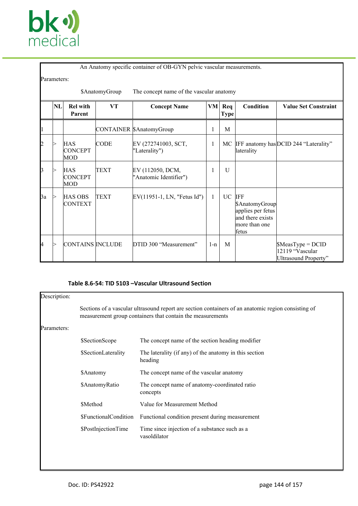

#### An Anatomy specific container of OB-GYN pelvic vascular measurements.

#### Parameters: \$AnatomyGroup The concept name of the vascular anatomy **NL Rel with Parent VT Concept Name VM Req Type Condition Value Set Constraint** CONTAINER SAnatomyGroup | 1 M  $2 >$  HAS **CONCEPT** MOD CODE EV (272741003, SCT, "Laterality") 1 | MC IFF anatomy has DCID 244 "Laterality" laterality  $3 \rightarrow$  HAS **CONCEPT** MOD TEXT EV (112050, DCM, "Anatomic Identifier")  $1 \cup$  $3a$  > HAS OBS **CONTEXT**  $\text{TEXT}$  EV(11951-1, LN, "Fetus Id") 1 UC IFF \$AnatomyGroup applies per fetus and there exists more than one fetus  $4 \geq$  CONTAINS INCLUDE DTID 300 "Measurement" | 1-n | M | SMeasType = DCID 12119 "Vascular Ultrasound Property"

#### **Table 8.6-54: TID 5103 –Vascular Ultrasound Section**

| Description: |                                                                                                                                                                   |                                                                   |  |  |  |  |  |  |
|--------------|-------------------------------------------------------------------------------------------------------------------------------------------------------------------|-------------------------------------------------------------------|--|--|--|--|--|--|
|              | Sections of a vascular ultrasound report are section containers of an anatomic region consisting of<br>measurement group containers that contain the measurements |                                                                   |  |  |  |  |  |  |
| Parameters:  |                                                                                                                                                                   |                                                                   |  |  |  |  |  |  |
|              | \$SectionScope                                                                                                                                                    | The concept name of the section heading modifier                  |  |  |  |  |  |  |
|              | \$SectionLaterality                                                                                                                                               | The laterality (if any) of the anatomy in this section<br>heading |  |  |  |  |  |  |
|              | <b>\$Anatomy</b>                                                                                                                                                  | The concept name of the vascular anatomy                          |  |  |  |  |  |  |
|              | \$AnatomyRatio                                                                                                                                                    | The concept name of anatomy-coordinated ratio<br>concepts         |  |  |  |  |  |  |
|              | \$Method                                                                                                                                                          | Value for Measurement Method                                      |  |  |  |  |  |  |
|              | \$FunctionalCondition                                                                                                                                             | Functional condition present during measurement                   |  |  |  |  |  |  |
|              | \$PostInjectionTime                                                                                                                                               | Time since injection of a substance such as a<br>vasoldilator     |  |  |  |  |  |  |
|              |                                                                                                                                                                   |                                                                   |  |  |  |  |  |  |
|              |                                                                                                                                                                   |                                                                   |  |  |  |  |  |  |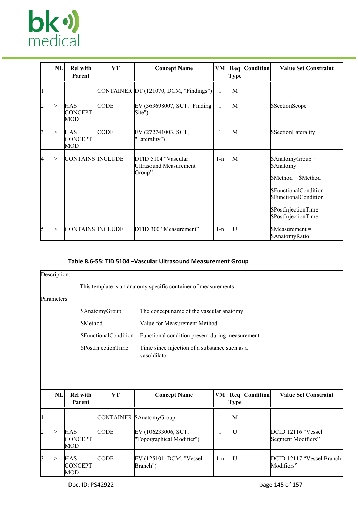

|                | NL | <b>Rel with</b><br>Parent           | VT          | <b>Concept Name</b>                                     | VM           | <b>Type</b>  | Req   Condition | <b>Value Set Constraint</b>                                                                                                                                                |
|----------------|----|-------------------------------------|-------------|---------------------------------------------------------|--------------|--------------|-----------------|----------------------------------------------------------------------------------------------------------------------------------------------------------------------------|
|                |    |                                     |             | CONTAINER DT (121070, DCM, "Findings")                  | 1            | M            |                 |                                                                                                                                                                            |
| $\overline{c}$ |    | <b>HAS</b><br><b>CONCEPT</b><br>MOD | <b>CODE</b> | EV (363698007, SCT, "Finding<br>Site")                  | $\mathbf{1}$ | M            |                 | \$SectionScope                                                                                                                                                             |
|                |    | <b>HAS</b><br><b>CONCEPT</b><br>MOD | <b>CODE</b> | EV (272741003, SCT,<br>"Laterality")                    | 1            | M            |                 | \$SectionLaterality                                                                                                                                                        |
| 4              |    | CONTAINS INCLUDE                    |             | DTID 5104 "Vascular<br>Ultrasound Measurement<br>Group" | $1-n$        | M            |                 | $\Lambda$ natomyGroup =<br>\$Anatomy<br>$$Method = $Method$<br>$\mathbb S$ FunctionalCondition =<br>\$FunctionalCondition<br>$$PostInjectionTime =$<br>\$PostInjectionTime |
| 5              |    | CONTAINS INCLUDE                    |             | DTID 300 "Measurement"                                  | $1-n$        | $\mathbf{U}$ |                 | $\mathbb{S}$ Measurement =<br><b>\$AnatomyRatio</b>                                                                                                                        |

# **Table 8.6-55: TID 5104 –Vascular Ultrasound Measurement Group**

|                | Description: |                                     |                                                                 |                                                  |                                                 |      |               |                                          |  |  |
|----------------|--------------|-------------------------------------|-----------------------------------------------------------------|--------------------------------------------------|-------------------------------------------------|------|---------------|------------------------------------------|--|--|
|                |              |                                     | This template is an anatomy specific container of measurements. |                                                  |                                                 |      |               |                                          |  |  |
|                | Parameters:  |                                     |                                                                 |                                                  |                                                 |      |               |                                          |  |  |
|                |              |                                     | \$AnatomyGroup                                                  |                                                  | The concept name of the vascular anatomy        |      |               |                                          |  |  |
|                |              | <b>SMethod</b>                      |                                                                 |                                                  | Value for Measurement Method                    |      |               |                                          |  |  |
|                |              |                                     | \$FunctionalCondition                                           |                                                  | Functional condition present during measurement |      |               |                                          |  |  |
|                |              |                                     | \$PostInjectionTime                                             | vasoldilator                                     | Time since injection of a substance such as a   |      |               |                                          |  |  |
|                |              |                                     |                                                                 |                                                  |                                                 |      |               |                                          |  |  |
|                | NL           | <b>Rel with</b><br>Parent           | <b>VT</b>                                                       | <b>Concept Name</b>                              | VM                                              | Type | Req Condition | <b>Value Set Constraint</b>              |  |  |
|                |              |                                     |                                                                 | CONTAINER <i>SAnatomyGroup</i>                   | 1                                               | M    |               |                                          |  |  |
| $\overline{c}$ |              | HAS<br><b>CONCEPT</b><br>MOD        | <b>CODE</b>                                                     | EV (106233006, SCT,<br>"Topographical Modifier") | 1                                               | U    |               | DCID 12116 "Vessel<br>Segment Modifiers" |  |  |
| 3              |              | <b>HAS</b><br><b>CONCEPT</b><br>MOD | <b>CODE</b>                                                     | EV (125101, DCM, "Vessel<br>Branch")             | $1-n$                                           | U    |               | DCID 12117 "Vessel Branch<br>Modifiers"  |  |  |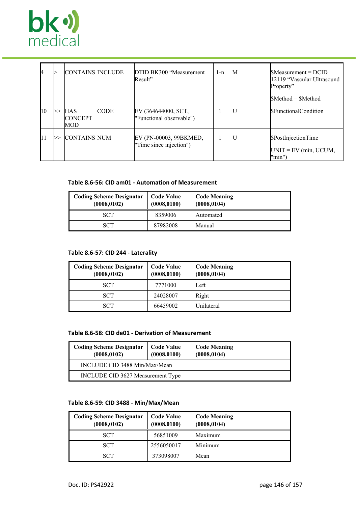

| I4         |     | <b>CONTAINS INCLUDE</b>             |             | DTID BK300 "Measurement"<br>Result"               | 1-n | M | $\mathbb{S}$ Measurement = DCID<br>12119 "Vascular Ultrasound<br>Property"<br>$$Method = $Method$ |
|------------|-----|-------------------------------------|-------------|---------------------------------------------------|-----|---|---------------------------------------------------------------------------------------------------|
| <b>110</b> | 1>> | <b>HAS</b><br><b>CONCEPT</b><br>MOD | <b>CODE</b> | EV (364644000, SCT,<br>"Functional observable")   |     | U | <b>SFunctionalCondition</b>                                                                       |
| 111        | ▷`  | <b>CONTAINS NUM</b>                 |             | EV (PN-00003, 99BKMED,<br>"Time since injection") |     | U | \$PostInjectionTime<br>$UNIT = EV (min, UCUM,$<br>"min"                                           |

# **Table 8.6-56: CID am01 - Automation of Measurement**

| <b>Coding Scheme Designator</b><br>(0008, 0102) | <b>Code Value</b><br>(0008, 0100) | <b>Code Meaning</b><br>(0008, 0104) |
|-------------------------------------------------|-----------------------------------|-------------------------------------|
| <b>SCT</b>                                      | 8359006                           | Automated                           |
| SCT                                             | 87982008                          | Manual                              |

### **Table 8.6-57: CID 244 - Laterality**

| <b>Coding Scheme Designator</b><br>(0008, 0102) | <b>Code Value</b><br>(0008, 0100) | <b>Code Meaning</b><br>(0008, 0104) |
|-------------------------------------------------|-----------------------------------|-------------------------------------|
| <b>SCT</b>                                      | 7771000                           | Left                                |
| <b>SCT</b>                                      | 24028007                          | Right                               |
| <b>SCT</b>                                      | 66459002                          | Unilateral                          |

# **Table 8.6-58: CID de01 - Derivation of Measurement**

| <b>Coding Scheme Designator</b><br>(0008, 0102) | <b>Code Value</b><br>(0008, 0100) | <b>Code Meaning</b><br>(0008, 0104) |  |  |  |
|-------------------------------------------------|-----------------------------------|-------------------------------------|--|--|--|
| INCLUDE CID 3488 Min/Max/Mean                   |                                   |                                     |  |  |  |
| INCLUDE CID 3627 Measurement Type               |                                   |                                     |  |  |  |

#### **Table 8.6-59: CID 3488 - Min/Max/Mean**

| <b>Coding Scheme Designator</b><br>(0008, 0102) | <b>Code Value</b><br>(0008, 0100) | <b>Code Meaning</b><br>(0008, 0104) |
|-------------------------------------------------|-----------------------------------|-------------------------------------|
| <b>SCT</b>                                      | 56851009                          | Maximum                             |
| <b>SCT</b>                                      | 2556050017                        | Minimum                             |
| <b>SCT</b>                                      | 373098007                         | Mean                                |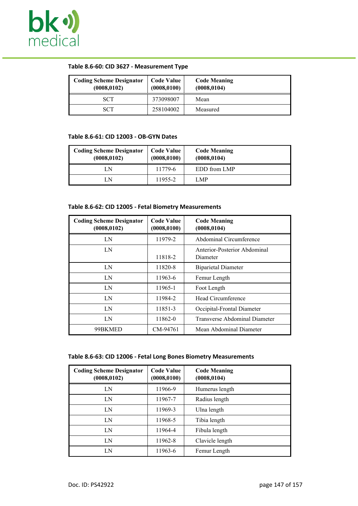

# **Table 8.6-60: CID 3627 - Measurement Type**

| <b>Coding Scheme Designator</b><br>(0008, 0102) | <b>Code Value</b><br>(0008, 0100) | <b>Code Meaning</b><br>(0008, 0104) |
|-------------------------------------------------|-----------------------------------|-------------------------------------|
| <b>SCT</b>                                      | 373098007                         | Mean                                |
| <b>SCT</b>                                      | 258104002                         | Measured                            |

#### **Table 8.6-61: CID 12003 - OB-GYN Dates**

| <b>Coding Scheme Designator</b><br>(0008, 0102) | <b>Code Value</b><br>(0008, 0100) | <b>Code Meaning</b><br>(0008, 0104) |
|-------------------------------------------------|-----------------------------------|-------------------------------------|
| LΝ                                              | 11779-6                           | EDD from LMP                        |
| I N                                             | 11955-2                           | LMP                                 |

#### **Table 8.6-62: CID 12005 - Fetal Biometry Measurements**

| <b>Coding Scheme Designator</b><br>(0008, 0102) | <b>Code Value</b><br>(0008, 0100) | <b>Code Meaning</b><br>(0008, 0104)      |
|-------------------------------------------------|-----------------------------------|------------------------------------------|
| LN                                              | 11979-2                           | Abdominal Circumference                  |
| LN                                              | 11818-2                           | Anterior-Posterior Abdominal<br>Diameter |
| LN                                              | 11820-8                           | <b>Biparietal Diameter</b>               |
| LN                                              | 11963-6                           | Femur Length                             |
| LN                                              | 11965-1                           | Foot Length                              |
| LN                                              | 11984-2                           | Head Circumference                       |
| LN                                              | 11851-3                           | Occipital-Frontal Diameter               |
| LN                                              | 11862-0                           | Transverse Abdominal Diameter            |
| 99BKMED                                         | CM-94761                          | Mean Abdominal Diameter                  |

# **Table 8.6-63: CID 12006 - Fetal Long Bones Biometry Measurements**

| <b>Coding Scheme Designator</b><br>(0008, 0102) | <b>Code Value</b><br>(0008, 0100) | <b>Code Meaning</b><br>(0008, 0104) |
|-------------------------------------------------|-----------------------------------|-------------------------------------|
| LN                                              | 11966-9                           | Humerus length                      |
| LN                                              | 11967-7                           | Radius length                       |
| LN                                              | 11969-3                           | Ulna length                         |
| LN                                              | 11968-5                           | Tibia length                        |
| LN                                              | 11964-4                           | Fibula length                       |
| LN                                              | 11962-8                           | Clavicle length                     |
| LN                                              | 11963-6                           | Femur Length                        |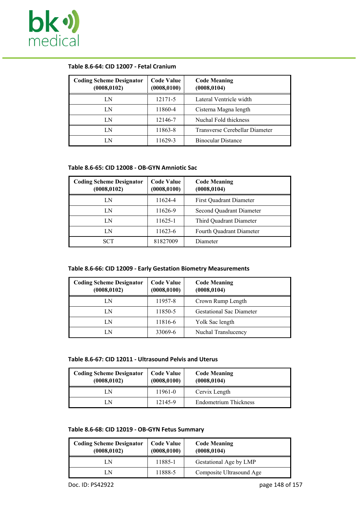

### **Table 8.6-64: CID 12007 - Fetal Cranium**

| <b>Coding Scheme Designator</b><br>(0008, 0102) | <b>Code Value</b><br>(0008, 0100) | <b>Code Meaning</b><br>(0008, 0104) |
|-------------------------------------------------|-----------------------------------|-------------------------------------|
| LΝ                                              | 12171-5                           | Lateral Ventricle width             |
| LN                                              | 11860-4                           | Cisterna Magna length               |
| LN                                              | 12146-7                           | Nuchal Fold thickness               |
| LΝ                                              | 11863-8                           | Transverse Cerebellar Diameter      |
| LΝ                                              | 11629-3                           | <b>Binocular Distance</b>           |

# **Table 8.6-65: CID 12008 - OB-GYN Amniotic Sac**

| <b>Coding Scheme Designator</b><br>(0008, 0102) | <b>Code Value</b><br>(0008, 0100) | <b>Code Meaning</b><br>(0008, 0104) |
|-------------------------------------------------|-----------------------------------|-------------------------------------|
| LN                                              | 11624-4                           | <b>First Quadrant Diameter</b>      |
| LΝ                                              | 11626-9                           | Second Quadrant Diameter            |
| LN                                              | 11625-1                           | Third Quadrant Diameter             |
| LN                                              | 11623-6                           | Fourth Quadrant Diameter            |
| SCT                                             | 81827009                          | Diameter                            |

#### **Table 8.6-66: CID 12009 - Early Gestation Biometry Measurements**

| <b>Coding Scheme Designator</b><br>(0008, 0102) | <b>Code Value</b><br>(0008, 0100) | <b>Code Meaning</b><br>(0008, 0104) |
|-------------------------------------------------|-----------------------------------|-------------------------------------|
| ΓN                                              | 11957-8                           | Crown Rump Length                   |
| LΝ                                              | 11850-5                           | <b>Gestational Sac Diameter</b>     |
| ΓN                                              | 11816-6                           | Yolk Sac length                     |
| 'N                                              | 33069-6                           | Nuchal Translucency                 |

# **Table 8.6-67: CID 12011 - Ultrasound Pelvis and Uterus**

| <b>Coding Scheme Designator</b><br>(0008, 0102) | <b>Code Value</b><br>(0008, 0100) | <b>Code Meaning</b><br>(0008, 0104) |
|-------------------------------------------------|-----------------------------------|-------------------------------------|
| 'N                                              | 11961-0                           | Cervix Length                       |
| .N                                              | 12145-9                           | Endometrium Thickness               |

#### **Table 8.6-68: CID 12019 - OB-GYN Fetus Summary**

| <b>Coding Scheme Designator</b><br>(0008, 0102) | <b>Code Value</b><br>(0008, 0100) | <b>Code Meaning</b><br>(0008, 0104) |
|-------------------------------------------------|-----------------------------------|-------------------------------------|
| LN.                                             | 11885-1                           | Gestational Age by LMP              |
| 'N                                              | 11888-5                           | Composite Ultrasound Age            |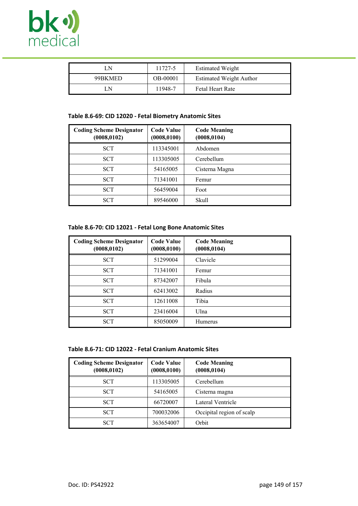

|         | 11727-5  | <b>Estimated Weight</b>        |
|---------|----------|--------------------------------|
| 99BKMED | OB-00001 | <b>Estimated Weight Author</b> |
|         | 11948-7  | <b>Fetal Heart Rate</b>        |

# **Table 8.6-69: CID 12020 - Fetal Biometry Anatomic Sites**

| <b>Coding Scheme Designator</b><br>(0008, 0102) | <b>Code Value</b><br>(0008, 0100) | <b>Code Meaning</b><br>(0008, 0104) |
|-------------------------------------------------|-----------------------------------|-------------------------------------|
| <b>SCT</b>                                      | 113345001                         | Abdomen                             |
| <b>SCT</b>                                      | 113305005                         | Cerebellum                          |
| <b>SCT</b>                                      | 54165005                          | Cisterna Magna                      |
| <b>SCT</b>                                      | 71341001                          | Femur                               |
| <b>SCT</b>                                      | 56459004                          | Foot                                |
| <b>SCT</b>                                      | 89546000                          | Skull                               |

# **Table 8.6-70: CID 12021 - Fetal Long Bone Anatomic Sites**

| <b>Coding Scheme Designator</b><br>(0008, 0102) | <b>Code Value</b><br>(0008, 0100) | <b>Code Meaning</b><br>(0008, 0104) |
|-------------------------------------------------|-----------------------------------|-------------------------------------|
| <b>SCT</b>                                      | 51299004                          | Clavicle                            |
| <b>SCT</b>                                      | 71341001                          | Femur                               |
| <b>SCT</b>                                      | 87342007                          | Fibula                              |
| <b>SCT</b>                                      | 62413002                          | Radius                              |
| <b>SCT</b>                                      | 12611008                          | Tibia                               |
| <b>SCT</b>                                      | 23416004                          | Ulna                                |
| <b>SCT</b>                                      | 85050009                          | Humerus                             |

# **Table 8.6-71: CID 12022 - Fetal Cranium Anatomic Sites**

| <b>Coding Scheme Designator</b><br>(0008, 0102) | <b>Code Value</b><br>(0008, 0100) | <b>Code Meaning</b><br>(0008, 0104) |
|-------------------------------------------------|-----------------------------------|-------------------------------------|
| <b>SCT</b>                                      | 113305005                         | Cerebellum                          |
| <b>SCT</b>                                      | 54165005                          | Cisterna magna                      |
| <b>SCT</b>                                      | 66720007                          | Lateral Ventricle                   |
| <b>SCT</b>                                      | 700032006                         | Occipital region of scalp           |
| SCT.                                            | 363654007                         | Orbit                               |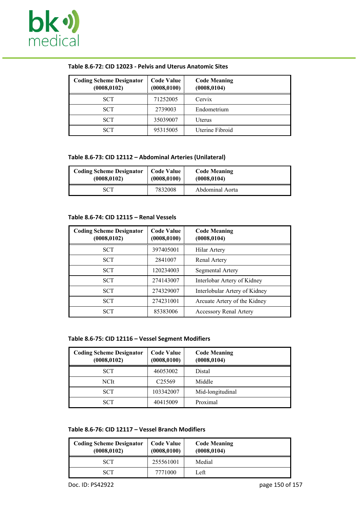

| <b>Coding Scheme Designator</b><br>(0008, 0102) | <b>Code Value</b><br>(0008, 0100) | <b>Code Meaning</b><br>(0008, 0104) |
|-------------------------------------------------|-----------------------------------|-------------------------------------|
| <b>SCT</b>                                      | 71252005                          | Cervix                              |
| <b>SCT</b>                                      | 2739003                           | Endometrium                         |
| <b>SCT</b>                                      | 35039007                          | Uterus                              |
| SCT                                             | 95315005                          | Uterine Fibroid                     |

# **Table 8.6-72: CID 12023 - Pelvis and Uterus Anatomic Sites**

# **Table 8.6-73: CID 12112 – Abdominal Arteries (Unilateral)**

| <b>Coding Scheme Designator</b> | <b>Code Value</b> | <b>Code Meaning</b> |
|---------------------------------|-------------------|---------------------|
| (0008, 0102)                    | (0008, 0100)      | (0008, 0104)        |
| SCT                             | 7832008           | Abdominal Aorta     |

#### **Table 8.6-74: CID 12115 – Renal Vessels**

| <b>Coding Scheme Designator</b><br>(0008, 0102) | <b>Code Value</b><br>(0008, 0100) | <b>Code Meaning</b><br>(0008, 0104) |
|-------------------------------------------------|-----------------------------------|-------------------------------------|
| <b>SCT</b>                                      | 397405001                         | Hilar Artery                        |
| <b>SCT</b>                                      | 2841007                           | Renal Artery                        |
| <b>SCT</b>                                      | 120234003                         | Segmental Artery                    |
| <b>SCT</b>                                      | 274143007                         | Interlobar Artery of Kidney         |
| <b>SCT</b>                                      | 274329007                         | Interlobular Artery of Kidney       |
| <b>SCT</b>                                      | 274231001                         | Arcuate Artery of the Kidney        |
| <b>SCT</b>                                      | 85383006                          | <b>Accessory Renal Artery</b>       |

| Table 8.6-75: CID 12116 - Vessel Segment Modifiers |  |  |
|----------------------------------------------------|--|--|
|----------------------------------------------------|--|--|

| <b>Coding Scheme Designator</b><br>(0008, 0102) | <b>Code Value</b><br>(0008, 0100) | <b>Code Meaning</b><br>(0008, 0104) |
|-------------------------------------------------|-----------------------------------|-------------------------------------|
| <b>SCT</b>                                      | 46053002                          | Distal                              |
| <b>NCIt</b>                                     | C <sub>25569</sub>                | Middle                              |
| <b>SCT</b>                                      | 103342007                         | Mid-longitudinal                    |
| <b>SCT</b>                                      | 40415009                          | Proximal                            |

#### **Table 8.6-76: CID 12117 – Vessel Branch Modifiers**

| <b>Coding Scheme Designator</b><br>(0008, 0102) | <b>Code Value</b><br>(0008, 0100) | <b>Code Meaning</b><br>(0008, 0104) |
|-------------------------------------------------|-----------------------------------|-------------------------------------|
| <b>SCT</b>                                      | 255561001                         | Medial                              |
| SCT                                             | 7771000                           | Left                                |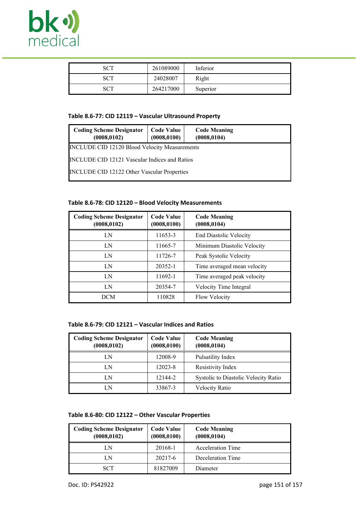

| SCT        | 261089000 | Inferior |
|------------|-----------|----------|
| <b>SCT</b> | 24028007  | Right    |
| SCT        | 264217000 | Superior |

# **Table 8.6-77: CID 12119 – Vascular Ultrasound Property**

| <b>Coding Scheme Designator</b><br>(0008, 0102)      | <b>Code Value</b><br>(0008, 0100) | <b>Code Meaning</b><br>(0008, 0104) |  |  |
|------------------------------------------------------|-----------------------------------|-------------------------------------|--|--|
| <b>INCLUDE CID 12120 Blood Velocity Measurements</b> |                                   |                                     |  |  |
| <b>INCLUDE CID 12121 Vascular Indices and Ratios</b> |                                   |                                     |  |  |
| <b>INCLUDE CID 12122 Other Vascular Properties</b>   |                                   |                                     |  |  |

# **Table 8.6-78: CID 12120 – Blood Velocity Measurements**

| <b>Coding Scheme Designator</b><br>(0008, 0102) | <b>Code Value</b><br>(0008, 0100) | <b>Code Meaning</b><br>(0008, 0104) |
|-------------------------------------------------|-----------------------------------|-------------------------------------|
| LN                                              | 11653-3                           | <b>End Diastolic Velocity</b>       |
| LN                                              | 11665-7                           | Minimum Diastolic Velocity          |
| LN                                              | 11726-7                           | Peak Systolic Velocity              |
| LN                                              | 20352-1                           | Time averaged mean velocity         |
| LN                                              | 11692-1                           | Time averaged peak velocity         |
| LN                                              | 20354-7                           | Velocity Time Integral              |
| <b>DCM</b>                                      | 110828                            | Flow Velocity                       |

### **Table 8.6-79: CID 12121 – Vascular Indices and Ratios**

| <b>Coding Scheme Designator</b><br>(0008, 0102) | <b>Code Value</b><br>(0008, 0100) | <b>Code Meaning</b><br>(0008, 0104)  |
|-------------------------------------------------|-----------------------------------|--------------------------------------|
| LΝ                                              | 12008-9                           | Pulsatility Index                    |
| LΝ                                              | 12023-8                           | Resistivity Index                    |
| LΝ                                              | 12144-2                           | Systolic to Diastolic Velocity Ratio |
|                                                 | 33867-3                           | Velocity Ratio                       |

#### **Table 8.6-80: CID 12122 – Other Vascular Properties**

| <b>Coding Scheme Designator</b><br>(0008, 0102) | <b>Code Value</b><br>(0008, 0100) | <b>Code Meaning</b><br>(0008, 0104) |
|-------------------------------------------------|-----------------------------------|-------------------------------------|
| LN                                              | 20168-1                           | <b>Acceleration Time</b>            |
| LΝ                                              | 20217-6                           | Deceleration Time                   |
| <b>SCT</b>                                      | 81827009                          | Diameter                            |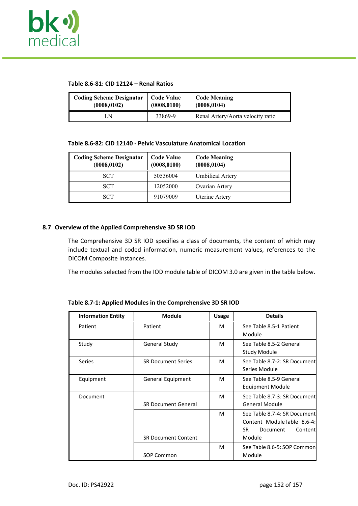

### **Table 8.6-81: CID 12124 – Renal Ratios**

| <b>Coding Scheme Designator</b> | <b>Code Value</b> | <b>Code Meaning</b>               |
|---------------------------------|-------------------|-----------------------------------|
| (0008, 0102)                    | (0008, 0100)      | (0008, 0104)                      |
| ΙN                              | 33869-9           | Renal Artery/Aorta velocity ratio |

#### **Table 8.6-82: CID 12140 - Pelvic Vasculature Anatomical Location**

| <b>Coding Scheme Designator</b><br>(0008, 0102) | <b>Code Value</b><br>(0008, 0100) | <b>Code Meaning</b><br>(0008, 0104) |
|-------------------------------------------------|-----------------------------------|-------------------------------------|
| <b>SCT</b>                                      | 50536004                          | Umbilical Artery                    |
| <b>SCT</b>                                      | 12052000                          | Ovarian Artery                      |
| SCT                                             | 91079009                          | Uterine Artery                      |

#### <span id="page-151-0"></span>**8.7 Overview of the Applied Comprehensive 3D SR IOD**

The Comprehensive 3D SR IOD specifies a class of documents, the content of which may include textual and coded information, numeric measurement values, references to the DICOM Composite Instances.

The modules selected from the IOD module table of DICOM 3.0 are given in the table below.

| <b>Information Entity</b> | <b>Module</b>              | <b>Usage</b> | <b>Details</b>                                                                                     |
|---------------------------|----------------------------|--------------|----------------------------------------------------------------------------------------------------|
| Patient                   | Patient                    | м            | See Table 8.5-1 Patient<br>Module                                                                  |
| Study                     | <b>General Study</b>       | м            | See Table 8.5-2 General<br>Study Module                                                            |
| Series                    | <b>SR Document Series</b>  | м            | See Table 8.7-2: SR Document<br>Series Module                                                      |
| Equipment                 | <b>General Equipment</b>   | м            | See Table 8.5-9 General<br><b>Equipment Module</b>                                                 |
| Document                  | <b>SR Document General</b> | м            | See Table 8.7-3: SR Document<br><b>General Module</b>                                              |
|                           | <b>SR Document Content</b> | м            | See Table 8.7-4: SR Document<br>Content ModuleTable 8.6-4:<br>SR.<br>Document<br>Content<br>Module |
|                           | SOP Common                 | м            | See Table 8.6-5: SOP Common<br>Module                                                              |

**Table 8.7-1: Applied Modules in the Comprehensive 3D SR IOD**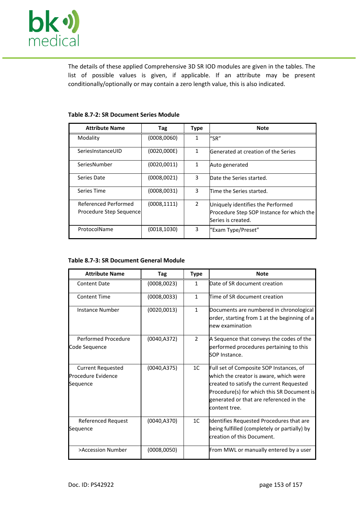

The details of these applied Comprehensive 3D SR IOD modules are given in the tables. The list of possible values is given, if applicable. If an attribute may be present conditionally/optionally or may contain a zero length value, this is also indicated.

| <b>Attribute Name</b>   | Tag          | <b>Type</b>    | <b>Note</b>                                |
|-------------------------|--------------|----------------|--------------------------------------------|
| Modality                | (0008,0060)  | 1              | l"SR"                                      |
| SeriesInstanceUID       | (0020,000E)  | 1              | <b>Generated at creation of the Series</b> |
| SeriesNumber            | (0020, 0011) | 1              | Auto generated                             |
| Series Date             | (0008,0021)  | 3              | Date the Series started.                   |
| Series Time             | (0008,0031)  | 3              | Time the Series started.                   |
| Referenced Performed    | (0008, 1111) | $\overline{2}$ | Uniquely identifies the Performed          |
| Procedure Step Sequence |              |                | Procedure Step SOP Instance for which the  |
|                         |              |                | lSeries is created.                        |
| ProtocolName            | (0018, 1030) | 3              | "Exam Type/Preset"                         |

### <span id="page-152-0"></span>**Table 8.7-2: SR Document Series Module**

# <span id="page-152-1"></span>**Table 8.7-3: SR Document General Module**

| <b>Attribute Name</b>                                             | Tag          | <b>Type</b>    | <b>Note</b>                                                                                                                                                                                                                             |
|-------------------------------------------------------------------|--------------|----------------|-----------------------------------------------------------------------------------------------------------------------------------------------------------------------------------------------------------------------------------------|
| <b>Content Date</b>                                               | (0008, 0023) | 1              | Date of SR document creation                                                                                                                                                                                                            |
| <b>Content Time</b>                                               | (0008, 0033) | $\mathbf{1}$   | Time of SR document creation                                                                                                                                                                                                            |
| Instance Number                                                   | (0020, 0013) | $\mathbf{1}$   | Documents are numbered in chronological<br>order, starting from 1 at the beginning of a<br>lnew examination                                                                                                                             |
| Performed Procedure<br>Code Sequence                              | (0040, A372) | $\mathcal{P}$  | A Sequence that conveys the codes of the<br>performed procedures pertaining to this<br>SOP Instance.                                                                                                                                    |
| <b>Current Requested</b><br><b>Procedure Evidence</b><br>Sequence | (0040, A375) | 1 <sup>C</sup> | Full set of Composite SOP Instances, of<br>which the creator is aware, which were<br>created to satisfy the current Requested<br>Procedure(s) for which this SR Document is<br>generated or that are referenced in the<br>content tree. |
| <b>Referenced Request</b><br><b>S</b> equence                     | (0040, A370) | 1 <sup>C</sup> | Identifies Requested Procedures that are<br>being fulfilled (completely or partially) by<br>creation of this Document.                                                                                                                  |
| >Accession Number                                                 | (0008, 0050) |                | From MWL or manually entered by a user                                                                                                                                                                                                  |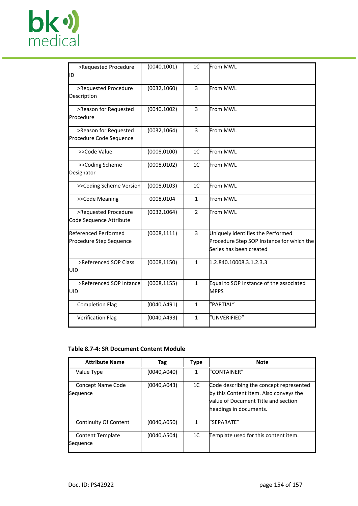

| >Requested Procedure        | (0040, 1001) | 1 <sub>C</sub> | From MWL                                  |
|-----------------------------|--------------|----------------|-------------------------------------------|
| ID                          |              |                |                                           |
|                             |              |                |                                           |
| >Requested Procedure        | (0032, 1060) | 3              | From MWL                                  |
| Description                 |              |                |                                           |
|                             |              |                |                                           |
| >Reason for Requested       | (0040, 1002) | 3              | From MWL                                  |
| Procedure                   |              |                |                                           |
|                             |              |                |                                           |
| >Reason for Requested       | (0032, 1064) | 3              | lFrom MWL                                 |
| Procedure Code Sequence     |              |                |                                           |
|                             |              |                |                                           |
| >>Code Value                | (0008, 0100) | 1 <sup>C</sup> | <b>From MWL</b>                           |
| >>Coding Scheme             | (0008, 0102) | 1 <sup>C</sup> | From MWL                                  |
|                             |              |                |                                           |
| Designator                  |              |                |                                           |
| >>Coding Scheme Version     | (0008, 0103) | 1 <sup>C</sup> | lFrom MWL                                 |
|                             |              |                |                                           |
| >>Code Meaning              | 0008,0104    | $\mathbf{1}$   | lFrom MWL                                 |
|                             |              |                |                                           |
| >Requested Procedure        | (0032, 1064) | $\overline{2}$ | From MWL                                  |
| Code Sequence Attribute     |              |                |                                           |
|                             |              |                |                                           |
| <b>Referenced Performed</b> | (0008, 1111) | $\overline{3}$ | Uniquely identifies the Performed         |
| Procedure Step Sequence     |              |                | Procedure Step SOP Instance for which the |
|                             |              |                | Series has been created                   |
|                             |              |                |                                           |
| >Referenced SOP Class       | (0008, 1150) | $\mathbf{1}$   | 1.2.840.10008.3.1.2.3.3                   |
| UID                         |              |                |                                           |
|                             |              |                |                                           |
| >Referenced SOP Intance     | (0008, 1155) | $\mathbf{1}$   | Equal to SOP Instance of the associated   |
| UID                         |              |                | <b>IMPPS</b>                              |
|                             |              |                |                                           |
| <b>Completion Flag</b>      | (0040, A491) | $\mathbf{1}$   | "PARTIAL"                                 |
| <b>Verification Flag</b>    |              | $\mathbf{1}$   | "UNVERIFIED"                              |
|                             | (0040, A493) |                |                                           |
|                             |              |                |                                           |

# <span id="page-153-0"></span>**Table 8.7-4: SR Document Content Module**

| <b>Attribute Name</b>                | Tag          | <b>Type</b> | <b>Note</b>                                                                                                                                        |
|--------------------------------------|--------------|-------------|----------------------------------------------------------------------------------------------------------------------------------------------------|
| Value Type                           | (0040, A040) | 1           | l"CONTAINER"                                                                                                                                       |
| <b>Concept Name Code</b><br>Sequence | (0040, A043) | 1C          | Code describing the concept represented<br>by this Content Item. Also conveys the<br>value of Document Title and section<br>headings in documents. |
| Continuity Of Content                | (0040, A050) | 1           | l"SEPARATE"                                                                                                                                        |
| <b>Content Template</b><br>Sequence  | (0040, A504) | 1C          | Template used for this content item.                                                                                                               |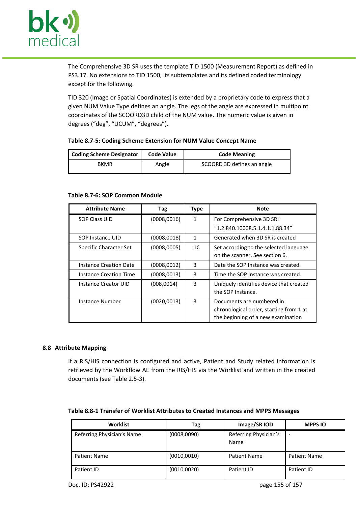

The Comprehensive 3D SR uses the template TID 1500 (Measurement Report) as defined in PS3.17. No extensions to TID 1500, its subtemplates and its defined coded terminology except for the following.

TID 320 (Image or Spatial Coordinates) is extended by a proprietary code to express that a given NUM Value Type defines an angle. The legs of the angle are expressed in multipoint coordinates of the SCOORD3D child of the NUM value. The numeric value is given in degrees ("deg", "UCUM", "degrees").

#### **Table 8.7-5: Coding Scheme Extension for NUM Value Concept Name**

| Coding Scheme Designator | <b>Code Value</b> | <b>Code Meaning</b>        |  |
|--------------------------|-------------------|----------------------------|--|
| <b>BKMR</b>              | Angle             | SCOORD 3D defines an angle |  |

#### **Table 8.7-6: SOP Common Module**

| <b>Attribute Name</b>         | Tag          | <b>Type</b>    | <b>Note</b>                             |  |
|-------------------------------|--------------|----------------|-----------------------------------------|--|
| <b>SOP Class UID</b>          | (0008, 0016) | 1              | For Comprehensive 3D SR:                |  |
|                               |              |                | "1.2.840.10008.5.1.4.1.1.88.34"         |  |
| SOP Instance UID              | (0008, 0018) | $\mathbf{1}$   | Generated when 3D SR is created         |  |
| Specific Character Set        | (0008,0005)  | 1 <sup>C</sup> | Set according to the selected language  |  |
|                               |              |                | on the scanner. See section 6.          |  |
| Instance Creation Date        | (0008, 0012) | 3              | Date the SOP Instance was created.      |  |
| <b>Instance Creation Time</b> | (0008, 0013) | 3              | Time the SOP Instance was created.      |  |
| Instance Creator UID          | (008,0014)   | 3              | Uniquely identifies device that created |  |
|                               |              |                | the SOP Instance.                       |  |
| Instance Number               | (0020, 0013) | 3              | Documents are numbered in               |  |
|                               |              |                | chronological order, starting from 1 at |  |
|                               |              |                | the beginning of a new examination      |  |

#### **8.8 Attribute Mapping**

If a RIS/HIS connection is configured and active, Patient and Study related information is retrieved by the Workflow AE from the RIS/HIS via the Worklist and written in the created documents (see Table 2.5-3).

<span id="page-154-0"></span>

|  |  |  | Table 8.8-1 Transfer of Worklist Attributes to Created Instances and MPPS Messages |  |
|--|--|--|------------------------------------------------------------------------------------|--|
|--|--|--|------------------------------------------------------------------------------------|--|

| Worklist                   | Tag          | Image/SR IOD                  | <b>MPPS IO</b>      |
|----------------------------|--------------|-------------------------------|---------------------|
| Referring Physician's Name | (0008,0090)  | Referring Physician's<br>Name | -                   |
|                            |              |                               |                     |
| <b>Patient Name</b>        | (0010, 0010) | Patient Name                  | <b>Patient Name</b> |
| Patient ID                 | (0010, 0020) | Patient ID                    | Patient ID          |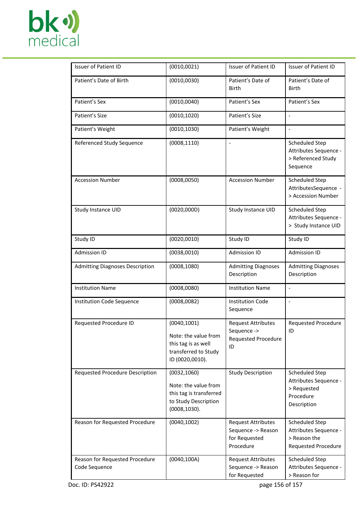

| <b>Issuer of Patient ID</b>                     | (0010, 0021)                                                                                             | <b>Issuer of Patient ID</b>                                                   | <b>Issuer of Patient ID</b>                                                           |
|-------------------------------------------------|----------------------------------------------------------------------------------------------------------|-------------------------------------------------------------------------------|---------------------------------------------------------------------------------------|
| Patient's Date of Birth                         | (0010, 0030)                                                                                             | Patient's Date of<br><b>Birth</b>                                             | Patient's Date of<br><b>Birth</b>                                                     |
| Patient's Sex                                   | (0010, 0040)                                                                                             | Patient's Sex                                                                 | Patient's Sex                                                                         |
| Patient's Size                                  | (0010, 1020)                                                                                             | Patient's Size                                                                | $\overline{\phantom{a}}$                                                              |
| Patient's Weight                                | (0010, 1030)                                                                                             | Patient's Weight                                                              | $\blacksquare$                                                                        |
| Referenced Study Sequence                       | (0008, 1110)                                                                                             | $\frac{1}{2}$                                                                 | <b>Scheduled Step</b><br>Attributes Sequence -<br>> Referenced Study<br>Sequence      |
| <b>Accession Number</b>                         | (0008, 0050)                                                                                             | <b>Accession Number</b>                                                       | Scheduled Step<br>AttributesSequence -<br>> Accession Number                          |
| Study Instance UID                              | (0020,000D)                                                                                              | Study Instance UID                                                            | Scheduled Step<br>Attributes Sequence -<br>> Study Instance UID                       |
| Study ID                                        | (0020, 0010)                                                                                             | Study ID                                                                      | Study ID                                                                              |
| <b>Admission ID</b>                             | (0038,0010)                                                                                              | Admission ID                                                                  | <b>Admission ID</b>                                                                   |
| <b>Admitting Diagnoses Description</b>          | (0008, 1080)                                                                                             | <b>Admitting Diagnoses</b><br>Description                                     | <b>Admitting Diagnoses</b><br>Description                                             |
| <b>Institution Name</b>                         | (0008,0080)                                                                                              | <b>Institution Name</b>                                                       | $\blacksquare$                                                                        |
| Institution Code Sequence                       | (0008,0082)                                                                                              | <b>Institution Code</b><br>Sequence                                           | $\frac{1}{2}$                                                                         |
| Requested Procedure ID                          | (0040, 1001)<br>Note: the value from<br>this tag is as well<br>transferred to Study<br>ID (0020,0010).   | <b>Request Attributes</b><br>Sequence -><br>Requested Procedure<br>ID         | <b>Requested Procedure</b><br>ID                                                      |
| Requested Procedure Description                 | (0032, 1060)<br>Note: the value from<br>this tag is transferred<br>to Study Description<br>(0008, 1030). | <b>Study Description</b>                                                      | Scheduled Step<br>Attributes Sequence -<br>> Requested<br>Procedure<br>Description    |
| Reason for Requested Procedure                  | (0040, 1002)                                                                                             | <b>Request Attributes</b><br>Sequence -> Reason<br>for Requested<br>Procedure | Scheduled Step<br>Attributes Sequence -<br>> Reason the<br><b>Requested Procedure</b> |
| Reason for Requested Procedure<br>Code Sequence | (0040, 100A)                                                                                             | <b>Request Attributes</b><br>Sequence -> Reason<br>for Requested              | Scheduled Step<br>Attributes Sequence -<br>> Reason for                               |